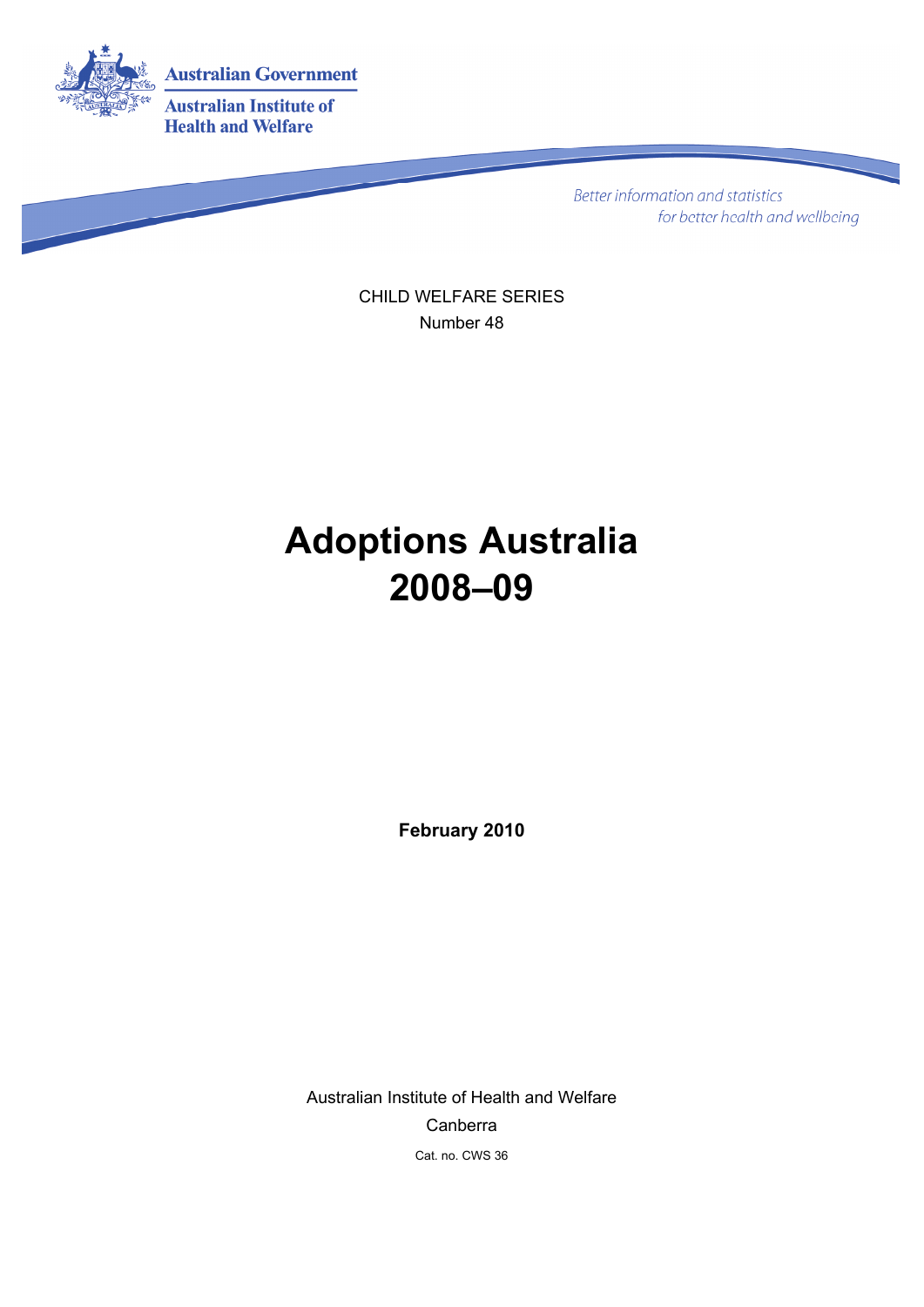

**Better information and statistics** for better health and wellbeing

CHILD WELFARE SERIES Number 48

# **Adoptions Australia 2008–09**

**February 2010** 

Australian Institute of Health and Welfare Canberra Cat. no. CWS 36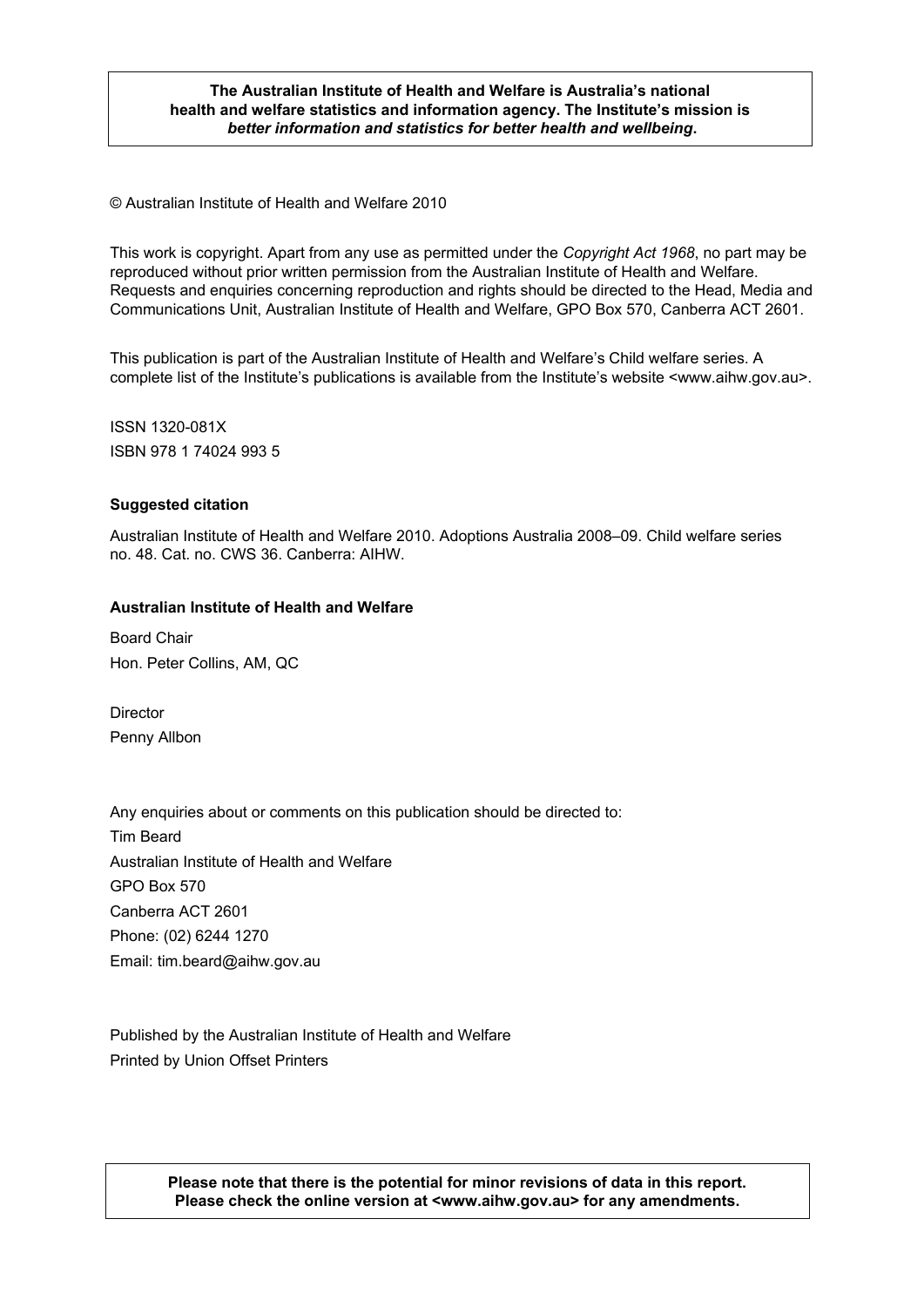#### © Australian Institute of Health and Welfare 2010 *better information and statistics for better health and wellbeing***. The Australian Institute of Health and Welfare is Australia's national health and welfare statistics and information agency. The Institute's mission is**

© Australian Institute of Health and Welfare 2010

This work is copyright. Apart from any use as permitted under the *Copyright Act 1968*, no part may be reproduced without prior written permission from the Australian Institute of Health and Welfare. Requests and enquiries concerning reproduction and rights should be directed to the Head, Media and Communications Unit, Australian Institute of Health and Welfare, GPO Box 570, Canberra ACT 2601.

This publication is part of the Australian Institute of Health and Welfare's Child welfare series. A complete list of the Institute's publications is available from the Institute's website <www.aihw.gov.au>.

ISSN 1320-081X ISBN 978 1 74024 993 5

#### **Suggested citation**

Australian Institute of Health and Welfare 2010. Adoptions Australia 2008–09. Child welfare series no. 48. Cat. no. CWS 36. Canberra: AIHW.

#### **Australian Institute of Health and Welfare**

Board Chair Hon. Peter Collins, AM, QC

Director Penny Allbon

Any enquiries about or comments on this publication should be directed to: Tim Beard Australian Institute of Health and Welfare GPO Box 570 Canberra ACT 2601 Phone: (02) 6244 1270 Email: tim.beard@aihw.gov.au

Published by the Australian Institute of Health and Welfare Printed by Union Offset Printers

> **Please note that there is the potential for minor revisions of data in this report. Please check the online version at <www.aihw.gov.au> for any amendments.**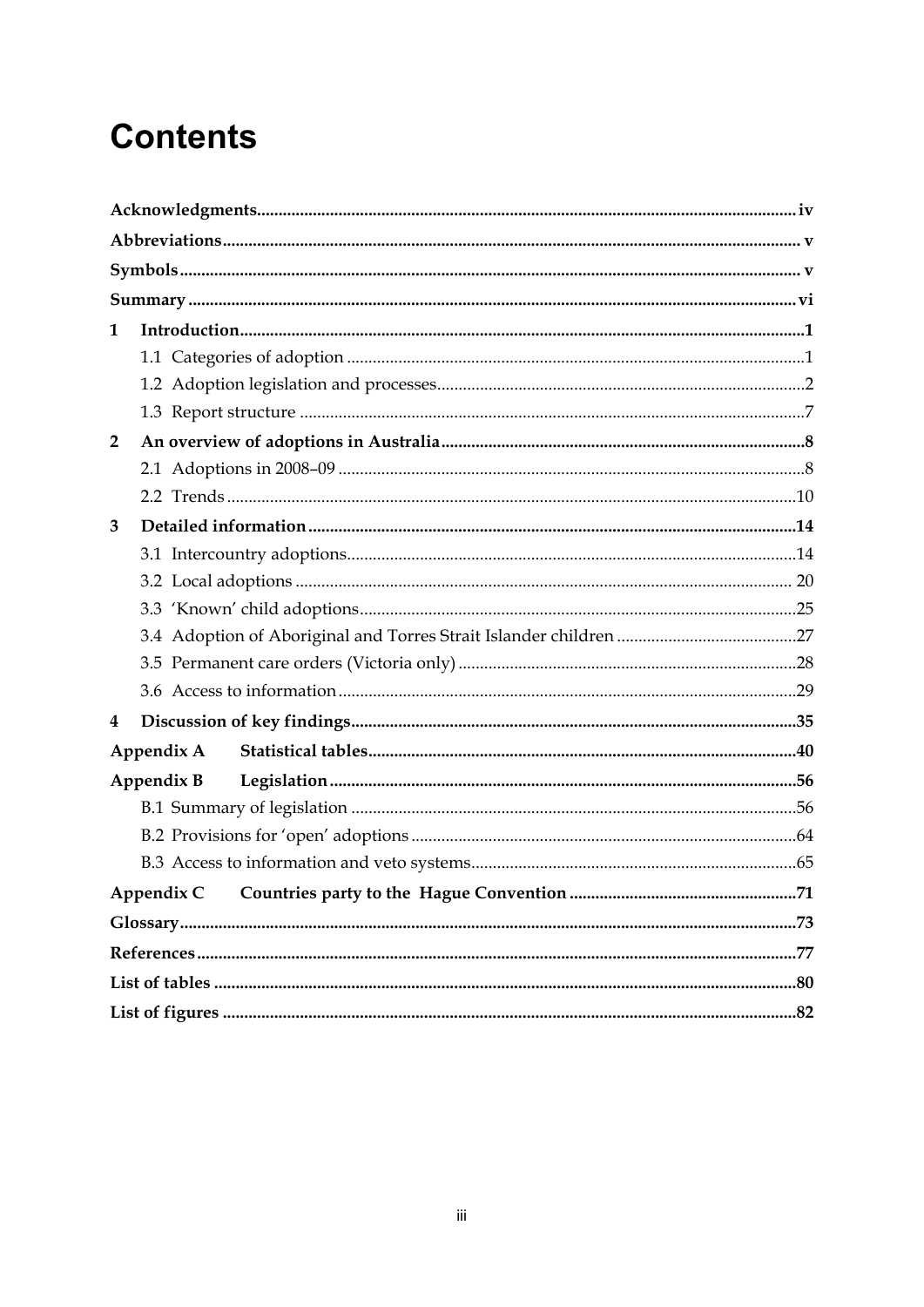# **Contents**

| 1              |            |  |
|----------------|------------|--|
|                |            |  |
|                |            |  |
|                |            |  |
| $\overline{2}$ |            |  |
|                |            |  |
|                |            |  |
| 3              |            |  |
|                |            |  |
|                |            |  |
|                |            |  |
|                |            |  |
|                |            |  |
|                |            |  |
| 4              |            |  |
|                | Appendix A |  |
|                | Appendix B |  |
|                |            |  |
|                |            |  |
|                |            |  |
|                |            |  |
|                |            |  |
|                |            |  |
|                |            |  |
|                |            |  |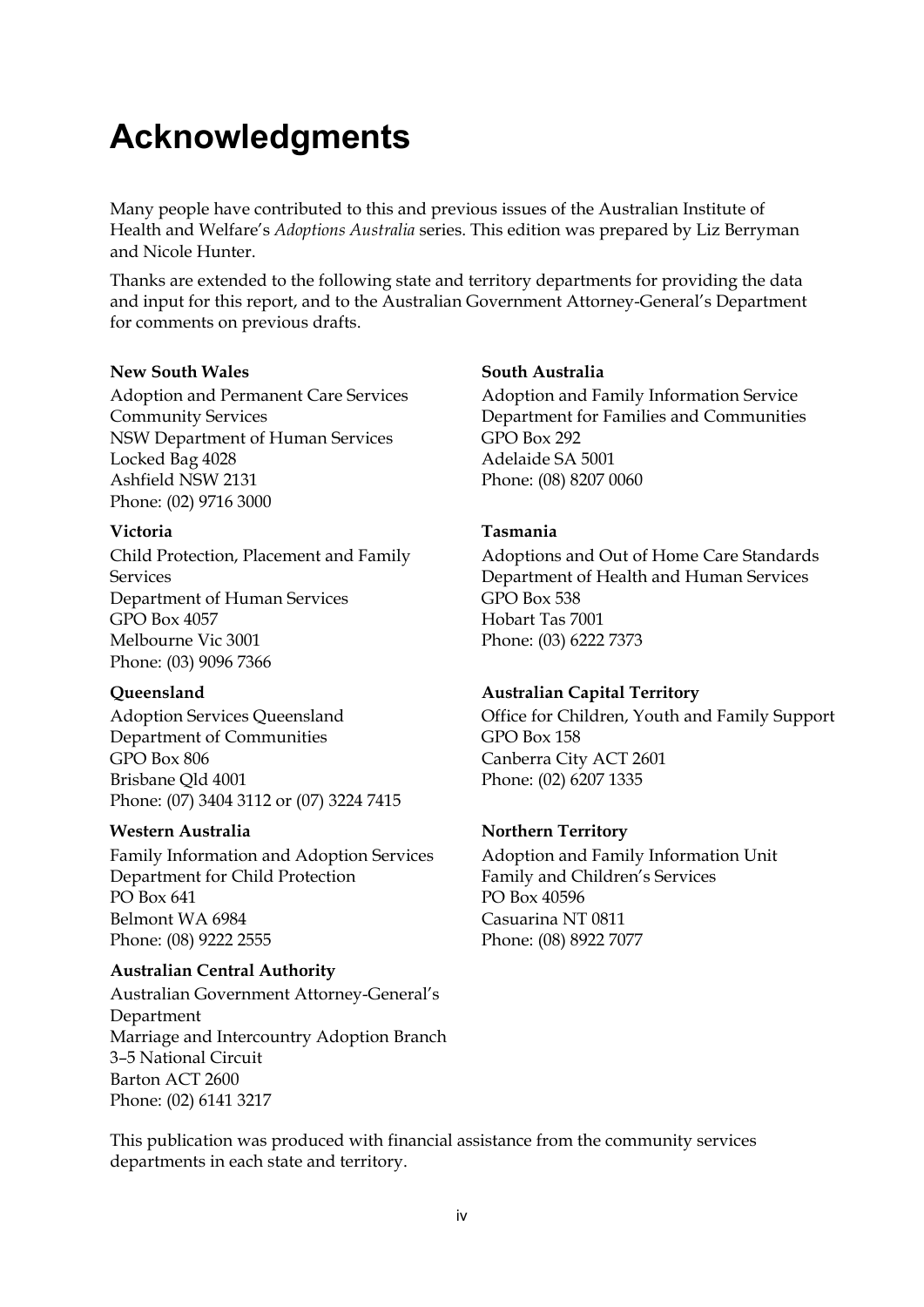# <span id="page-3-0"></span>**Acknowledgments**

Many people have contributed to this and previous issues of the Australian Institute of Health and Welfare's *Adoptions Australia* series. This edition was prepared by Liz Berryman and Nicole Hunter.

Thanks are extended to the following state and territory departments for providing the data and input for this report, and to the Australian Government Attorney-General's Department for comments on previous drafts.

### **New South Wales**

Adoption and Permanent Care Services Community Services NSW Department of Human Services Locked Bag 4028 Ashfield NSW 2131 Phone: (02) 9716 3000

#### **Victoria**

Child Protection, Placement and Family Services Department of Human Services GPO Box 4057 Melbourne Vic 3001 Phone: (03) 9096 7366

### **Queensland**

Adoption Services Queensland Department of Communities GPO Box 806 Brisbane Qld 4001 Phone: (07) 3404 3112 or (07) 3224 7415

### **Western Australia**

Family Information and Adoption Services Department for Child Protection PO Box 641 Belmont WA 6984 Phone: (08) 9222 2555

### **Australian Central Authority**

Australian Government Attorney-General's Department Marriage and Intercountry Adoption Branch 3–5 National Circuit Barton ACT 2600 Phone: (02) 6141 3217

### **South Australia**

Adoption and Family Information Service Department for Families and Communities GPO Box 292 Adelaide SA 5001 Phone: (08) 8207 0060

### **Tasmania**

Adoptions and Out of Home Care Standards Department of Health and Human Services GPO Box 538 Hobart Tas 7001 Phone: (03) 6222 7373

### **Australian Capital Territory**

Office for Children, Youth and Family Support GPO Box 158 Canberra City ACT 2601 Phone: (02) 6207 1335

### **Northern Territory**

Adoption and Family Information Unit Family and Children's Services PO Box 40596 Casuarina NT 0811 Phone: (08) 8922 7077

This publication was produced with financial assistance from the community services departments in each state and territory.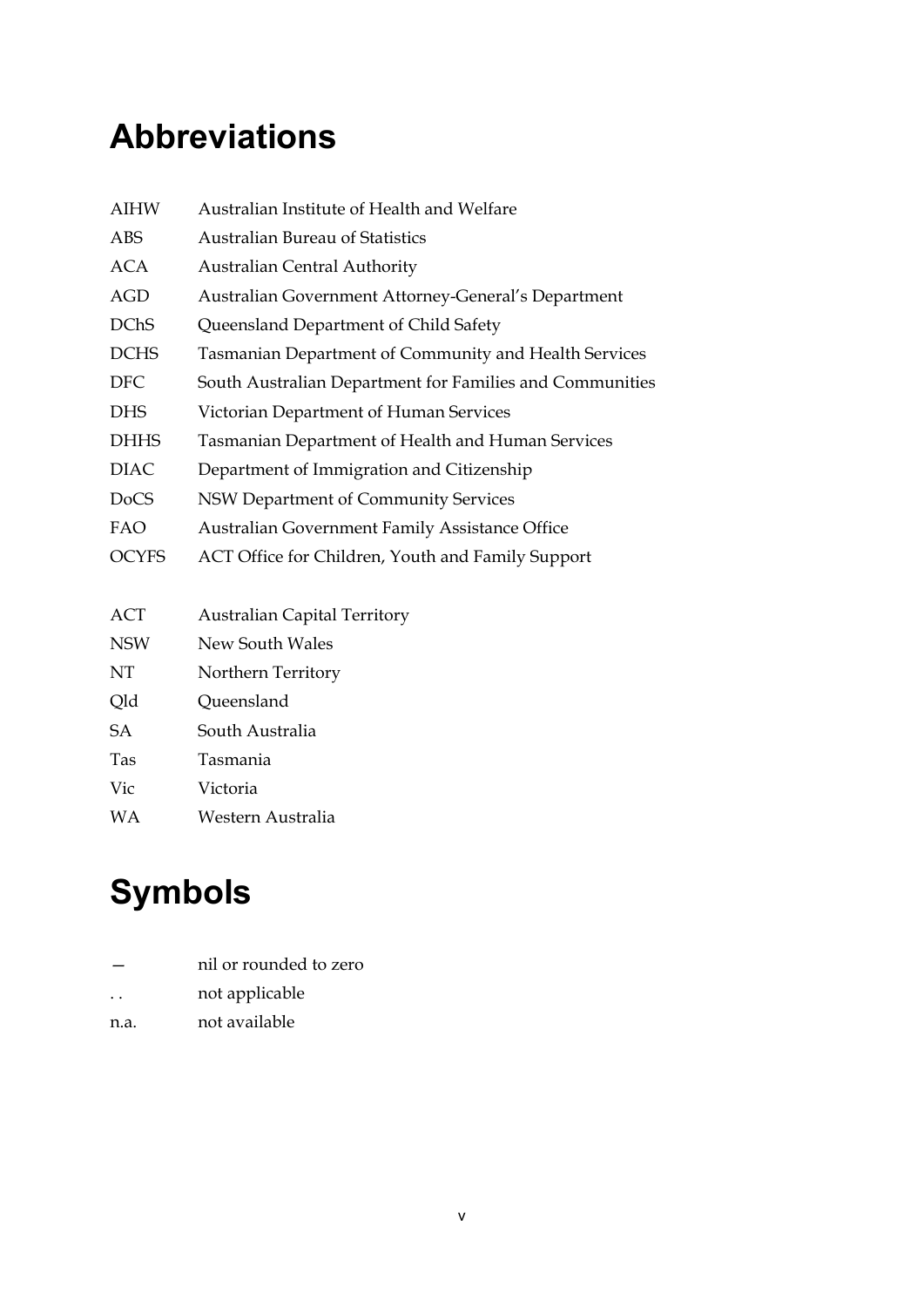# <span id="page-4-0"></span>**Abbreviations**

| <b>AIHW</b>  | Australian Institute of Health and Welfare               |
|--------------|----------------------------------------------------------|
| ABS          | <b>Australian Bureau of Statistics</b>                   |
| <b>ACA</b>   | <b>Australian Central Authority</b>                      |
| AGD          | Australian Government Attorney-General's Department      |
| <b>DChS</b>  | Queensland Department of Child Safety                    |
| <b>DCHS</b>  | Tasmanian Department of Community and Health Services    |
| <b>DFC</b>   | South Australian Department for Families and Communities |
| DHS          | Victorian Department of Human Services                   |
| <b>DHHS</b>  | Tasmanian Department of Health and Human Services        |
| <b>DIAC</b>  | Department of Immigration and Citizenship                |
| DoCS         | NSW Department of Community Services                     |
| FAO          | <b>Australian Government Family Assistance Office</b>    |
| <b>OCYFS</b> | ACT Office for Children, Youth and Family Support        |
|              |                                                          |

- ACT Australian Capital Territory
- NSW New South Wales

NT Northern Territory

- Qld Queensland
- SA South Australia
- Tas Tasmania
- Vic Victoria
- WA Western Australia

# <span id="page-4-1"></span>**Symbols**

|                      | nil or rounded to zero |
|----------------------|------------------------|
| $\ddot{\phantom{0}}$ | not applicable         |

n.a. not available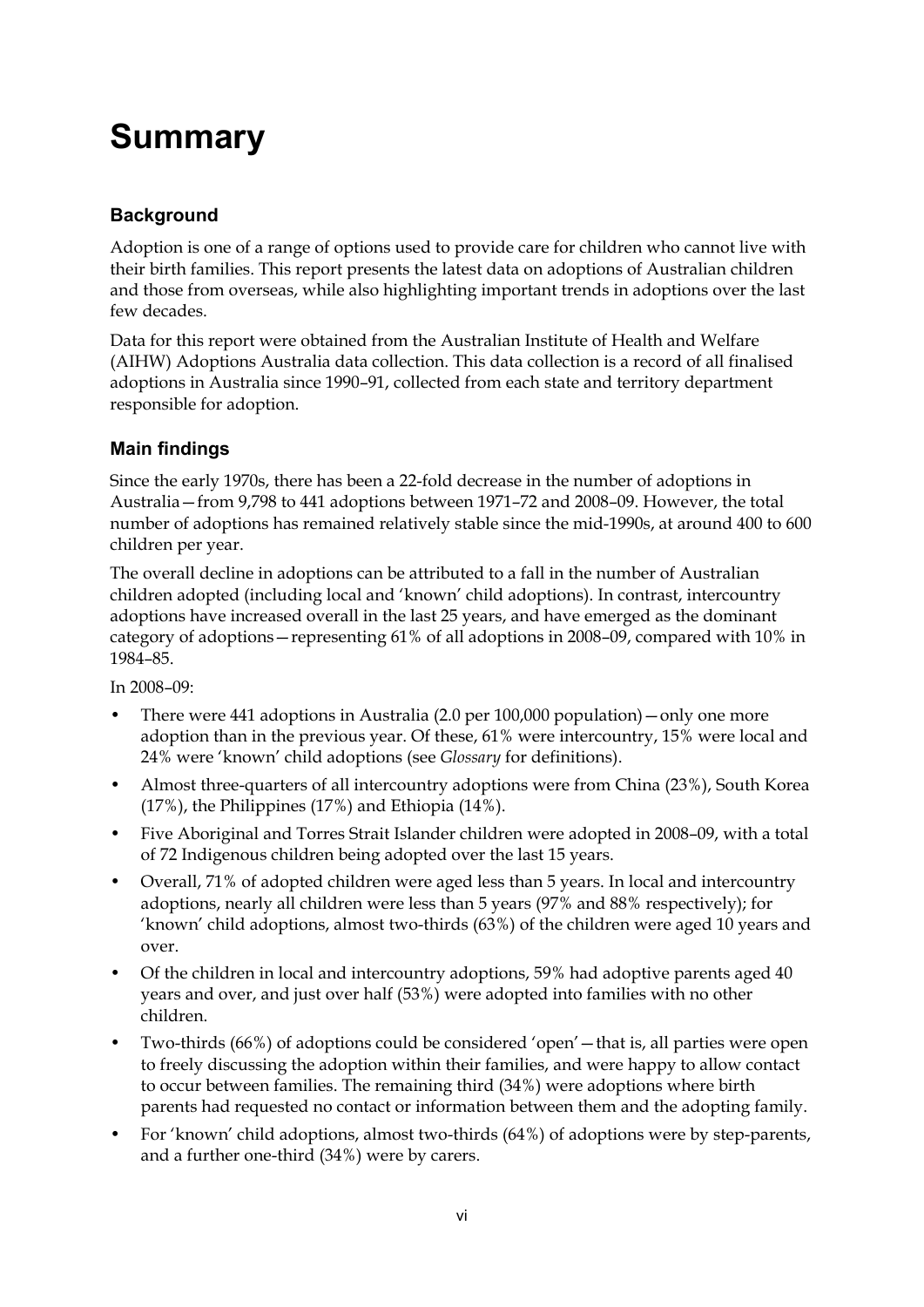# <span id="page-5-0"></span>**Summary**

### **Background**

Adoption is one of a range of options used to provide care for children who cannot live with their birth families. This report presents the latest data on adoptions of Australian children and those from overseas, while also highlighting important trends in adoptions over the last few decades.

Data for this report were obtained from the Australian Institute of Health and Welfare (AIHW) Adoptions Australia data collection. This data collection is a record of all finalised adoptions in Australia since 1990–91, collected from each state and territory department responsible for adoption.

### **Main findings**

Since the early 1970s, there has been a 22-fold decrease in the number of adoptions in Australia—from 9,798 to 441 adoptions between 1971–72 and 2008–09. However, the total number of adoptions has remained relatively stable since the mid-1990s, at around 400 to 600 children per year.

The overall decline in adoptions can be attributed to a fall in the number of Australian children adopted (including local and 'known' child adoptions). In contrast, intercountry adoptions have increased overall in the last 25 years, and have emerged as the dominant category of adoptions—representing 61% of all adoptions in 2008–09, compared with 10% in 1984–85.

In 2008–09:

- There were 441 adoptions in Australia (2.0 per 100,000 population)—only one more adoption than in the previous year. Of these, 61% were intercountry, 15% were local and 24% were 'known' child adoptions (see *Glossary* for definitions).
- Almost three-quarters of all intercountry adoptions were from China (23%), South Korea (17%), the Philippines (17%) and Ethiopia (14%).
- Five Aboriginal and Torres Strait Islander children were adopted in 2008–09, with a total of 72 Indigenous children being adopted over the last 15 years.
- Overall, 71% of adopted children were aged less than 5 years. In local and intercountry adoptions, nearly all children were less than 5 years (97% and 88% respectively); for 'known' child adoptions, almost two-thirds (63%) of the children were aged 10 years and over.
- Of the children in local and intercountry adoptions, 59% had adoptive parents aged 40 years and over, and just over half (53%) were adopted into families with no other children.
- Two-thirds (66%) of adoptions could be considered 'open'—that is, all parties were open to freely discussing the adoption within their families, and were happy to allow contact to occur between families. The remaining third (34%) were adoptions where birth parents had requested no contact or information between them and the adopting family.
- For 'known' child adoptions, almost two-thirds (64%) of adoptions were by step-parents, and a further one-third (34%) were by carers.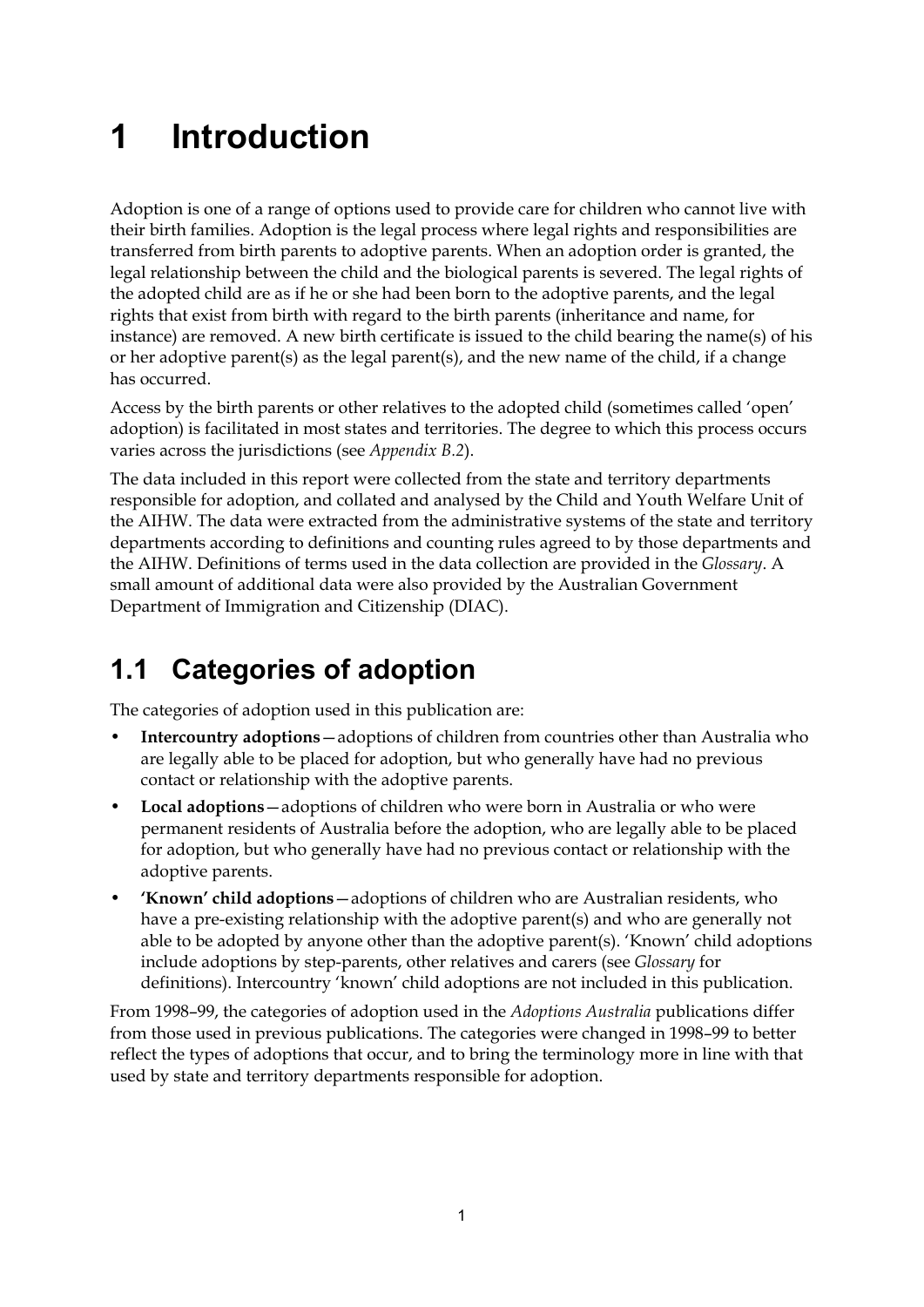# <span id="page-6-0"></span>**1 Introduction**

Adoption is one of a range of options used to provide care for children who cannot live with their birth families. Adoption is the legal process where legal rights and responsibilities are transferred from birth parents to adoptive parents. When an adoption order is granted, the legal relationship between the child and the biological parents is severed. The legal rights of the adopted child are as if he or she had been born to the adoptive parents, and the legal rights that exist from birth with regard to the birth parents (inheritance and name, for instance) are removed. A new birth certificate is issued to the child bearing the name(s) of his or her adoptive parent(s) as the legal parent(s), and the new name of the child, if a change has occurred.

Access by the birth parents or other relatives to the adopted child (sometimes called 'open' adoption) is facilitated in most states and territories. The degree to which this process occurs varies across the jurisdictions (see *Appendix B.2*).

The data included in this report were collected from the state and territory departments responsible for adoption, and collated and analysed by the Child and Youth Welfare Unit of the AIHW. The data were extracted from the administrative systems of the state and territory departments according to definitions and counting rules agreed to by those departments and the AIHW. Definitions of terms used in the data collection are provided in the *Glossary*. A small amount of additional data were also provided by the Australian Government Department of Immigration and Citizenship (DIAC).

# <span id="page-6-1"></span>**1.1 Categories of adoption**

The categories of adoption used in this publication are:

- **Intercountry adoptions**—adoptions of children from countries other than Australia who are legally able to be placed for adoption, but who generally have had no previous contact or relationship with the adoptive parents.
- **Local adoptions**—adoptions of children who were born in Australia or who were permanent residents of Australia before the adoption, who are legally able to be placed for adoption, but who generally have had no previous contact or relationship with the adoptive parents.
- **'Known' child adoptions**—adoptions of children who are Australian residents, who have a pre-existing relationship with the adoptive parent(s) and who are generally not able to be adopted by anyone other than the adoptive parent(s). 'Known' child adoptions include adoptions by step-parents, other relatives and carers (see *Glossary* for definitions). Intercountry 'known' child adoptions are not included in this publication.

From 1998–99, the categories of adoption used in the *Adoptions Australia* publications differ from those used in previous publications. The categories were changed in 1998–99 to better reflect the types of adoptions that occur, and to bring the terminology more in line with that used by state and territory departments responsible for adoption.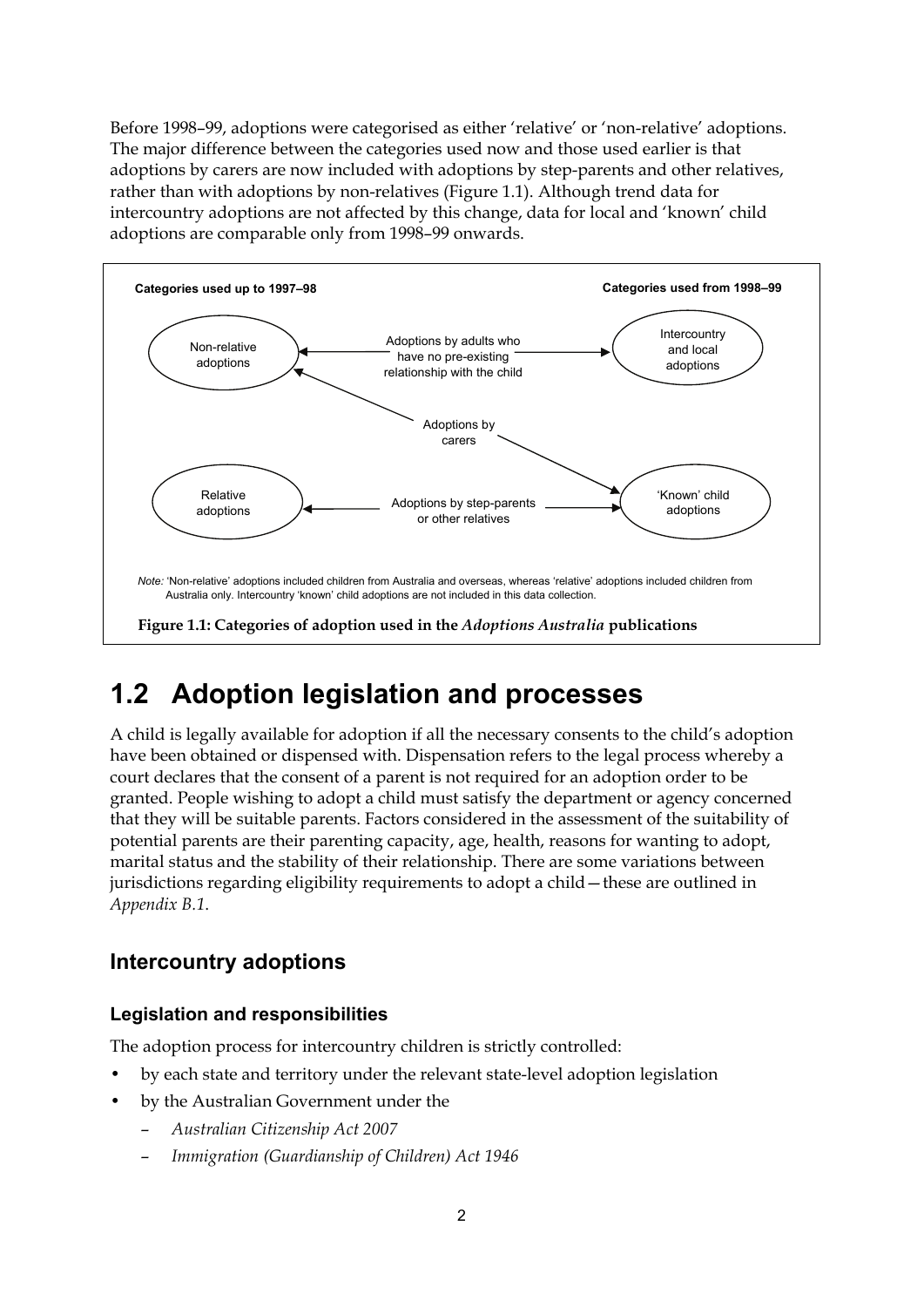Before 1998–99, adoptions were categorised as either 'relative' or 'non-relative' adoptions. The major difference between the categories used now and those used earlier is that adoptions by carers are now included with adoptions by step-parents and other relatives, rather than with adoptions by non-relatives (Figure 1.1). Although trend data for intercountry adoptions are not affected by this change, data for local and 'known' child adoptions are comparable only from 1998–99 onwards.



# <span id="page-7-0"></span>**1.2 Adoption legislation and processes**

A child is legally available for adoption if all the necessary consents to the child's adoption have been obtained or dispensed with. Dispensation refers to the legal process whereby a court declares that the consent of a parent is not required for an adoption order to be granted. People wishing to adopt a child must satisfy the department or agency concerned that they will be suitable parents. Factors considered in the assessment of the suitability of potential parents are their parenting capacity, age, health, reasons for wanting to adopt, marital status and the stability of their relationship. There are some variations between jurisdictions regarding eligibility requirements to adopt a child—these are outlined in *Appendix B.1*.

### **Intercountry adoptions**

### **Legislation and responsibilities**

The adoption process for intercountry children is strictly controlled:

- by each state and territory under the relevant state-level adoption legislation
- by the Australian Government under the
	- *Australian Citizenship Act 2007*
	- *Immigration (Guardianship of Children) Act 1946*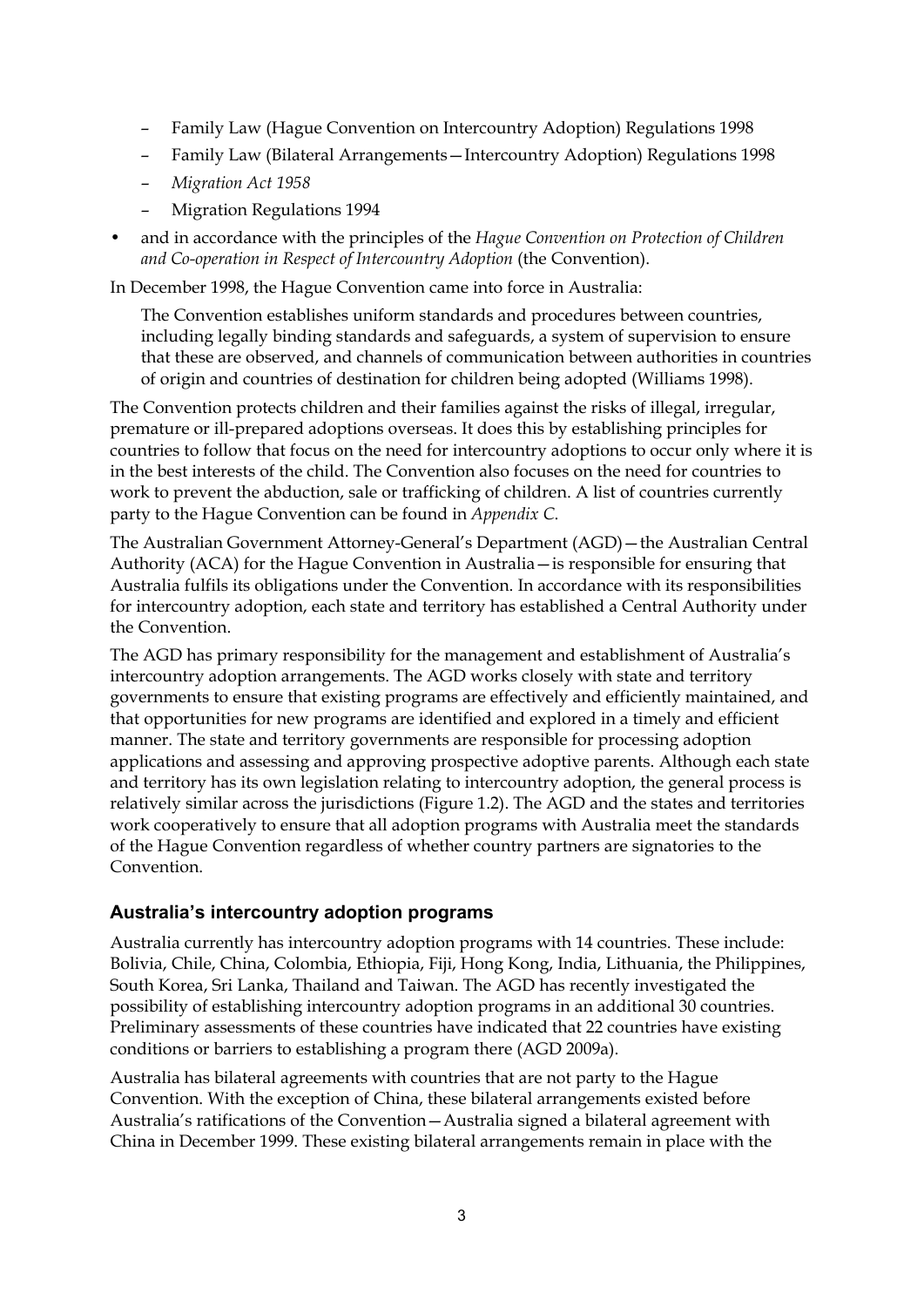- Family Law (Hague Convention on Intercountry Adoption) Regulations 1998
- Family Law (Bilateral Arrangements—Intercountry Adoption) Regulations 1998
- *Migration Act 1958*
- Migration Regulations 1994
- and in accordance with the principles of the *Hague Convention on Protection of Children and Co-operation in Respect of Intercountry Adoption* (the Convention).

In December 1998, the Hague Convention came into force in Australia:

The Convention establishes uniform standards and procedures between countries, including legally binding standards and safeguards, a system of supervision to ensure that these are observed, and channels of communication between authorities in countries of origin and countries of destination for children being adopted (Williams 1998).

The Convention protects children and their families against the risks of illegal, irregular, premature or ill-prepared adoptions overseas. It does this by establishing principles for countries to follow that focus on the need for intercountry adoptions to occur only where it is in the best interests of the child. The Convention also focuses on the need for countries to work to prevent the abduction, sale or trafficking of children. A list of countries currently party to the Hague Convention can be found in *Appendix C*.

The Australian Government Attorney-General's Department (AGD)—the Australian Central Authority (ACA) for the Hague Convention in Australia—is responsible for ensuring that Australia fulfils its obligations under the Convention. In accordance with its responsibilities for intercountry adoption, each state and territory has established a Central Authority under the Convention.

The AGD has primary responsibility for the management and establishment of Australia's intercountry adoption arrangements. The AGD works closely with state and territory governments to ensure that existing programs are effectively and efficiently maintained, and that opportunities for new programs are identified and explored in a timely and efficient manner. The state and territory governments are responsible for processing adoption applications and assessing and approving prospective adoptive parents. Although each state and territory has its own legislation relating to intercountry adoption, the general process is relatively similar across the jurisdictions (Figure 1.2). The AGD and the states and territories work cooperatively to ensure that all adoption programs with Australia meet the standards of the Hague Convention regardless of whether country partners are signatories to the Convention.

### **Australia's intercountry adoption programs**

Australia currently has intercountry adoption programs with 14 countries. These include: Bolivia, Chile, China, Colombia, Ethiopia, Fiji, Hong Kong, India, Lithuania, the Philippines, South Korea, Sri Lanka, Thailand and Taiwan. The AGD has recently investigated the possibility of establishing intercountry adoption programs in an additional 30 countries. Preliminary assessments of these countries have indicated that 22 countries have existing conditions or barriers to establishing a program there (AGD 2009a).

Australia has bilateral agreements with countries that are not party to the Hague Convention. With the exception of China, these bilateral arrangements existed before Australia's ratifications of the Convention—Australia signed a bilateral agreement with China in December 1999. These existing bilateral arrangements remain in place with the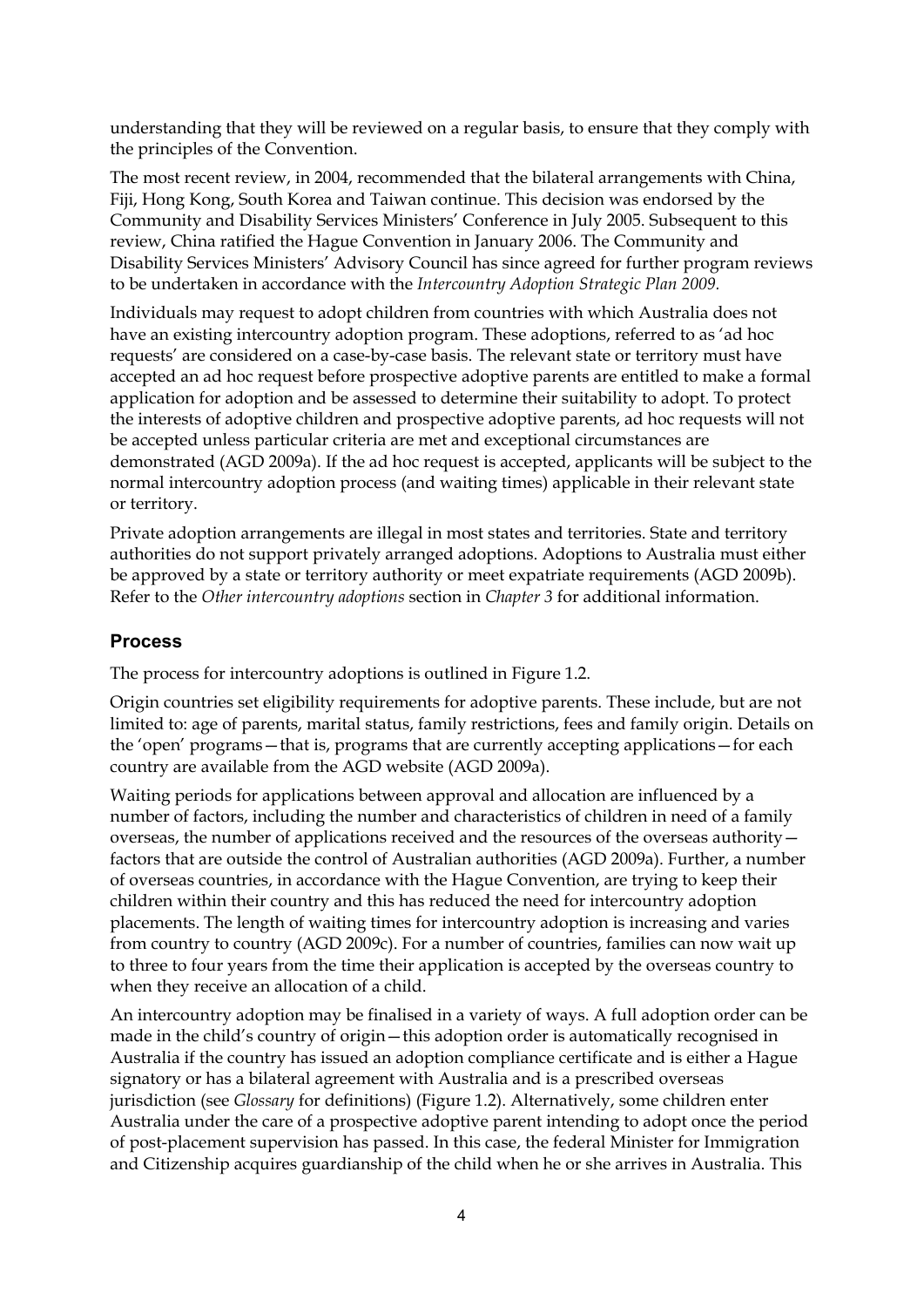understanding that they will be reviewed on a regular basis, to ensure that they comply with the principles of the Convention.

The most recent review, in 2004, recommended that the bilateral arrangements with China, Fiji, Hong Kong, South Korea and Taiwan continue. This decision was endorsed by the Community and Disability Services Ministers' Conference in July 2005. Subsequent to this review, China ratified the Hague Convention in January 2006. The Community and Disability Services Ministers' Advisory Council has since agreed for further program reviews to be undertaken in accordance with the *Intercountry Adoption Strategic Plan 2009.*

Individuals may request to adopt children from countries with which Australia does not have an existing intercountry adoption program. These adoptions, referred to as 'ad hoc requests' are considered on a case-by-case basis. The relevant state or territory must have accepted an ad hoc request before prospective adoptive parents are entitled to make a formal application for adoption and be assessed to determine their suitability to adopt. To protect the interests of adoptive children and prospective adoptive parents, ad hoc requests will not be accepted unless particular criteria are met and exceptional circumstances are demonstrated (AGD 2009a). If the ad hoc request is accepted, applicants will be subject to the normal intercountry adoption process (and waiting times) applicable in their relevant state or territory.

Private adoption arrangements are illegal in most states and territories. State and territory authorities do not support privately arranged adoptions. Adoptions to Australia must either be approved by a state or territory authority or meet expatriate requirements (AGD 2009b). Refer to the *Other intercountry adoptions* section in *Chapter 3* for additional information.

### **Process**

The process for intercountry adoptions is outlined in Figure 1.2.

Origin countries set eligibility requirements for adoptive parents. These include, but are not limited to: age of parents, marital status, family restrictions, fees and family origin. Details on the 'open' programs—that is, programs that are currently accepting applications—for each country are available from the AGD website (AGD 2009a).

Waiting periods for applications between approval and allocation are influenced by a number of factors, including the number and characteristics of children in need of a family overseas, the number of applications received and the resources of the overseas authority factors that are outside the control of Australian authorities (AGD 2009a). Further, a number of overseas countries, in accordance with the Hague Convention, are trying to keep their children within their country and this has reduced the need for intercountry adoption placements. The length of waiting times for intercountry adoption is increasing and varies from country to country (AGD 2009c). For a number of countries, families can now wait up to three to four years from the time their application is accepted by the overseas country to when they receive an allocation of a child.

An intercountry adoption may be finalised in a variety of ways. A full adoption order can be made in the child's country of origin—this adoption order is automatically recognised in Australia if the country has issued an adoption compliance certificate and is either a Hague signatory or has a bilateral agreement with Australia and is a prescribed overseas jurisdiction (see *Glossary* for definitions) (Figure 1.2). Alternatively, some children enter Australia under the care of a prospective adoptive parent intending to adopt once the period of post-placement supervision has passed. In this case, the federal Minister for Immigration and Citizenship acquires guardianship of the child when he or she arrives in Australia. This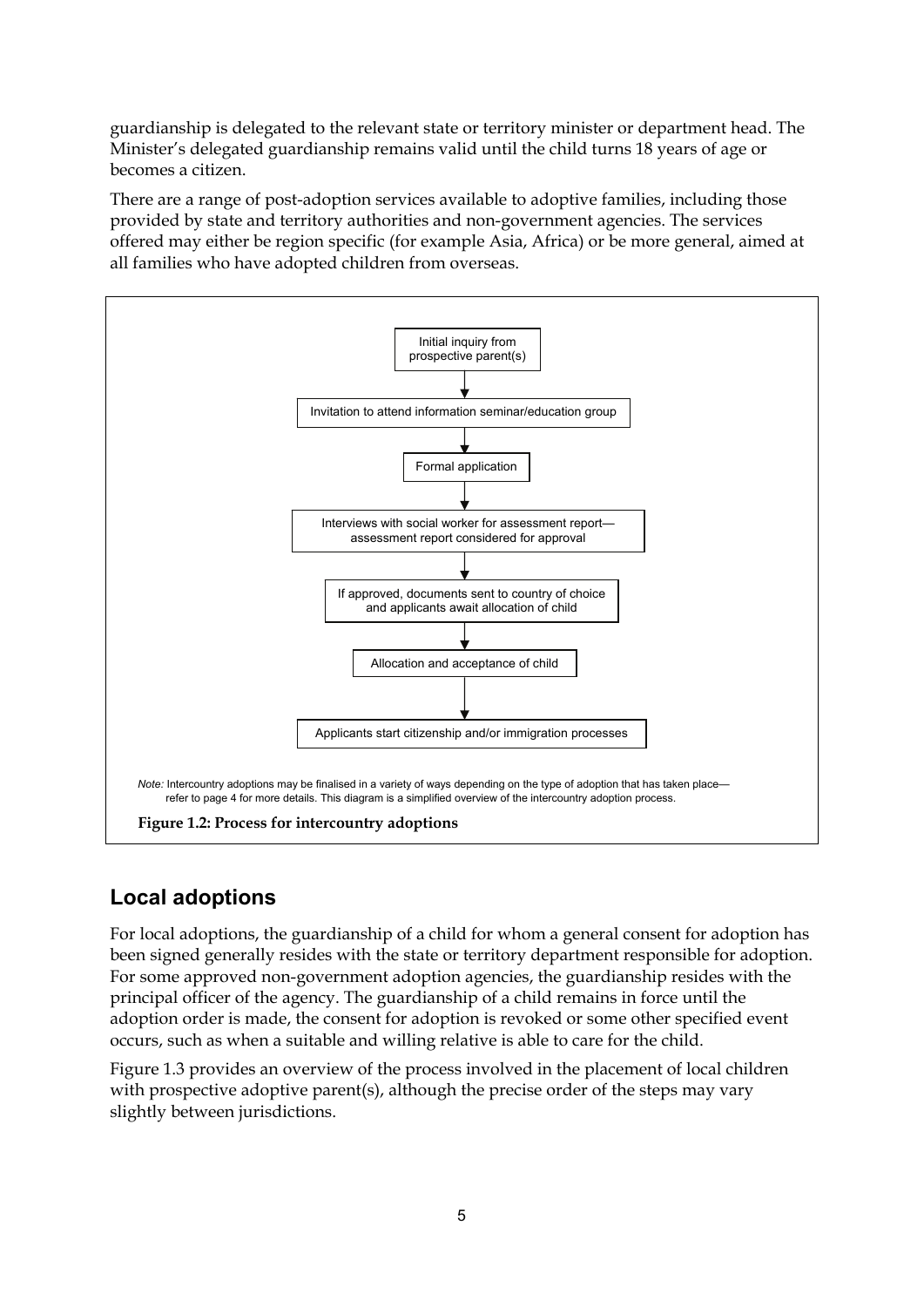guardianship is delegated to the relevant state or territory minister or department head. The Minister's delegated guardianship remains valid until the child turns 18 years of age or becomes a citizen.

There are a range of post-adoption services available to adoptive families, including those provided by state and territory authorities and non-government agencies. The services offered may either be region specific (for example Asia, Africa) or be more general, aimed at all families who have adopted children from overseas.



## **Local adoptions**

For local adoptions, the guardianship of a child for whom a general consent for adoption has been signed generally resides with the state or territory department responsible for adoption. For some approved non-government adoption agencies, the guardianship resides with the principal officer of the agency. The guardianship of a child remains in force until the adoption order is made, the consent for adoption is revoked or some other specified event occurs, such as when a suitable and willing relative is able to care for the child.

Figure 1.3 provides an overview of the process involved in the placement of local children with prospective adoptive parent(s), although the precise order of the steps may vary slightly between jurisdictions.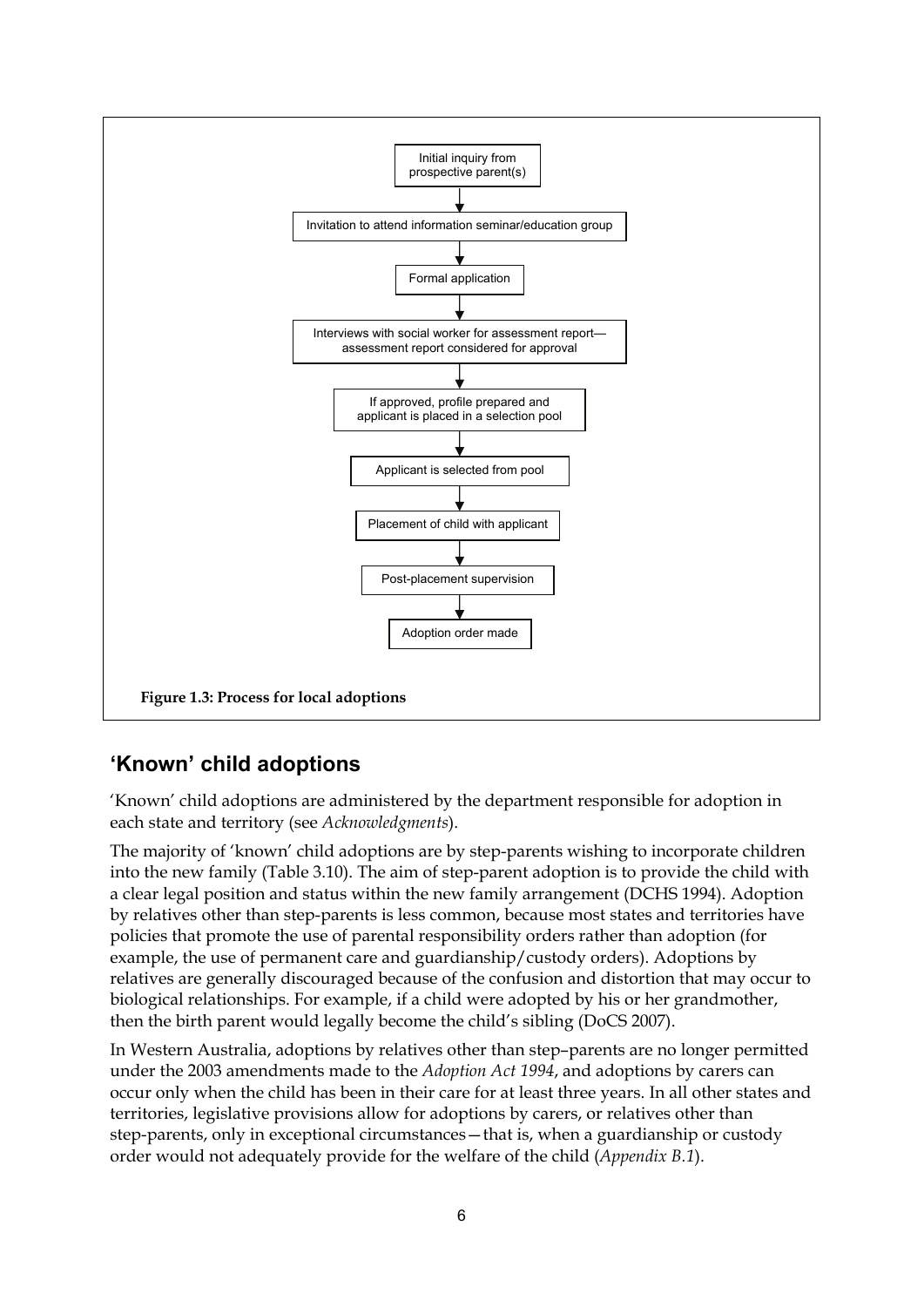

### **'Known' child adoptions**

'Known' child adoptions are administered by the department responsible for adoption in each state and territory (see *Acknowledgments*).

The majority of 'known' child adoptions are by step-parents wishing to incorporate children into the new family (Table 3.10). The aim of step-parent adoption is to provide the child with a clear legal position and status within the new family arrangement (DCHS 1994). Adoption by relatives other than step-parents is less common, because most states and territories have policies that promote the use of parental responsibility orders rather than adoption (for example, the use of permanent care and guardianship/custody orders). Adoptions by relatives are generally discouraged because of the confusion and distortion that may occur to biological relationships. For example, if a child were adopted by his or her grandmother, then the birth parent would legally become the child's sibling (DoCS 2007).

In Western Australia, adoptions by relatives other than step–parents are no longer permitted under the 2003 amendments made to the *Adoption Act 1994*, and adoptions by carers can occur only when the child has been in their care for at least three years. In all other states and territories, legislative provisions allow for adoptions by carers, or relatives other than step-parents, only in exceptional circumstances—that is, when a guardianship or custody order would not adequately provide for the welfare of the child (*Appendix B.1*).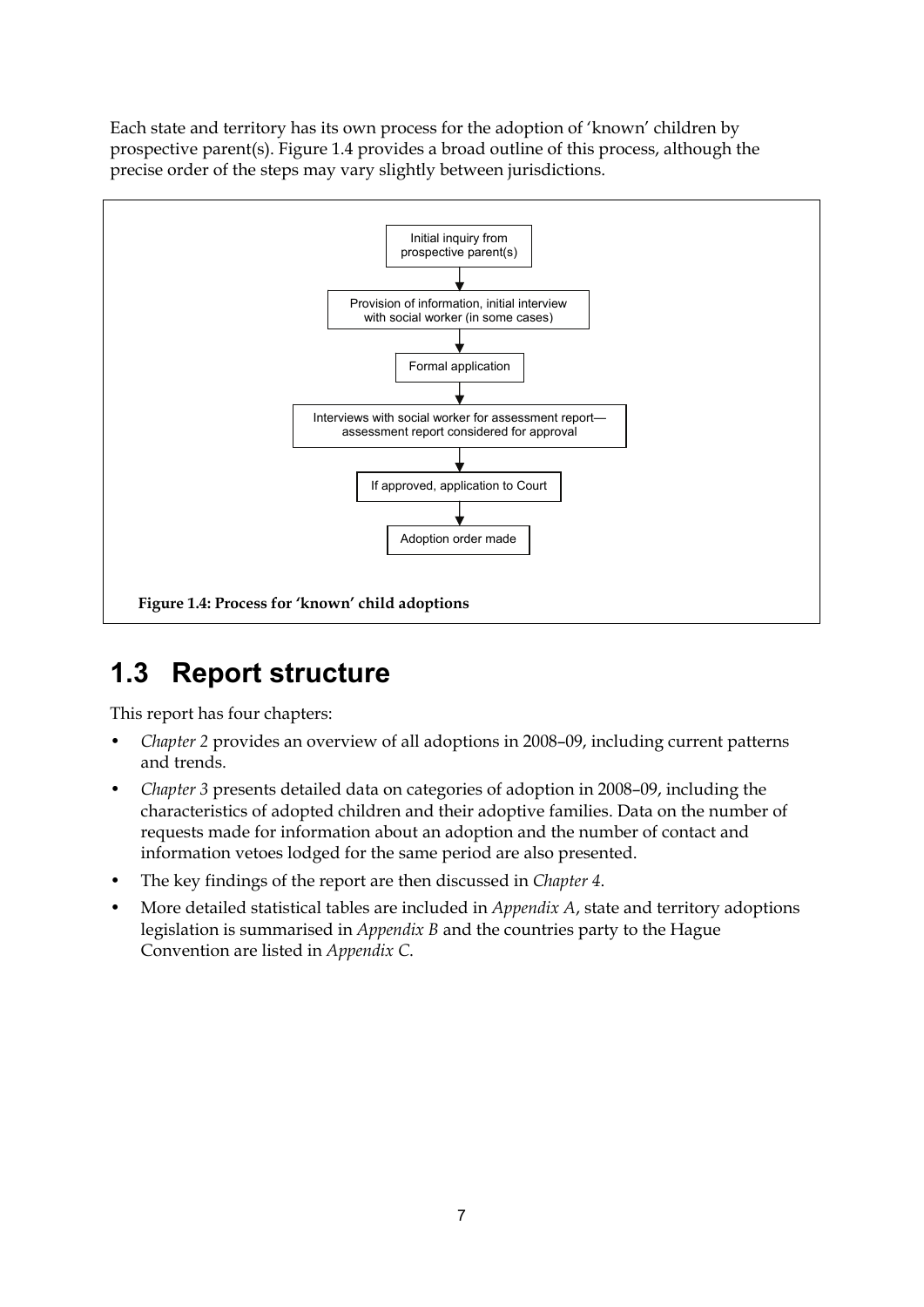Each state and territory has its own process for the adoption of 'known' children by prospective parent(s). Figure 1.4 provides a broad outline of this process, although the precise order of the steps may vary slightly between jurisdictions.



# <span id="page-12-0"></span>**1.3 Report structure**

This report has four chapters:

- *Chapter 2* provides an overview of all adoptions in 2008–09, including current patterns and trends.
- *Chapter 3* presents detailed data on categories of adoption in 2008–09, including the characteristics of adopted children and their adoptive families. Data on the number of requests made for information about an adoption and the number of contact and information vetoes lodged for the same period are also presented.
- The key findings of the report are then discussed in *Chapter 4*.
- More detailed statistical tables are included in *Appendix A*, state and territory adoptions legislation is summarised in *Appendix B* and the countries party to the Hague Convention are listed in *Appendix C*.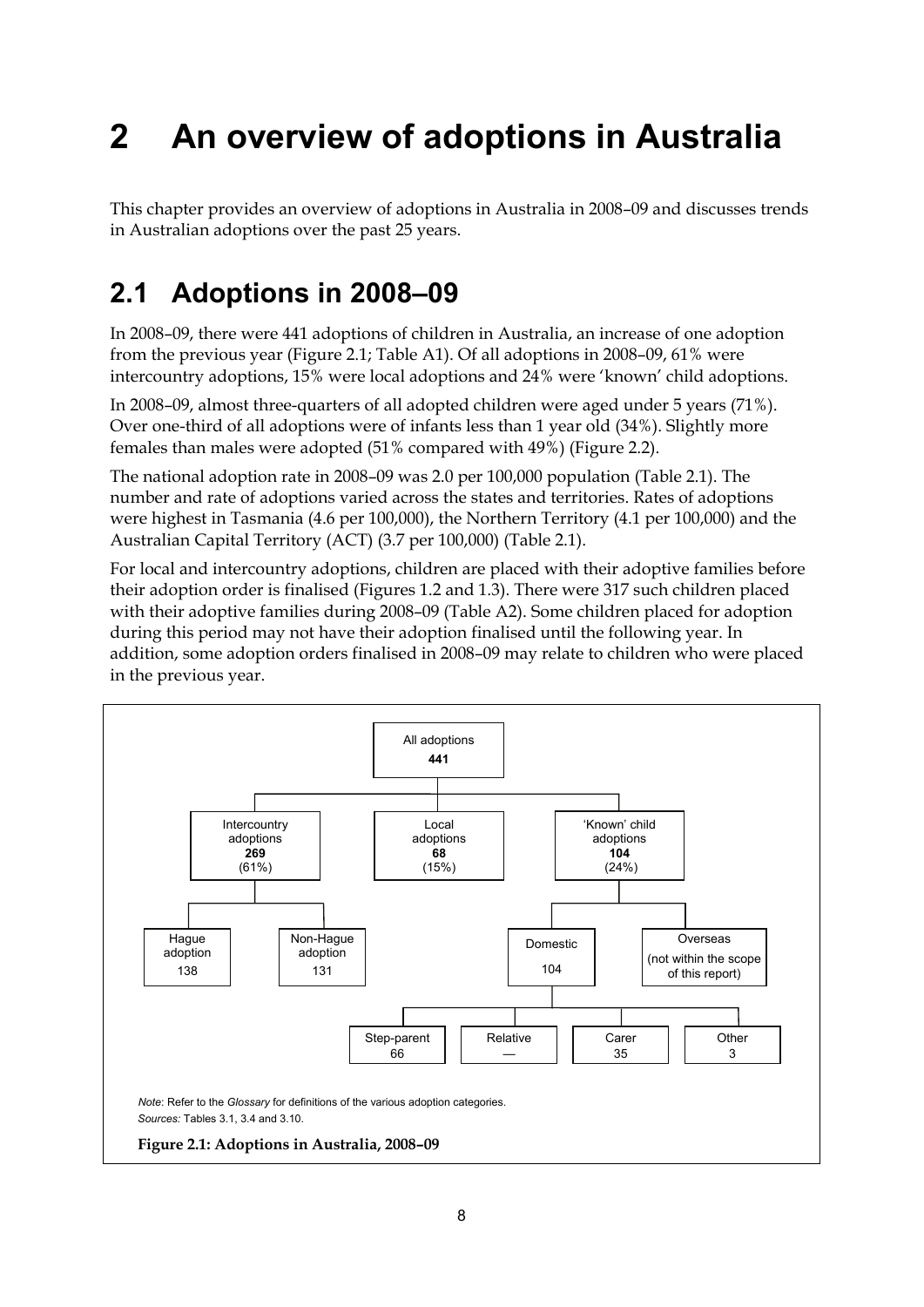# <span id="page-13-0"></span>**2 An overview of adoptions in Australia**

This chapter provides an overview of adoptions in Australia in 2008–09 and discusses trends in Australian adoptions over the past 25 years.

# <span id="page-13-1"></span>**2.1 Adoptions in 2008–09**

In 2008–09, there were 441 adoptions of children in Australia, an increase of one adoption from the previous year (Figure 2.1; Table A1). Of all adoptions in 2008–09, 61% were intercountry adoptions, 15% were local adoptions and 24% were 'known' child adoptions.

In 2008–09, almost three-quarters of all adopted children were aged under 5 years (71%). Over one-third of all adoptions were of infants less than 1 year old (34%). Slightly more females than males were adopted (51% compared with 49%) (Figure 2.2).

The national adoption rate in 2008–09 was 2.0 per 100,000 population (Table 2.1). The number and rate of adoptions varied across the states and territories. Rates of adoptions were highest in Tasmania (4.6 per 100,000), the Northern Territory (4.1 per 100,000) and the Australian Capital Territory (ACT) (3.7 per 100,000) (Table 2.1).

For local and intercountry adoptions, children are placed with their adoptive families before their adoption order is finalised (Figures 1.2 and 1.3). There were 317 such children placed with their adoptive families during 2008–09 (Table A2). Some children placed for adoption during this period may not have their adoption finalised until the following year. In addition, some adoption orders finalised in 2008–09 may relate to children who were placed in the previous year.

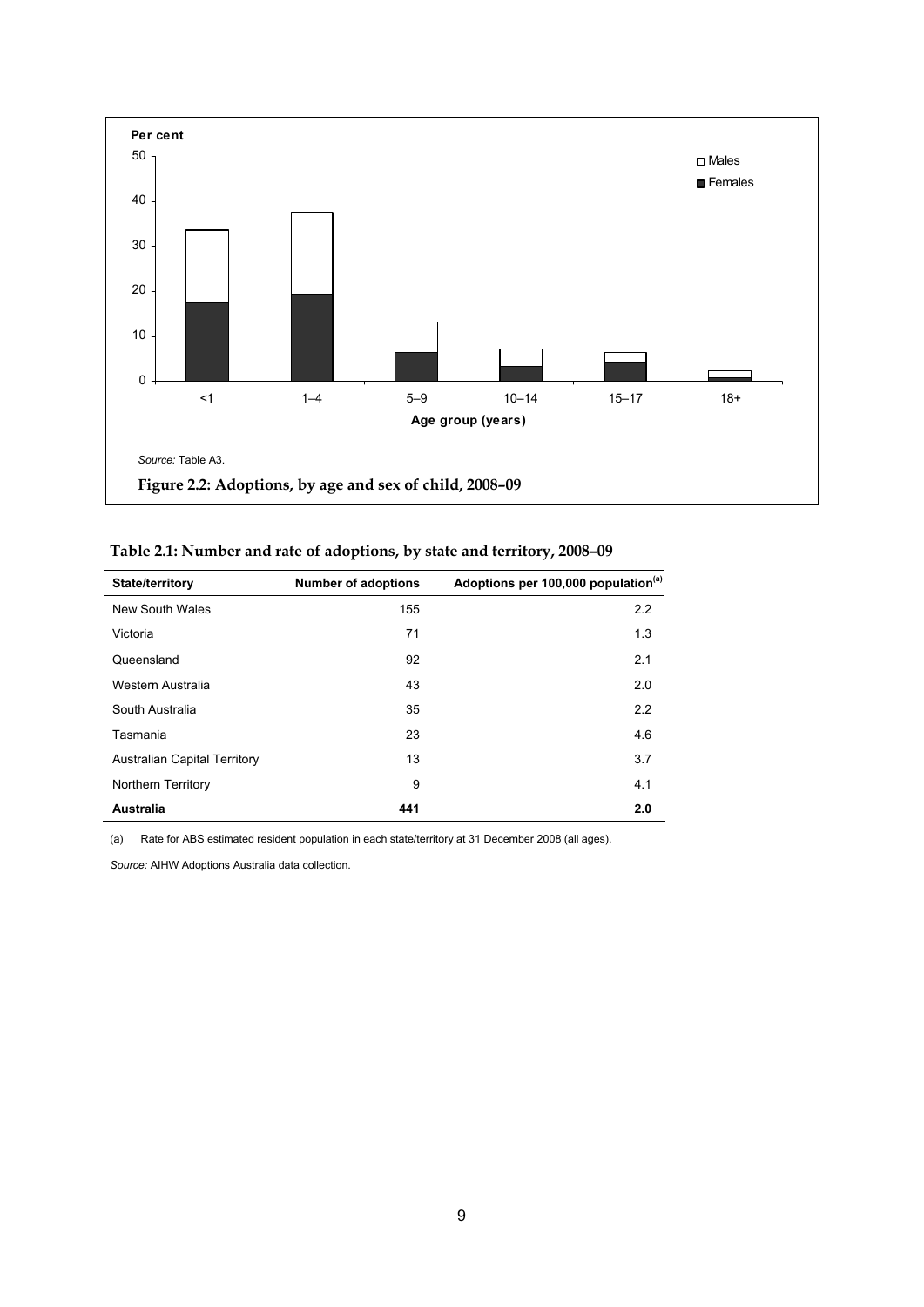

| <b>State/territory</b>              | <b>Number of adoptions</b> | Adoptions per 100,000 population <sup>(a)</sup> |
|-------------------------------------|----------------------------|-------------------------------------------------|
| New South Wales                     | 155                        | 2.2                                             |
| Victoria                            | 71                         | 1.3                                             |
| Queensland                          | 92                         | 2.1                                             |
| Western Australia                   | 43                         | 2.0                                             |
| South Australia                     | 35                         | 2.2                                             |
| Tasmania                            | 23                         | 4.6                                             |
| <b>Australian Capital Territory</b> | 13                         | 3.7                                             |
| Northern Territory                  | 9                          | 4.1                                             |
| Australia                           | 441                        | 2.0                                             |

(a) Rate for ABS estimated resident population in each state/territory at 31 December 2008 (all ages).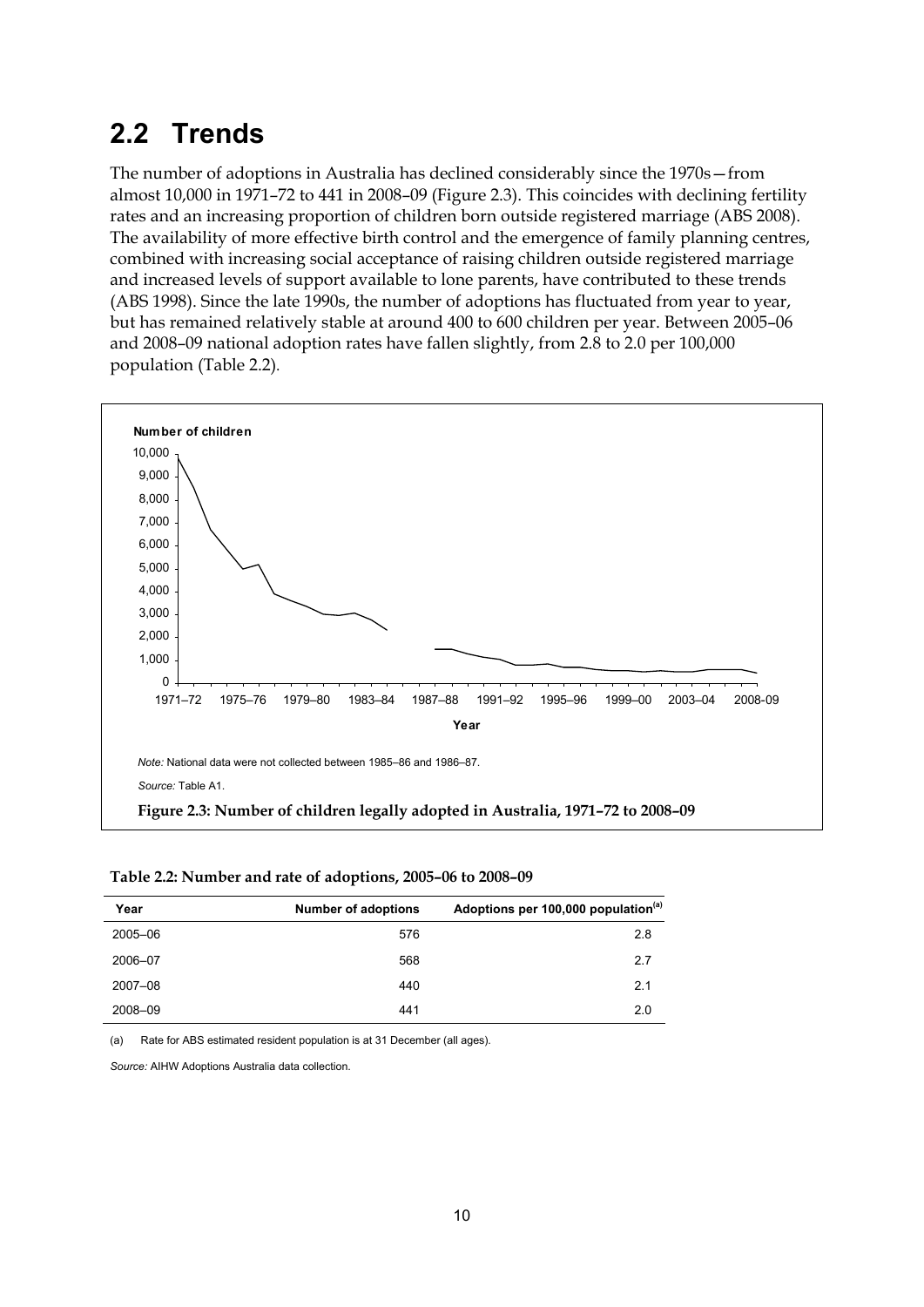# <span id="page-15-0"></span>**2.2 Trends**

The number of adoptions in Australia has declined considerably since the 1970s—from almost 10,000 in 1971–72 to 441 in 2008–09 (Figure 2.3). This coincides with declining fertility rates and an increasing proportion of children born outside registered marriage (ABS 2008). The availability of more effective birth control and the emergence of family planning centres, combined with increasing social acceptance of raising children outside registered marriage and increased levels of support available to lone parents, have contributed to these trends (ABS 1998). Since the late 1990s, the number of adoptions has fluctuated from year to year, but has remained relatively stable at around 400 to 600 children per year. Between 2005–06 and 2008–09 national adoption rates have fallen slightly, from 2.8 to 2.0 per 100,000 population (Table 2.2).



| Year    | <b>Number of adoptions</b> | Adoptions per 100,000 population <sup>(a)</sup> |
|---------|----------------------------|-------------------------------------------------|
| 2005-06 | 576                        | 2.8                                             |
| 2006-07 | 568                        | 2.7                                             |
| 2007-08 | 440                        | 2.1                                             |
| 2008-09 | 441                        | 2.0                                             |

(a) Rate for ABS estimated resident population is at 31 December (all ages).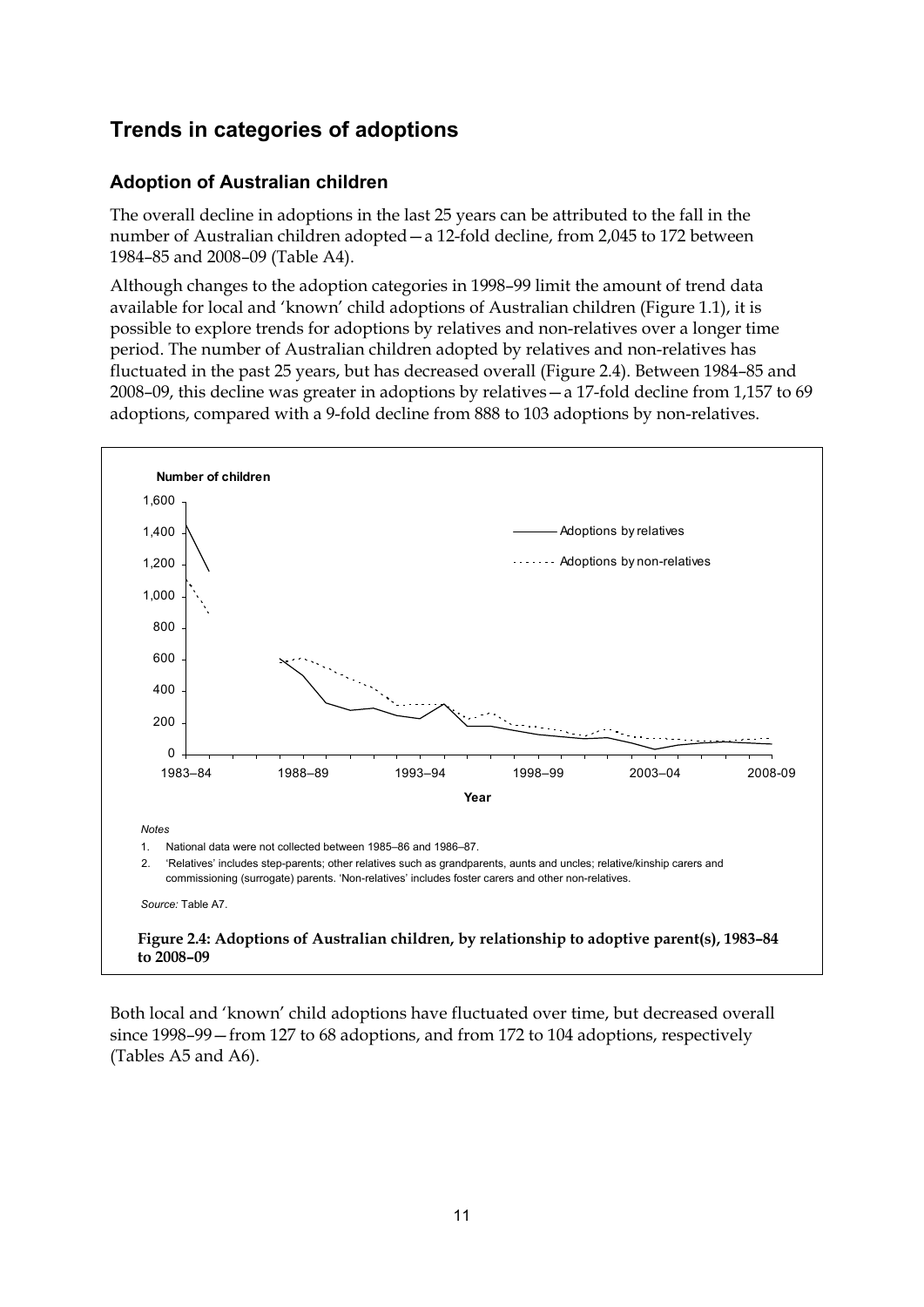## **Trends in categories of adoptions**

### **Adoption of Australian children**

The overall decline in adoptions in the last 25 years can be attributed to the fall in the number of Australian children adopted—a 12-fold decline, from 2,045 to 172 between 1984–85 and 2008–09 (Table A4).

Although changes to the adoption categories in 1998–99 limit the amount of trend data available for local and 'known' child adoptions of Australian children (Figure 1.1), it is possible to explore trends for adoptions by relatives and non-relatives over a longer time period. The number of Australian children adopted by relatives and non-relatives has fluctuated in the past 25 years, but has decreased overall (Figure 2.4). Between 1984–85 and 2008–09, this decline was greater in adoptions by relatives—a 17-fold decline from 1,157 to 69 adoptions, compared with a 9-fold decline from 888 to 103 adoptions by non-relatives.



Both local and 'known' child adoptions have fluctuated over time, but decreased overall since 1998–99—from 127 to 68 adoptions, and from 172 to 104 adoptions, respectively (Tables A5 and A6).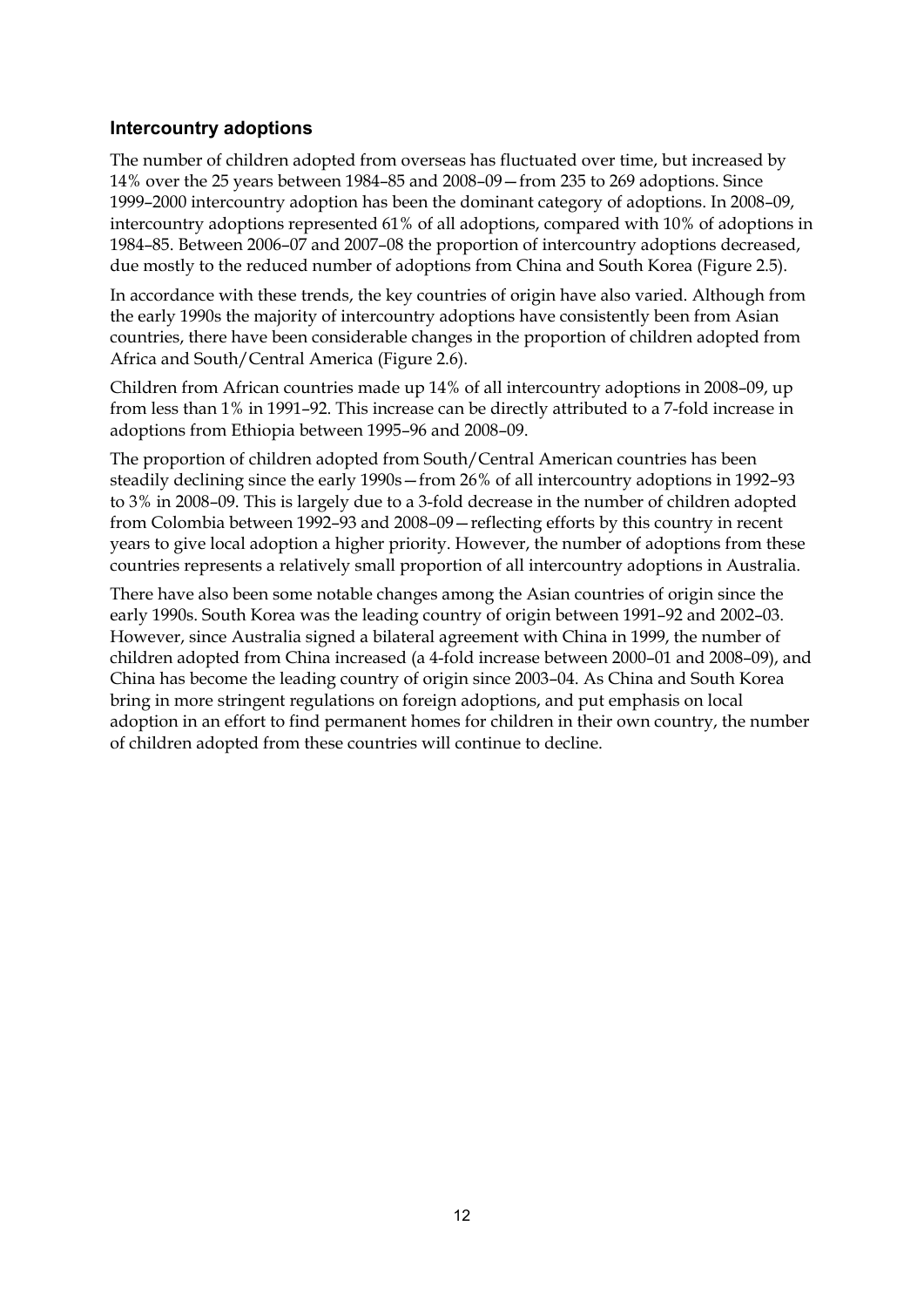### **Intercountry adoptions**

The number of children adopted from overseas has fluctuated over time, but increased by 14% over the 25 years between 1984–85 and 2008–09—from 235 to 269 adoptions. Since 1999–2000 intercountry adoption has been the dominant category of adoptions. In 2008–09, intercountry adoptions represented 61% of all adoptions, compared with 10% of adoptions in 1984–85. Between 2006–07 and 2007–08 the proportion of intercountry adoptions decreased, due mostly to the reduced number of adoptions from China and South Korea (Figure 2.5).

In accordance with these trends, the key countries of origin have also varied. Although from the early 1990s the majority of intercountry adoptions have consistently been from Asian countries, there have been considerable changes in the proportion of children adopted from Africa and South/Central America (Figure 2.6).

Children from African countries made up 14% of all intercountry adoptions in 2008–09, up from less than 1% in 1991–92. This increase can be directly attributed to a 7-fold increase in adoptions from Ethiopia between 1995–96 and 2008–09.

The proportion of children adopted from South/Central American countries has been steadily declining since the early 1990s—from 26% of all intercountry adoptions in 1992–93 to 3% in 2008–09. This is largely due to a 3-fold decrease in the number of children adopted from Colombia between 1992–93 and 2008–09—reflecting efforts by this country in recent years to give local adoption a higher priority. However, the number of adoptions from these countries represents a relatively small proportion of all intercountry adoptions in Australia.

There have also been some notable changes among the Asian countries of origin since the early 1990s. South Korea was the leading country of origin between 1991–92 and 2002–03. However, since Australia signed a bilateral agreement with China in 1999, the number of children adopted from China increased (a 4-fold increase between 2000–01 and 2008–09), and China has become the leading country of origin since 2003–04. As China and South Korea bring in more stringent regulations on foreign adoptions, and put emphasis on local adoption in an effort to find permanent homes for children in their own country, the number of children adopted from these countries will continue to decline.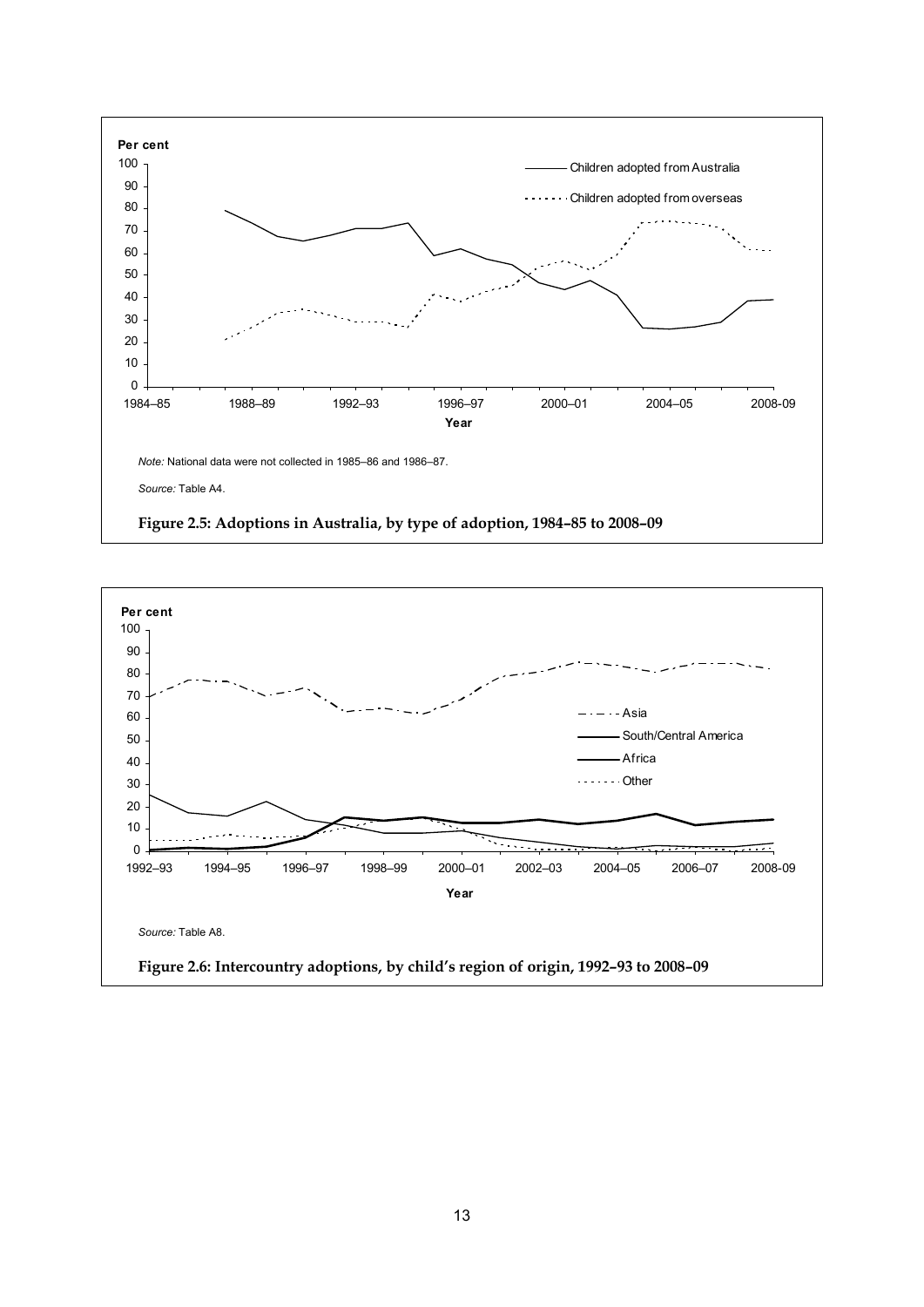

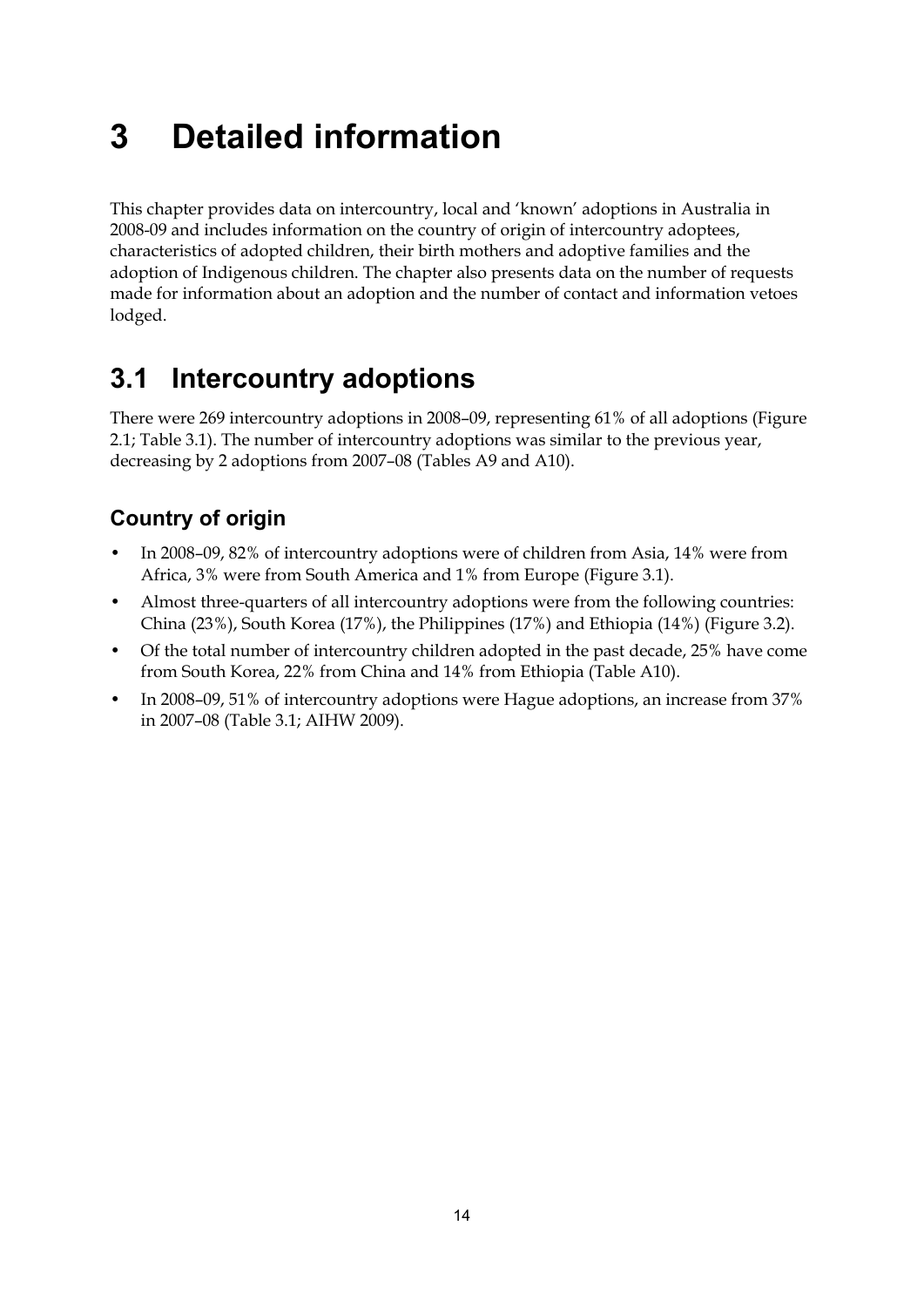# <span id="page-19-0"></span>**3 Detailed information**

This chapter provides data on intercountry, local and 'known' adoptions in Australia in 2008-09 and includes information on the country of origin of intercountry adoptees, characteristics of adopted children, their birth mothers and adoptive families and the adoption of Indigenous children. The chapter also presents data on the number of requests made for information about an adoption and the number of contact and information vetoes lodged.

# <span id="page-19-1"></span>**3.1 Intercountry adoptions**

There were 269 intercountry adoptions in 2008–09, representing 61% of all adoptions (Figure 2.1; Table 3.1). The number of intercountry adoptions was similar to the previous year, decreasing by 2 adoptions from 2007–08 (Tables A9 and A10).

# **Country of origin**

- In 2008–09, 82% of intercountry adoptions were of children from Asia, 14% were from Africa, 3% were from South America and 1% from Europe (Figure 3.1).
- Almost three-quarters of all intercountry adoptions were from the following countries: China (23%), South Korea (17%), the Philippines (17%) and Ethiopia (14%) (Figure 3.2).
- Of the total number of intercountry children adopted in the past decade, 25% have come from South Korea, 22% from China and 14% from Ethiopia (Table A10).
- In 2008–09, 51% of intercountry adoptions were Hague adoptions, an increase from 37% in 2007–08 (Table 3.1; AIHW 2009).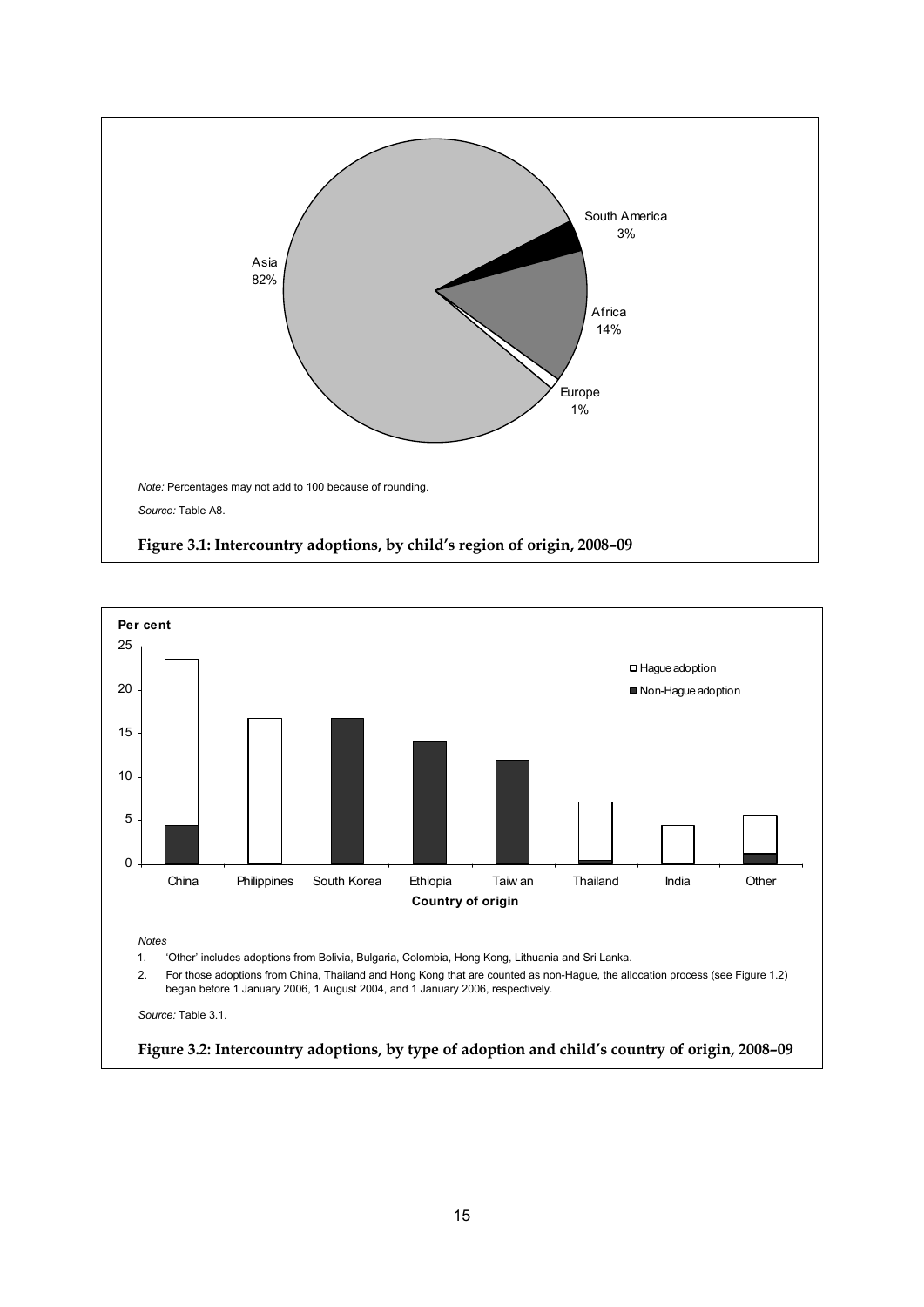

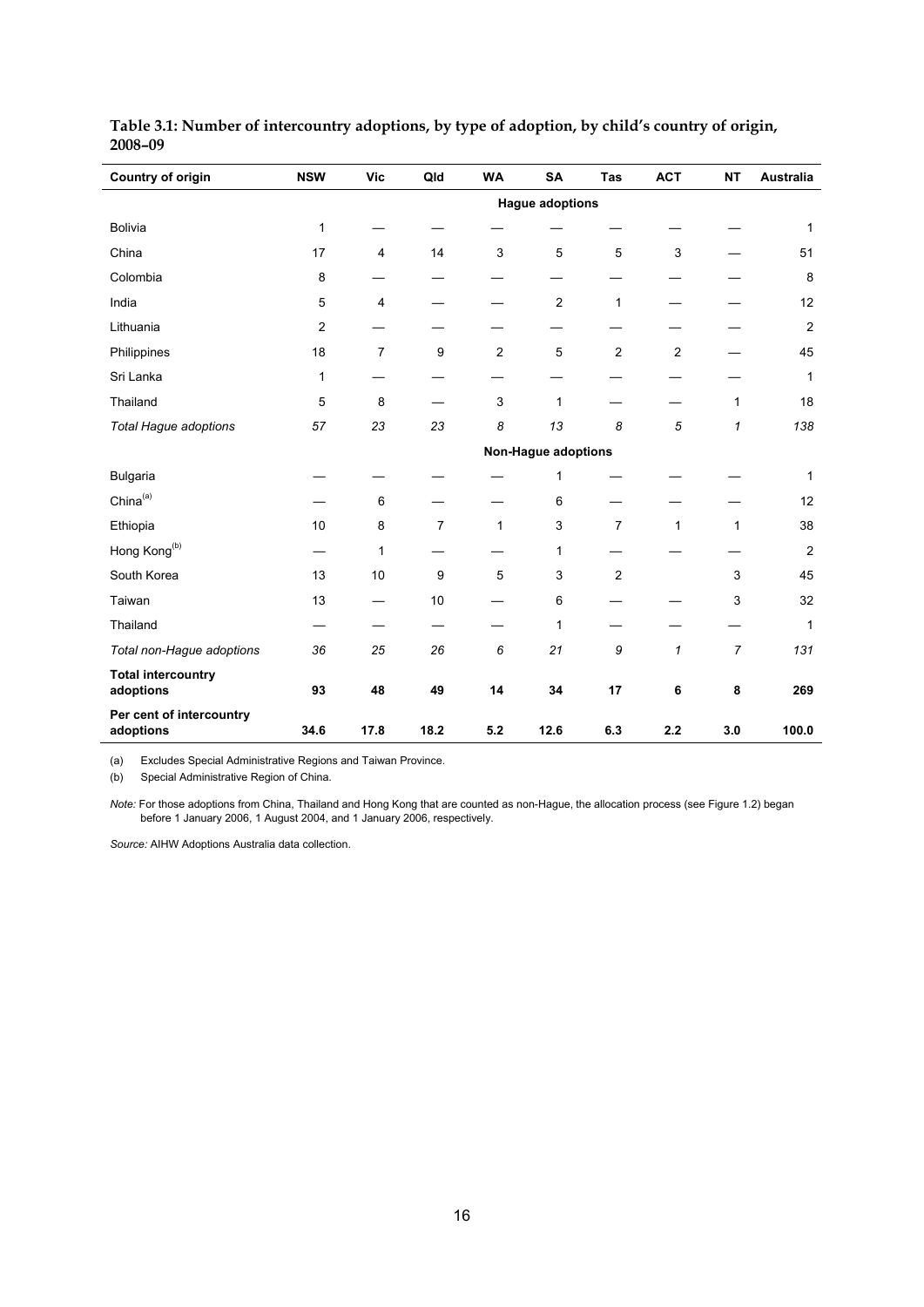| Country of origin                      | <b>NSW</b>             | <b>Vic</b>     | Qld            | <b>WA</b>      | <b>SA</b>                  | <b>Tas</b>     | <b>ACT</b>     | <b>NT</b>      | <b>Australia</b> |
|----------------------------------------|------------------------|----------------|----------------|----------------|----------------------------|----------------|----------------|----------------|------------------|
|                                        | <b>Hague adoptions</b> |                |                |                |                            |                |                |                |                  |
| Bolivia                                | 1                      |                |                |                |                            |                |                |                | $\mathbf{1}$     |
| China                                  | 17                     | 4              | 14             | 3              | 5                          | 5              | 3              |                | 51               |
| Colombia                               | 8                      |                |                |                |                            |                |                |                | 8                |
| India                                  | 5                      | 4              |                |                | $\overline{c}$             | $\mathbf{1}$   |                |                | 12               |
| Lithuania                              | $\boldsymbol{2}$       |                |                |                |                            |                |                |                | $\overline{2}$   |
| Philippines                            | 18                     | $\overline{7}$ | 9              | $\overline{c}$ | $\sqrt{5}$                 | $\overline{c}$ | $\overline{c}$ |                | 45               |
| Sri Lanka                              | 1                      |                |                |                |                            |                |                |                | $\mathbf{1}$     |
| Thailand                               | 5                      | 8              |                | 3              | $\mathbf{1}$               |                |                | 1              | 18               |
| Total Hague adoptions                  | 57                     | 23             | 23             | 8              | 13                         | 8              | 5              | $\mathbf{1}$   | 138              |
|                                        |                        |                |                |                | <b>Non-Hague adoptions</b> |                |                |                |                  |
| Bulgaria                               |                        |                |                |                | 1                          |                |                |                | 1                |
| China <sup>(a)</sup>                   |                        | 6              |                |                | 6                          |                |                |                | 12               |
| Ethiopia                               | 10                     | 8              | $\overline{7}$ | $\mathbf{1}$   | 3                          | $\overline{7}$ | $\mathbf{1}$   | $\mathbf{1}$   | 38               |
| Hong Kong <sup>(b)</sup>               |                        | 1              |                |                | 1                          |                |                |                | $\overline{2}$   |
| South Korea                            | 13                     | 10             | 9              | 5              | 3                          | 2              |                | 3              | 45               |
| Taiwan                                 | 13                     |                | 10             |                | 6                          |                |                | 3              | 32               |
| Thailand                               |                        |                |                |                | 1                          |                |                |                | 1                |
| Total non-Hague adoptions              | 36                     | 25             | 26             | 6              | 21                         | 9              | $\mathbf{1}$   | $\overline{7}$ | 131              |
| <b>Total intercountry</b><br>adoptions | 93                     | 48             | 49             | 14             | 34                         | 17             | 6              | 8              | 269              |
| Per cent of intercountry<br>adoptions  | 34.6                   | 17.8           | 18.2           | 5.2            | 12.6                       | 6.3            | $2.2\,$        | 3.0            | 100.0            |

| Table 3.1: Number of intercountry adoptions, by type of adoption, by child's country of origin, |  |  |
|-------------------------------------------------------------------------------------------------|--|--|
| 2008-09                                                                                         |  |  |

(a) Excludes Special Administrative Regions and Taiwan Province.

(b) Special Administrative Region of China.

*Note:* For those adoptions from China, Thailand and Hong Kong that are counted as non-Hague, the allocation process (see Figure 1.2) began before 1 January 2006, 1 August 2004, and 1 January 2006, respectively.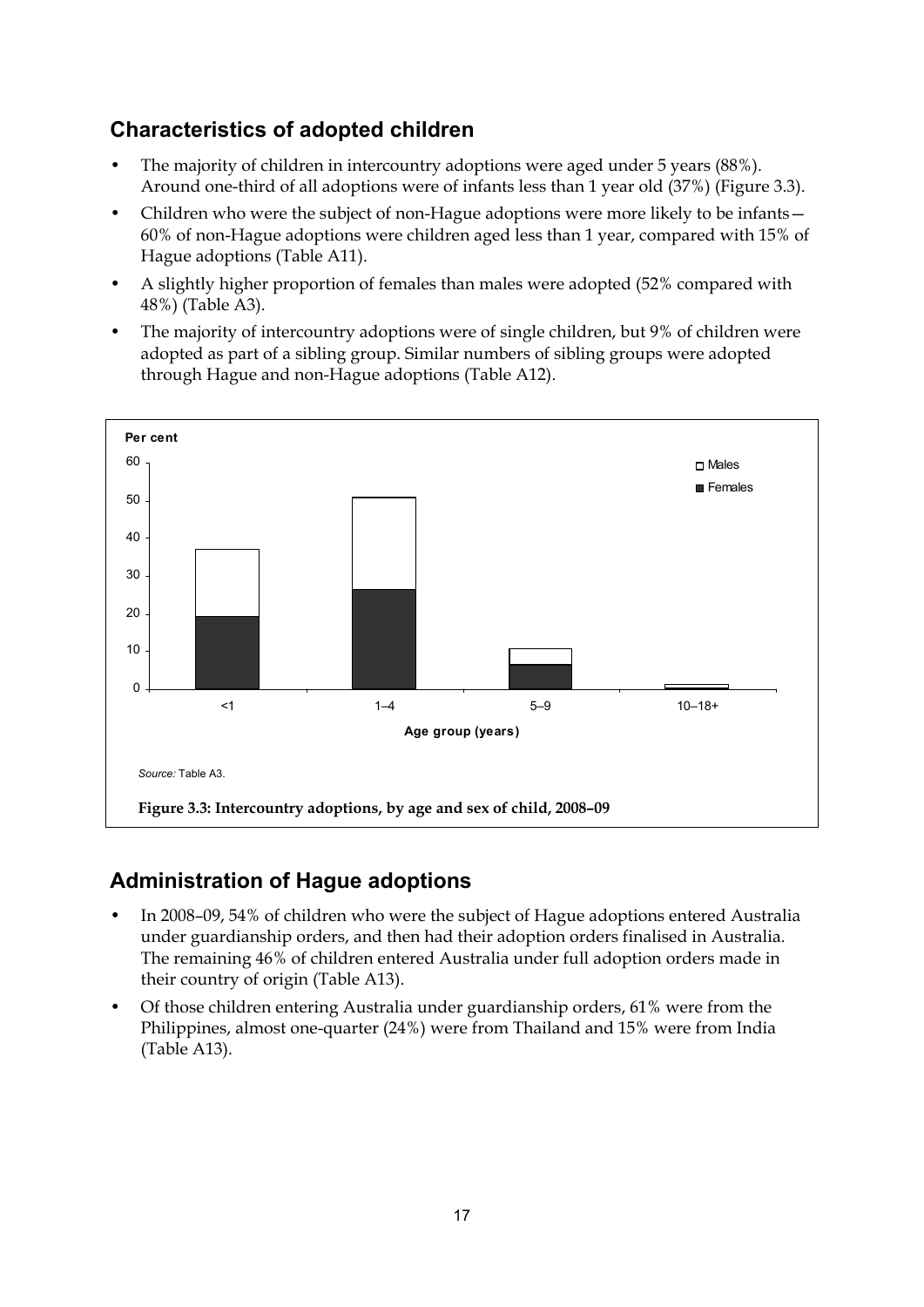## **Characteristics of adopted children**

- The majority of children in intercountry adoptions were aged under 5 years (88%). Around one-third of all adoptions were of infants less than 1 year old (37%) (Figure 3.3).
- Children who were the subject of non-Hague adoptions were more likely to be infants— 60% of non-Hague adoptions were children aged less than 1 year, compared with 15% of Hague adoptions (Table A11).
- A slightly higher proportion of females than males were adopted (52% compared with 48%) (Table A3).
- The majority of intercountry adoptions were of single children, but 9% of children were adopted as part of a sibling group. Similar numbers of sibling groups were adopted through Hague and non-Hague adoptions (Table A12).



## **Administration of Hague adoptions**

- In 2008–09, 54% of children who were the subject of Hague adoptions entered Australia under guardianship orders, and then had their adoption orders finalised in Australia. The remaining 46% of children entered Australia under full adoption orders made in their country of origin (Table A13).
- Of those children entering Australia under guardianship orders, 61% were from the Philippines, almost one-quarter (24%) were from Thailand and 15% were from India (Table A13).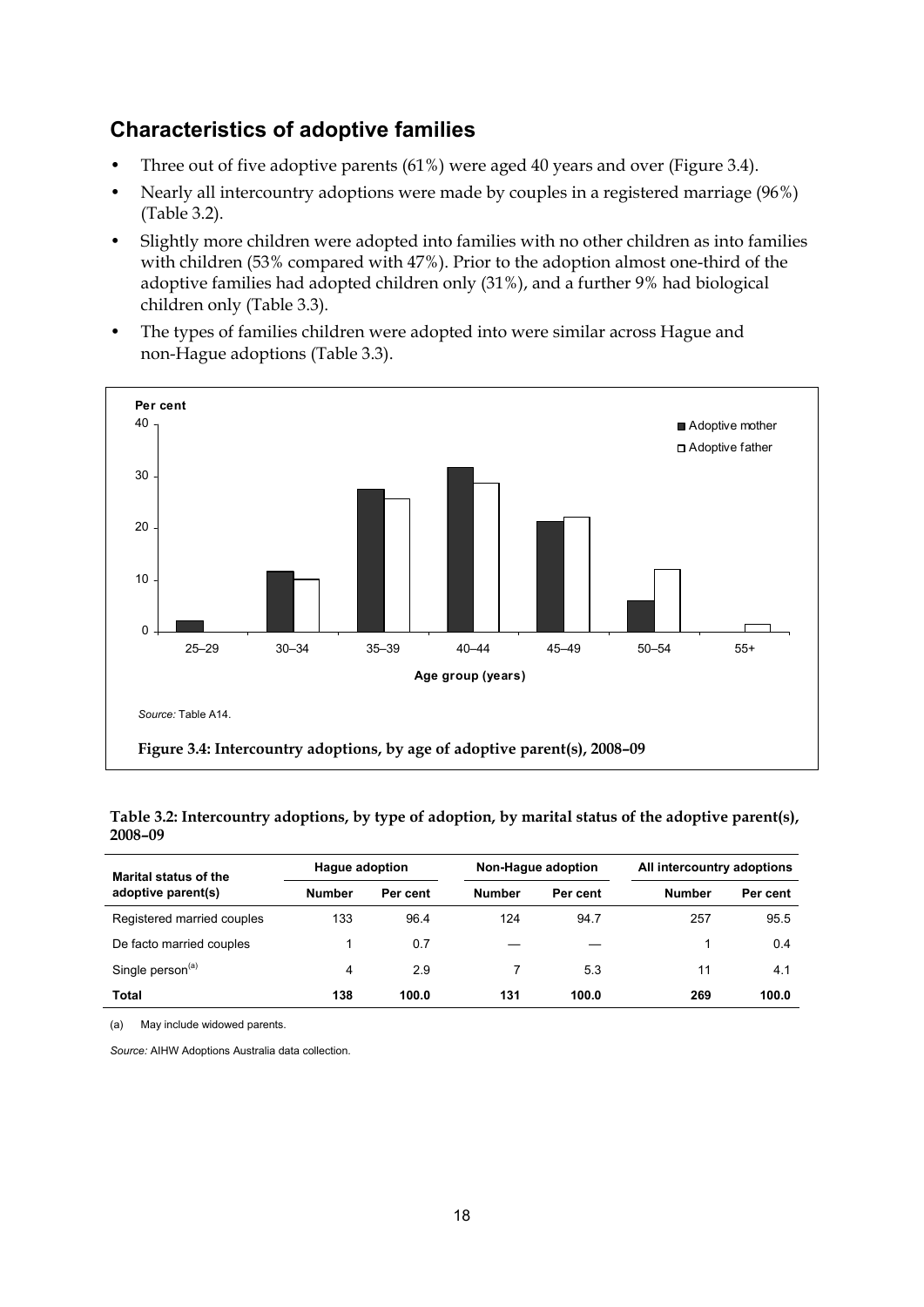### **Characteristics of adoptive families**

- Three out of five adoptive parents (61%) were aged 40 years and over (Figure 3.4).
- Nearly all intercountry adoptions were made by couples in a registered marriage (96%) (Table 3.2).
- Slightly more children were adopted into families with no other children as into families with children (53% compared with 47%). Prior to the adoption almost one-third of the adoptive families had adopted children only (31%), and a further 9% had biological children only (Table 3.3).
- The types of families children were adopted into were similar across Hague and non-Hague adoptions (Table 3.3).



**Table 3.2: Intercountry adoptions, by type of adoption, by marital status of the adoptive parent(s), 2008–09** 

| Marital status of the        | <b>Hague adoption</b> |          | Non-Hague adoption |          | All intercountry adoptions |          |
|------------------------------|-----------------------|----------|--------------------|----------|----------------------------|----------|
| adoptive parent(s)           | <b>Number</b>         | Per cent | <b>Number</b>      | Per cent | <b>Number</b>              | Per cent |
| Registered married couples   | 133                   | 96.4     | 124                | 94.7     | 257                        | 95.5     |
| De facto married couples     |                       | 0.7      |                    |          |                            | 0.4      |
| Single person <sup>(a)</sup> | 4                     | 2.9      |                    | 5.3      | 11                         | 4.1      |
| <b>Total</b>                 | 138                   | 100.0    | 131                | 100.0    | 269                        | 100.0    |

(a) May include widowed parents.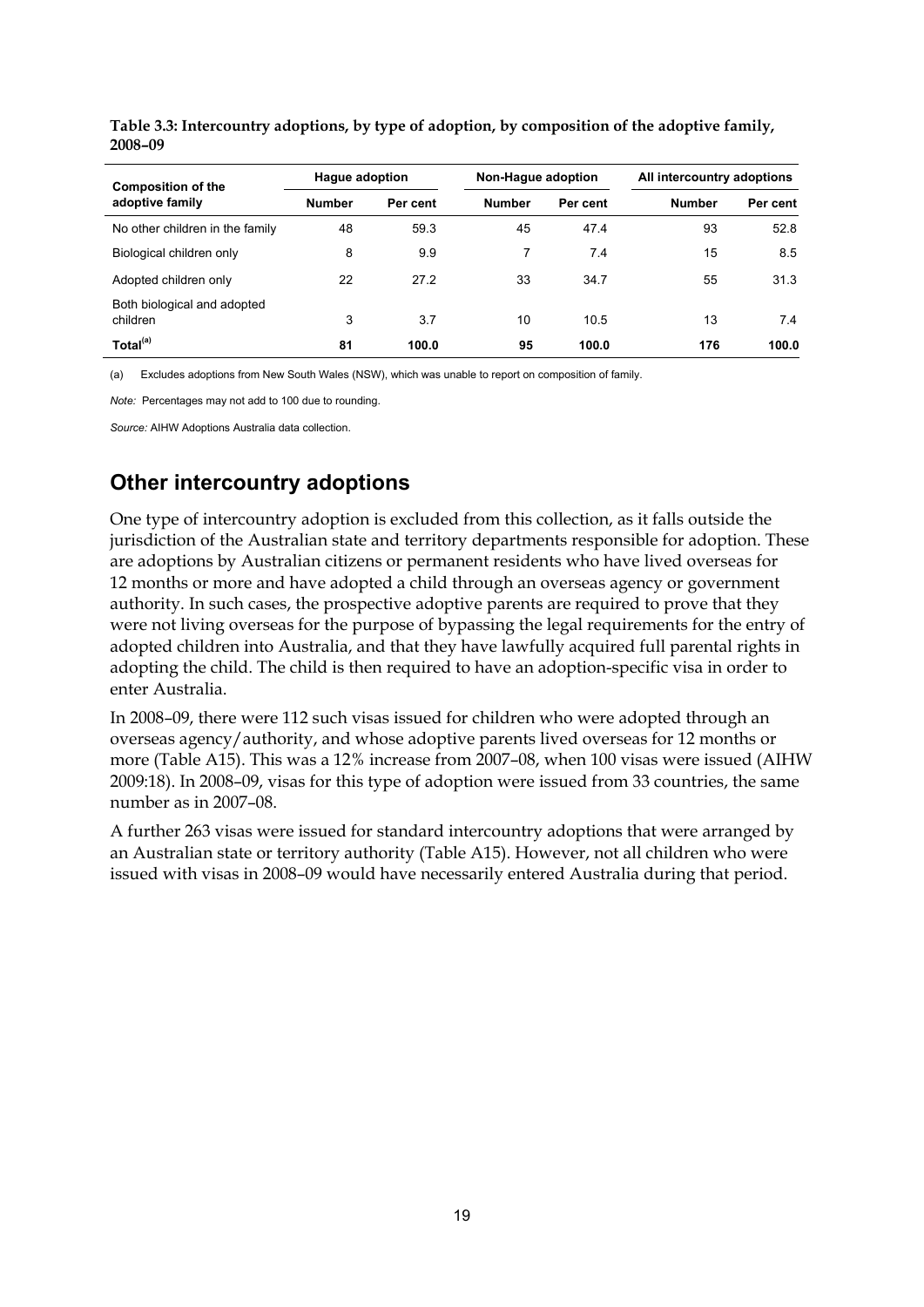| <b>Composition of the</b>               | <b>Hague adoption</b> |          | Non-Hague adoption |          | All intercountry adoptions |          |
|-----------------------------------------|-----------------------|----------|--------------------|----------|----------------------------|----------|
| adoptive family                         | <b>Number</b>         | Per cent | <b>Number</b>      | Per cent | <b>Number</b>              | Per cent |
| No other children in the family         | 48                    | 59.3     | 45                 | 47.4     | 93                         | 52.8     |
| Biological children only                | 8                     | 9.9      |                    | 7.4      | 15                         | 8.5      |
| Adopted children only                   | 22                    | 27.2     | 33                 | 34.7     | 55                         | 31.3     |
| Both biological and adopted<br>children | 3                     | 3.7      | 10                 | 10.5     | 13                         | 7.4      |
| Total <sup>(a)</sup>                    | 81                    | 100.0    | 95                 | 100.0    | 176                        | 100.0    |

**Table 3.3: Intercountry adoptions, by type of adoption, by composition of the adoptive family, 2008–09** 

(a) Excludes adoptions from New South Wales (NSW), which was unable to report on composition of family.

*Note:* Percentages may not add to 100 due to rounding.

*Source:* AIHW Adoptions Australia data collection.

## **Other intercountry adoptions**

One type of intercountry adoption is excluded from this collection, as it falls outside the jurisdiction of the Australian state and territory departments responsible for adoption. These are adoptions by Australian citizens or permanent residents who have lived overseas for 12 months or more and have adopted a child through an overseas agency or government authority. In such cases, the prospective adoptive parents are required to prove that they were not living overseas for the purpose of bypassing the legal requirements for the entry of adopted children into Australia, and that they have lawfully acquired full parental rights in adopting the child. The child is then required to have an adoption-specific visa in order to enter Australia.

In 2008–09, there were 112 such visas issued for children who were adopted through an overseas agency/authority, and whose adoptive parents lived overseas for 12 months or more (Table A15). This was a 12% increase from 2007–08, when 100 visas were issued (AIHW 2009:18). In 2008–09, visas for this type of adoption were issued from 33 countries, the same number as in 2007–08.

A further 263 visas were issued for standard intercountry adoptions that were arranged by an Australian state or territory authority (Table A15). However, not all children who were issued with visas in 2008–09 would have necessarily entered Australia during that period.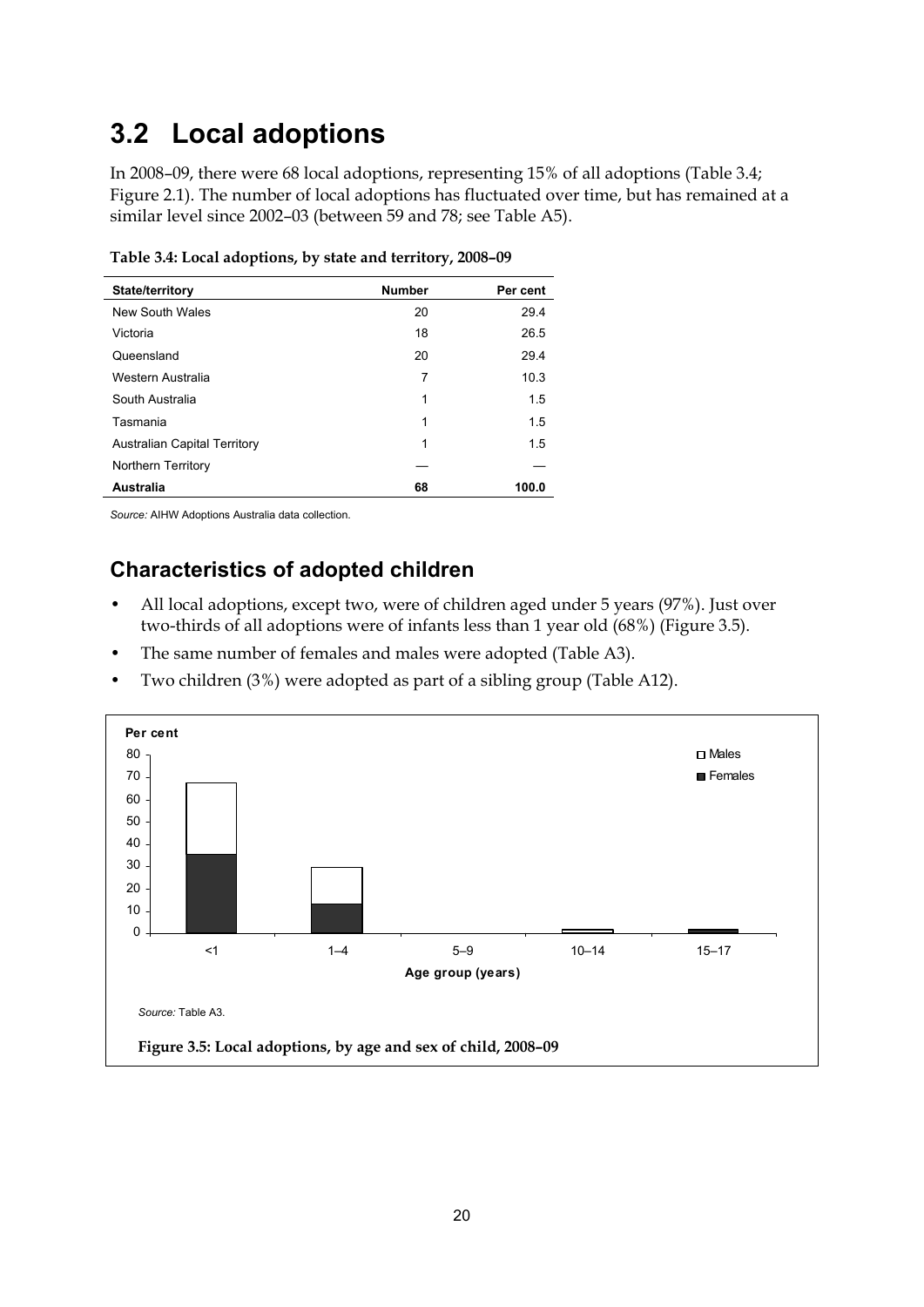# <span id="page-25-0"></span>**3.2 Local adoptions**

In 2008–09, there were 68 local adoptions, representing 15% of all adoptions (Table 3.4; Figure 2.1). The number of local adoptions has fluctuated over time, but has remained at a similar level since 2002–03 (between 59 and 78; see Table A5).

| <b>State/territory</b>              | <b>Number</b> | Per cent |
|-------------------------------------|---------------|----------|
| New South Wales                     | 20            | 29.4     |
| Victoria                            | 18            | 26.5     |
| Queensland                          | 20            | 29.4     |
| Western Australia                   | 7             | 10.3     |
| South Australia                     | 1             | 1.5      |
| Tasmania                            | 1             | 1.5      |
| <b>Australian Capital Territory</b> | 1             | 1.5      |
| Northern Territory                  |               |          |
| Australia                           | 68            | 100.0    |

**Table 3.4: Local adoptions, by state and territory, 2008–09** 

*Source:* AIHW Adoptions Australia data collection.

## **Characteristics of adopted children**

- All local adoptions, except two, were of children aged under 5 years (97%). Just over two-thirds of all adoptions were of infants less than 1 year old (68%) (Figure 3.5).
- The same number of females and males were adopted (Table A3).
- Two children (3%) were adopted as part of a sibling group (Table A12).

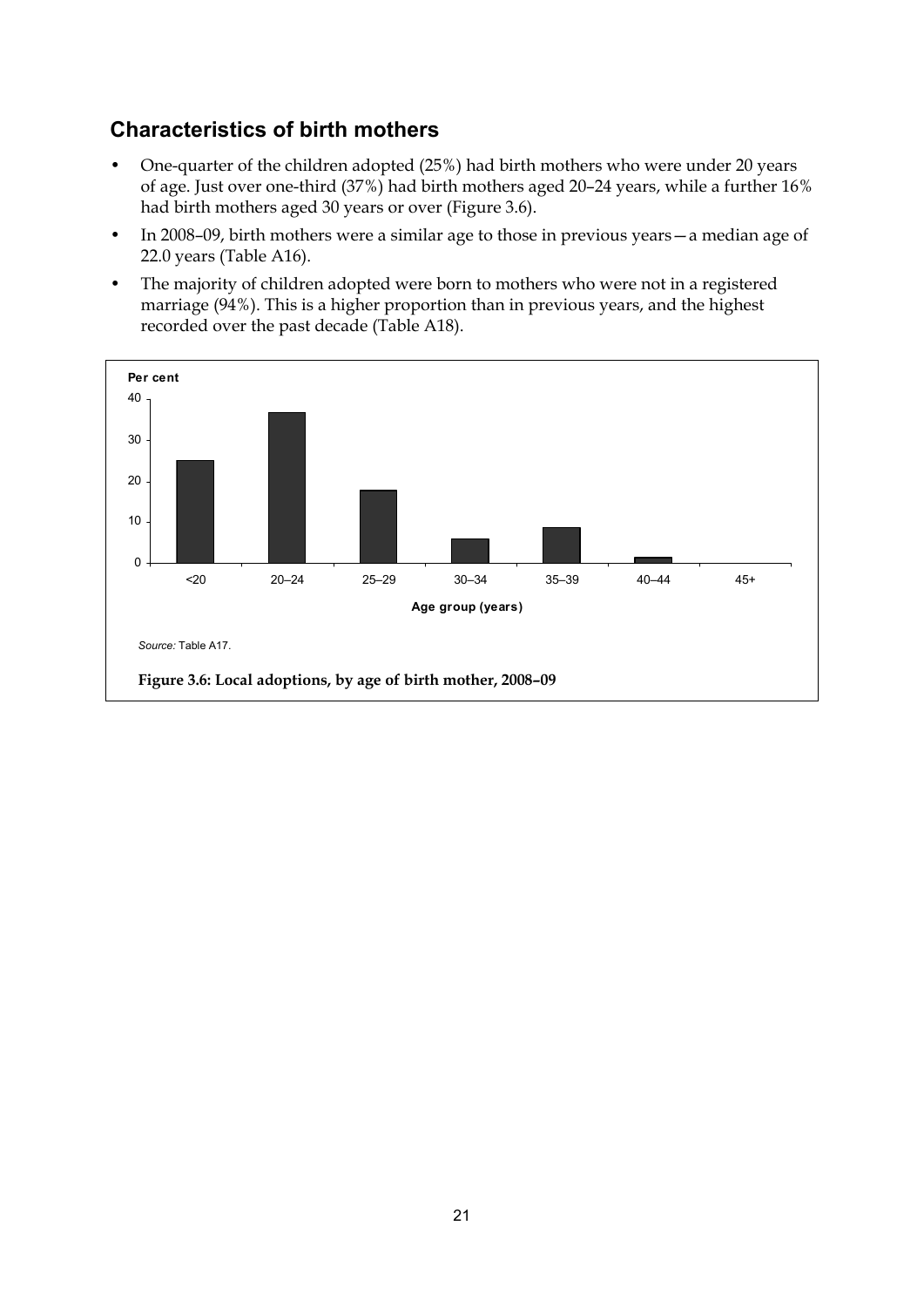## **Characteristics of birth mothers**

- One-quarter of the children adopted (25%) had birth mothers who were under 20 years of age. Just over one-third (37%) had birth mothers aged 20–24 years, while a further 16% had birth mothers aged 30 years or over (Figure 3.6).
- In 2008–09, birth mothers were a similar age to those in previous years—a median age of 22.0 years (Table A16).
- The majority of children adopted were born to mothers who were not in a registered marriage (94%). This is a higher proportion than in previous years, and the highest recorded over the past decade (Table A18).

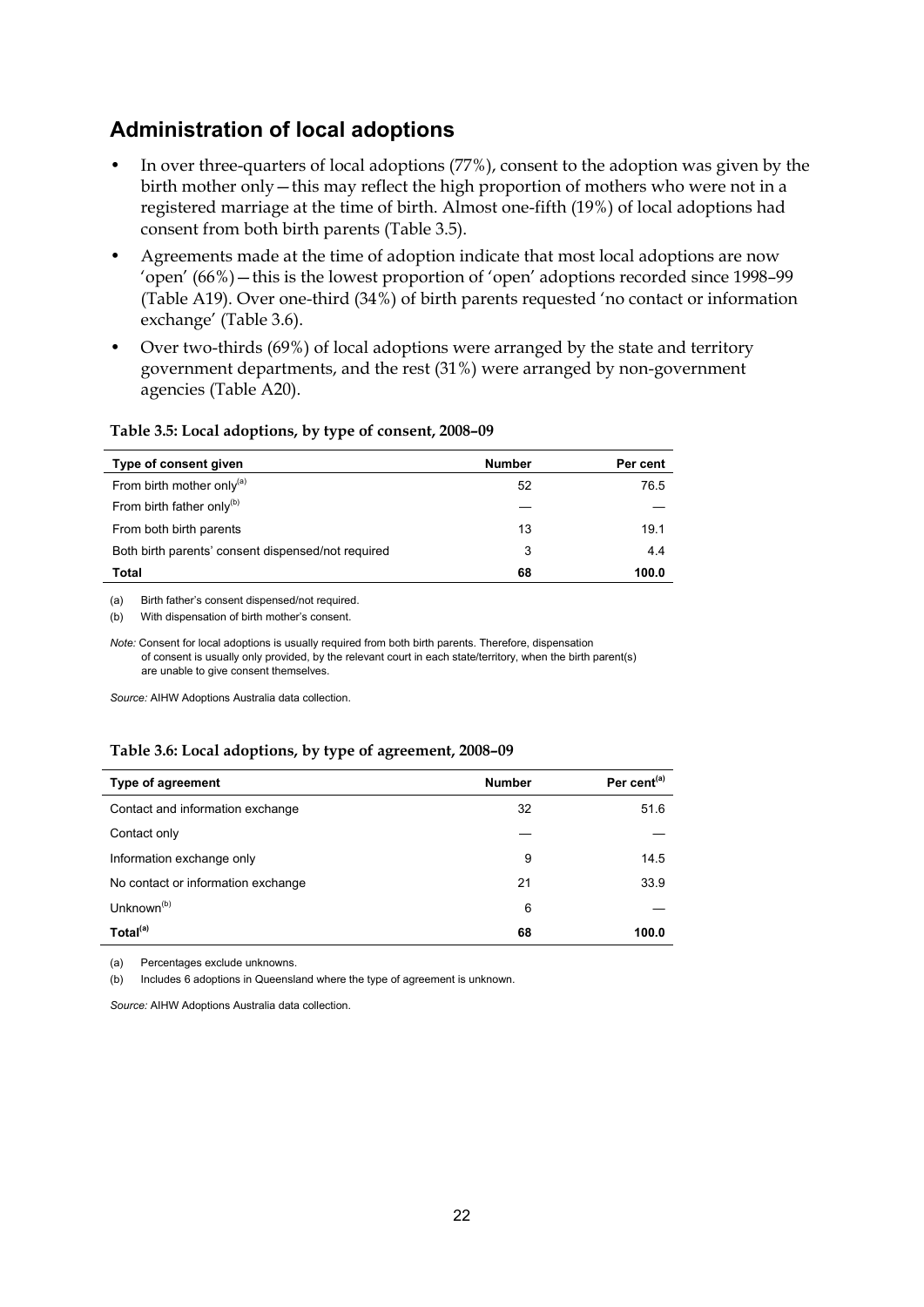### **Administration of local adoptions**

- In over three-quarters of local adoptions (77%), consent to the adoption was given by the birth mother only—this may reflect the high proportion of mothers who were not in a registered marriage at the time of birth. Almost one-fifth (19%) of local adoptions had consent from both birth parents (Table 3.5).
- Agreements made at the time of adoption indicate that most local adoptions are now 'open' (66%)—this is the lowest proportion of 'open' adoptions recorded since 1998–99 (Table A19). Over one-third (34%) of birth parents requested 'no contact or information exchange' (Table 3.6).
- Over two-thirds (69%) of local adoptions were arranged by the state and territory government departments, and the rest (31%) were arranged by non-government agencies (Table A20).

#### **Table 3.5: Local adoptions, by type of consent, 2008–09**

| Type of consent given                              | <b>Number</b> | Per cent |
|----------------------------------------------------|---------------|----------|
| From birth mother only <sup>(a)</sup>              | 52            | 76.5     |
| From birth father only <sup>(b)</sup>              |               |          |
| From both birth parents                            | 13            | 19.1     |
| Both birth parents' consent dispensed/not required | 3             | 4.4      |
| Total                                              | 68            | 100.0    |

(a) Birth father's consent dispensed/not required.

(b) With dispensation of birth mother's consent.

*Note:* Consent for local adoptions is usually required from both birth parents. Therefore, dispensation of consent is usually only provided, by the relevant court in each state/territory, when the birth parent(s) are unable to give consent themselves.

*Source:* AIHW Adoptions Australia data collection.

#### **Table 3.6: Local adoptions, by type of agreement, 2008–09**

| Type of agreement                  | <b>Number</b> | Per cent <sup>(a)</sup> |
|------------------------------------|---------------|-------------------------|
| Contact and information exchange   | 32            | 51.6                    |
| Contact only                       |               |                         |
| Information exchange only          | 9             | 14.5                    |
| No contact or information exchange | 21            | 33.9                    |
| Unknown <sup>(b)</sup>             | 6             |                         |
| Total <sup>(a)</sup>               | 68            | 100.0                   |

(a) Percentages exclude unknowns.

(b) Includes 6 adoptions in Queensland where the type of agreement is unknown.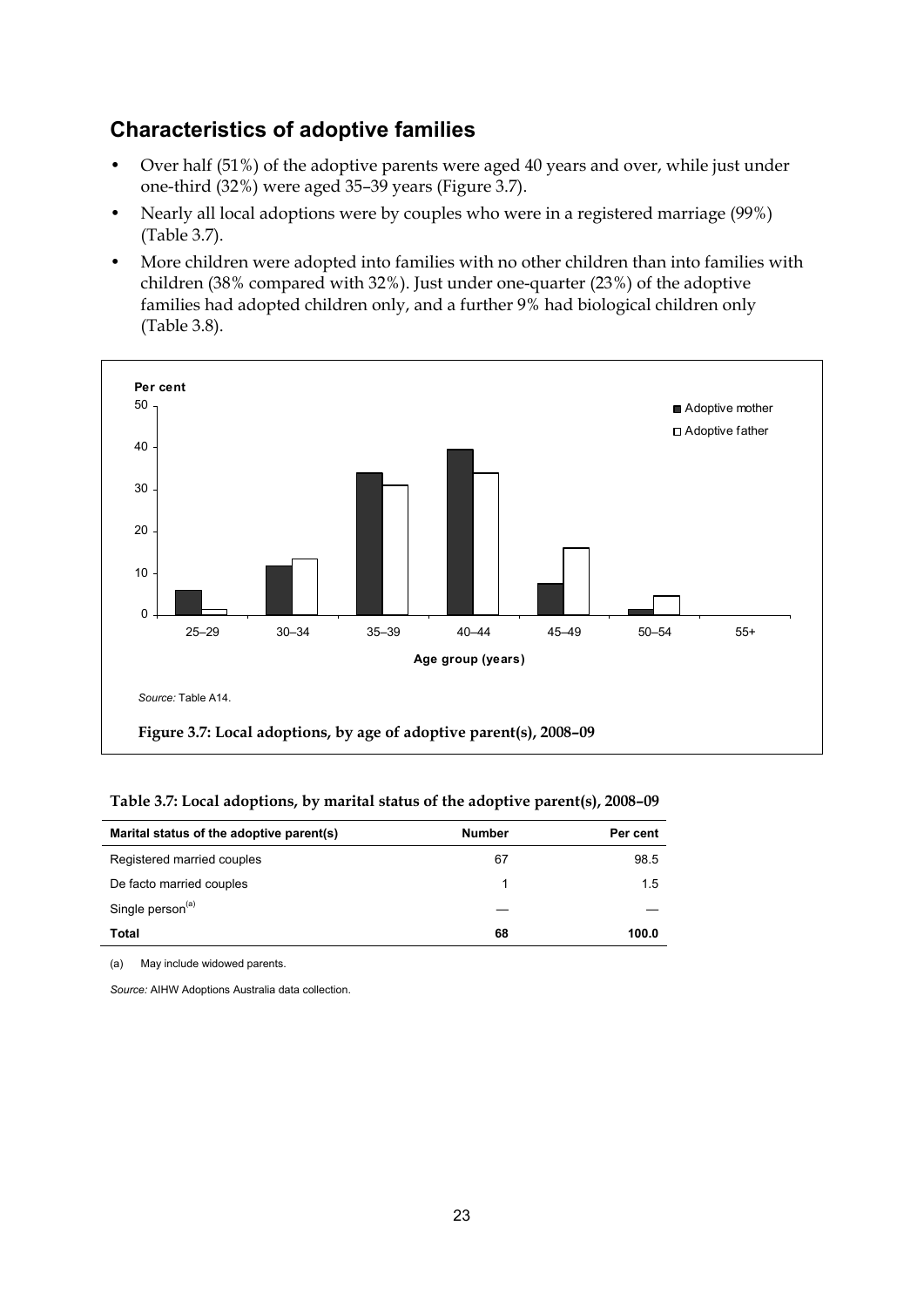### **Characteristics of adoptive families**

- Over half (51%) of the adoptive parents were aged 40 years and over, while just under one-third (32%) were aged 35–39 years (Figure 3.7).
- Nearly all local adoptions were by couples who were in a registered marriage (99%) (Table 3.7).
- More children were adopted into families with no other children than into families with children (38% compared with 32%). Just under one-quarter (23%) of the adoptive families had adopted children only, and a further 9% had biological children only (Table 3.8).



**Table 3.7: Local adoptions, by marital status of the adoptive parent(s), 2008–09** 

| Marital status of the adoptive parent(s) | <b>Number</b> | Per cent |
|------------------------------------------|---------------|----------|
| Registered married couples               | 67            | 98.5     |
| De facto married couples                 |               | 1.5      |
| Single person <sup>(a)</sup>             |               |          |
| <b>Total</b>                             | 68            | 100.0    |

(a) May include widowed parents.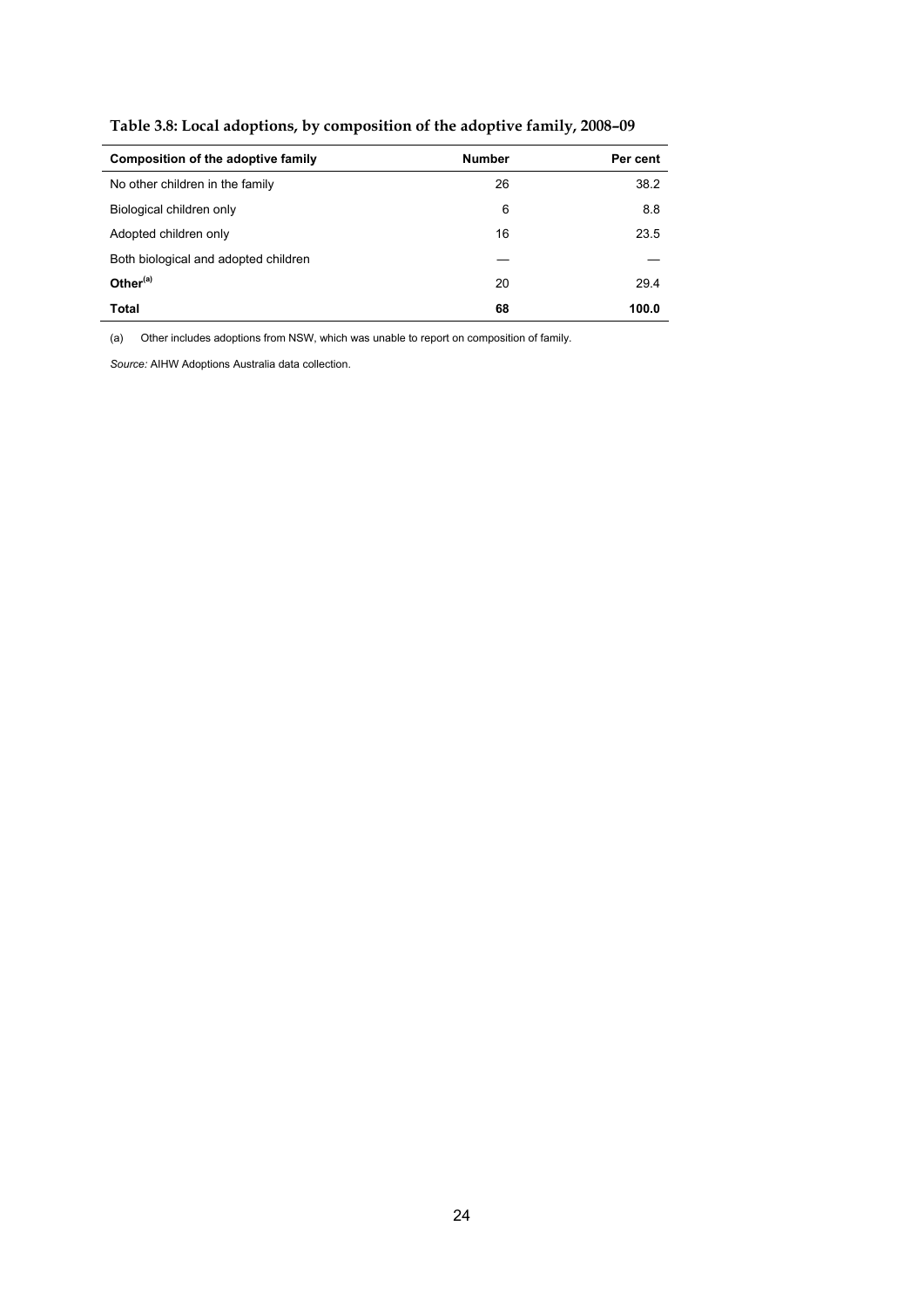| Composition of the adoptive family   | <b>Number</b> | Per cent |
|--------------------------------------|---------------|----------|
| No other children in the family      | 26            | 38.2     |
| Biological children only             | 6             | 8.8      |
| Adopted children only                | 16            | 23.5     |
| Both biological and adopted children |               |          |
| Other $(a)$                          | 20            | 29.4     |
| <b>Total</b>                         | 68            | 100.0    |

**Table 3.8: Local adoptions, by composition of the adoptive family, 2008–09** 

(a) Other includes adoptions from NSW, which was unable to report on composition of family.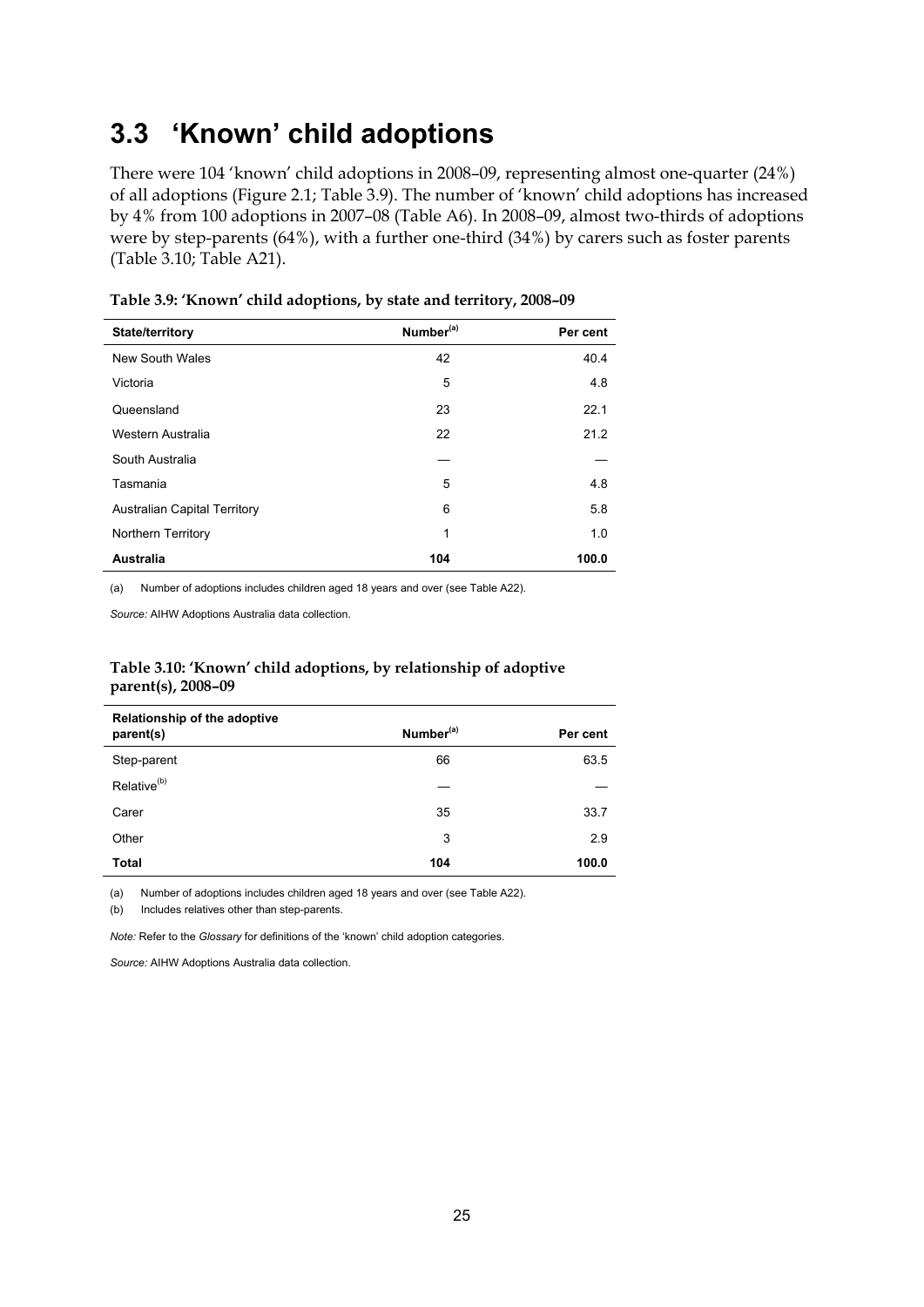# <span id="page-30-0"></span>**3.3 'Known' child adoptions**

There were 104 'known' child adoptions in 2008–09, representing almost one-quarter (24%) of all adoptions (Figure 2.1; Table 3.9). The number of 'known' child adoptions has increased by 4% from 100 adoptions in 2007–08 (Table A6). In 2008–09, almost two-thirds of adoptions were by step-parents (64%), with a further one-third (34%) by carers such as foster parents (Table 3.10; Table A21).

| State/territory                     | Number <sup>(a)</sup> | Per cent |
|-------------------------------------|-----------------------|----------|
| <b>New South Wales</b>              | 42                    | 40.4     |
| Victoria                            | 5                     | 4.8      |
| Queensland                          | 23                    | 22.1     |
| Western Australia                   | 22                    | 21.2     |
| South Australia                     |                       |          |
| Tasmania                            | 5                     | 4.8      |
| <b>Australian Capital Territory</b> | 6                     | 5.8      |
| Northern Territory                  | 1                     | 1.0      |
| <b>Australia</b>                    | 104                   | 100.0    |

**Table 3.9: 'Known' child adoptions, by state and territory, 2008–09** 

(a) Number of adoptions includes children aged 18 years and over (see Table A22).

*Source:* AIHW Adoptions Australia data collection.

#### **Table 3.10: 'Known' child adoptions, by relationship of adoptive parent(s), 2008–09**

| Relationship of the adoptive<br>parent(s) | Number <sup>(a)</sup> | Per cent |
|-------------------------------------------|-----------------------|----------|
| Step-parent                               | 66                    | 63.5     |
| Relative <sup>(b)</sup>                   |                       |          |
| Carer                                     | 35                    | 33.7     |
| Other                                     | 3                     | 2.9      |
| <b>Total</b>                              | 104                   | 100.0    |

(a) Number of adoptions includes children aged 18 years and over (see Table A22).

(b) Includes relatives other than step-parents.

*Note:* Refer to the *Glossary* for definitions of the 'known' child adoption categories.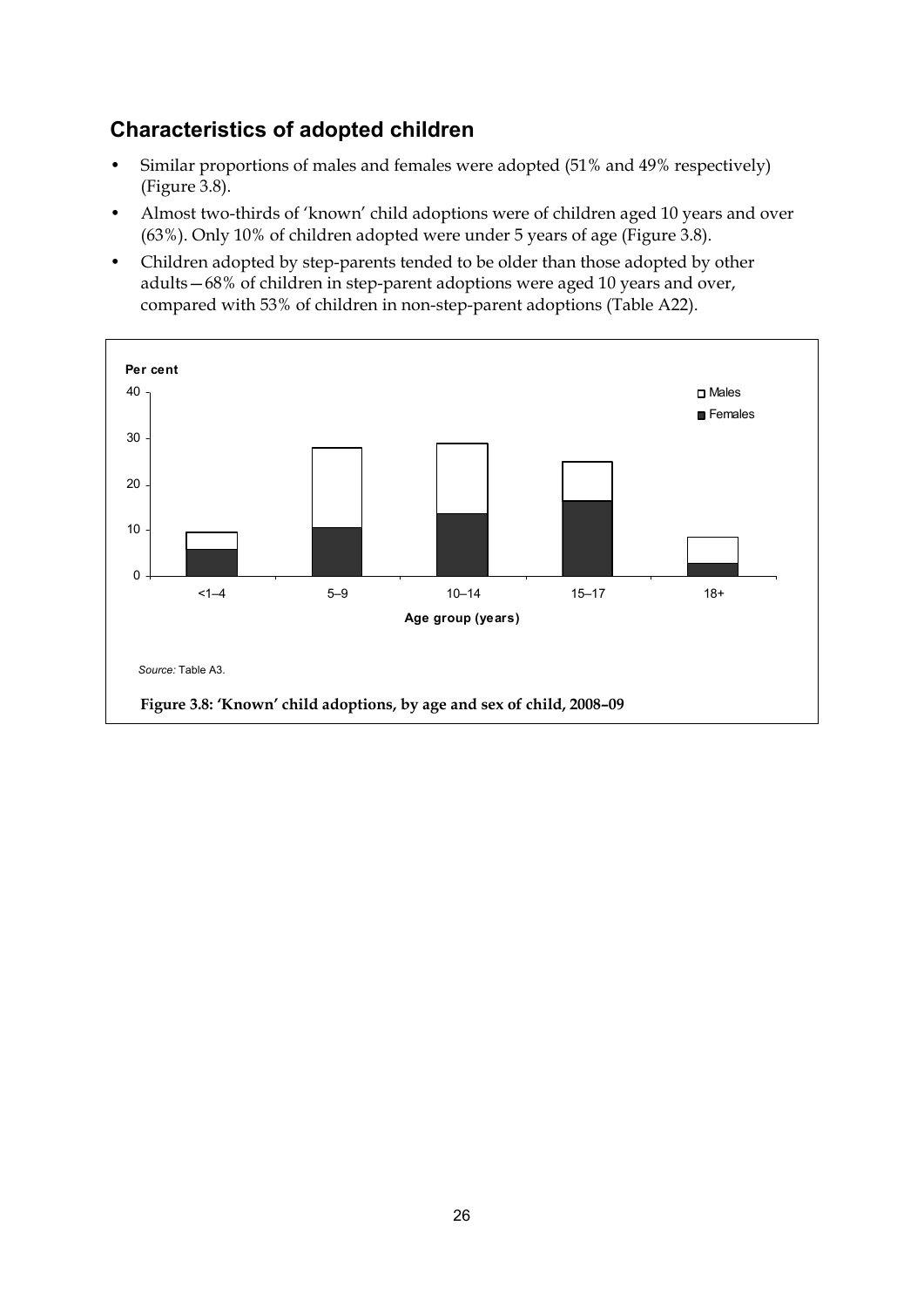## **Characteristics of adopted children**

- Similar proportions of males and females were adopted (51% and 49% respectively) (Figure 3.8).
- Almost two-thirds of 'known' child adoptions were of children aged 10 years and over (63%). Only 10% of children adopted were under 5 years of age (Figure 3.8).
- Children adopted by step-parents tended to be older than those adopted by other adults—68% of children in step-parent adoptions were aged 10 years and over, compared with 53% of children in non-step-parent adoptions (Table A22).

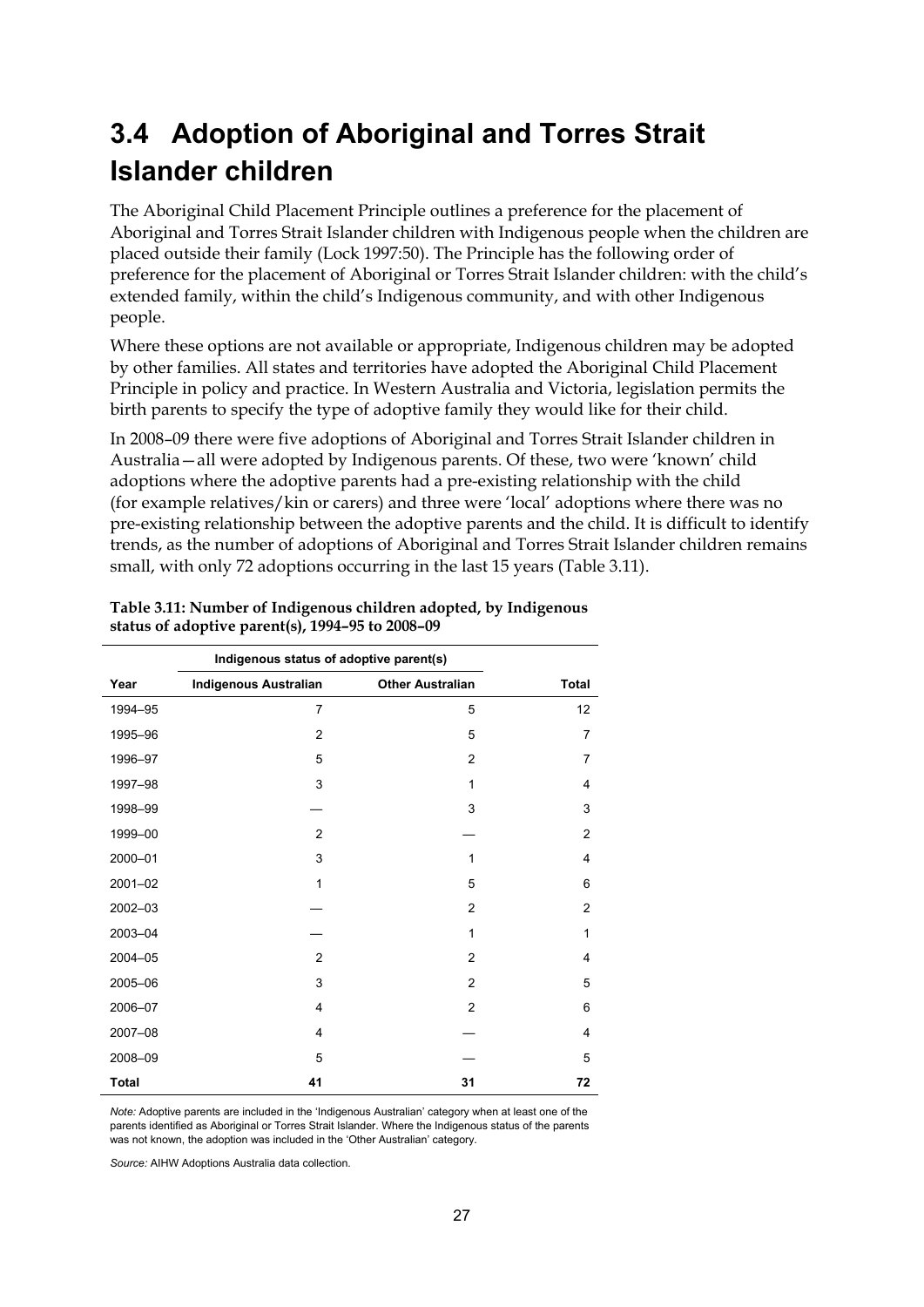# <span id="page-32-0"></span>**3.4 Adoption of Aboriginal and Torres Strait Islander children**

The Aboriginal Child Placement Principle outlines a preference for the placement of Aboriginal and Torres Strait Islander children with Indigenous people when the children are placed outside their family (Lock 1997:50). The Principle has the following order of preference for the placement of Aboriginal or Torres Strait Islander children: with the child's extended family, within the child's Indigenous community, and with other Indigenous people.

Where these options are not available or appropriate, Indigenous children may be adopted by other families. All states and territories have adopted the Aboriginal Child Placement Principle in policy and practice. In Western Australia and Victoria, legislation permits the birth parents to specify the type of adoptive family they would like for their child.

In 2008–09 there were five adoptions of Aboriginal and Torres Strait Islander children in Australia—all were adopted by Indigenous parents. Of these, two were 'known' child adoptions where the adoptive parents had a pre-existing relationship with the child (for example relatives/kin or carers) and three were 'local' adoptions where there was no pre-existing relationship between the adoptive parents and the child. It is difficult to identify trends, as the number of adoptions of Aboriginal and Torres Strait Islander children remains small, with only 72 adoptions occurring in the last 15 years (Table 3.11).

|              | Indigenous status of adoptive parent(s) |                         |                |
|--------------|-----------------------------------------|-------------------------|----------------|
| Year         | <b>Indigenous Australian</b>            | <b>Other Australian</b> | <b>Total</b>   |
| 1994-95      | $\overline{7}$                          | 5                       | 12             |
| 1995-96      | $\overline{2}$                          | 5                       | $\overline{7}$ |
| 1996-97      | 5                                       | $\overline{2}$          | $\overline{7}$ |
| 1997-98      | 3                                       | 1                       | 4              |
| 1998-99      |                                         | 3                       | 3              |
| 1999-00      | $\overline{2}$                          |                         | $\overline{2}$ |
| 2000-01      | 3                                       | 1                       | 4              |
| 2001-02      | $\mathbf{1}$                            | 5                       | 6              |
| 2002-03      |                                         | $\overline{2}$          | $\overline{2}$ |
| 2003-04      |                                         | 1                       | 1              |
| 2004-05      | $\overline{2}$                          | $\overline{2}$          | 4              |
| 2005-06      | 3                                       | $\overline{2}$          | 5              |
| 2006-07      | $\overline{4}$                          | $\overline{2}$          | 6              |
| 2007-08      | $\overline{4}$                          |                         | 4              |
| 2008-09      | 5                                       |                         | 5              |
| <b>Total</b> | 41                                      | 31                      | 72             |

**Table 3.11: Number of Indigenous children adopted, by Indigenous status of adoptive parent(s), 1994–95 to 2008–09** 

*Note:* Adoptive parents are included in the 'Indigenous Australian' category when at least one of the parents identified as Aboriginal or Torres Strait Islander. Where the Indigenous status of the parents was not known, the adoption was included in the 'Other Australian' category.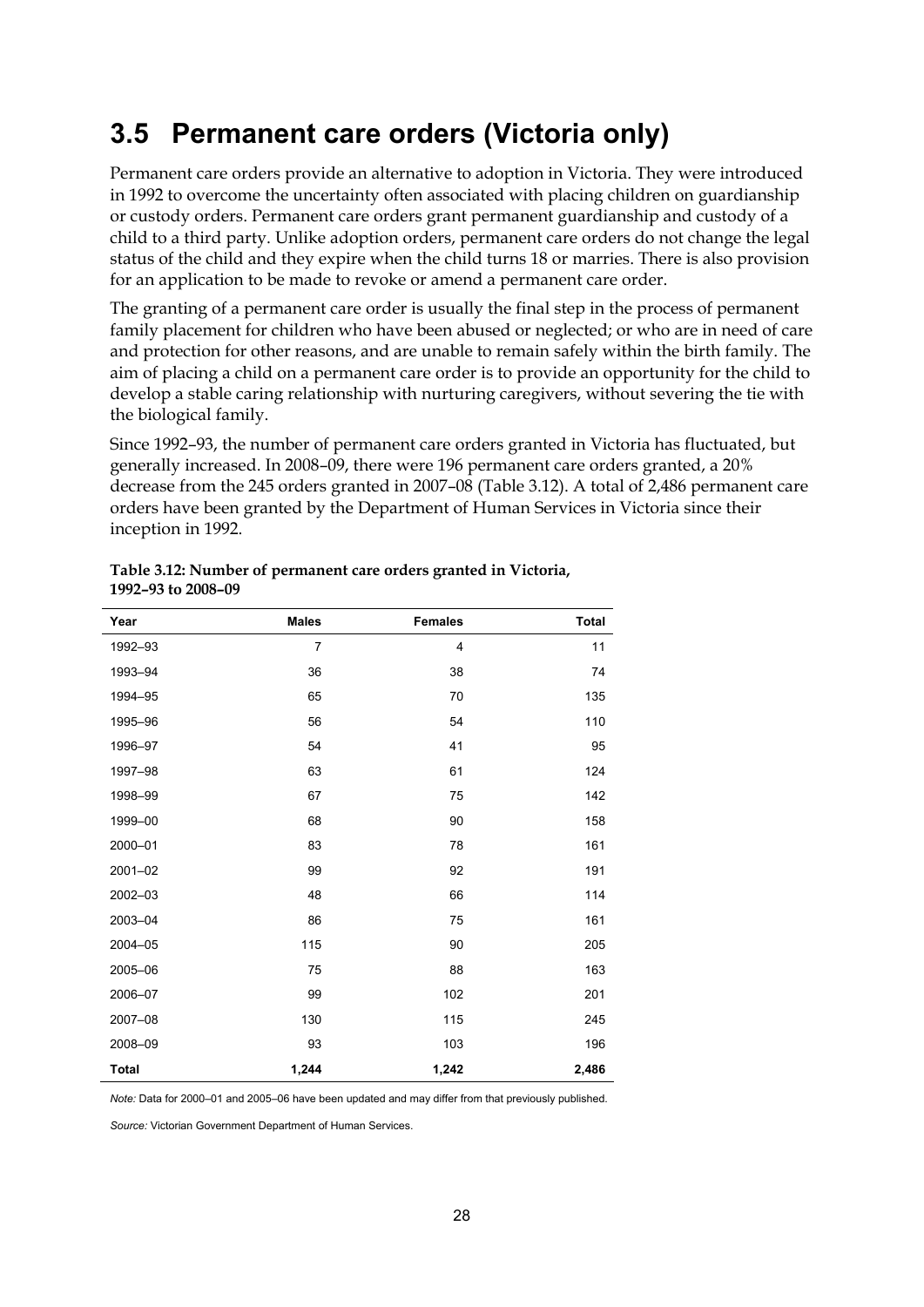# <span id="page-33-0"></span>**3.5 Permanent care orders (Victoria only)**

Permanent care orders provide an alternative to adoption in Victoria. They were introduced in 1992 to overcome the uncertainty often associated with placing children on guardianship or custody orders. Permanent care orders grant permanent guardianship and custody of a child to a third party. Unlike adoption orders, permanent care orders do not change the legal status of the child and they expire when the child turns 18 or marries. There is also provision for an application to be made to revoke or amend a permanent care order.

The granting of a permanent care order is usually the final step in the process of permanent family placement for children who have been abused or neglected; or who are in need of care and protection for other reasons, and are unable to remain safely within the birth family. The aim of placing a child on a permanent care order is to provide an opportunity for the child to develop a stable caring relationship with nurturing caregivers, without severing the tie with the biological family.

Since 1992–93, the number of permanent care orders granted in Victoria has fluctuated, but generally increased. In 2008–09, there were 196 permanent care orders granted, a 20% decrease from the 245 orders granted in 2007–08 (Table 3.12). A total of 2,486 permanent care orders have been granted by the Department of Human Services in Victoria since their inception in 1992.

| Year         | <b>Males</b>   | <b>Females</b> | <b>Total</b> |
|--------------|----------------|----------------|--------------|
| 1992-93      | $\overline{7}$ | $\overline{4}$ | 11           |
| 1993-94      | 36             | 38             | 74           |
| 1994-95      | 65             | 70             | 135          |
| 1995-96      | 56             | 54             | 110          |
| 1996-97      | 54             | 41             | 95           |
| 1997-98      | 63             | 61             | 124          |
| 1998-99      | 67             | 75             | 142          |
| 1999-00      | 68             | 90             | 158          |
| 2000-01      | 83             | 78             | 161          |
| 2001-02      | 99             | 92             | 191          |
| 2002-03      | 48             | 66             | 114          |
| 2003-04      | 86             | 75             | 161          |
| 2004-05      | 115            | 90             | 205          |
| 2005-06      | 75             | 88             | 163          |
| 2006-07      | 99             | 102            | 201          |
| 2007-08      | 130            | 115            | 245          |
| 2008-09      | 93             | 103            | 196          |
| <b>Total</b> | 1,244          | 1,242          | 2,486        |

#### **Table 3.12: Number of permanent care orders granted in Victoria, 1992–93 to 2008–09**

*Note:* Data for 2000–01 and 2005–06 have been updated and may differ from that previously published.

*Source:* Victorian Government Department of Human Services.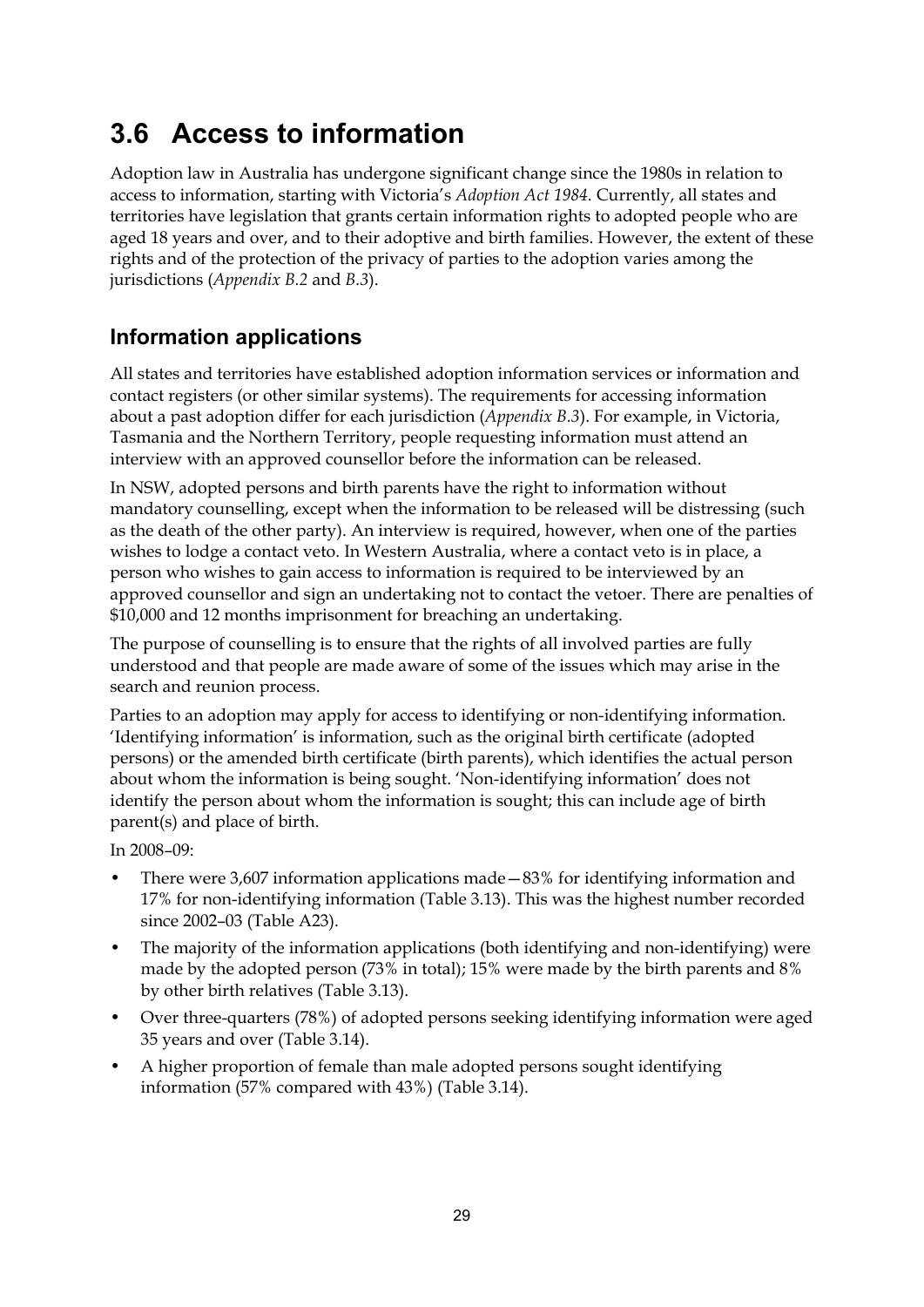# <span id="page-34-0"></span>**3.6 Access to information**

Adoption law in Australia has undergone significant change since the 1980s in relation to access to information, starting with Victoria's *Adoption Act 1984*. Currently, all states and territories have legislation that grants certain information rights to adopted people who are aged 18 years and over, and to their adoptive and birth families. However, the extent of these rights and of the protection of the privacy of parties to the adoption varies among the jurisdictions (*Appendix B.2* and *B.3*).

## **Information applications**

All states and territories have established adoption information services or information and contact registers (or other similar systems). The requirements for accessing information about a past adoption differ for each jurisdiction (*Appendix B.3*). For example, in Victoria, Tasmania and the Northern Territory, people requesting information must attend an interview with an approved counsellor before the information can be released.

In NSW, adopted persons and birth parents have the right to information without mandatory counselling, except when the information to be released will be distressing (such as the death of the other party). An interview is required, however, when one of the parties wishes to lodge a contact veto. In Western Australia, where a contact veto is in place, a person who wishes to gain access to information is required to be interviewed by an approved counsellor and sign an undertaking not to contact the vetoer. There are penalties of \$10,000 and 12 months imprisonment for breaching an undertaking.

The purpose of counselling is to ensure that the rights of all involved parties are fully understood and that people are made aware of some of the issues which may arise in the search and reunion process.

Parties to an adoption may apply for access to identifying or non-identifying information. 'Identifying information' is information, such as the original birth certificate (adopted persons) or the amended birth certificate (birth parents), which identifies the actual person about whom the information is being sought. 'Non-identifying information' does not identify the person about whom the information is sought; this can include age of birth parent(s) and place of birth.

In 2008–09:

- There were 3,607 information applications made—83% for identifying information and 17% for non-identifying information (Table 3.13). This was the highest number recorded since 2002–03 (Table A23).
- The majority of the information applications (both identifying and non-identifying) were made by the adopted person (73% in total); 15% were made by the birth parents and 8% by other birth relatives (Table 3.13).
- Over three-quarters (78%) of adopted persons seeking identifying information were aged 35 years and over (Table 3.14).
- A higher proportion of female than male adopted persons sought identifying information (57% compared with 43%) (Table 3.14).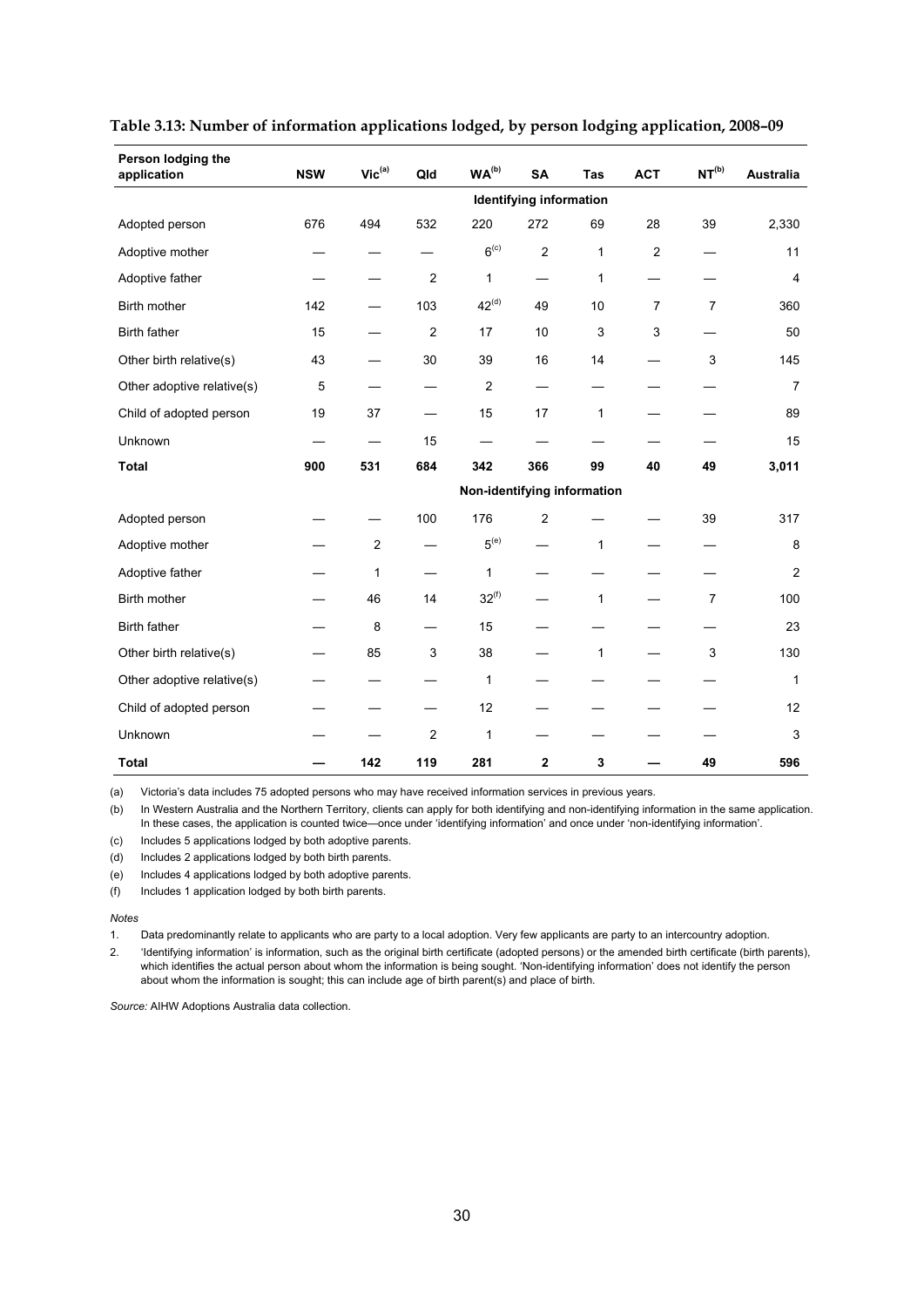| Person lodging the<br>application | <b>NSW</b>              | $Vic^{(a)}$    | Qld                     | WA <sup>(b)</sup>           | <b>SA</b>      | Tas          | <b>ACT</b>     | $\mathsf{NT}^\mathsf{(b)}$ | <b>Australia</b> |
|-----------------------------------|-------------------------|----------------|-------------------------|-----------------------------|----------------|--------------|----------------|----------------------------|------------------|
|                                   | Identifying information |                |                         |                             |                |              |                |                            |                  |
| Adopted person                    | 676                     | 494            | 532                     | 220                         | 272            | 69           | 28             | 39                         | 2,330            |
| Adoptive mother                   |                         |                |                         | 6 <sup>(c)</sup>            | 2              | 1            | $\overline{2}$ |                            | 11               |
| Adoptive father                   |                         |                | $\overline{c}$          | 1                           |                | $\mathbf{1}$ |                |                            | $\overline{4}$   |
| Birth mother                      | 142                     |                | 103                     | $42^{(d)}$                  | 49             | 10           | $\overline{7}$ | $\overline{7}$             | 360              |
| <b>Birth father</b>               | 15                      |                | $\overline{\mathbf{c}}$ | 17                          | 10             | 3            | 3              |                            | 50               |
| Other birth relative(s)           | 43                      |                | 30                      | 39                          | 16             | 14           |                | 3                          | 145              |
| Other adoptive relative(s)        | 5                       |                |                         | $\overline{2}$              |                |              |                |                            | $\overline{7}$   |
| Child of adopted person           | 19                      | 37             |                         | 15                          | 17             | 1            |                |                            | 89               |
| Unknown                           |                         |                | 15                      |                             |                |              |                |                            | 15               |
| <b>Total</b>                      | 900                     | 531            | 684                     | 342                         | 366            | 99           | 40             | 49                         | 3,011            |
|                                   |                         |                |                         | Non-identifying information |                |              |                |                            |                  |
| Adopted person                    |                         |                | 100                     | 176                         | $\overline{c}$ |              |                | 39                         | 317              |
| Adoptive mother                   |                         | $\overline{c}$ |                         | 5 <sup>(e)</sup>            |                | 1            |                |                            | 8                |
| Adoptive father                   |                         | 1              |                         | 1                           |                |              |                |                            | $\overline{c}$   |
| Birth mother                      |                         | 46             | 14                      | $32^{(f)}$                  |                | 1            |                | $\overline{7}$             | 100              |
| <b>Birth father</b>               |                         | 8              |                         | 15                          |                |              |                |                            | 23               |
| Other birth relative(s)           |                         | 85             | 3                       | 38                          |                | 1            |                | 3                          | 130              |
| Other adoptive relative(s)        |                         |                |                         | 1                           |                |              |                |                            | $\mathbf{1}$     |
| Child of adopted person           |                         |                |                         | 12                          |                |              |                |                            | 12               |
| Unknown                           |                         |                | $\overline{2}$          | 1                           |                |              |                |                            | 3                |
| <b>Total</b>                      |                         | 142            | 119                     | 281                         | $\mathbf 2$    | 3            |                | 49                         | 596              |

#### **Table 3.13: Number of information applications lodged, by person lodging application, 2008–09**

(a) Victoria's data includes 75 adopted persons who may have received information services in previous years.

(b) In Western Australia and the Northern Territory, clients can apply for both identifying and non-identifying information in the same application. In these cases, the application is counted twice—once under 'identifying information' and once under 'non-identifying information'.

(c) Includes 5 applications lodged by both adoptive parents.

(d) Includes 2 applications lodged by both birth parents.

(e) Includes 4 applications lodged by both adoptive parents.

(f) Includes 1 application lodged by both birth parents.

#### *Notes*

1. Data predominantly relate to applicants who are party to a local adoption. Very few applicants are party to an intercountry adoption.

2. 'Identifying information' is information, such as the original birth certificate (adopted persons) or the amended birth certificate (birth parents), which identifies the actual person about whom the information is being sought. 'Non-identifying information' does not identify the person about whom the information is sought; this can include age of birth parent(s) and place of birth.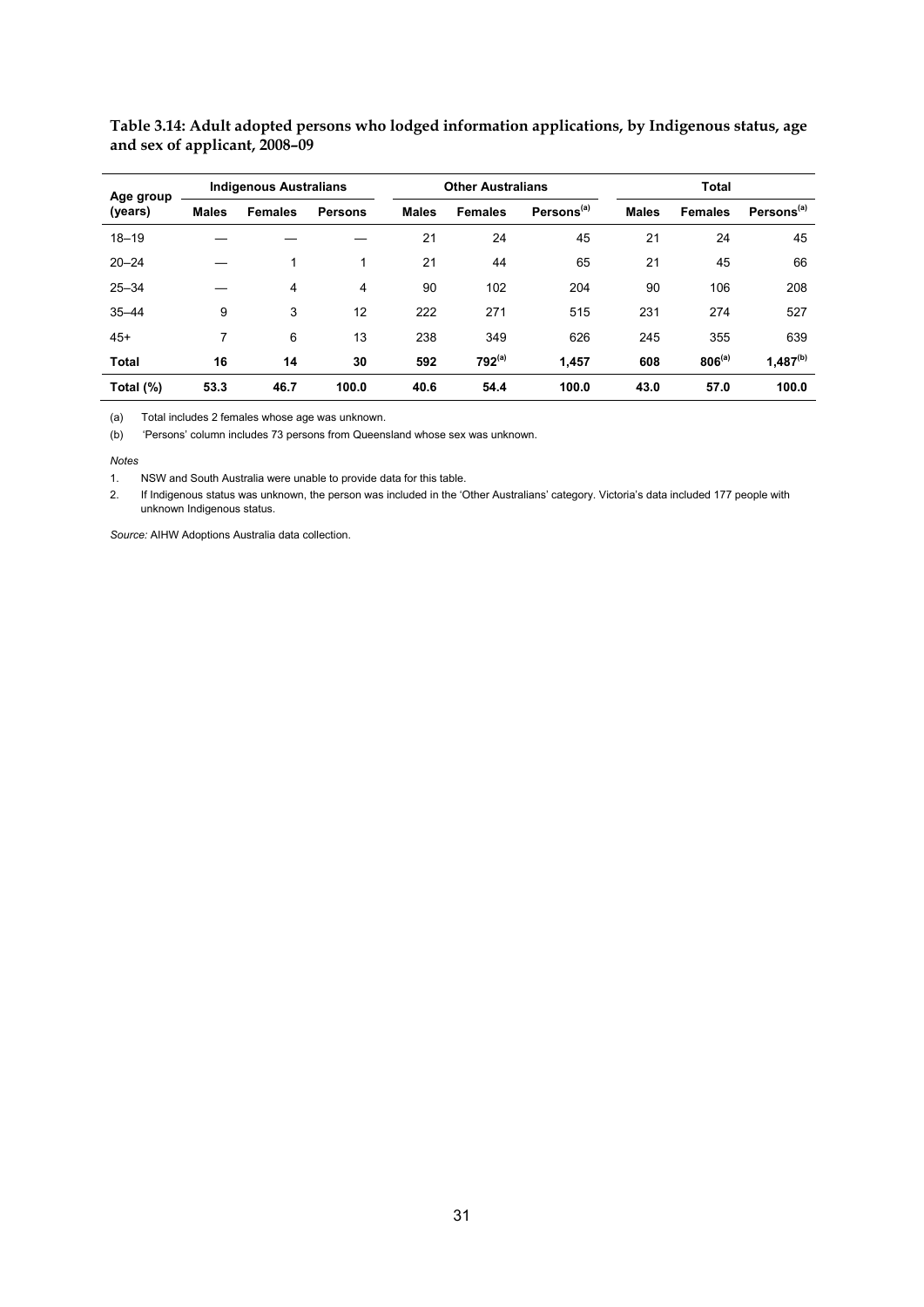| Age group    |              | <b>Indigenous Australians</b> |                |              | <b>Other Australians</b> |                        |              | <b>Total</b>   |                        |  |  |
|--------------|--------------|-------------------------------|----------------|--------------|--------------------------|------------------------|--------------|----------------|------------------------|--|--|
| (years)      | <b>Males</b> | <b>Females</b>                | <b>Persons</b> | <b>Males</b> | <b>Females</b>           | Persons <sup>(a)</sup> | <b>Males</b> | <b>Females</b> | Persons <sup>(a)</sup> |  |  |
| $18 - 19$    |              |                               |                | 21           | 24                       | 45                     | 21           | 24             | 45                     |  |  |
| $20 - 24$    |              | 1                             | 1              | 21           | 44                       | 65                     | 21           | 45             | 66                     |  |  |
| $25 - 34$    |              | 4                             | 4              | 90           | 102                      | 204                    | 90           | 106            | 208                    |  |  |
| $35 - 44$    | 9            | 3                             | 12             | 222          | 271                      | 515                    | 231          | 274            | 527                    |  |  |
| $45+$        | 7            | 6                             | 13             | 238          | 349                      | 626                    | 245          | 355            | 639                    |  |  |
| <b>Total</b> | 16           | 14                            | 30             | 592          | $792^{(a)}$              | 1,457                  | 608          | $806^{(a)}$    | $1,487^{(b)}$          |  |  |
| Total (%)    | 53.3         | 46.7                          | 100.0          | 40.6         | 54.4                     | 100.0                  | 43.0         | 57.0           | 100.0                  |  |  |

**Table 3.14: Adult adopted persons who lodged information applications, by Indigenous status, age and sex of applicant, 2008–09** 

(a) Total includes 2 females whose age was unknown.

(b) 'Persons' column includes 73 persons from Queensland whose sex was unknown.

*Notes* 

1. NSW and South Australia were unable to provide data for this table.

2. If Indigenous status was unknown, the person was included in the 'Other Australians' category. Victoria's data included 177 people with unknown Indigenous status.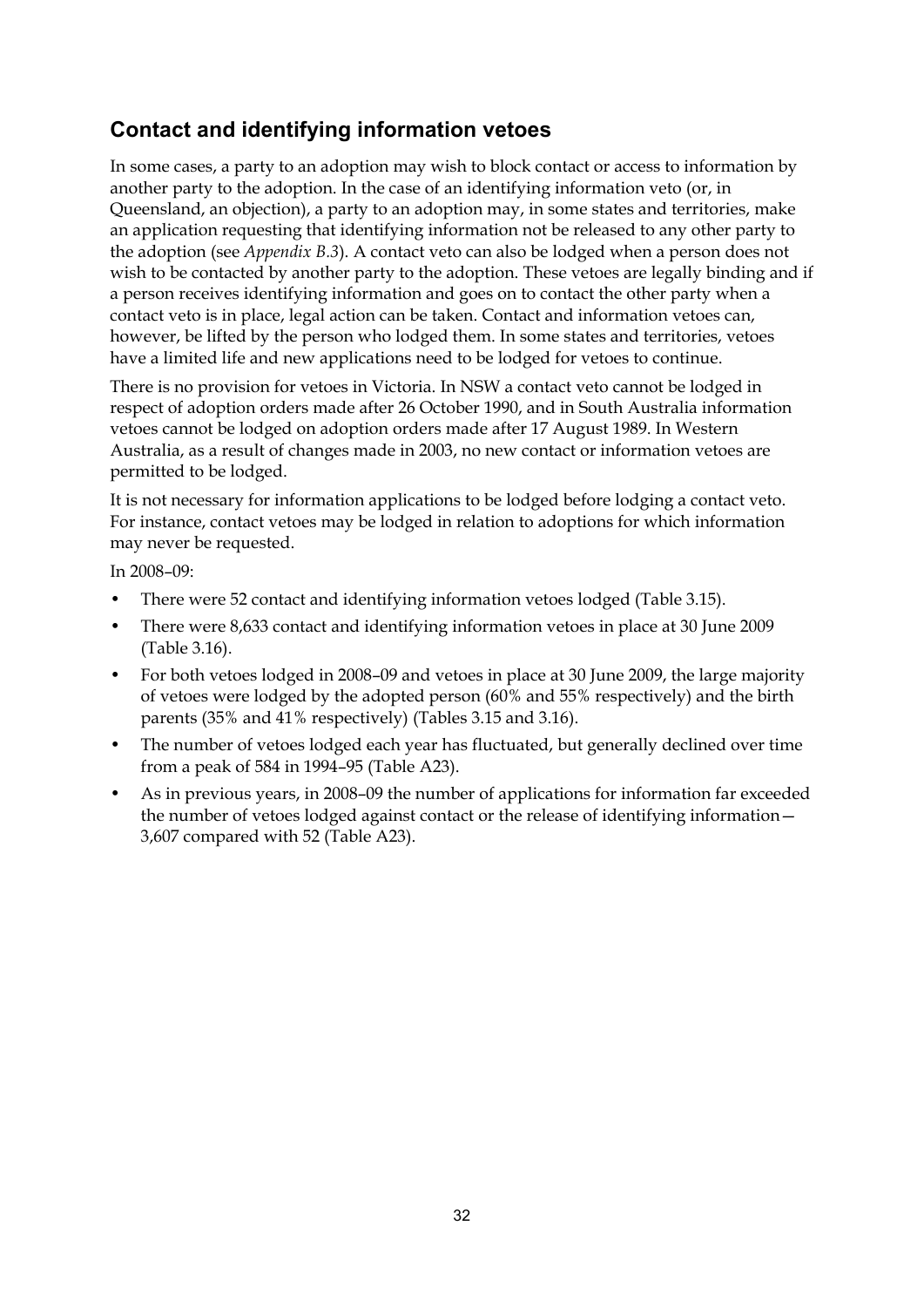# **Contact and identifying information vetoes**

In some cases, a party to an adoption may wish to block contact or access to information by another party to the adoption. In the case of an identifying information veto (or, in Queensland, an objection), a party to an adoption may, in some states and territories, make an application requesting that identifying information not be released to any other party to the adoption (see *Appendix B.3*). A contact veto can also be lodged when a person does not wish to be contacted by another party to the adoption. These vetoes are legally binding and if a person receives identifying information and goes on to contact the other party when a contact veto is in place, legal action can be taken. Contact and information vetoes can, however, be lifted by the person who lodged them. In some states and territories, vetoes have a limited life and new applications need to be lodged for vetoes to continue.

There is no provision for vetoes in Victoria. In NSW a contact veto cannot be lodged in respect of adoption orders made after 26 October 1990, and in South Australia information vetoes cannot be lodged on adoption orders made after 17 August 1989. In Western Australia, as a result of changes made in 2003, no new contact or information vetoes are permitted to be lodged.

It is not necessary for information applications to be lodged before lodging a contact veto. For instance, contact vetoes may be lodged in relation to adoptions for which information may never be requested.

In 2008–09:

- There were 52 contact and identifying information vetoes lodged (Table 3.15).
- There were 8,633 contact and identifying information vetoes in place at 30 June 2009 (Table 3.16).
- For both vetoes lodged in 2008–09 and vetoes in place at 30 June 2009, the large majority of vetoes were lodged by the adopted person (60% and 55% respectively) and the birth parents (35% and 41% respectively) (Tables 3.15 and 3.16).
- The number of vetoes lodged each year has fluctuated, but generally declined over time from a peak of 584 in 1994–95 (Table A23).
- As in previous years, in 2008–09 the number of applications for information far exceeded the number of vetoes lodged against contact or the release of identifying information— 3,607 compared with 52 (Table A23).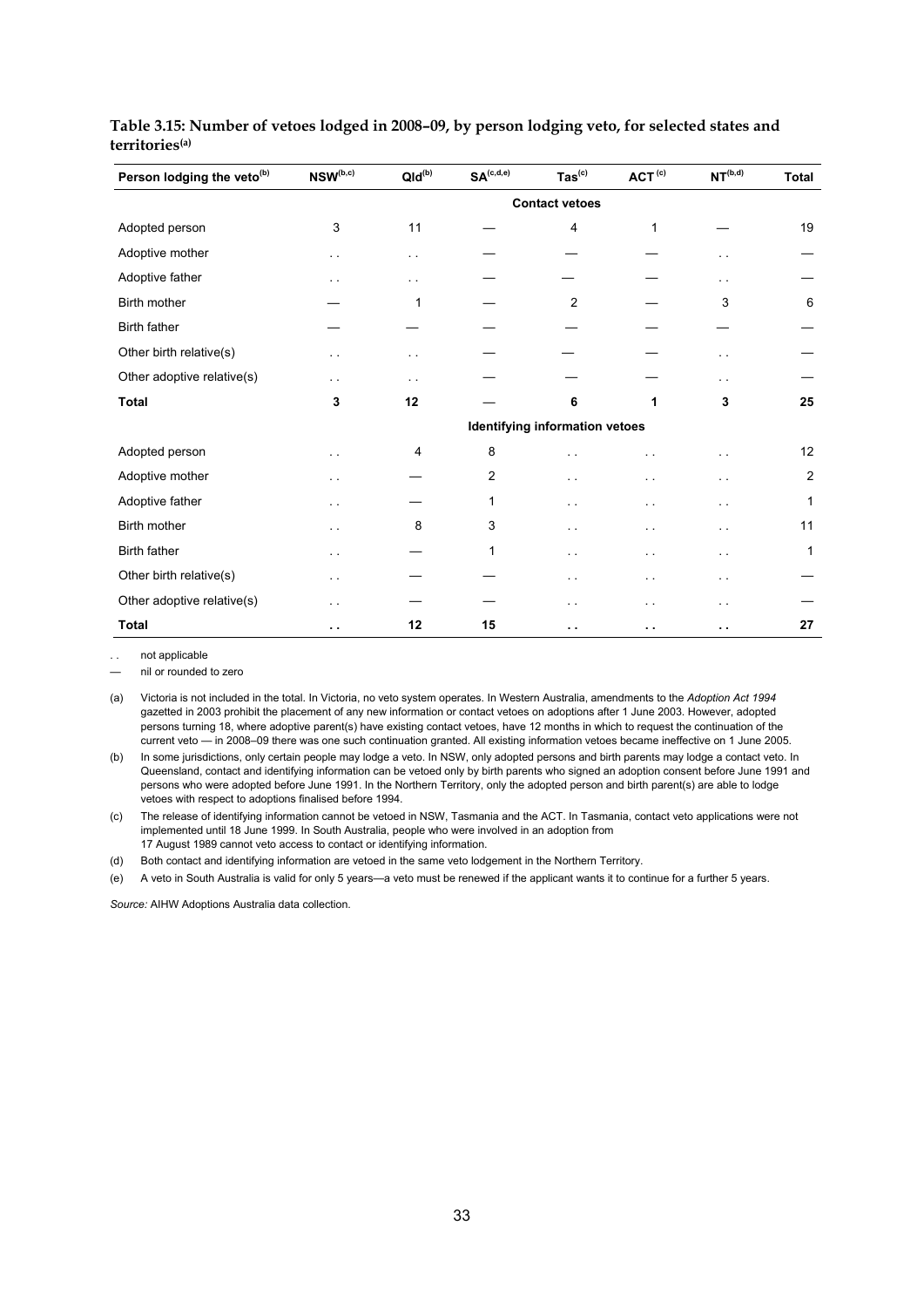| Person lodging the veto <sup>(b)</sup> | $\ensuremath{\mathsf{NSW}}\xspace^{\mathrm{(b,c)}}$ | $Qld^{(b)}$          | $\mathbf{SA}^{(c,d,e)}$ | $\text{Tas}^{\text{(c)}}$             | ACT <sup>(c)</sup> | NT <sup>(b,d)</sup>  | <b>Total</b>   |
|----------------------------------------|-----------------------------------------------------|----------------------|-------------------------|---------------------------------------|--------------------|----------------------|----------------|
|                                        |                                                     |                      |                         | <b>Contact vetoes</b>                 |                    |                      |                |
| Adopted person                         | 3                                                   | 11                   |                         | 4                                     | 1                  |                      | 19             |
| Adoptive mother                        | $\sim$ $\sim$                                       | $\sim$               |                         |                                       |                    | . .                  |                |
| Adoptive father                        | $\ddot{\phantom{1}}$                                | $\sim$ $\sim$        |                         |                                       |                    | $\ddot{\phantom{1}}$ |                |
| <b>Birth mother</b>                    |                                                     | 1                    |                         | 2                                     |                    | 3                    | 6              |
| <b>Birth father</b>                    |                                                     |                      |                         |                                       |                    |                      |                |
| Other birth relative(s)                | . .                                                 | $\ddot{\phantom{1}}$ |                         |                                       |                    | . .                  |                |
| Other adoptive relative(s)             | . .                                                 | $\sim$ $\sim$        |                         |                                       |                    | . .                  |                |
| <b>Total</b>                           | 3                                                   | 12                   |                         | 6                                     | 1                  | 3                    | 25             |
|                                        |                                                     |                      |                         | <b>Identifying information vetoes</b> |                    |                      |                |
| Adopted person                         | . .                                                 | 4                    | 8                       |                                       |                    |                      | 12             |
| Adoptive mother                        | .,                                                  |                      | 2                       |                                       |                    | $\ddot{\phantom{1}}$ | $\overline{2}$ |
| Adoptive father                        | . .                                                 |                      | 1                       |                                       |                    | $\ddot{\phantom{1}}$ | 1              |
| Birth mother                           | . .                                                 | 8                    | 3                       | $\sim$ $\sim$                         |                    | $\sim$               | 11             |
| Birth father                           | . .                                                 |                      | 1                       |                                       | $\sim$             |                      | 1              |
| Other birth relative(s)                | . .                                                 |                      |                         | $\ddot{\phantom{1}}$                  | . .                | $\ddot{\phantom{1}}$ |                |
| Other adoptive relative(s)             | . .                                                 |                      |                         | $\ddot{\phantom{0}}$                  |                    | $\ddot{\phantom{1}}$ |                |
| <b>Total</b>                           | . .                                                 | 12                   | 15                      | $\ddot{\phantom{1}}$                  | . .                | н.                   | 27             |

#### **Table 3.15: Number of vetoes lodged in 2008–09, by person lodging veto, for selected states and territories(a)**

. . not applicable

— nil or rounded to zero

(a) Victoria is not included in the total. In Victoria, no veto system operates. In Western Australia, amendments to the *Adoption Act 1994* gazetted in 2003 prohibit the placement of any new information or contact vetoes on adoptions after 1 June 2003. However, adopted persons turning 18, where adoptive parent(s) have existing contact vetoes, have 12 months in which to request the continuation of the current veto — in 2008–09 there was one such continuation granted. All existing information vetoes became ineffective on 1 June 2005.

(b) In some jurisdictions, only certain people may lodge a veto. In NSW, only adopted persons and birth parents may lodge a contact veto. In Queensland, contact and identifying information can be vetoed only by birth parents who signed an adoption consent before June 1991 and persons who were adopted before June 1991. In the Northern Territory, only the adopted person and birth parent(s) are able to lodge vetoes with respect to adoptions finalised before 1994.

(c) The release of identifying information cannot be vetoed in NSW, Tasmania and the ACT. In Tasmania, contact veto applications were not implemented until 18 June 1999. In South Australia, people who were involved in an adoption from 17 August 1989 cannot veto access to contact or identifying information.

(d) Both contact and identifying information are vetoed in the same veto lodgement in the Northern Territory.

(e) A veto in South Australia is valid for only 5 years—a veto must be renewed if the applicant wants it to continue for a further 5 years.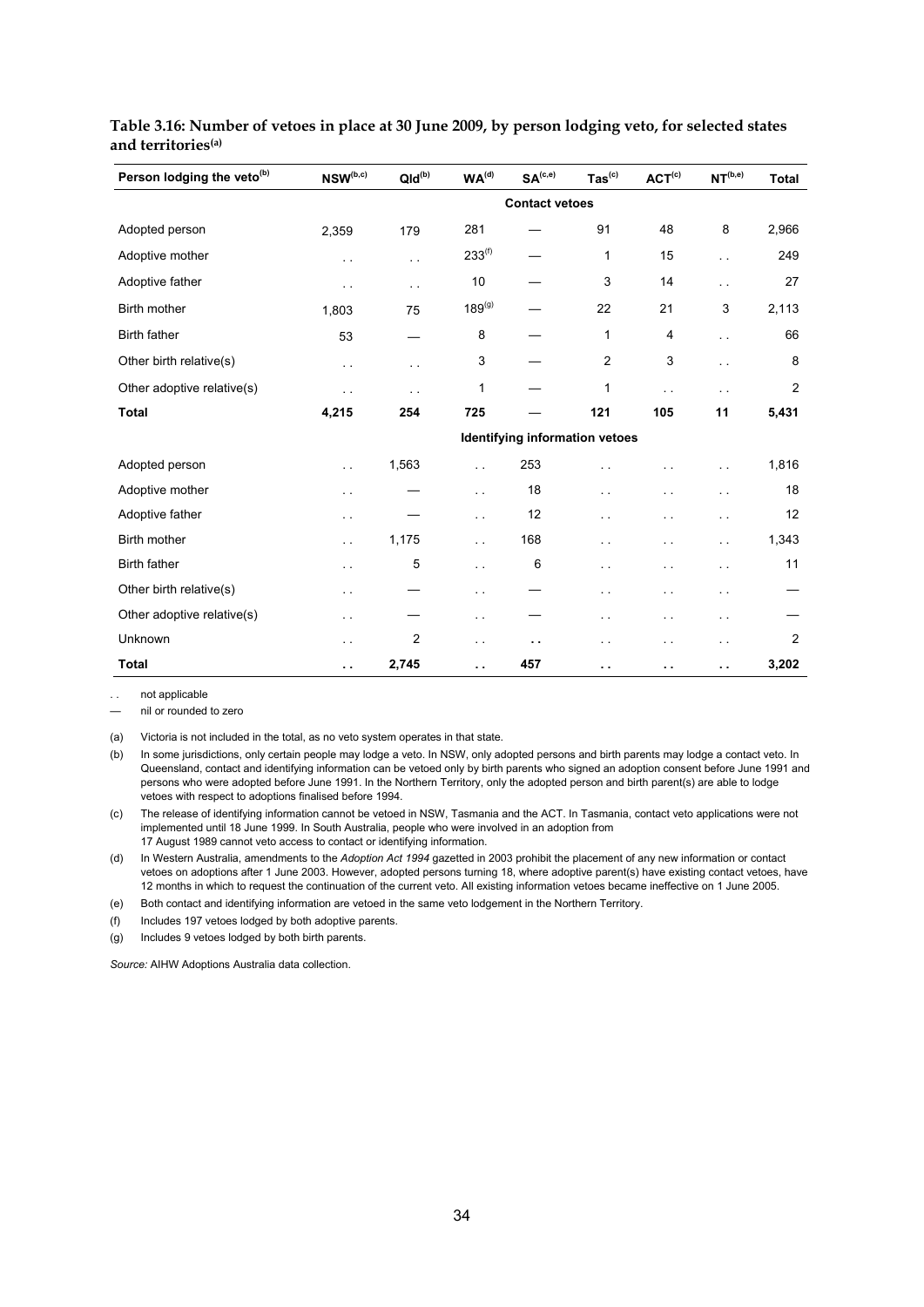| Person lodging the veto <sup>(b)</sup> | $\mathsf{NSW}^{(\mathrm{b},\mathrm{c})}$ | $Qld^{(b)}$          | $\boldsymbol{\mathsf{WA}}^\mathrm{(d)}$ | SA <sup>(c,e)</sup>            | $\mathsf{ Tas}^{\mathsf{(c)}}$ | ACT <sup>(c)</sup>       | NT <sup>(b,e)</sup>  | <b>Total</b>   |
|----------------------------------------|------------------------------------------|----------------------|-----------------------------------------|--------------------------------|--------------------------------|--------------------------|----------------------|----------------|
|                                        |                                          |                      |                                         | <b>Contact vetoes</b>          |                                |                          |                      |                |
| Adopted person                         | 2,359                                    | 179                  | 281                                     |                                | 91                             | 48                       | 8                    | 2,966          |
| Adoptive mother                        | $\ddotsc$                                | $\ddot{\phantom{1}}$ | $233^{(f)}$                             |                                | 1                              | 15                       | . .                  | 249            |
| Adoptive father                        | $\ddotsc$                                | $\ddotsc$            | 10                                      |                                | 3                              | 14                       | г.                   | 27             |
| Birth mother                           | 1,803                                    | 75                   | $189^{(g)}$                             |                                | 22                             | 21                       | 3                    | 2,113          |
| <b>Birth father</b>                    | 53                                       |                      | 8                                       |                                | 1                              | 4                        | г.                   | 66             |
| Other birth relative(s)                | $\sim$ $\sim$                            | $\ddotsc$            | 3                                       |                                | $\overline{c}$                 | 3                        | . .                  | 8              |
| Other adoptive relative(s)             | $\ddot{\phantom{0}}$                     | τ.                   | 1                                       |                                | 1                              | $\ddot{\phantom{a}}$     | $\ddotsc$            | 2              |
| <b>Total</b>                           | 4,215                                    | 254                  | 725                                     |                                | 121                            | 105                      | 11                   | 5,431          |
|                                        |                                          |                      |                                         | Identifying information vetoes |                                |                          |                      |                |
| Adopted person                         | i.                                       | 1,563                | $\sim$ $\sim$                           | 253                            |                                |                          | . .                  | 1,816          |
| Adoptive mother                        | $\ddot{\phantom{1}}$                     |                      | $\ddotsc$                               | 18                             | . .                            | $\overline{\phantom{a}}$ | $\ddot{\phantom{0}}$ | 18             |
| Adoptive father                        | $\ddot{\phantom{0}}$                     |                      | $\sim$                                  | 12                             | г.                             | $\ddot{\phantom{1}}$     | г.                   | 12             |
| Birth mother                           | $\ddot{\phantom{1}}$                     | 1,175                | $\sim$ $\sim$                           | 168                            | г.                             | . .                      | . .                  | 1,343          |
| <b>Birth father</b>                    | $\ddotsc$                                | 5                    | $\ddotsc$                               | 6                              | $\ddotsc$                      | . .                      | . .                  | 11             |
| Other birth relative(s)                | $\sim$ $\sim$                            |                      | $\sim$                                  |                                | $\ddot{\phantom{1}}$           | . .                      | $\ddot{\phantom{1}}$ |                |
| Other adoptive relative(s)             | $\ddot{\phantom{1}}$                     |                      | $\sim$                                  |                                | .,                             | $\ddot{\phantom{1}}$     | $\sim$ $\sim$        |                |
| Unknown                                | $\ddotsc$                                | $\overline{2}$       | $\sim$ $\sim$                           | $\ddot{\phantom{0}}$           | $\ddot{\phantom{1}}$           | . .                      | $\ddot{\phantom{1}}$ | $\overline{c}$ |
| <b>Total</b>                           | μ.                                       | 2,745                | . .                                     | 457                            | . .                            | . .                      | . .                  | 3,202          |

#### **Table 3.16: Number of vetoes in place at 30 June 2009, by person lodging veto, for selected states and territories(a)**

not applicable

— nil or rounded to zero

(a) Victoria is not included in the total, as no veto system operates in that state.

(b) In some jurisdictions, only certain people may lodge a veto. In NSW, only adopted persons and birth parents may lodge a contact veto. In Queensland, contact and identifying information can be vetoed only by birth parents who signed an adoption consent before June 1991 and persons who were adopted before June 1991. In the Northern Territory, only the adopted person and birth parent(s) are able to lodge vetoes with respect to adoptions finalised before 1994.

(c) The release of identifying information cannot be vetoed in NSW, Tasmania and the ACT. In Tasmania, contact veto applications were not implemented until 18 June 1999. In South Australia, people who were involved in an adoption from 17 August 1989 cannot veto access to contact or identifying information.

(d) In Western Australia, amendments to the *Adoption Act 1994* gazetted in 2003 prohibit the placement of any new information or contact vetoes on adoptions after 1 June 2003. However, adopted persons turning 18, where adoptive parent(s) have existing contact vetoes, have

12 months in which to request the continuation of the current veto. All existing information vetoes became ineffective on 1 June 2005.

(e) Both contact and identifying information are vetoed in the same veto lodgement in the Northern Territory.

(f) Includes 197 vetoes lodged by both adoptive parents.

(g) Includes 9 vetoes lodged by both birth parents.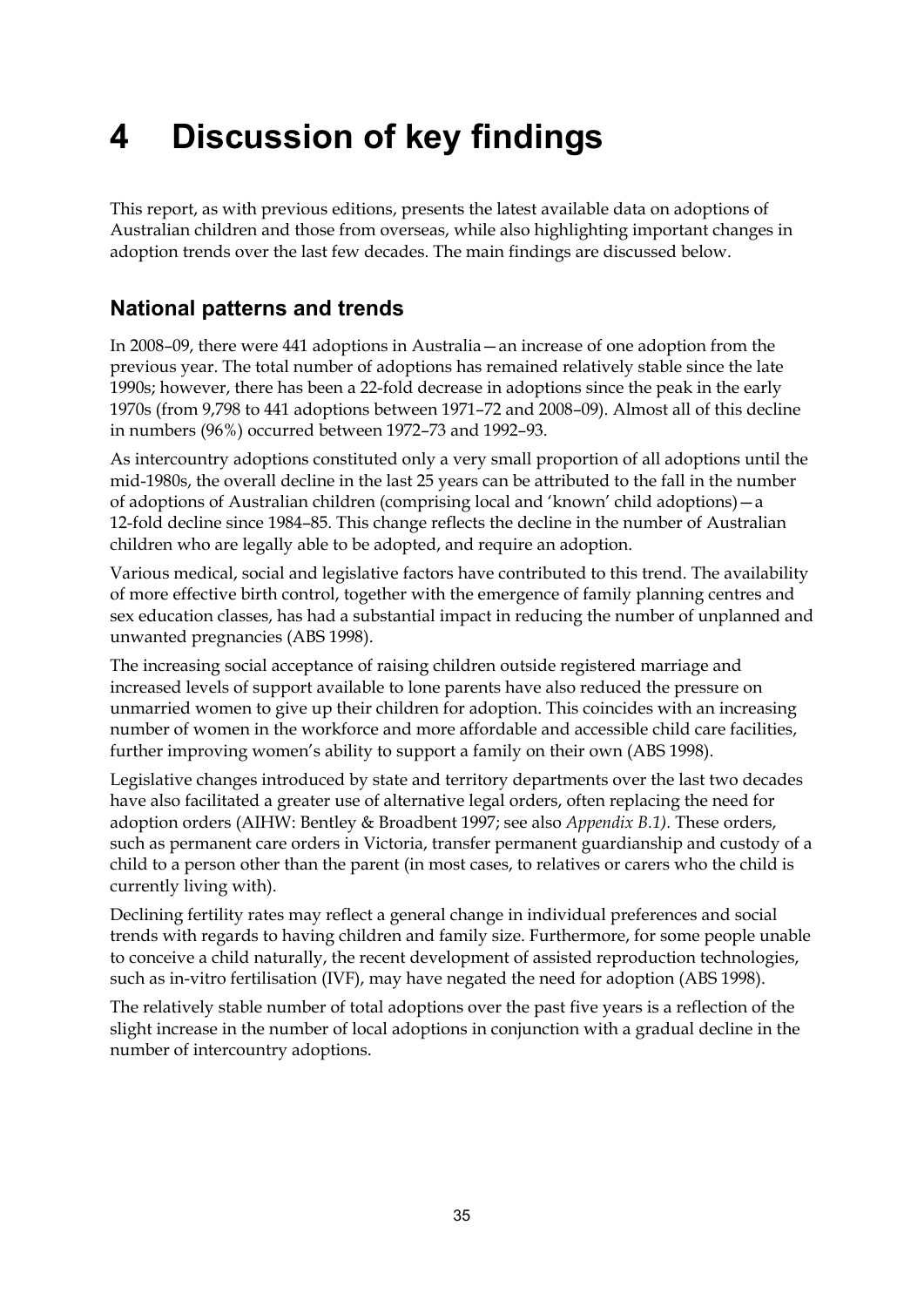# **4 Discussion of key findings**

This report, as with previous editions, presents the latest available data on adoptions of Australian children and those from overseas, while also highlighting important changes in adoption trends over the last few decades. The main findings are discussed below.

# **National patterns and trends**

In 2008–09, there were 441 adoptions in Australia—an increase of one adoption from the previous year. The total number of adoptions has remained relatively stable since the late 1990s; however, there has been a 22-fold decrease in adoptions since the peak in the early 1970s (from 9,798 to 441 adoptions between 1971–72 and 2008–09). Almost all of this decline in numbers (96%) occurred between 1972–73 and 1992–93.

As intercountry adoptions constituted only a very small proportion of all adoptions until the mid-1980s, the overall decline in the last 25 years can be attributed to the fall in the number of adoptions of Australian children (comprising local and 'known' child adoptions)—a 12-fold decline since 1984–85. This change reflects the decline in the number of Australian children who are legally able to be adopted, and require an adoption.

Various medical, social and legislative factors have contributed to this trend. The availability of more effective birth control, together with the emergence of family planning centres and sex education classes, has had a substantial impact in reducing the number of unplanned and unwanted pregnancies (ABS 1998).

The increasing social acceptance of raising children outside registered marriage and increased levels of support available to lone parents have also reduced the pressure on unmarried women to give up their children for adoption. This coincides with an increasing number of women in the workforce and more affordable and accessible child care facilities, further improving women's ability to support a family on their own (ABS 1998).

Legislative changes introduced by state and territory departments over the last two decades have also facilitated a greater use of alternative legal orders, often replacing the need for adoption orders (AIHW: Bentley & Broadbent 1997; see also *Appendix B.1).* These orders, such as permanent care orders in Victoria, transfer permanent guardianship and custody of a child to a person other than the parent (in most cases, to relatives or carers who the child is currently living with).

Declining fertility rates may reflect a general change in individual preferences and social trends with regards to having children and family size. Furthermore, for some people unable to conceive a child naturally, the recent development of assisted reproduction technologies, such as in-vitro fertilisation (IVF), may have negated the need for adoption (ABS 1998).

The relatively stable number of total adoptions over the past five years is a reflection of the slight increase in the number of local adoptions in conjunction with a gradual decline in the number of intercountry adoptions.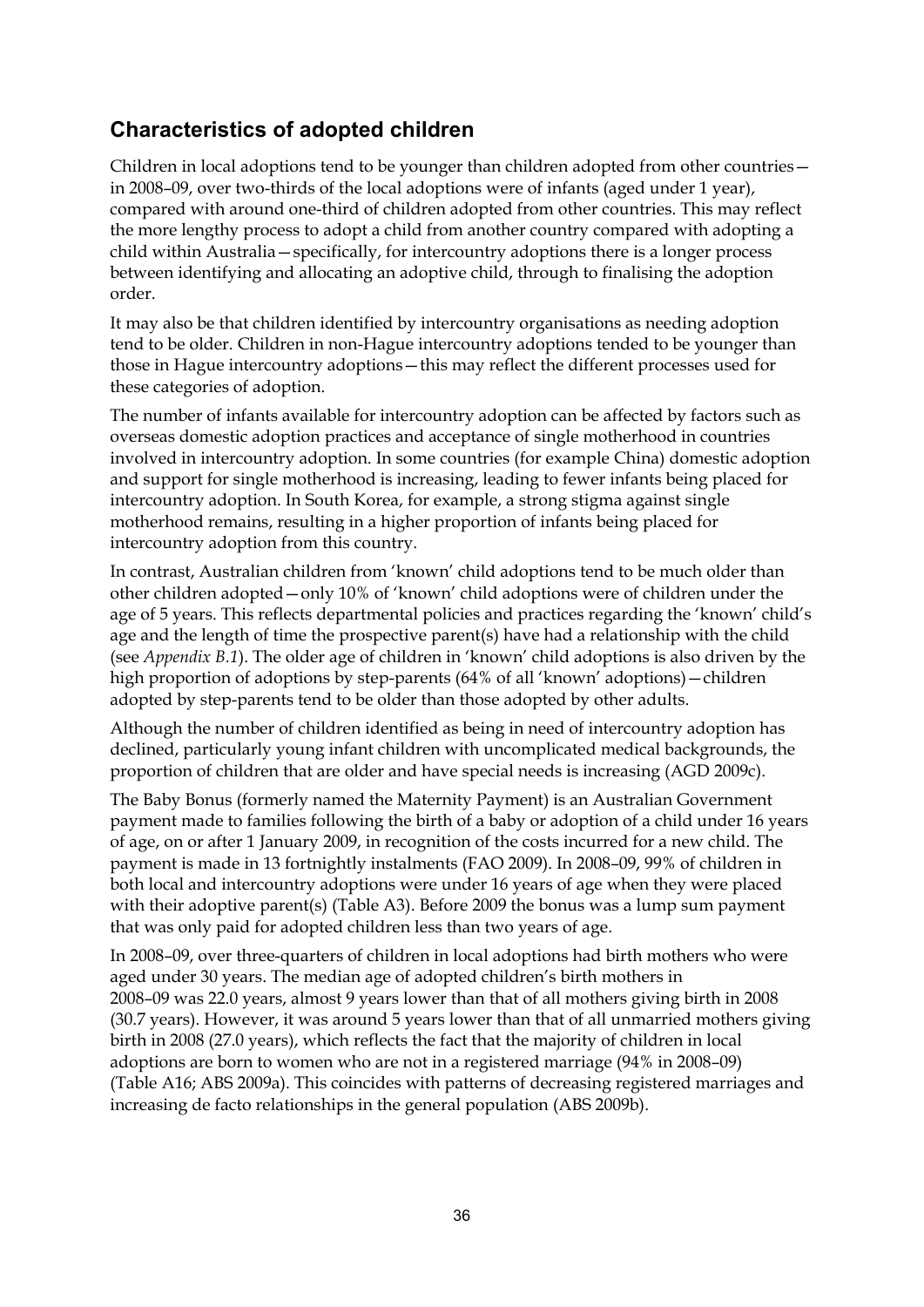# **Characteristics of adopted children**

Children in local adoptions tend to be younger than children adopted from other countries in 2008–09, over two-thirds of the local adoptions were of infants (aged under 1 year), compared with around one-third of children adopted from other countries. This may reflect the more lengthy process to adopt a child from another country compared with adopting a child within Australia—specifically, for intercountry adoptions there is a longer process between identifying and allocating an adoptive child, through to finalising the adoption order.

It may also be that children identified by intercountry organisations as needing adoption tend to be older. Children in non-Hague intercountry adoptions tended to be younger than those in Hague intercountry adoptions—this may reflect the different processes used for these categories of adoption.

The number of infants available for intercountry adoption can be affected by factors such as overseas domestic adoption practices and acceptance of single motherhood in countries involved in intercountry adoption. In some countries (for example China) domestic adoption and support for single motherhood is increasing, leading to fewer infants being placed for intercountry adoption. In South Korea, for example, a strong stigma against single motherhood remains, resulting in a higher proportion of infants being placed for intercountry adoption from this country.

In contrast, Australian children from 'known' child adoptions tend to be much older than other children adopted—only 10% of 'known' child adoptions were of children under the age of 5 years. This reflects departmental policies and practices regarding the 'known' child's age and the length of time the prospective parent(s) have had a relationship with the child (see *Appendix B.1*). The older age of children in 'known' child adoptions is also driven by the high proportion of adoptions by step-parents (64% of all 'known' adoptions)—children adopted by step-parents tend to be older than those adopted by other adults.

Although the number of children identified as being in need of intercountry adoption has declined, particularly young infant children with uncomplicated medical backgrounds, the proportion of children that are older and have special needs is increasing (AGD 2009c).

The Baby Bonus (formerly named the Maternity Payment) is an Australian Government payment made to families following the birth of a baby or adoption of a child under 16 years of age, on or after 1 January 2009, in recognition of the costs incurred for a new child. The payment is made in 13 fortnightly instalments (FAO 2009). In 2008–09, 99% of children in both local and intercountry adoptions were under 16 years of age when they were placed with their adoptive parent(s) (Table A3). Before 2009 the bonus was a lump sum payment that was only paid for adopted children less than two years of age.

In 2008–09, over three-quarters of children in local adoptions had birth mothers who were aged under 30 years. The median age of adopted children's birth mothers in 2008–09 was 22.0 years, almost 9 years lower than that of all mothers giving birth in 2008 (30.7 years). However, it was around 5 years lower than that of all unmarried mothers giving birth in 2008 (27.0 years), which reflects the fact that the majority of children in local adoptions are born to women who are not in a registered marriage (94% in 2008–09) (Table A16; ABS 2009a). This coincides with patterns of decreasing registered marriages and increasing de facto relationships in the general population (ABS 2009b).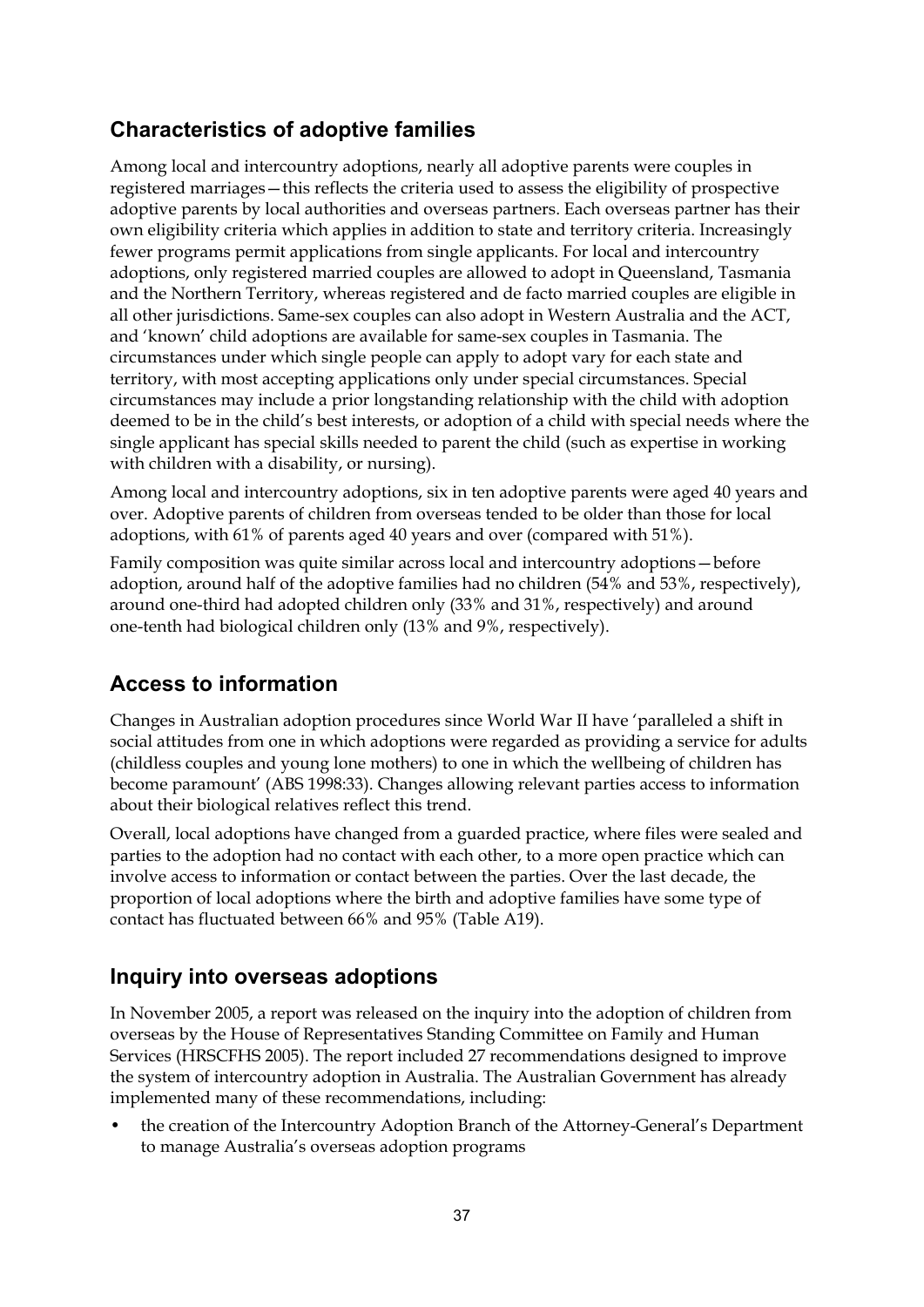# **Characteristics of adoptive families**

Among local and intercountry adoptions, nearly all adoptive parents were couples in registered marriages—this reflects the criteria used to assess the eligibility of prospective adoptive parents by local authorities and overseas partners. Each overseas partner has their own eligibility criteria which applies in addition to state and territory criteria. Increasingly fewer programs permit applications from single applicants. For local and intercountry adoptions, only registered married couples are allowed to adopt in Queensland, Tasmania and the Northern Territory, whereas registered and de facto married couples are eligible in all other jurisdictions. Same-sex couples can also adopt in Western Australia and the ACT, and 'known' child adoptions are available for same-sex couples in Tasmania. The circumstances under which single people can apply to adopt vary for each state and territory, with most accepting applications only under special circumstances. Special circumstances may include a prior longstanding relationship with the child with adoption deemed to be in the child's best interests, or adoption of a child with special needs where the single applicant has special skills needed to parent the child (such as expertise in working with children with a disability, or nursing).

Among local and intercountry adoptions, six in ten adoptive parents were aged 40 years and over. Adoptive parents of children from overseas tended to be older than those for local adoptions, with 61% of parents aged 40 years and over (compared with 51%).

Family composition was quite similar across local and intercountry adoptions—before adoption, around half of the adoptive families had no children (54% and 53%, respectively), around one-third had adopted children only (33% and 31%, respectively) and around one-tenth had biological children only (13% and 9%, respectively).

# **Access to information**

Changes in Australian adoption procedures since World War II have 'paralleled a shift in social attitudes from one in which adoptions were regarded as providing a service for adults (childless couples and young lone mothers) to one in which the wellbeing of children has become paramount' (ABS 1998:33). Changes allowing relevant parties access to information about their biological relatives reflect this trend.

Overall, local adoptions have changed from a guarded practice, where files were sealed and parties to the adoption had no contact with each other, to a more open practice which can involve access to information or contact between the parties. Over the last decade, the proportion of local adoptions where the birth and adoptive families have some type of contact has fluctuated between 66% and 95% (Table A19).

# **Inquiry into overseas adoptions**

In November 2005, a report was released on the inquiry into the adoption of children from overseas by the House of Representatives Standing Committee on Family and Human Services (HRSCFHS 2005). The report included 27 recommendations designed to improve the system of intercountry adoption in Australia. The Australian Government has already implemented many of these recommendations, including:

• the creation of the Intercountry Adoption Branch of the Attorney-General's Department to manage Australia's overseas adoption programs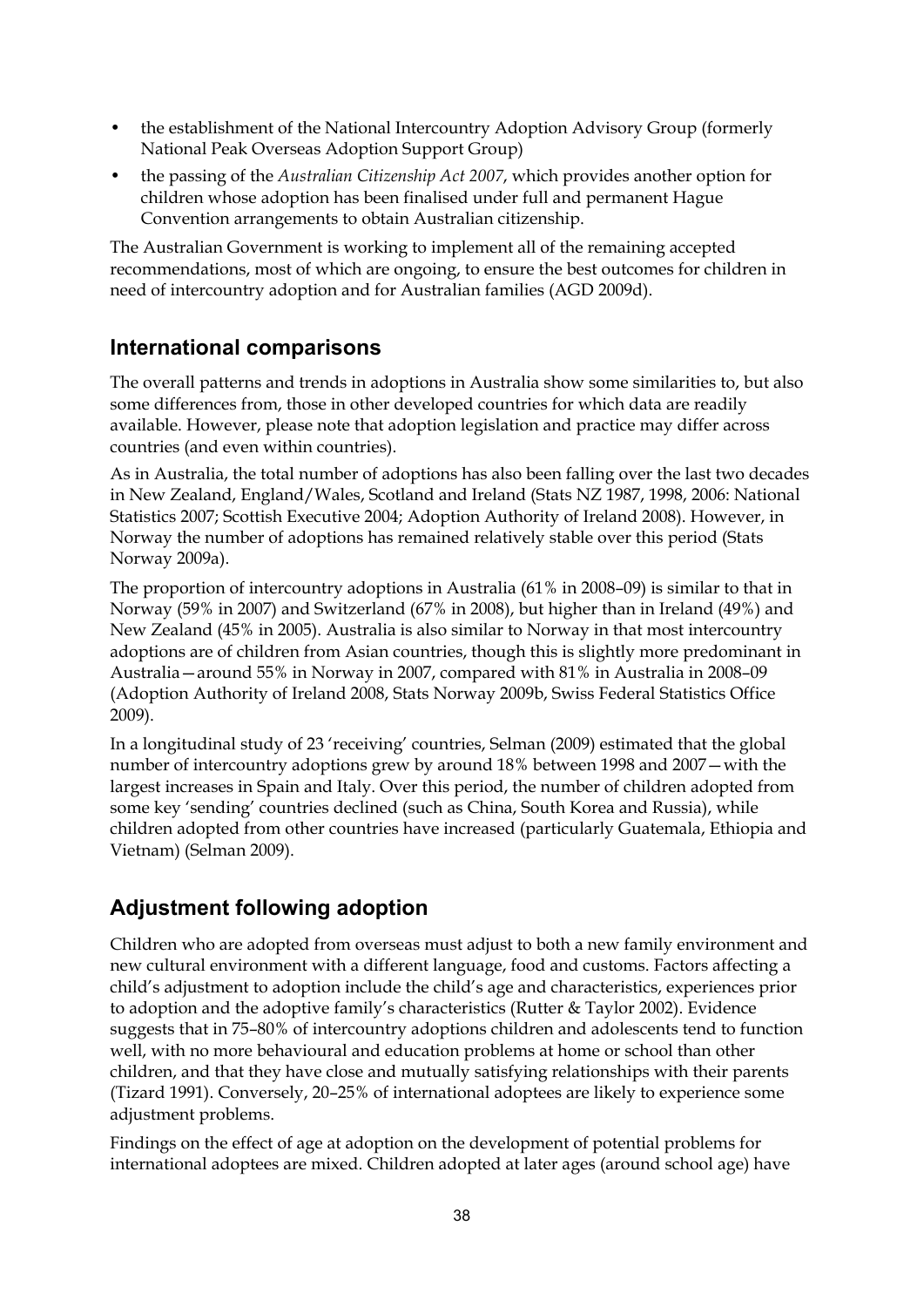- the establishment of the National Intercountry Adoption Advisory Group (formerly National Peak Overseas Adoption Support Group)
- the passing of the *Australian Citizenship Act 2007*, which provides another option for children whose adoption has been finalised under full and permanent Hague Convention arrangements to obtain Australian citizenship.

The Australian Government is working to implement all of the remaining accepted recommendations, most of which are ongoing, to ensure the best outcomes for children in need of intercountry adoption and for Australian families (AGD 2009d).

# **International comparisons**

The overall patterns and trends in adoptions in Australia show some similarities to, but also some differences from, those in other developed countries for which data are readily available. However, please note that adoption legislation and practice may differ across countries (and even within countries).

As in Australia, the total number of adoptions has also been falling over the last two decades in New Zealand, England/Wales, Scotland and Ireland (Stats NZ 1987, 1998, 2006: National Statistics 2007; Scottish Executive 2004; Adoption Authority of Ireland 2008). However, in Norway the number of adoptions has remained relatively stable over this period (Stats Norway 2009a).

The proportion of intercountry adoptions in Australia (61% in 2008–09) is similar to that in Norway (59% in 2007) and Switzerland (67% in 2008), but higher than in Ireland (49%) and New Zealand (45% in 2005). Australia is also similar to Norway in that most intercountry adoptions are of children from Asian countries, though this is slightly more predominant in Australia—around 55% in Norway in 2007, compared with 81% in Australia in 2008–09 (Adoption Authority of Ireland 2008, Stats Norway 2009b, Swiss Federal Statistics Office 2009).

In a longitudinal study of 23 'receiving' countries, Selman (2009) estimated that the global number of intercountry adoptions grew by around 18% between 1998 and 2007—with the largest increases in Spain and Italy. Over this period, the number of children adopted from some key 'sending' countries declined (such as China, South Korea and Russia), while children adopted from other countries have increased (particularly Guatemala, Ethiopia and Vietnam) (Selman 2009).

# **Adjustment following adoption**

Children who are adopted from overseas must adjust to both a new family environment and new cultural environment with a different language, food and customs. Factors affecting a child's adjustment to adoption include the child's age and characteristics, experiences prior to adoption and the adoptive family's characteristics (Rutter & Taylor 2002). Evidence suggests that in 75–80% of intercountry adoptions children and adolescents tend to function well, with no more behavioural and education problems at home or school than other children, and that they have close and mutually satisfying relationships with their parents (Tizard 1991). Conversely, 20–25% of international adoptees are likely to experience some adjustment problems.

Findings on the effect of age at adoption on the development of potential problems for international adoptees are mixed. Children adopted at later ages (around school age) have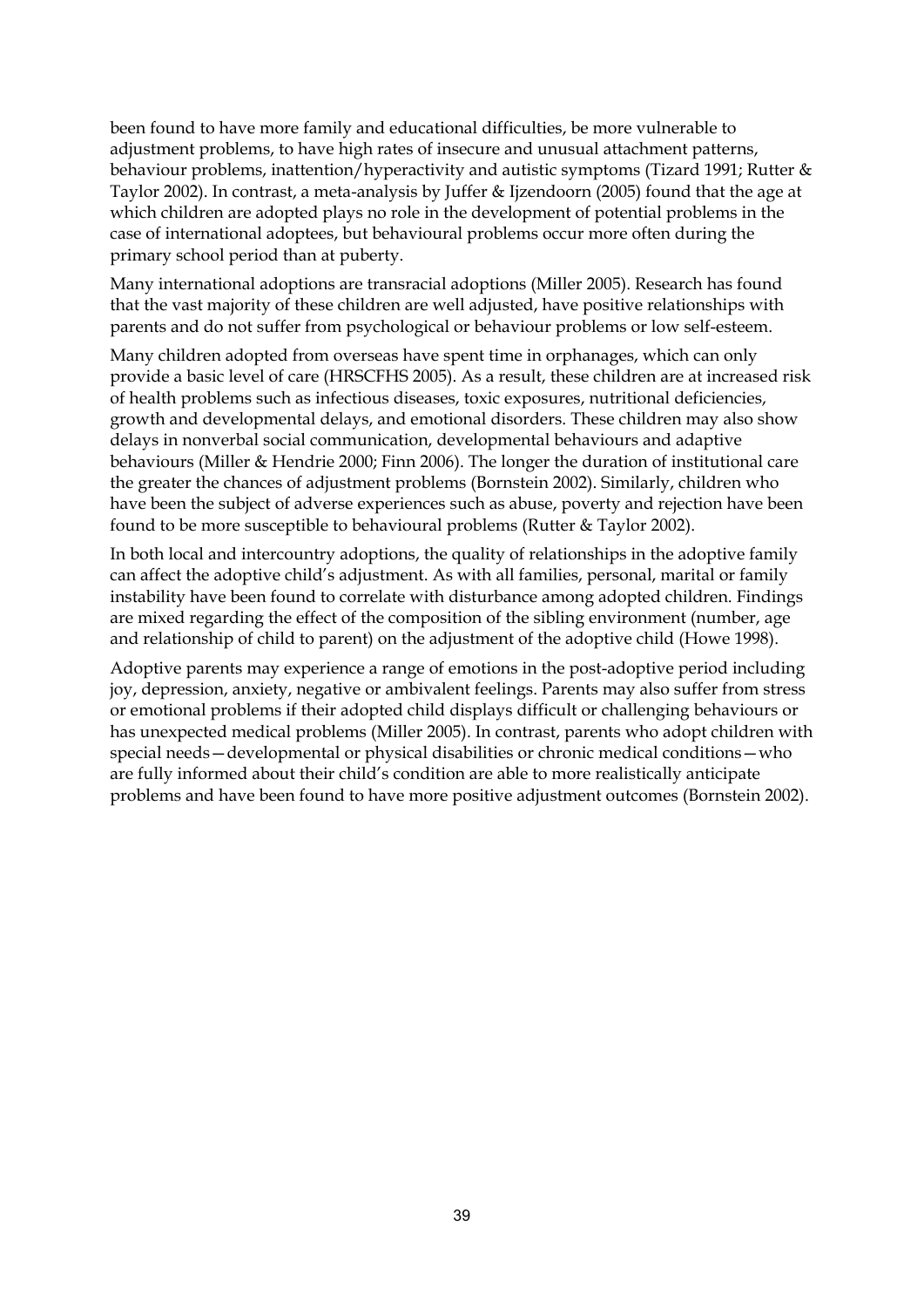been found to have more family and educational difficulties, be more vulnerable to adjustment problems, to have high rates of insecure and unusual attachment patterns, behaviour problems, inattention/hyperactivity and autistic symptoms (Tizard 1991; Rutter & Taylor 2002). In contrast, a meta-analysis by Juffer & Ijzendoorn (2005) found that the age at which children are adopted plays no role in the development of potential problems in the case of international adoptees, but behavioural problems occur more often during the primary school period than at puberty.

Many international adoptions are transracial adoptions (Miller 2005). Research has found that the vast majority of these children are well adjusted, have positive relationships with parents and do not suffer from psychological or behaviour problems or low self-esteem.

Many children adopted from overseas have spent time in orphanages, which can only provide a basic level of care (HRSCFHS 2005). As a result, these children are at increased risk of health problems such as infectious diseases, toxic exposures, nutritional deficiencies, growth and developmental delays, and emotional disorders. These children may also show delays in nonverbal social communication, developmental behaviours and adaptive behaviours (Miller & Hendrie 2000; Finn 2006). The longer the duration of institutional care the greater the chances of adjustment problems (Bornstein 2002). Similarly, children who have been the subject of adverse experiences such as abuse, poverty and rejection have been found to be more susceptible to behavioural problems (Rutter & Taylor 2002).

In both local and intercountry adoptions, the quality of relationships in the adoptive family can affect the adoptive child's adjustment. As with all families, personal, marital or family instability have been found to correlate with disturbance among adopted children. Findings are mixed regarding the effect of the composition of the sibling environment (number, age and relationship of child to parent) on the adjustment of the adoptive child (Howe 1998).

Adoptive parents may experience a range of emotions in the post-adoptive period including joy, depression, anxiety, negative or ambivalent feelings. Parents may also suffer from stress or emotional problems if their adopted child displays difficult or challenging behaviours or has unexpected medical problems (Miller 2005). In contrast, parents who adopt children with special needs—developmental or physical disabilities or chronic medical conditions—who are fully informed about their child's condition are able to more realistically anticipate problems and have been found to have more positive adjustment outcomes (Bornstein 2002).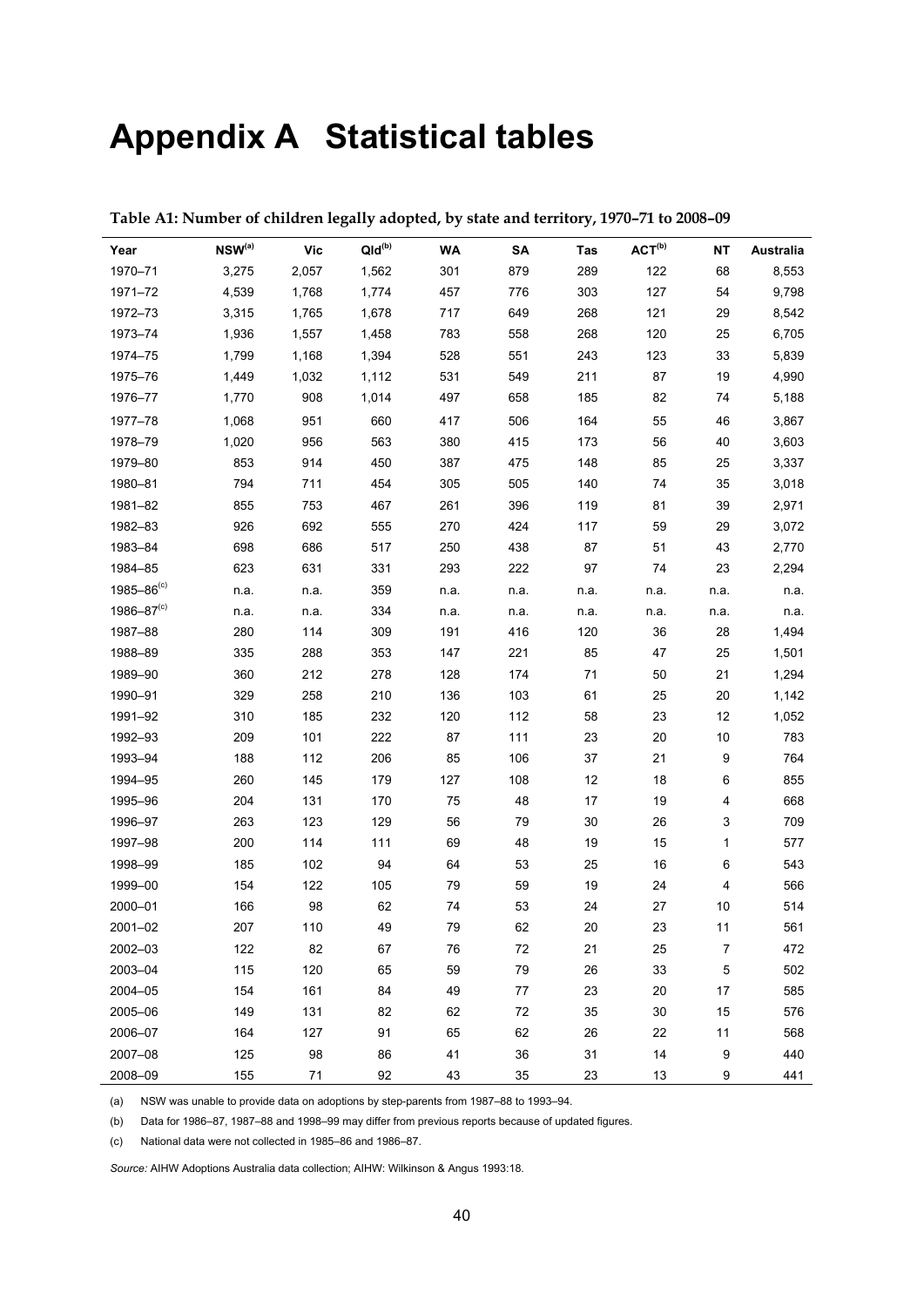# **Appendix A Statistical tables**

| Year              | $NSW^{(a)}$ | <b>Vic</b> | $QId^{(b)}$ | WA   | SA     | Tas  | ACT <sup>(b)</sup> | <b>NT</b>        | <b>Australia</b> |
|-------------------|-------------|------------|-------------|------|--------|------|--------------------|------------------|------------------|
| 1970-71           | 3,275       | 2,057      | 1,562       | 301  | 879    | 289  | 122                | 68               | 8,553            |
| 1971-72           | 4,539       | 1,768      | 1,774       | 457  | 776    | 303  | 127                | 54               | 9,798            |
| 1972-73           | 3,315       | 1,765      | 1,678       | 717  | 649    | 268  | 121                | 29               | 8,542            |
| 1973-74           | 1,936       | 1,557      | 1,458       | 783  | 558    | 268  | 120                | 25               | 6,705            |
| 1974-75           | 1,799       | 1,168      | 1,394       | 528  | 551    | 243  | 123                | 33               | 5,839            |
| 1975-76           | 1,449       | 1,032      | 1,112       | 531  | 549    | 211  | 87                 | 19               | 4,990            |
| 1976-77           | 1,770       | 908        | 1,014       | 497  | 658    | 185  | 82                 | 74               | 5,188            |
| 1977-78           | 1,068       | 951        | 660         | 417  | 506    | 164  | 55                 | 46               | 3,867            |
| 1978-79           | 1,020       | 956        | 563         | 380  | 415    | 173  | 56                 | 40               | 3,603            |
| 1979-80           | 853         | 914        | 450         | 387  | 475    | 148  | 85                 | 25               | 3,337            |
| 1980-81           | 794         | 711        | 454         | 305  | 505    | 140  | $74\,$             | 35               | 3,018            |
| 1981-82           | 855         | 753        | 467         | 261  | 396    | 119  | 81                 | 39               | 2,971            |
| 1982-83           | 926         | 692        | 555         | 270  | 424    | 117  | 59                 | 29               | 3,072            |
| 1983-84           | 698         | 686        | 517         | 250  | 438    | 87   | 51                 | 43               | 2,770            |
| 1984-85           | 623         | 631        | 331         | 293  | 222    | 97   | 74                 | 23               | 2,294            |
| $1985 - 86^{(c)}$ | n.a.        | n.a.       | 359         | n.a. | n.a.   | n.a. | n.a.               | n.a.             | n.a.             |
| $1986 - 87(c)$    | n.a.        | n.a.       | 334         | n.a. | n.a.   | n.a. | n.a.               | n.a.             | n.a.             |
| 1987-88           | 280         | 114        | 309         | 191  | 416    | 120  | 36                 | 28               | 1,494            |
| 1988-89           | 335         | 288        | 353         | 147  | 221    | 85   | 47                 | 25               | 1,501            |
| 1989-90           | 360         | 212        | 278         | 128  | 174    | 71   | 50                 | 21               | 1,294            |
| 1990-91           | 329         | 258        | 210         | 136  | 103    | 61   | 25                 | $20\,$           | 1,142            |
| 1991-92           | 310         | 185        | 232         | 120  | 112    | 58   | 23                 | 12               | 1,052            |
| 1992-93           | 209         | 101        | 222         | 87   | 111    | 23   | 20                 | $10\,$           | 783              |
| 1993-94           | 188         | 112        | 206         | 85   | 106    | 37   | 21                 | $\boldsymbol{9}$ | 764              |
| 1994-95           | 260         | 145        | 179         | 127  | 108    | 12   | 18                 | 6                | 855              |
| 1995-96           | 204         | 131        | 170         | 75   | 48     | 17   | 19                 | 4                | 668              |
| 1996-97           | 263         | 123        | 129         | 56   | 79     | 30   | 26                 | 3                | 709              |
| 1997-98           | 200         | 114        | 111         | 69   | 48     | 19   | 15                 | $\mathbf{1}$     | 577              |
| 1998-99           | 185         | 102        | 94          | 64   | 53     | 25   | 16                 | 6                | 543              |
| 1999-00           | 154         | 122        | 105         | 79   | 59     | 19   | 24                 | 4                | 566              |
| 2000-01           | 166         | 98         | 62          | 74   | 53     | 24   | 27                 | 10               | 514              |
| 2001-02           | 207         | 110        | 49          | 79   | 62     | 20   | 23                 | 11               | 561              |
| 2002-03           | 122         | 82         | 67          | 76   | $72\,$ | 21   | 25                 | $\overline{7}$   | 472              |
| 2003-04           | 115         | 120        | 65          | 59   | 79     | 26   | 33                 | $\mathbf 5$      | 502              |
| 2004-05           | 154         | 161        | 84          | 49   | 77     | 23   | 20                 | 17               | 585              |
| 2005-06           | 149         | 131        | 82          | 62   | 72     | 35   | 30                 | 15               | 576              |
| 2006-07           | 164         | 127        | 91          | 65   | 62     | 26   | 22                 | 11               | 568              |
| 2007-08           | 125         | 98         | 86          | 41   | 36     | 31   | 14                 | 9                | 440              |
| 2008-09           | 155         | $71$       | 92          | 43   | 35     | 23   | $13$               | 9                | 441              |

**Table A1: Number of children legally adopted, by state and territory, 1970–71 to 2008–09** 

(a) NSW was unable to provide data on adoptions by step-parents from 1987–88 to 1993–94.

(b) Data for 1986–87, 1987–88 and 1998–99 may differ from previous reports because of updated figures.

(c) National data were not collected in 1985–86 and 1986–87.

*Source:* AIHW Adoptions Australia data collection; AIHW: Wilkinson & Angus 1993:18.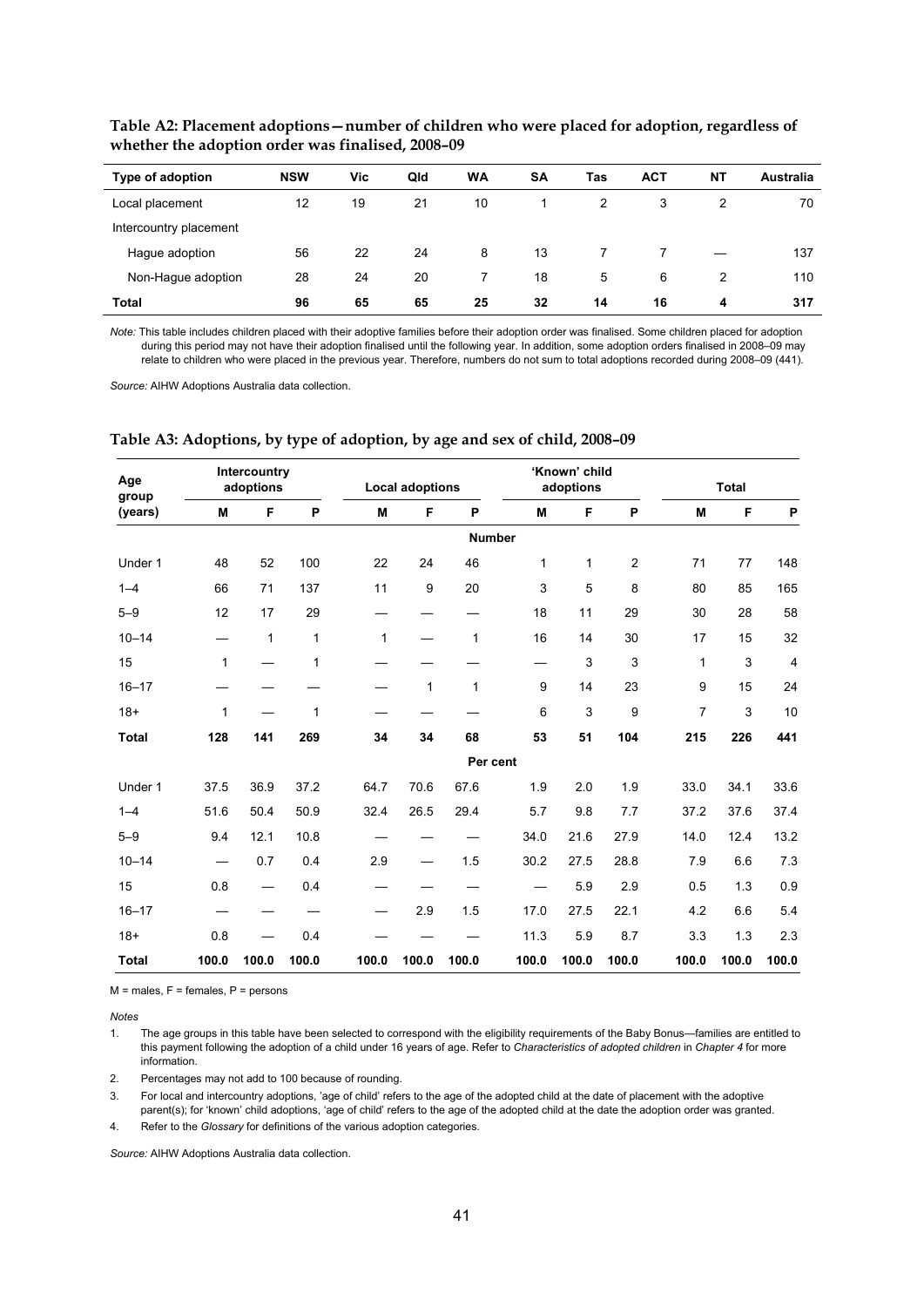| Type of adoption       | <b>NSW</b> | Vic | Qld | <b>WA</b> | SΑ | Tas | <b>ACT</b> | <b>NT</b> | <b>Australia</b> |
|------------------------|------------|-----|-----|-----------|----|-----|------------|-----------|------------------|
| Local placement        | 12         | 19  | 21  | 10        |    | 2   | 3          |           | 70               |
| Intercountry placement |            |     |     |           |    |     |            |           |                  |
| Hague adoption         | 56         | 22  | 24  | 8         | 13 |     |            |           | 137              |
| Non-Hague adoption     | 28         | 24  | 20  |           | 18 | 5   | 6          | 2         | 110              |
| Total                  | 96         | 65  | 65  | 25        | 32 | 14  | 16         | 4         | 317              |

**Table A2: Placement adoptions—number of children who were placed for adoption, regardless of whether the adoption order was finalised, 2008–09** 

*Note:* This table includes children placed with their adoptive families before their adoption order was finalised. Some children placed for adoption during this period may not have their adoption finalised until the following year. In addition, some adoption orders finalised in 2008–09 may relate to children who were placed in the previous year. Therefore, numbers do not sum to total adoptions recorded during 2008–09 (441).

*Source:* AIHW Adoptions Australia data collection.

| Age<br>group |       | Intercountry<br>adoptions      |       |              | <b>Local adoptions</b> |       |               | 'Known' child<br>adoptions |                |                | <b>Total</b> |                |
|--------------|-------|--------------------------------|-------|--------------|------------------------|-------|---------------|----------------------------|----------------|----------------|--------------|----------------|
| (years)      | M     | F                              | P     | M            | F                      | P     | M             | F                          | P              | M              | F            | P              |
|              |       |                                |       |              |                        |       | <b>Number</b> |                            |                |                |              |                |
| Under 1      | 48    | 52                             | 100   | 22           | 24                     | 46    | 1             | 1                          | $\overline{2}$ | 71             | 77           | 148            |
| $1 - 4$      | 66    | 71                             | 137   | 11           | 9                      | 20    | 3             | 5                          | 8              | 80             | 85           | 165            |
| $5 - 9$      | 12    | 17                             | 29    |              |                        |       | 18            | 11                         | 29             | 30             | 28           | 58             |
| $10 - 14$    |       | 1                              | 1     | $\mathbf{1}$ |                        | 1     | 16            | 14                         | 30             | 17             | 15           | 32             |
| 15           | 1     |                                | 1     |              |                        |       |               | 3                          | 3              | $\mathbf{1}$   | 3            | $\overline{4}$ |
| $16 - 17$    |       |                                |       |              | 1                      | 1     | 9             | 14                         | 23             | 9              | 15           | 24             |
| $18+$        | 1     |                                | 1     |              |                        |       | 6             | 3                          | 9              | $\overline{7}$ | 3            | 10             |
| <b>Total</b> | 128   | 141                            | 269   | 34           | 34                     | 68    | 53            | 51                         | 104            | 215            | 226          | 441            |
|              |       |                                |       |              |                        |       | Per cent      |                            |                |                |              |                |
| Under 1      | 37.5  | 36.9                           | 37.2  | 64.7         | 70.6                   | 67.6  | 1.9           | 2.0                        | 1.9            | 33.0           | 34.1         | 33.6           |
| $1 - 4$      | 51.6  | 50.4                           | 50.9  | 32.4         | 26.5                   | 29.4  | 5.7           | 9.8                        | 7.7            | 37.2           | 37.6         | 37.4           |
| $5 - 9$      | 9.4   | 12.1                           | 10.8  |              |                        |       | 34.0          | 21.6                       | 27.9           | 14.0           | 12.4         | 13.2           |
| $10 - 14$    |       | 0.7                            | 0.4   | 2.9          |                        | 1.5   | 30.2          | 27.5                       | 28.8           | 7.9            | 6.6          | 7.3            |
| 15           | 0.8   | $\overbrace{\phantom{123321}}$ | 0.4   |              |                        |       |               | 5.9                        | 2.9            | 0.5            | 1.3          | 0.9            |
| $16 - 17$    |       |                                |       |              | 2.9                    | 1.5   | 17.0          | 27.5                       | 22.1           | 4.2            | 6.6          | 5.4            |
| $18+$        | 0.8   |                                | 0.4   |              |                        |       | 11.3          | 5.9                        | 8.7            | 3.3            | 1.3          | 2.3            |
| <b>Total</b> | 100.0 | 100.0                          | 100.0 | 100.0        | 100.0                  | 100.0 | 100.0         | 100.0                      | 100.0          | 100.0          | 100.0        | 100.0          |

**Table A3: Adoptions, by type of adoption, by age and sex of child, 2008–09** 

 $M$  = males,  $F$  = females,  $P$  = persons

*Notes* 

1. The age groups in this table have been selected to correspond with the eligibility requirements of the Baby Bonus—families are entitled to this payment following the adoption of a child under 16 years of age. Refer to *Characteristics of adopted children* in *Chapter 4* for more information.

2. Percentages may not add to 100 because of rounding.

3. For local and intercountry adoptions, 'age of child' refers to the age of the adopted child at the date of placement with the adoptive parent(s); for 'known' child adoptions, 'age of child' refers to the age of the adopted child at the date the adoption order was granted.

4. Refer to the *Glossary* for definitions of the various adoption categories.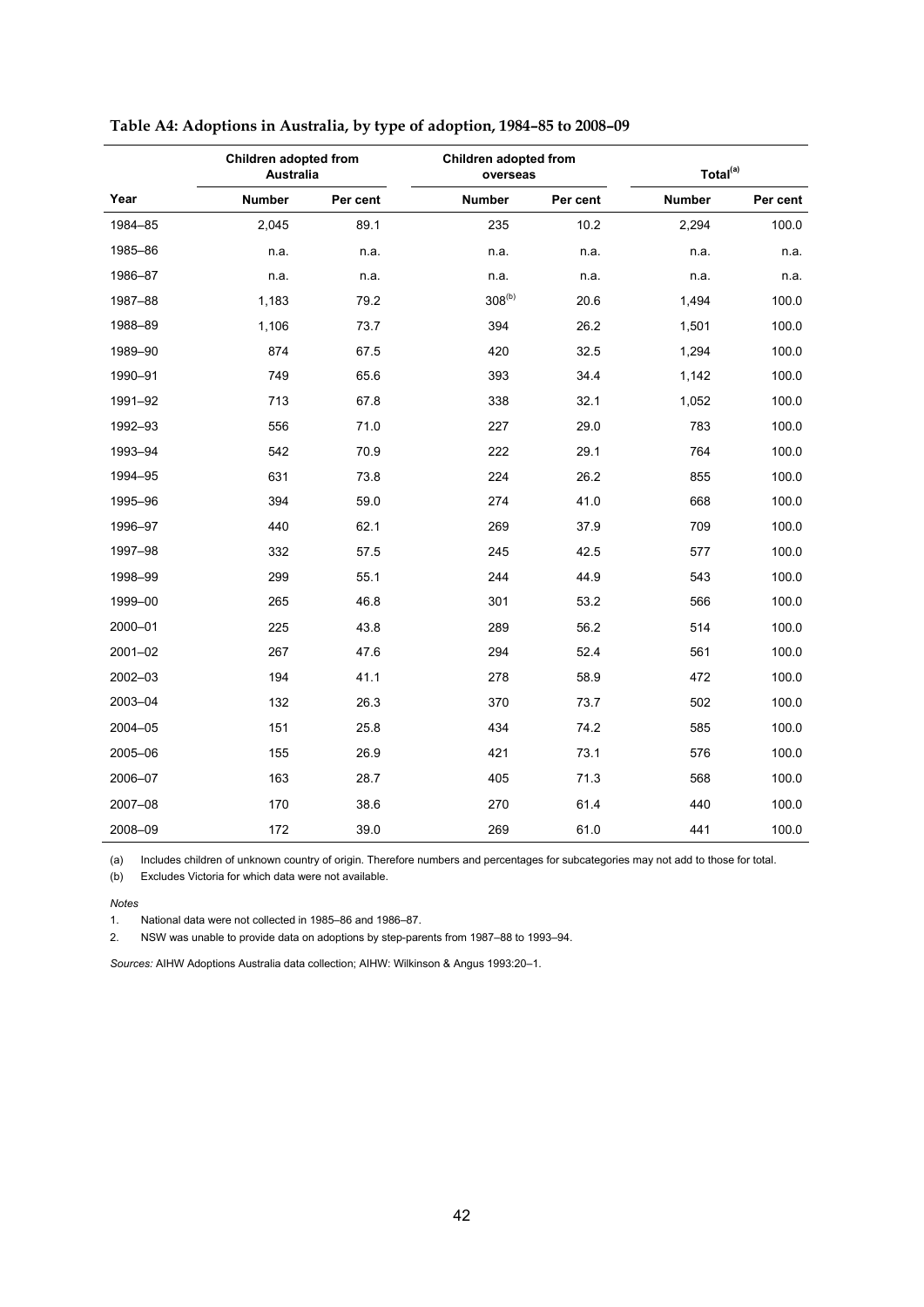|             | Children adopted from<br><b>Australia</b> |          | Children adopted from<br>overseas |          | Total <sup>(a)</sup> |          |
|-------------|-------------------------------------------|----------|-----------------------------------|----------|----------------------|----------|
| Year        | <b>Number</b>                             | Per cent | <b>Number</b>                     | Per cent | <b>Number</b>        | Per cent |
| 1984-85     | 2,045                                     | 89.1     | 235                               | 10.2     | 2,294                | 100.0    |
| 1985-86     | n.a.                                      | n.a.     | n.a.                              | n.a.     | n.a.                 | n.a.     |
| 1986-87     | n.a.                                      | n.a.     | n.a.                              | n.a.     | n.a.                 | n.a.     |
| 1987-88     | 1,183                                     | 79.2     | $308^{(b)}$                       | 20.6     | 1,494                | 100.0    |
| 1988-89     | 1,106                                     | 73.7     | 394                               | 26.2     | 1,501                | 100.0    |
| 1989-90     | 874                                       | 67.5     | 420                               | 32.5     | 1,294                | 100.0    |
| 1990-91     | 749                                       | 65.6     | 393                               | 34.4     | 1,142                | 100.0    |
| 1991-92     | 713                                       | 67.8     | 338                               | 32.1     | 1,052                | 100.0    |
| 1992-93     | 556                                       | 71.0     | 227                               | 29.0     | 783                  | 100.0    |
| 1993-94     | 542                                       | 70.9     | 222                               | 29.1     | 764                  | 100.0    |
| 1994-95     | 631                                       | 73.8     | 224                               | 26.2     | 855                  | 100.0    |
| 1995-96     | 394                                       | 59.0     | 274                               | 41.0     | 668                  | 100.0    |
| 1996-97     | 440                                       | 62.1     | 269                               | 37.9     | 709                  | 100.0    |
| 1997-98     | 332                                       | 57.5     | 245                               | 42.5     | 577                  | 100.0    |
| 1998-99     | 299                                       | 55.1     | 244                               | 44.9     | 543                  | 100.0    |
| 1999-00     | 265                                       | 46.8     | 301                               | 53.2     | 566                  | 100.0    |
| 2000-01     | 225                                       | 43.8     | 289                               | 56.2     | 514                  | 100.0    |
| $2001 - 02$ | 267                                       | 47.6     | 294                               | 52.4     | 561                  | 100.0    |
| 2002-03     | 194                                       | 41.1     | 278                               | 58.9     | 472                  | 100.0    |
| 2003-04     | 132                                       | 26.3     | 370                               | 73.7     | 502                  | 100.0    |
| 2004-05     | 151                                       | 25.8     | 434                               | 74.2     | 585                  | 100.0    |
| 2005-06     | 155                                       | 26.9     | 421                               | 73.1     | 576                  | 100.0    |
| 2006-07     | 163                                       | 28.7     | 405                               | 71.3     | 568                  | 100.0    |
| 2007-08     | 170                                       | 38.6     | 270                               | 61.4     | 440                  | 100.0    |
| 2008-09     | 172                                       | 39.0     | 269                               | 61.0     | 441                  | 100.0    |

| Table A4: Adoptions in Australia, by type of adoption, 1984-85 to 2008-09 |
|---------------------------------------------------------------------------|
|---------------------------------------------------------------------------|

(a) Includes children of unknown country of origin. Therefore numbers and percentages for subcategories may not add to those for total.

(b) Excludes Victoria for which data were not available.

#### *Notes*

1. National data were not collected in 1985–86 and 1986–87.

2. NSW was unable to provide data on adoptions by step-parents from 1987–88 to 1993–94.

*Sources:* AIHW Adoptions Australia data collection; AIHW: Wilkinson & Angus 1993:20–1.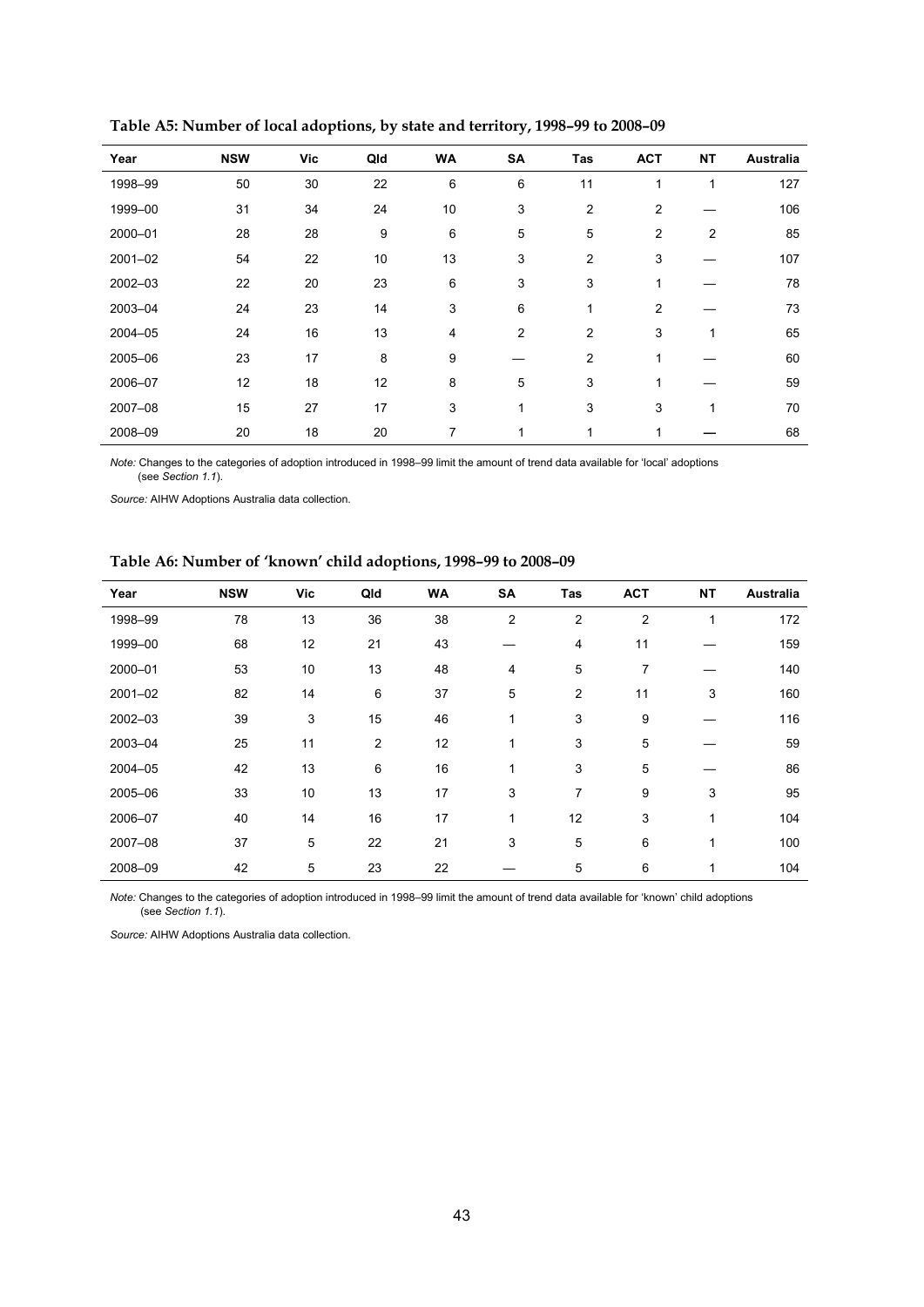| Year        | <b>NSW</b> | <b>Vic</b> | Qld | <b>WA</b> | SA             | Tas            | <b>ACT</b>     | <b>NT</b>      | Australia |
|-------------|------------|------------|-----|-----------|----------------|----------------|----------------|----------------|-----------|
| 1998-99     | 50         | 30         | 22  | 6         | 6              | 11             |                | 1              | 127       |
| 1999-00     | 31         | 34         | 24  | 10        | 3              | $\overline{2}$ | $\overline{2}$ |                | 106       |
| 2000-01     | 28         | 28         | 9   | 6         | 5              | 5              | $\overline{2}$ | $\overline{2}$ | 85        |
| $2001 - 02$ | 54         | 22         | 10  | 13        | 3              | $\overline{2}$ | 3              |                | 107       |
| 2002-03     | 22         | 20         | 23  | 6         | 3              | 3              | 1              |                | 78        |
| 2003-04     | 24         | 23         | 14  | 3         | 6              | $\mathbf{1}$   | $\overline{2}$ |                | 73        |
| 2004-05     | 24         | 16         | 13  | 4         | $\overline{2}$ | 2              | 3              | 1              | 65        |
| 2005-06     | 23         | 17         | 8   | 9         |                | 2              |                |                | 60        |
| 2006-07     | 12         | 18         | 12  | 8         | 5              | 3              |                |                | 59        |
| 2007-08     | 15         | 27         | 17  | 3         | 1              | 3              | 3              | 1              | 70        |
| 2008-09     | 20         | 18         | 20  | 7         | 1              | 1              |                |                | 68        |

**Table A5: Number of local adoptions, by state and territory, 1998–99 to 2008–09** 

*Note:* Changes to the categories of adoption introduced in 1998–99 limit the amount of trend data available for 'local' adoptions (see *Section 1.1*).

*Source:* AIHW Adoptions Australia data collection.

#### **Table A6: Number of 'known' child adoptions, 1998–99 to 2008–09**

| Year        | <b>NSW</b> | <b>Vic</b> | Qld            | <b>WA</b> | <b>SA</b>      | Tas            | <b>ACT</b>     | <b>NT</b> | Australia |
|-------------|------------|------------|----------------|-----------|----------------|----------------|----------------|-----------|-----------|
| 1998-99     | 78         | 13         | 36             | 38        | $\overline{c}$ | $\overline{2}$ | $\overline{2}$ |           | 172       |
| 1999-00     | 68         | 12         | 21             | 43        |                | 4              | 11             |           | 159       |
| 2000-01     | 53         | 10         | 13             | 48        | 4              | 5              | 7              |           | 140       |
| $2001 - 02$ | 82         | 14         | 6              | 37        | 5              | $\overline{2}$ | 11             | 3         | 160       |
| 2002-03     | 39         | 3          | 15             | 46        | 1              | 3              | 9              |           | 116       |
| 2003-04     | 25         | 11         | $\overline{2}$ | 12        | 1              | 3              | 5              |           | 59        |
| 2004-05     | 42         | 13         | 6              | 16        | 1              | 3              | 5              |           | 86        |
| 2005-06     | 33         | 10         | 13             | 17        | 3              | $\overline{7}$ | 9              | 3         | 95        |
| 2006-07     | 40         | 14         | 16             | 17        | 1              | 12             | 3              | 1         | 104       |
| 2007-08     | 37         | 5          | 22             | 21        | 3              | 5              | 6              | 1         | 100       |
| 2008-09     | 42         | 5          | 23             | 22        |                | 5              | 6              | 1         | 104       |

*Note:* Changes to the categories of adoption introduced in 1998–99 limit the amount of trend data available for 'known' child adoptions (see *Section 1.1*).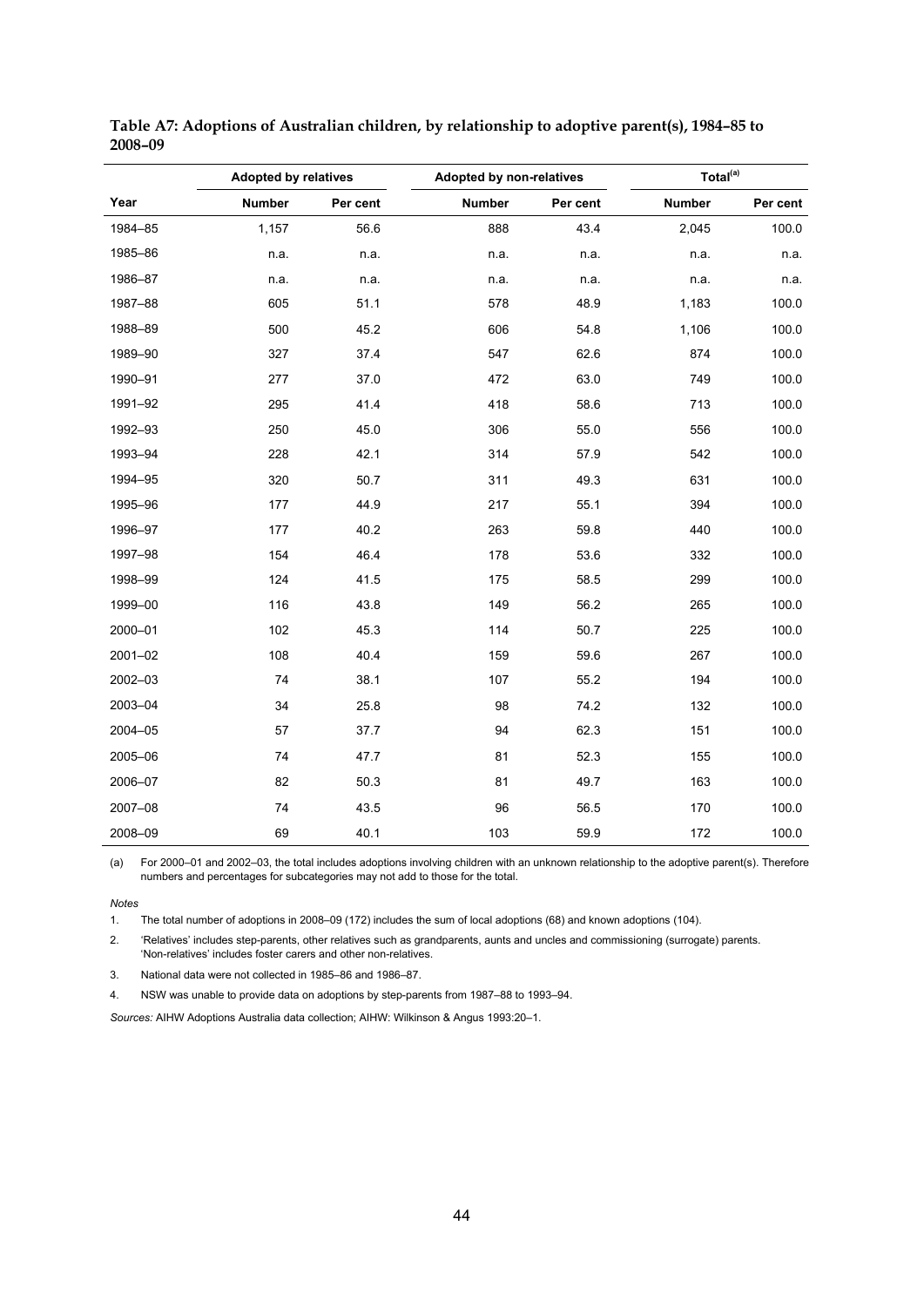|         | <b>Adopted by relatives</b> |          | Adopted by non-relatives |          | Total <sup>(a)</sup> |          |
|---------|-----------------------------|----------|--------------------------|----------|----------------------|----------|
| Year    | <b>Number</b>               | Per cent | <b>Number</b>            | Per cent | <b>Number</b>        | Per cent |
| 1984-85 | 1,157                       | 56.6     | 888                      | 43.4     | 2,045                | 100.0    |
| 1985-86 | n.a.                        | n.a.     | n.a.                     | n.a.     | n.a.                 | n.a.     |
| 1986-87 | n.a.                        | n.a.     | n.a.                     | n.a.     | n.a.                 | n.a.     |
| 1987-88 | 605                         | 51.1     | 578                      | 48.9     | 1,183                | 100.0    |
| 1988-89 | 500                         | 45.2     | 606                      | 54.8     | 1,106                | 100.0    |
| 1989-90 | 327                         | 37.4     | 547                      | 62.6     | 874                  | 100.0    |
| 1990-91 | 277                         | 37.0     | 472                      | 63.0     | 749                  | 100.0    |
| 1991-92 | 295                         | 41.4     | 418                      | 58.6     | 713                  | 100.0    |
| 1992-93 | 250                         | 45.0     | 306                      | 55.0     | 556                  | 100.0    |
| 1993-94 | 228                         | 42.1     | 314                      | 57.9     | 542                  | 100.0    |
| 1994-95 | 320                         | 50.7     | 311                      | 49.3     | 631                  | 100.0    |
| 1995-96 | 177                         | 44.9     | 217                      | 55.1     | 394                  | 100.0    |
| 1996-97 | 177                         | 40.2     | 263                      | 59.8     | 440                  | 100.0    |
| 1997-98 | 154                         | 46.4     | 178                      | 53.6     | 332                  | 100.0    |
| 1998-99 | 124                         | 41.5     | 175                      | 58.5     | 299                  | 100.0    |
| 1999-00 | 116                         | 43.8     | 149                      | 56.2     | 265                  | 100.0    |
| 2000-01 | 102                         | 45.3     | 114                      | 50.7     | 225                  | 100.0    |
| 2001-02 | 108                         | 40.4     | 159                      | 59.6     | 267                  | 100.0    |
| 2002-03 | 74                          | 38.1     | 107                      | 55.2     | 194                  | 100.0    |
| 2003-04 | 34                          | 25.8     | 98                       | 74.2     | 132                  | 100.0    |
| 2004-05 | 57                          | 37.7     | 94                       | 62.3     | 151                  | 100.0    |
| 2005-06 | 74                          | 47.7     | 81                       | 52.3     | 155                  | 100.0    |
| 2006-07 | 82                          | 50.3     | 81                       | 49.7     | 163                  | 100.0    |
| 2007-08 | 74                          | 43.5     | 96                       | 56.5     | 170                  | 100.0    |
| 2008-09 | 69                          | 40.1     | 103                      | 59.9     | 172                  | 100.0    |

**Table A7: Adoptions of Australian children, by relationship to adoptive parent(s), 1984–85 to 2008–09** 

(a) For 2000–01 and 2002–03, the total includes adoptions involving children with an unknown relationship to the adoptive parent(s). Therefore numbers and percentages for subcategories may not add to those for the total.

*Notes* 

J

1. The total number of adoptions in 2008–09 (172) includes the sum of local adoptions (68) and known adoptions (104).

2. 'Relatives' includes step-parents, other relatives such as grandparents, aunts and uncles and commissioning (surrogate) parents. 'Non-relatives' includes foster carers and other non-relatives.

3. National data were not collected in 1985–86 and 1986–87.

4. NSW was unable to provide data on adoptions by step-parents from 1987–88 to 1993–94.

*Sources:* AIHW Adoptions Australia data collection; AIHW: Wilkinson & Angus 1993:20–1.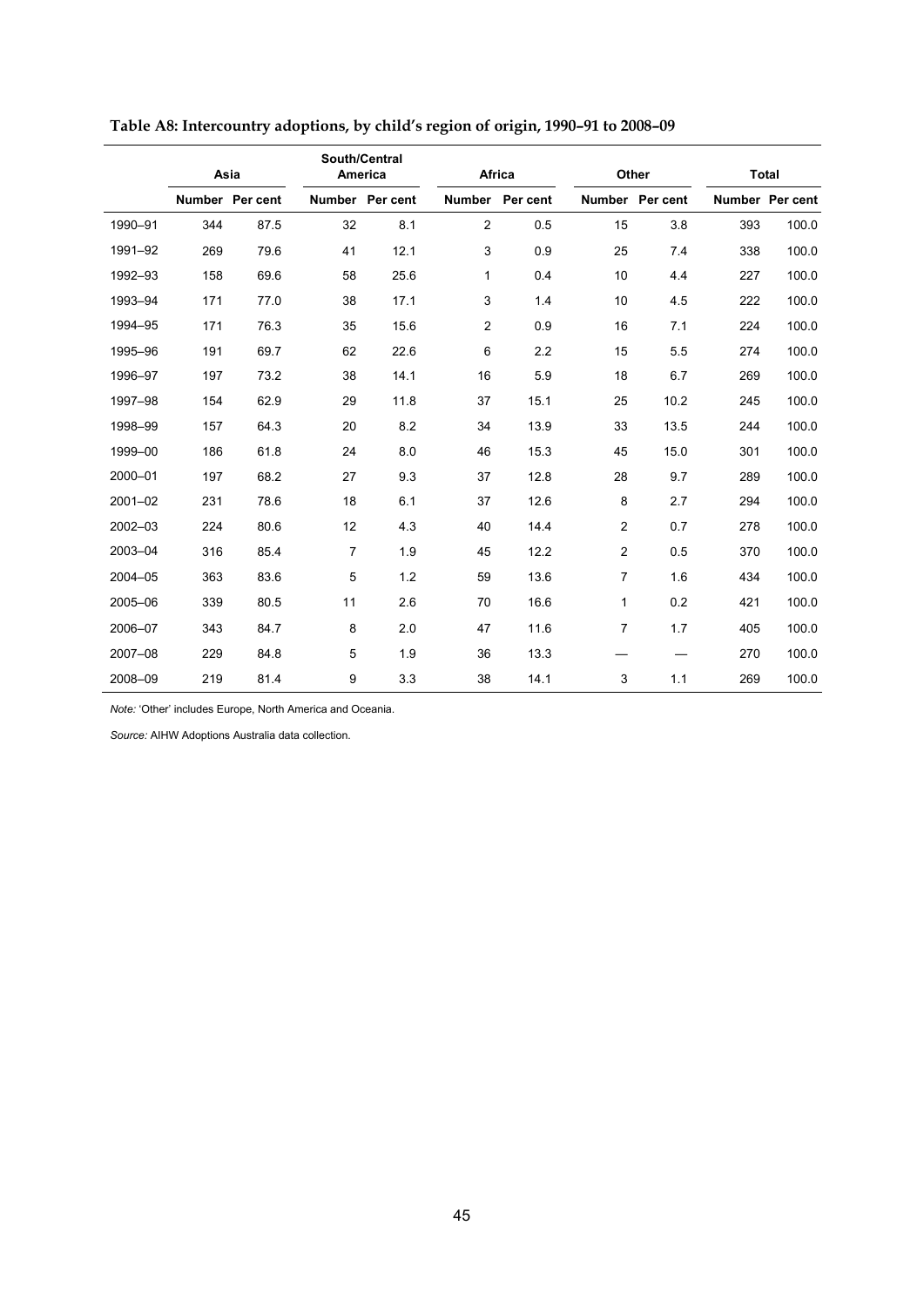|             | Asia |                 |                | South/Central<br>America |                | Africa   |                         | Other           |     | <b>Total</b>    |
|-------------|------|-----------------|----------------|--------------------------|----------------|----------|-------------------------|-----------------|-----|-----------------|
|             |      | Number Per cent |                | Number Per cent          | <b>Number</b>  | Per cent |                         | Number Per cent |     | Number Per cent |
| 1990-91     | 344  | 87.5            | 32             | 8.1                      | $\overline{2}$ | 0.5      | 15                      | 3.8             | 393 | 100.0           |
| 1991-92     | 269  | 79.6            | 41             | 12.1                     | 3              | 0.9      | 25                      | 7.4             | 338 | 100.0           |
| 1992-93     | 158  | 69.6            | 58             | 25.6                     | 1              | 0.4      | 10                      | 4.4             | 227 | 100.0           |
| 1993-94     | 171  | 77.0            | 38             | 17.1                     | 3              | 1.4      | 10                      | 4.5             | 222 | 100.0           |
| 1994-95     | 171  | 76.3            | 35             | 15.6                     | $\overline{c}$ | 0.9      | 16                      | 7.1             | 224 | 100.0           |
| 1995-96     | 191  | 69.7            | 62             | 22.6                     | 6              | 2.2      | 15                      | 5.5             | 274 | 100.0           |
| 1996-97     | 197  | 73.2            | 38             | 14.1                     | 16             | 5.9      | 18                      | 6.7             | 269 | 100.0           |
| 1997-98     | 154  | 62.9            | 29             | 11.8                     | 37             | 15.1     | 25                      | 10.2            | 245 | 100.0           |
| 1998-99     | 157  | 64.3            | 20             | 8.2                      | 34             | 13.9     | 33                      | 13.5            | 244 | 100.0           |
| 1999-00     | 186  | 61.8            | 24             | 8.0                      | 46             | 15.3     | 45                      | 15.0            | 301 | 100.0           |
| 2000-01     | 197  | 68.2            | 27             | 9.3                      | 37             | 12.8     | 28                      | 9.7             | 289 | 100.0           |
| $2001 - 02$ | 231  | 78.6            | 18             | 6.1                      | 37             | 12.6     | 8                       | 2.7             | 294 | 100.0           |
| 2002-03     | 224  | 80.6            | 12             | 4.3                      | 40             | 14.4     | 2                       | 0.7             | 278 | 100.0           |
| 2003-04     | 316  | 85.4            | $\overline{7}$ | 1.9                      | 45             | 12.2     | $\overline{\mathbf{c}}$ | 0.5             | 370 | 100.0           |
| 2004-05     | 363  | 83.6            | 5              | 1.2                      | 59             | 13.6     | 7                       | 1.6             | 434 | 100.0           |
| 2005-06     | 339  | 80.5            | 11             | 2.6                      | 70             | 16.6     | 1                       | 0.2             | 421 | 100.0           |
| 2006-07     | 343  | 84.7            | 8              | 2.0                      | 47             | 11.6     | 7                       | 1.7             | 405 | 100.0           |
| 2007-08     | 229  | 84.8            | 5              | 1.9                      | 36             | 13.3     |                         |                 | 270 | 100.0           |
| 2008-09     | 219  | 81.4            | 9              | 3.3                      | 38             | 14.1     | 3                       | 1.1             | 269 | 100.0           |

**Table A8: Intercountry adoptions, by child's region of origin, 1990–91 to 2008–09** 

*Note:* 'Other' includes Europe, North America and Oceania.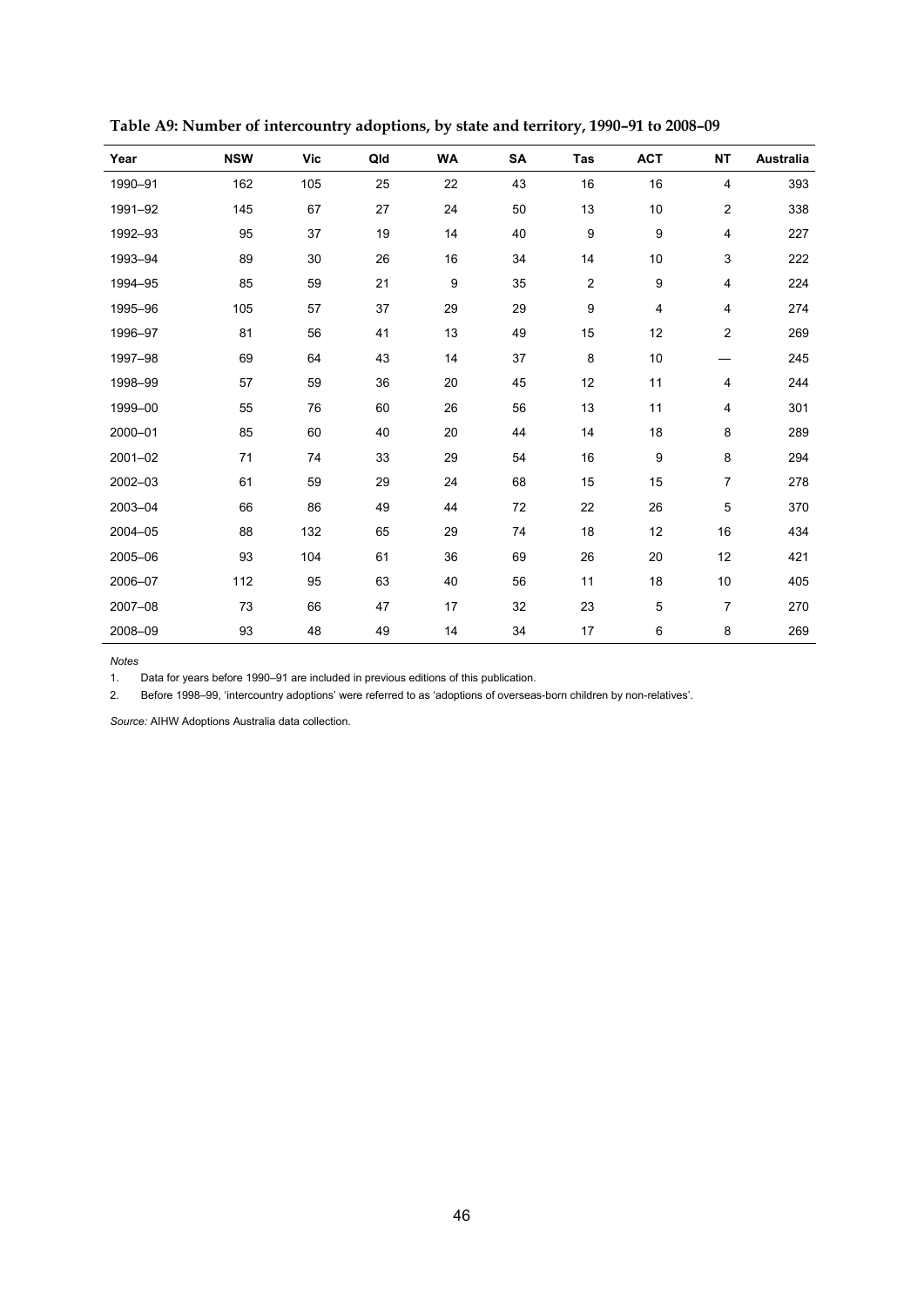| Year    | <b>NSW</b> | Vic | Qld | <b>WA</b> | SA | Tas            | <b>ACT</b>       | <b>NT</b>               | Australia |
|---------|------------|-----|-----|-----------|----|----------------|------------------|-------------------------|-----------|
| 1990-91 | 162        | 105 | 25  | 22        | 43 | 16             | 16               | 4                       | 393       |
| 1991-92 | 145        | 67  | 27  | 24        | 50 | 13             | 10               | $\overline{c}$          | 338       |
| 1992-93 | 95         | 37  | 19  | 14        | 40 | 9              | 9                | $\overline{\mathbf{4}}$ | 227       |
| 1993-94 | 89         | 30  | 26  | 16        | 34 | 14             | 10               | $\mathsf 3$             | 222       |
| 1994-95 | 85         | 59  | 21  | 9         | 35 | $\overline{c}$ | $\boldsymbol{9}$ | $\overline{\mathbf{4}}$ | 224       |
| 1995-96 | 105        | 57  | 37  | 29        | 29 | 9              | 4                | $\overline{\mathbf{4}}$ | 274       |
| 1996-97 | 81         | 56  | 41  | 13        | 49 | 15             | 12               | $\overline{\mathbf{c}}$ | 269       |
| 1997-98 | 69         | 64  | 43  | 14        | 37 | 8              | 10               |                         | 245       |
| 1998-99 | 57         | 59  | 36  | 20        | 45 | 12             | 11               | 4                       | 244       |
| 1999-00 | 55         | 76  | 60  | 26        | 56 | 13             | 11               | 4                       | 301       |
| 2000-01 | 85         | 60  | 40  | 20        | 44 | 14             | 18               | 8                       | 289       |
| 2001-02 | 71         | 74  | 33  | 29        | 54 | 16             | $\boldsymbol{9}$ | 8                       | 294       |
| 2002-03 | 61         | 59  | 29  | 24        | 68 | 15             | 15               | $\overline{7}$          | 278       |
| 2003-04 | 66         | 86  | 49  | 44        | 72 | 22             | 26               | 5                       | 370       |
| 2004-05 | 88         | 132 | 65  | 29        | 74 | 18             | 12               | 16                      | 434       |
| 2005-06 | 93         | 104 | 61  | 36        | 69 | 26             | 20               | 12                      | 421       |
| 2006-07 | 112        | 95  | 63  | 40        | 56 | 11             | 18               | 10                      | 405       |
| 2007-08 | 73         | 66  | 47  | 17        | 32 | 23             | $\mathbf 5$      | $\overline{7}$          | 270       |
| 2008-09 | 93         | 48  | 49  | 14        | 34 | 17             | 6                | 8                       | 269       |

**Table A9: Number of intercountry adoptions, by state and territory, 1990–91 to 2008–09** 

*Notes* 

1. Data for years before 1990–91 are included in previous editions of this publication.

2. Before 1998–99, 'intercountry adoptions' were referred to as 'adoptions of overseas-born children by non-relatives'.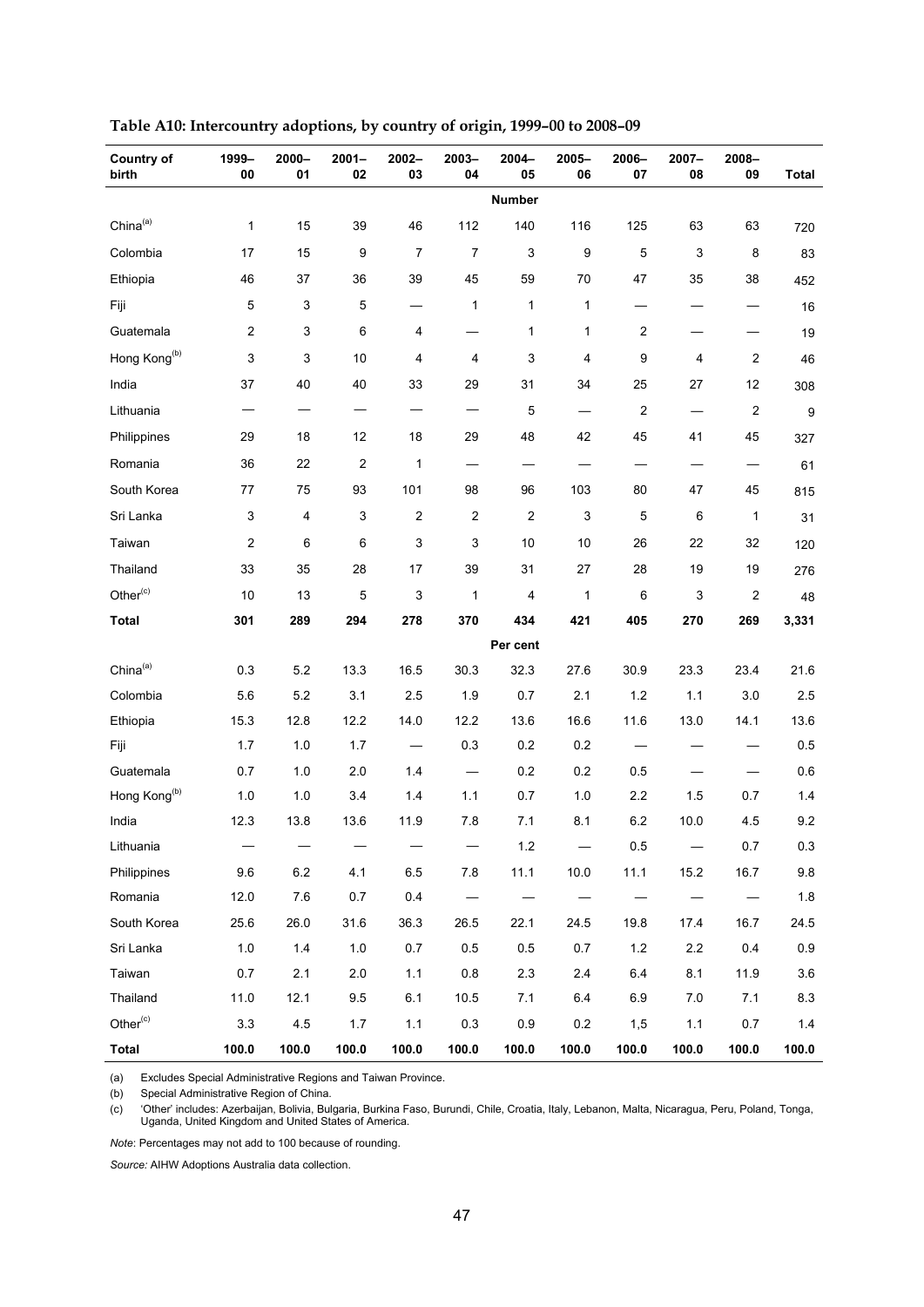| <b>Country of</b><br>birth | 1999-<br>00 | 2000-<br>01 | $2001 -$<br>02                | $2002 -$<br>03 | 2003-<br>04              | $2004 -$<br>05 | 2005-<br>06  | 2006-<br>07    | $2007 -$<br>08           | 2008-<br>09             | <b>Total</b> |
|----------------------------|-------------|-------------|-------------------------------|----------------|--------------------------|----------------|--------------|----------------|--------------------------|-------------------------|--------------|
|                            |             |             |                               |                |                          | Number         |              |                |                          |                         |              |
| China <sup>(a)</sup>       | 1           | 15          | 39                            | 46             | 112                      | 140            | 116          | 125            | 63                       | 63                      | 720          |
| Colombia                   | 17          | 15          | 9                             | $\overline{7}$ | 7                        | 3              | 9            | 5              | $\mathsf 3$              | 8                       | 83           |
| Ethiopia                   | 46          | 37          | 36                            | 39             | 45                       | 59             | 70           | 47             | 35                       | 38                      | 452          |
| Fiji                       | 5           | 3           | 5                             |                | $\mathbf{1}$             | 1              | $\mathbf{1}$ |                |                          |                         | 16           |
| Guatemala                  | 2           | 3           | 6                             | 4              |                          | 1              | $\mathbf{1}$ | 2              |                          |                         | 19           |
| Hong Kong <sup>(b)</sup>   | 3           | 3           | 10                            | 4              | 4                        | 3              | 4            | 9              | 4                        | 2                       | 46           |
| India                      | 37          | 40          | 40                            | 33             | 29                       | 31             | 34           | 25             | 27                       | 12                      | 308          |
| Lithuania                  |             |             | $\overbrace{\phantom{13333}}$ | —              | —                        | 5              |              | $\overline{c}$ | $\overline{\phantom{0}}$ | 2                       | 9            |
| Philippines                | 29          | 18          | 12                            | 18             | 29                       | 48             | 42           | 45             | 41                       | 45                      | 327          |
| Romania                    | 36          | 22          | 2                             | $\mathbf{1}$   | —                        |                |              |                |                          | $\qquad \qquad -$       | 61           |
| South Korea                | 77          | 75          | 93                            | 101            | 98                       | 96             | 103          | 80             | 47                       | 45                      | 815          |
| Sri Lanka                  | 3           | 4           | 3                             | 2              | $\overline{\mathbf{c}}$  | $\overline{2}$ | 3            | 5              | 6                        | $\mathbf{1}$            | 31           |
| Taiwan                     | 2           | 6           | 6                             | 3              | 3                        | 10             | 10           | 26             | 22                       | 32                      | 120          |
| Thailand                   | 33          | 35          | 28                            | 17             | 39                       | 31             | 27           | 28             | 19                       | 19                      | 276          |
| Other <sup>(c)</sup>       | 10          | 13          | 5                             | 3              | 1                        | 4              | 1            | 6              | 3                        | $\overline{\mathbf{c}}$ | 48           |
| <b>Total</b>               | 301         | 289         | 294                           | 278            | 370                      | 434            | 421          | 405            | 270                      | 269                     | 3,331        |
|                            |             |             |                               |                |                          | Per cent       |              |                |                          |                         |              |
| China <sup>(a)</sup>       | 0.3         | 5.2         | 13.3                          | 16.5           | 30.3                     | 32.3           | 27.6         | 30.9           | 23.3                     | 23.4                    | 21.6         |
| Colombia                   | 5.6         | 5.2         | 3.1                           | 2.5            | 1.9                      | $0.7\,$        | 2.1          | 1.2            | 1.1                      | 3.0                     | 2.5          |
| Ethiopia                   | 15.3        | 12.8        | 12.2                          | 14.0           | 12.2                     | 13.6           | 16.6         | 11.6           | 13.0                     | 14.1                    | 13.6         |
| Fiji                       | 1.7         | 1.0         | 1.7                           |                | 0.3                      | 0.2            | 0.2          |                |                          |                         | 0.5          |
| Guatemala                  | 0.7         | 1.0         | 2.0                           | 1.4            | $\overline{\phantom{0}}$ | 0.2            | 0.2          | 0.5            |                          |                         | 0.6          |
| Hong Kong <sup>(b)</sup>   | 1.0         | 1.0         | 3.4                           | 1.4            | 1.1                      | 0.7            | $1.0$        | 2.2            | 1.5                      | 0.7                     | 1.4          |
| India                      | 12.3        | 13.8        | 13.6                          | 11.9           | 7.8                      | 7.1            | 8.1          | 6.2            | 10.0                     | 4.5                     | 9.2          |
| Lithuania                  |             |             |                               |                |                          | 1.2            |              | 0.5            |                          | $0.7\,$                 | $0.3\,$      |
| Philippines                | 9.6         | 6.2         | 4.1                           | 6.5            | 7.8                      | 11.1           | 10.0         | 11.1           | 15.2                     | 16.7                    | 9.8          |
| Romania                    | 12.0        | 7.6         | 0.7                           | 0.4            |                          |                |              |                |                          |                         | $1.8$        |
| South Korea                | 25.6        | 26.0        | 31.6                          | 36.3           | 26.5                     | 22.1           | 24.5         | 19.8           | 17.4                     | 16.7                    | 24.5         |
| Sri Lanka                  | 1.0         | 1.4         | $1.0$                         | 0.7            | 0.5                      | 0.5            | 0.7          | $1.2$          | $2.2\,$                  | 0.4                     | 0.9          |
| Taiwan                     | 0.7         | 2.1         | $2.0\,$                       | 1.1            | $0.8\,$                  | 2.3            | 2.4          | 6.4            | 8.1                      | 11.9                    | 3.6          |
| Thailand                   | 11.0        | 12.1        | 9.5                           | 6.1            | $10.5$                   | 7.1            | 6.4          | 6.9            | 7.0                      | 7.1                     | 8.3          |
| Other <sup>(c)</sup>       | 3.3         | 4.5         | 1.7                           | 1.1            | 0.3                      | 0.9            | 0.2          | 1,5            | 1.1                      | 0.7                     | 1.4          |
| Total                      | 100.0       | 100.0       | 100.0                         | 100.0          | 100.0                    | 100.0          | 100.0        | 100.0          | 100.0                    | 100.0                   | 100.0        |

**Table A10: Intercountry adoptions, by country of origin, 1999–00 to 2008–09** 

(a) Excludes Special Administrative Regions and Taiwan Province.

(b) Special Administrative Region of China.

(c) 'Other' includes: Azerbaijan, Bolivia, Bulgaria, Burkina Faso, Burundi, Chile, Croatia, Italy, Lebanon, Malta, Nicaragua, Peru, Poland, Tonga, Uganda, United Kingdom and United States of America.

*Note*: Percentages may not add to 100 because of rounding.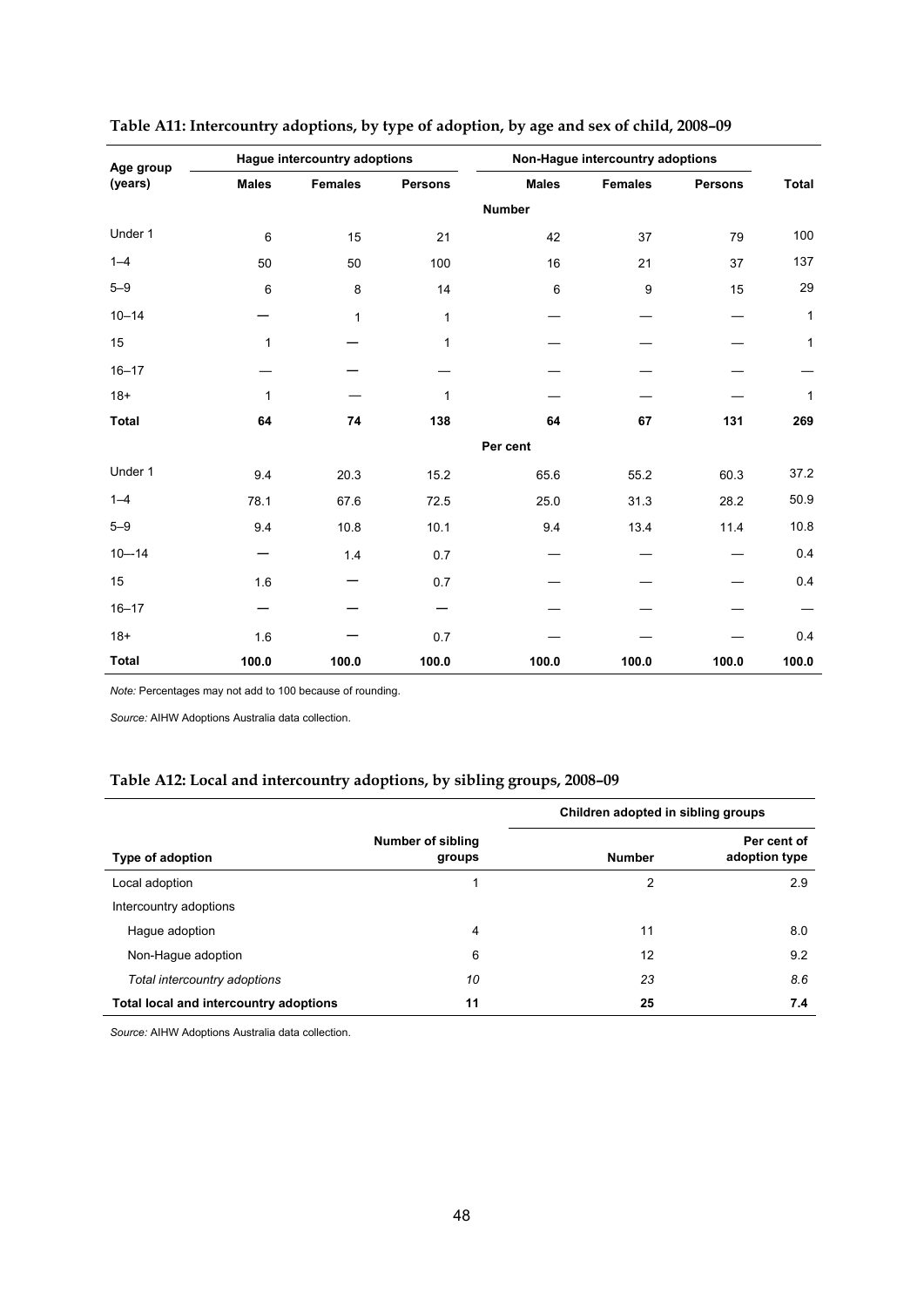| Age group    |                 | Hague intercountry adoptions |                | Non-Hague intercountry adoptions |                |                |              |
|--------------|-----------------|------------------------------|----------------|----------------------------------|----------------|----------------|--------------|
| (years)      | <b>Males</b>    | <b>Females</b>               | <b>Persons</b> | <b>Males</b>                     | <b>Females</b> | <b>Persons</b> | <b>Total</b> |
|              |                 |                              |                | <b>Number</b>                    |                |                |              |
| Under 1      | $6\phantom{1}6$ | 15                           | 21             | 42                               | 37             | 79             | 100          |
| $1 - 4$      | 50              | 50                           | 100            | 16                               | 21             | 37             | 137          |
| $5 - 9$      | 6               | 8                            | 14             | $\,6\,$                          | 9              | 15             | 29           |
| $10 - 14$    |                 | 1                            | 1              |                                  |                |                | 1            |
| 15           | 1               |                              | 1              |                                  |                |                | 1            |
| $16 - 17$    |                 |                              |                |                                  |                |                |              |
| $18+$        | 1               |                              | 1              |                                  |                |                | 1            |
| <b>Total</b> | 64              | 74                           | 138            | 64                               | 67             | 131            | 269          |
|              |                 |                              |                | Per cent                         |                |                |              |
| Under 1      | 9.4             | 20.3                         | 15.2           | 65.6                             | 55.2           | 60.3           | 37.2         |
| $1 - 4$      | 78.1            | 67.6                         | 72.5           | 25.0                             | 31.3           | 28.2           | 50.9         |
| $5 - 9$      | 9.4             | 10.8                         | 10.1           | 9.4                              | 13.4           | 11.4           | 10.8         |
| $10 - 14$    |                 | 1.4                          | 0.7            |                                  |                |                | 0.4          |
| 15           | 1.6             |                              | 0.7            |                                  |                |                | 0.4          |
| $16 - 17$    |                 |                              |                |                                  |                |                |              |
| $18+$        | 1.6             |                              | 0.7            |                                  |                |                | 0.4          |
| <b>Total</b> | 100.0           | 100.0                        | 100.0          | 100.0                            | 100.0          | 100.0          | 100.0        |

#### **Table A11: Intercountry adoptions, by type of adoption, by age and sex of child, 2008–09**

*Note:* Percentages may not add to 100 because of rounding.

*Source:* AIHW Adoptions Australia data collection.

#### **Table A12: Local and intercountry adoptions, by sibling groups, 2008–09**

|                                        |                                    | Children adopted in sibling groups |                              |
|----------------------------------------|------------------------------------|------------------------------------|------------------------------|
| Type of adoption                       | <b>Number of sibling</b><br>groups | <b>Number</b>                      | Per cent of<br>adoption type |
| Local adoption                         |                                    | 2                                  | 2.9                          |
| Intercountry adoptions                 |                                    |                                    |                              |
| Hague adoption                         | 4                                  | 11                                 | 8.0                          |
| Non-Hague adoption                     | 6                                  | 12                                 | 9.2                          |
| Total intercountry adoptions           | 10                                 | 23                                 | 8.6                          |
| Total local and intercountry adoptions | 11                                 | 25                                 | 7.4                          |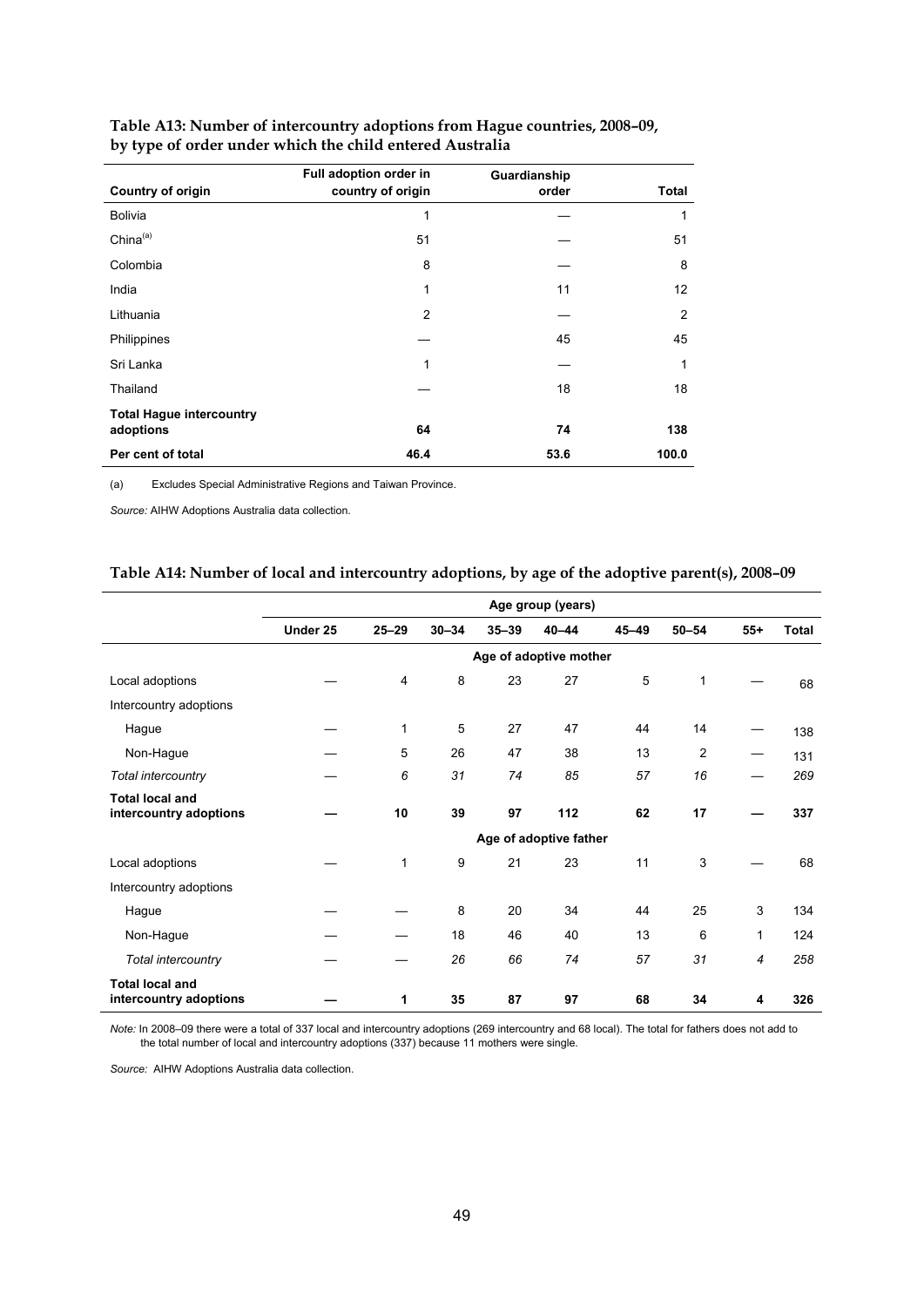|                                 | Full adoption order in | Guardianship |       |
|---------------------------------|------------------------|--------------|-------|
| <b>Country of origin</b>        | country of origin      | order        | Total |
| <b>Bolivia</b>                  | 1                      |              | 1     |
| $China^{(a)}$                   | 51                     |              | 51    |
| Colombia                        | 8                      |              | 8     |
| India                           | 1                      | 11           | 12    |
| Lithuania                       | $\overline{2}$         |              | 2     |
| Philippines                     |                        | 45           | 45    |
| Sri Lanka                       | 1                      |              | 1     |
| Thailand                        |                        | 18           | 18    |
| <b>Total Hague intercountry</b> |                        |              |       |
| adoptions                       | 64                     | 74           | 138   |
| Per cent of total               | 46.4                   | 53.6         | 100.0 |

#### **Table A13: Number of intercountry adoptions from Hague countries, 2008–09, by type of order under which the child entered Australia**

(a) Excludes Special Administrative Regions and Taiwan Province.

*Source:* AIHW Adoptions Australia data collection.

#### **Table A14: Number of local and intercountry adoptions, by age of the adoptive parent(s), 2008–09**

|                                                  | Age group (years) |              |           |           |                        |           |                |                |              |
|--------------------------------------------------|-------------------|--------------|-----------|-----------|------------------------|-----------|----------------|----------------|--------------|
|                                                  | Under 25          | $25 - 29$    | $30 - 34$ | $35 - 39$ | $40 - 44$              | $45 - 49$ | $50 - 54$      | $55+$          | <b>Total</b> |
|                                                  |                   |              |           |           | Age of adoptive mother |           |                |                |              |
| Local adoptions                                  |                   | 4            | 8         | 23        | 27                     | 5         | 1              |                | 68           |
| Intercountry adoptions                           |                   |              |           |           |                        |           |                |                |              |
| Hague                                            |                   | $\mathbf{1}$ | 5         | 27        | 47                     | 44        | 14             |                | 138          |
| Non-Hague                                        |                   | 5            | 26        | 47        | 38                     | 13        | $\overline{2}$ |                | 131          |
| Total intercountry                               |                   | 6            | 31        | 74        | 85                     | 57        | 16             |                | 269          |
| <b>Total local and</b><br>intercountry adoptions |                   | 10           | 39        | 97        | 112                    | 62        | 17             |                | 337          |
|                                                  |                   |              |           |           | Age of adoptive father |           |                |                |              |
| Local adoptions                                  |                   | $\mathbf{1}$ | 9         | 21        | 23                     | 11        | 3              |                | 68           |
| Intercountry adoptions                           |                   |              |           |           |                        |           |                |                |              |
| Hague                                            |                   |              | 8         | 20        | 34                     | 44        | 25             | 3              | 134          |
| Non-Hague                                        |                   |              | 18        | 46        | 40                     | 13        | 6              | $\mathbf{1}$   | 124          |
| Total intercountry                               |                   |              | 26        | 66        | 74                     | 57        | 31             | $\overline{4}$ | 258          |
| <b>Total local and</b><br>intercountry adoptions |                   | 1            | 35        | 87        | 97                     | 68        | 34             | 4              | 326          |

*Note:* In 2008–09 there were a total of 337 local and intercountry adoptions (269 intercountry and 68 local). The total for fathers does not add to the total number of local and intercountry adoptions (337) because 11 mothers were single.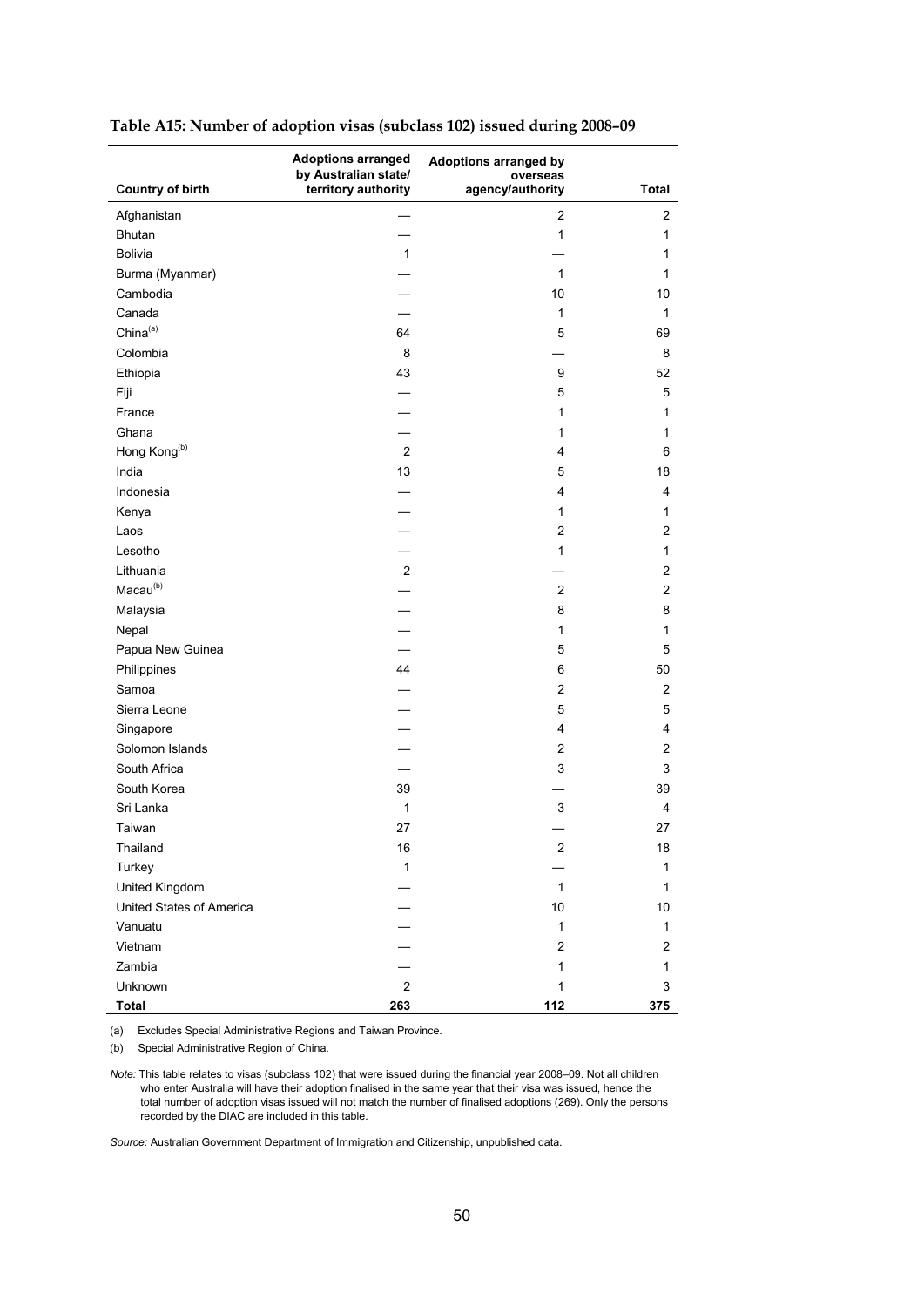| <b>Country of birth</b>  | <b>Adoptions arranged</b><br>by Australian state/<br>territory authority | <b>Adoptions arranged by</b><br>overseas<br>agency/authority | <b>Total</b>            |
|--------------------------|--------------------------------------------------------------------------|--------------------------------------------------------------|-------------------------|
| Afghanistan              |                                                                          | 2                                                            | $\overline{c}$          |
| Bhutan                   |                                                                          | 1                                                            | 1                       |
| Bolivia                  | $\mathbf{1}$                                                             |                                                              | 1                       |
| Burma (Myanmar)          |                                                                          | $\mathbf{1}$                                                 | 1                       |
| Cambodia                 |                                                                          | 10                                                           | 10                      |
| Canada                   |                                                                          | 1                                                            | $\mathbf{1}$            |
| China <sup>(a)</sup>     | 64                                                                       | 5                                                            | 69                      |
| Colombia                 | 8                                                                        |                                                              | 8                       |
| Ethiopia                 | 43                                                                       | 9                                                            | 52                      |
| Fiji                     |                                                                          | 5                                                            | $\mathbf 5$             |
| France                   |                                                                          | 1                                                            | 1                       |
| Ghana                    |                                                                          | 1                                                            | 1                       |
| Hong Kong <sup>(b)</sup> | $\overline{2}$                                                           | 4                                                            | 6                       |
| India                    | 13                                                                       | 5                                                            | 18                      |
| Indonesia                |                                                                          | 4                                                            | 4                       |
| Kenya                    |                                                                          | $\mathbf{1}$                                                 | 1                       |
| Laos                     |                                                                          | $\overline{2}$                                               | $\overline{\mathbf{c}}$ |
| Lesotho                  |                                                                          | $\mathbf{1}$                                                 | 1                       |
| Lithuania                | $\sqrt{2}$                                                               |                                                              | $\overline{c}$          |
| Macau <sup>(b)</sup>     |                                                                          | $\overline{2}$                                               | $\overline{2}$          |
| Malaysia                 |                                                                          | 8                                                            | 8                       |
| Nepal                    |                                                                          | 1                                                            | 1                       |
| Papua New Guinea         |                                                                          | 5                                                            | 5                       |
| Philippines              | 44                                                                       | 6                                                            | 50                      |
| Samoa                    |                                                                          | $\overline{2}$                                               | 2                       |
| Sierra Leone             |                                                                          | 5                                                            | 5                       |
| Singapore                |                                                                          | 4                                                            | 4                       |
| Solomon Islands          |                                                                          | $\overline{2}$                                               | 2                       |
| South Africa             |                                                                          | 3                                                            | 3                       |
| South Korea              | 39                                                                       |                                                              | 39                      |
| Sri Lanka                | 1                                                                        | 3                                                            | 4                       |
| Taiwan                   | 27                                                                       |                                                              | 27                      |
| Thailand                 | 16                                                                       | 2                                                            | 18                      |
| Turkey                   | 1                                                                        |                                                              | 1                       |
| United Kingdom           |                                                                          | $\mathbf{1}$                                                 | 1                       |
| United States of America |                                                                          | 10                                                           | 10                      |
| Vanuatu                  |                                                                          | $\mathbf{1}$                                                 | 1                       |
| Vietnam                  |                                                                          | $\overline{2}$                                               | 2                       |
| Zambia                   |                                                                          | 1                                                            | 1                       |
| Unknown                  | $\overline{2}$                                                           | $\mathbf{1}$                                                 | 3                       |
| <b>Total</b>             | 263                                                                      | 112                                                          | 375                     |

#### **Table A15: Number of adoption visas (subclass 102) issued during 2008–09**

(a) Excludes Special Administrative Regions and Taiwan Province.

(b) Special Administrative Region of China.

*Note:* This table relates to visas (subclass 102) that were issued during the financial year 2008–09. Not all children who enter Australia will have their adoption finalised in the same year that their visa was issued, hence the total number of adoption visas issued will not match the number of finalised adoptions (269). Only the persons recorded by the DIAC are included in this table.

*Source:* Australian Government Department of Immigration and Citizenship, unpublished data.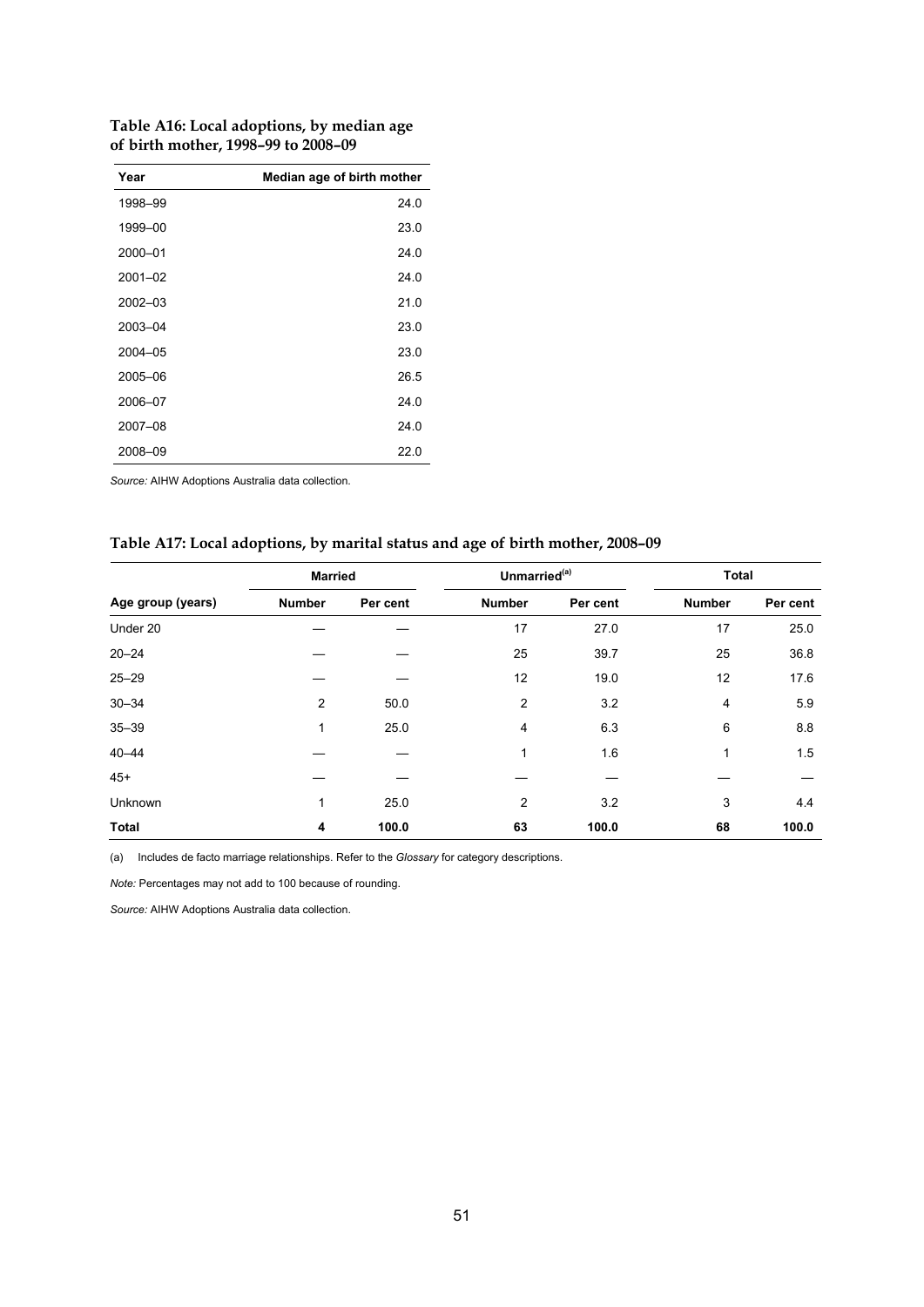| Table A16: Local adoptions, by median age |
|-------------------------------------------|
| of birth mother, 1998–99 to 2008–09       |

| Year        | Median age of birth mother |
|-------------|----------------------------|
| 1998-99     | 24.0                       |
| 1999-00     | 23.0                       |
| 2000-01     | 24.0                       |
| $2001 - 02$ | 24.0                       |
| 2002-03     | 21.0                       |
| 2003-04     | 23.0                       |
| 2004-05     | 23.0                       |
| 2005-06     | 26.5                       |
| 2006-07     | 24.0                       |
| 2007-08     | 24.0                       |
| 2008-09     | 22.0                       |

*Source:* AIHW Adoptions Australia data collection.

#### **Table A17: Local adoptions, by marital status and age of birth mother, 2008–09**

|                   | <b>Married</b> |          | Unmarried <sup>(a)</sup> |          | Total         |          |
|-------------------|----------------|----------|--------------------------|----------|---------------|----------|
| Age group (years) | <b>Number</b>  | Per cent | <b>Number</b>            | Per cent | <b>Number</b> | Per cent |
| Under 20          |                |          | 17                       | 27.0     | 17            | 25.0     |
| $20 - 24$         |                |          | 25                       | 39.7     | 25            | 36.8     |
| $25 - 29$         |                |          | 12                       | 19.0     | 12            | 17.6     |
| $30 - 34$         | $\overline{2}$ | 50.0     | $\overline{2}$           | 3.2      | 4             | 5.9      |
| $35 - 39$         | 1              | 25.0     | 4                        | 6.3      | 6             | 8.8      |
| $40 - 44$         |                |          | 1                        | 1.6      | 1             | 1.5      |
| $45+$             |                |          |                          |          |               |          |
| Unknown           | 1              | 25.0     | 2                        | 3.2      | 3             | 4.4      |
| <b>Total</b>      | 4              | 100.0    | 63                       | 100.0    | 68            | 100.0    |

(a) Includes de facto marriage relationships. Refer to the *Glossary* for category descriptions.

*Note:* Percentages may not add to 100 because of rounding.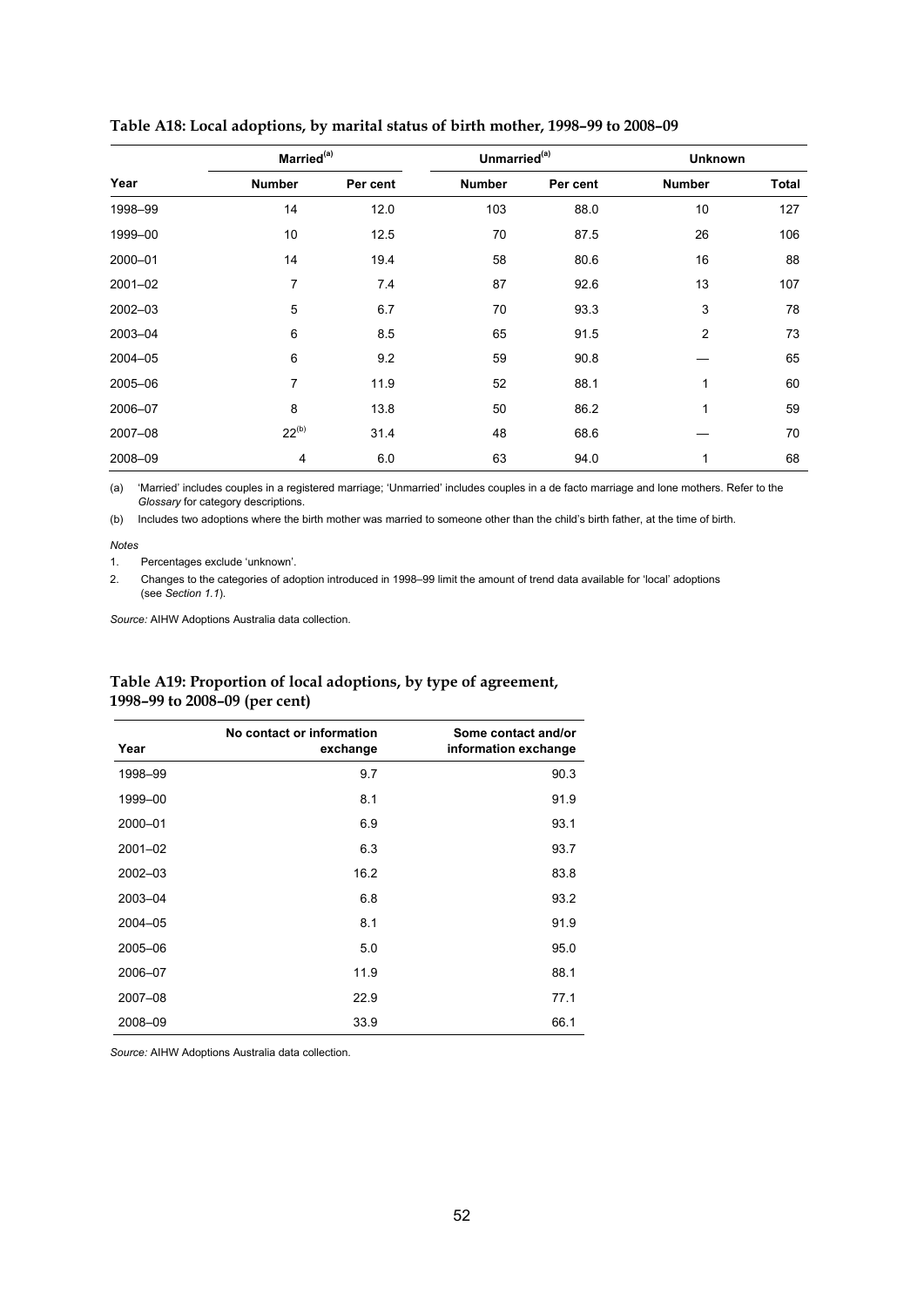| Married <sup>(a)</sup> |                 | Unmarried <sup>(a)</sup> |               | <b>Unknown</b> |                |              |
|------------------------|-----------------|--------------------------|---------------|----------------|----------------|--------------|
| Year                   | <b>Number</b>   | Per cent                 | <b>Number</b> | Per cent       | <b>Number</b>  | <b>Total</b> |
| 1998-99                | 14              | 12.0                     | 103           | 88.0           | 10             | 127          |
| 1999-00                | 10              | 12.5                     | 70            | 87.5           | 26             | 106          |
| 2000-01                | 14              | 19.4                     | 58            | 80.6           | 16             | 88           |
| 2001-02                | 7               | 7.4                      | 87            | 92.6           | 13             | 107          |
| 2002-03                | 5               | 6.7                      | 70            | 93.3           | 3              | 78           |
| 2003-04                | $6\phantom{1}6$ | 8.5                      | 65            | 91.5           | $\overline{2}$ | 73           |
| 2004-05                | 6               | 9.2                      | 59            | 90.8           |                | 65           |
| 2005-06                | $\overline{7}$  | 11.9                     | 52            | 88.1           | 1              | 60           |
| 2006-07                | 8               | 13.8                     | 50            | 86.2           | 1              | 59           |
| 2007-08                | $22^{(b)}$      | 31.4                     | 48            | 68.6           |                | 70           |
| 2008-09                | 4               | 6.0                      | 63            | 94.0           | 1              | 68           |

#### **Table A18: Local adoptions, by marital status of birth mother, 1998–99 to 2008–09**

(a) 'Married' includes couples in a registered marriage; 'Unmarried' includes couples in a de facto marriage and lone mothers. Refer to the *Glossary* for category descriptions.

(b) Includes two adoptions where the birth mother was married to someone other than the child's birth father, at the time of birth.

*Notes* 

1. Percentages exclude 'unknown'.

2. Changes to the categories of adoption introduced in 1998–99 limit the amount of trend data available for 'local' adoptions (see *Section 1.1*).

*Source:* AIHW Adoptions Australia data collection.

#### **Table A19: Proportion of local adoptions, by type of agreement, 1998–99 to 2008–09 (per cent)**

|             | No contact or information | Some contact and/or  |
|-------------|---------------------------|----------------------|
| Year        | exchange                  | information exchange |
| 1998-99     | 9.7                       | 90.3                 |
| 1999-00     | 8.1                       | 91.9                 |
| 2000-01     | 6.9                       | 93.1                 |
| $2001 - 02$ | 6.3                       | 93.7                 |
| 2002-03     | 16.2                      | 83.8                 |
| 2003-04     | 6.8                       | 93.2                 |
| 2004-05     | 8.1                       | 91.9                 |
| 2005-06     | 5.0                       | 95.0                 |
| 2006-07     | 11.9                      | 88.1                 |
| 2007-08     | 22.9                      | 77.1                 |
| 2008-09     | 33.9                      | 66.1                 |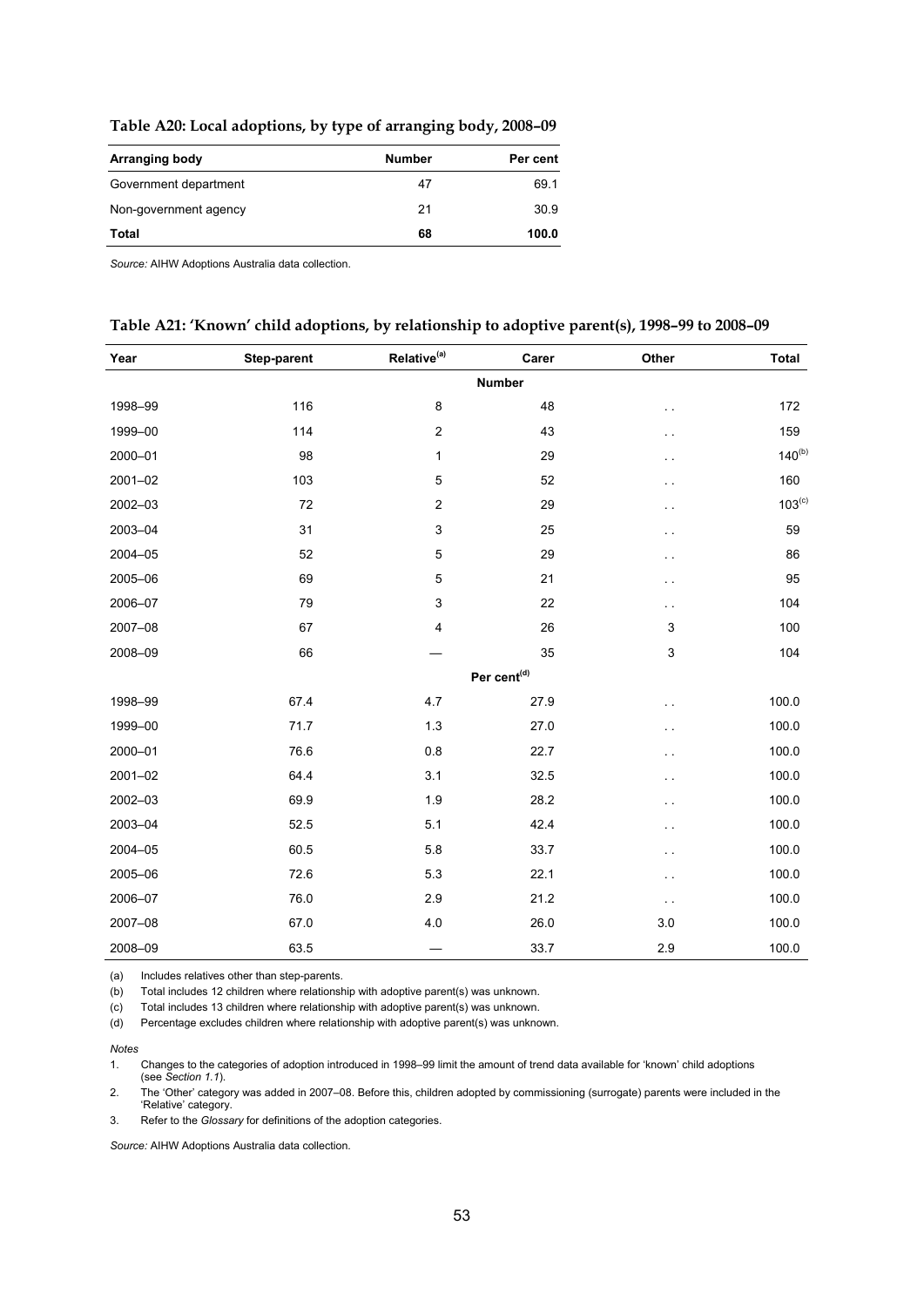| Table A20: Local adoptions, by type of arranging body, 2008-09 |  |  |  |  |
|----------------------------------------------------------------|--|--|--|--|
|----------------------------------------------------------------|--|--|--|--|

| Arranging body        | <b>Number</b> | Per cent |
|-----------------------|---------------|----------|
| Government department | 47            | 69.1     |
| Non-government agency | 21            | 30.9     |
| Total                 | 68            | 100.0    |

*Source:* AIHW Adoptions Australia data collection.

#### **Table A21: 'Known' child adoptions, by relationship to adoptive parent(s), 1998–99 to 2008–09**

| Year        | Step-parent | Relative <sup>(a)</sup> | Carer                   | Other                | <b>Total</b> |
|-------------|-------------|-------------------------|-------------------------|----------------------|--------------|
|             |             |                         | <b>Number</b>           |                      |              |
| 1998-99     | 116         | 8                       | 48                      | г.                   | 172          |
| 1999-00     | 114         | $\overline{c}$          | 43                      | $\ddot{\phantom{1}}$ | 159          |
| 2000-01     | 98          | $\mathbf{1}$            | 29                      | . .                  | $140^{(b)}$  |
| $2001 - 02$ | 103         | $\mathbf 5$             | 52                      | ο,                   | 160          |
| 2002-03     | 72          | $\overline{c}$          | 29                      | $\ddot{\phantom{1}}$ | $103^{(c)}$  |
| 2003-04     | 31          | $\mathsf 3$             | 25                      | г.                   | 59           |
| 2004-05     | 52          | $\mathbf 5$             | 29                      | ρ.,                  | 86           |
| 2005-06     | 69          | $\overline{5}$          | 21                      | $\ddot{\phantom{1}}$ | 95           |
| 2006-07     | 79          | $\mathbf{3}$            | 22                      | $\ddotsc$            | 104          |
| 2007-08     | 67          | $\overline{\mathbf{4}}$ | 26                      | 3                    | 100          |
| 2008-09     | 66          |                         | 35                      | 3                    | 104          |
|             |             |                         | Per cent <sup>(d)</sup> |                      |              |
| 1998-99     | 67.4        | 4.7                     | 27.9                    | . .                  | 100.0        |
| 1999-00     | 71.7        | 1.3                     | 27.0                    | г.                   | 100.0        |
| 2000-01     | 76.6        | 0.8                     | 22.7                    | . .                  | 100.0        |
| 2001-02     | 64.4        | 3.1                     | 32.5                    | $\ddot{\phantom{1}}$ | 100.0        |
| 2002-03     | 69.9        | 1.9                     | 28.2                    | $\ddot{\phantom{1}}$ | 100.0        |
| 2003-04     | 52.5        | 5.1                     | 42.4                    | . .                  | 100.0        |
| 2004-05     | 60.5        | 5.8                     | 33.7                    | г.                   | 100.0        |
| 2005-06     | 72.6        | 5.3                     | 22.1                    | $\ddot{\phantom{1}}$ | 100.0        |
| 2006-07     | 76.0        | 2.9                     | 21.2                    | $\ddot{\phantom{0}}$ | 100.0        |
| 2007-08     | 67.0        | 4.0                     | 26.0                    | 3.0                  | 100.0        |
| 2008-09     | 63.5        |                         | 33.7                    | 2.9                  | 100.0        |

(a) Includes relatives other than step-parents.

(b) Total includes 12 children where relationship with adoptive parent(s) was unknown.

(c) Total includes 13 children where relationship with adoptive parent(s) was unknown.

(d) Percentage excludes children where relationship with adoptive parent(s) was unknown.

*Notes* 

1. Changes to the categories of adoption introduced in 1998–99 limit the amount of trend data available for 'known' child adoptions (see *Section 1.1*).

2. The 'Other' category was added in 2007–08. Before this, children adopted by commissioning (surrogate) parents were included in the 'Relative' category.

3. Refer to the *Glossary* for definitions of the adoption categories.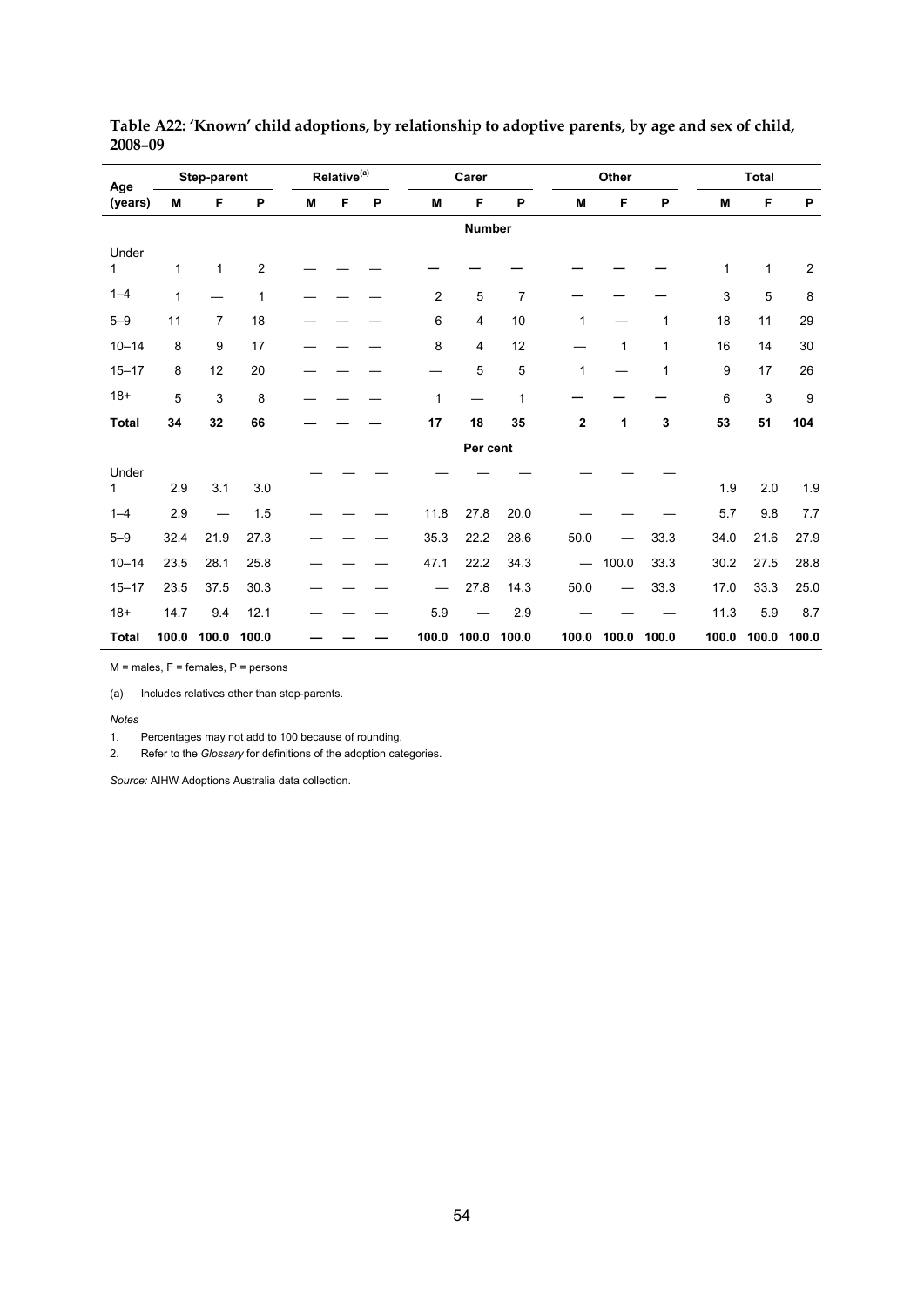| Step-parent<br>Age |              |                | Relative <sup>(a)</sup> |   |   | Carer |       |          | Other          |                          |       | <b>Total</b> |              |              |                  |
|--------------------|--------------|----------------|-------------------------|---|---|-------|-------|----------|----------------|--------------------------|-------|--------------|--------------|--------------|------------------|
| (years)            | м            | F              | P                       | M | F | P     | M     | F        | P              | M                        | F     | P            | M            | F            | P                |
|                    | Number       |                |                         |   |   |       |       |          |                |                          |       |              |              |              |                  |
| Under<br>1         | $\mathbf{1}$ | $\mathbf{1}$   | $\overline{c}$          |   |   |       |       |          |                |                          |       |              | $\mathbf{1}$ | $\mathbf{1}$ | $\overline{c}$   |
| $1 - 4$            | 1            |                | 1                       |   |   |       | 2     | 5        | $\overline{7}$ |                          |       |              | 3            | 5            | 8                |
| $5 - 9$            | 11           | $\overline{7}$ | 18                      |   |   |       | 6     | 4        | 10             | 1                        |       | $\mathbf{1}$ | 18           | 11           | 29               |
| $10 - 14$          | 8            | 9              | 17                      |   |   |       | 8     | 4        | 12             |                          | 1     | 1            | 16           | 14           | 30               |
| $15 - 17$          | 8            | 12             | 20                      |   |   |       |       | 5        | 5              | 1                        |       | $\mathbf{1}$ | 9            | 17           | 26               |
| $18+$              | 5            | 3              | 8                       |   |   |       | 1     |          | 1              |                          |       |              | 6            | 3            | $\boldsymbol{9}$ |
| <b>Total</b>       | 34           | 32             | 66                      |   |   |       | 17    | 18       | 35             | $\mathbf 2$              | 1     | 3            | 53           | 51           | 104              |
|                    |              |                |                         |   |   |       |       | Per cent |                |                          |       |              |              |              |                  |
| Under<br>1         | 2.9          | 3.1            | $3.0\,$                 |   |   |       |       |          |                |                          |       |              | 1.9          | 2.0          | 1.9              |
| $1 - 4$            | 2.9          |                | 1.5                     |   |   |       | 11.8  | 27.8     | 20.0           |                          |       |              | 5.7          | 9.8          | 7.7              |
| $5 - 9$            | 32.4         | 21.9           | 27.3                    |   |   |       | 35.3  | 22.2     | 28.6           | 50.0                     |       | 33.3         | 34.0         | 21.6         | 27.9             |
| $10 - 14$          | 23.5         | 28.1           | 25.8                    |   |   |       | 47.1  | 22.2     | 34.3           | $\overline{\phantom{m}}$ | 100.0 | 33.3         | 30.2         | 27.5         | 28.8             |
| $15 - 17$          | 23.5         | 37.5           | 30.3                    |   |   |       |       | 27.8     | 14.3           | 50.0                     |       | 33.3         | 17.0         | 33.3         | 25.0             |
| $18 +$             | 14.7         | 9.4            | 12.1                    |   |   |       | 5.9   |          | 2.9            |                          |       |              | 11.3         | 5.9          | 8.7              |
| <b>Total</b>       | 100.0        | 100.0          | 100.0                   |   |   |       | 100.0 | 100.0    | 100.0          | 100.0                    | 100.0 | 100.0        | 100.0        | 100.0        | 100.0            |

**Table A22: 'Known' child adoptions, by relationship to adoptive parents, by age and sex of child, 2008–09** 

 $M$  = males,  $F$  = females,  $P$  = persons

(a) Includes relatives other than step-parents.

*Notes* 

1. Percentages may not add to 100 because of rounding.

2. Refer to the *Glossary* for definitions of the adoption categories.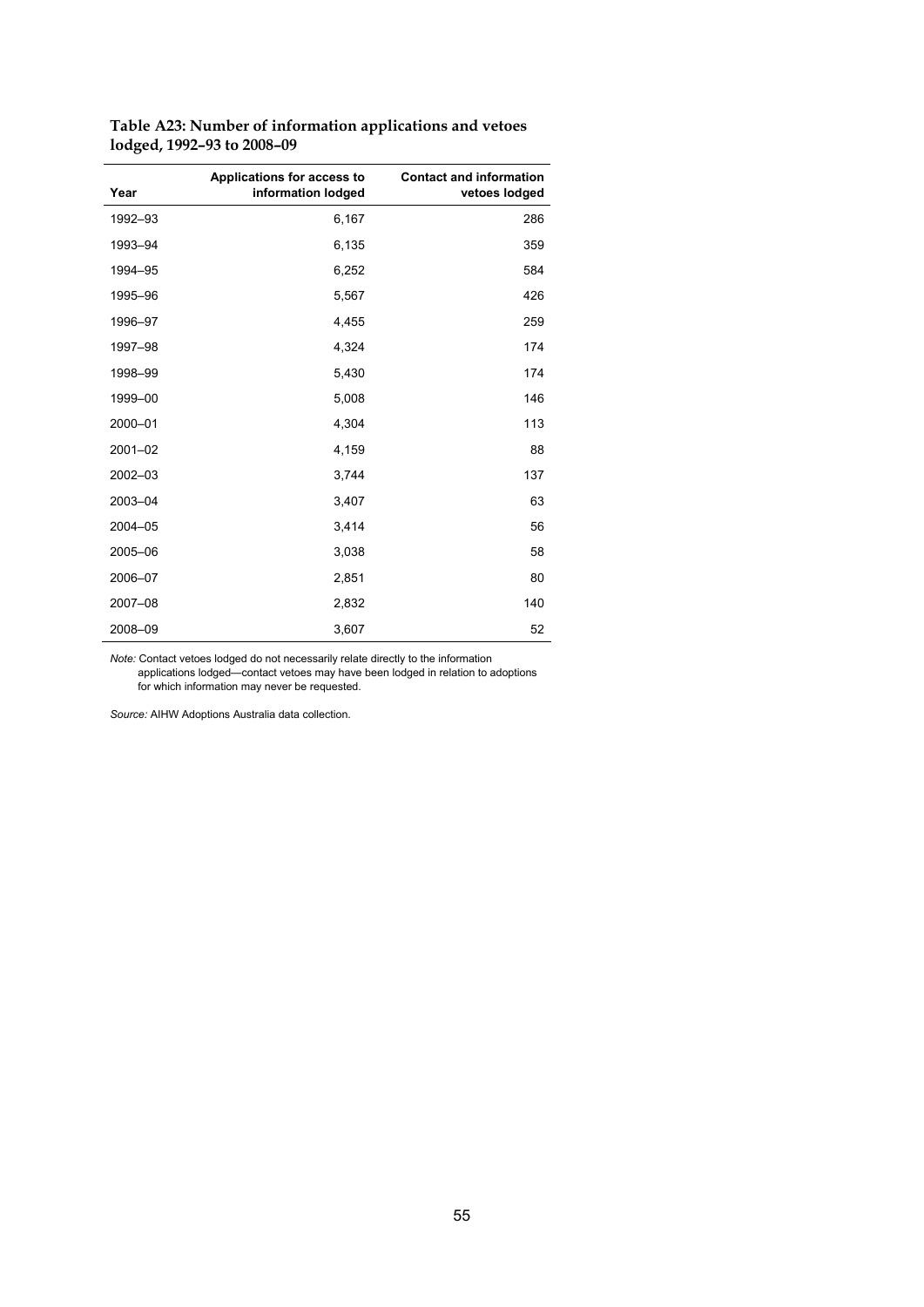| Year    | Applications for access to<br>information lodged | <b>Contact and information</b><br>vetoes lodged |
|---------|--------------------------------------------------|-------------------------------------------------|
| 1992-93 | 6,167                                            | 286                                             |
| 1993-94 | 6,135                                            | 359                                             |
| 1994-95 | 6,252                                            | 584                                             |
| 1995-96 | 5,567                                            | 426                                             |
| 1996-97 | 4,455                                            | 259                                             |
| 1997-98 | 4,324                                            | 174                                             |
| 1998-99 | 5,430                                            | 174                                             |
| 1999-00 | 5,008                                            | 146                                             |
| 2000-01 | 4,304                                            | 113                                             |
| 2001-02 | 4,159                                            | 88                                              |
| 2002-03 | 3,744                                            | 137                                             |
| 2003-04 | 3,407                                            | 63                                              |
| 2004-05 | 3,414                                            | 56                                              |
| 2005-06 | 3,038                                            | 58                                              |
| 2006-07 | 2,851                                            | 80                                              |
| 2007-08 | 2,832                                            | 140                                             |
| 2008-09 | 3,607                                            | 52                                              |

**Table A23: Number of information applications and vetoes lodged, 1992–93 to 2008–09** 

*Note:* Contact vetoes lodged do not necessarily relate directly to the information

 applications lodged—contact vetoes may have been lodged in relation to adoptions for which information may never be requested.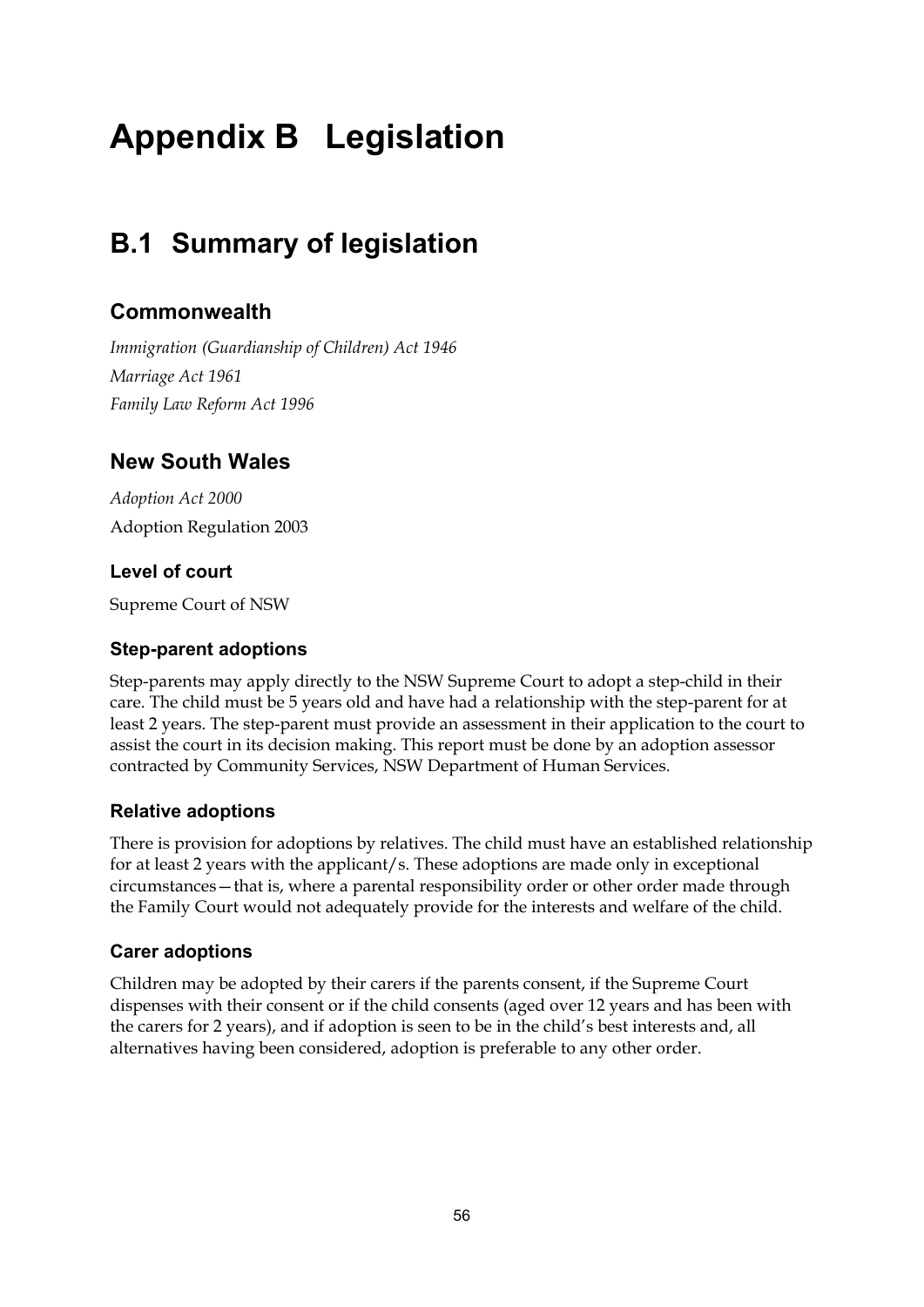# **Appendix B Legislation**

# **B.1 Summary of legislation**

# **Commonwealth**

*Immigration (Guardianship of Children) Act 1946 Marriage Act 1961 Family Law Reform Act 1996* 

# **New South Wales**

*Adoption Act 2000*  Adoption Regulation 2003

# **Level of court**

Supreme Court of NSW

### **Step-parent adoptions**

Step-parents may apply directly to the NSW Supreme Court to adopt a step-child in their care. The child must be 5 years old and have had a relationship with the step-parent for at least 2 years. The step-parent must provide an assessment in their application to the court to assist the court in its decision making. This report must be done by an adoption assessor contracted by Community Services, NSW Department of Human Services.

# **Relative adoptions**

There is provision for adoptions by relatives. The child must have an established relationship for at least 2 years with the applicant/s. These adoptions are made only in exceptional circumstances—that is, where a parental responsibility order or other order made through the Family Court would not adequately provide for the interests and welfare of the child.

# **Carer adoptions**

Children may be adopted by their carers if the parents consent, if the Supreme Court dispenses with their consent or if the child consents (aged over 12 years and has been with the carers for 2 years), and if adoption is seen to be in the child's best interests and, all alternatives having been considered, adoption is preferable to any other order.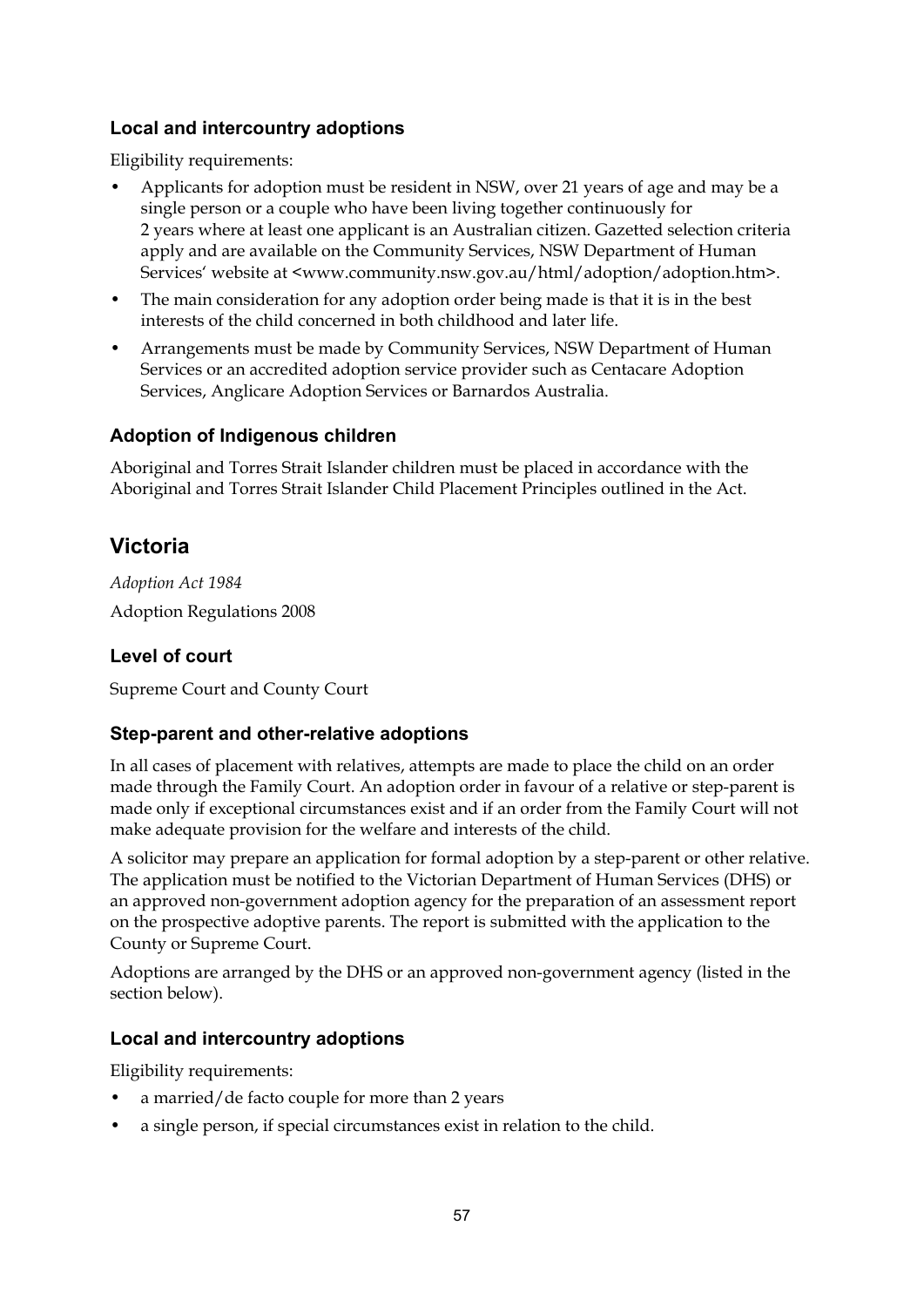# **Local and intercountry adoptions**

Eligibility requirements:

- Applicants for adoption must be resident in NSW, over 21 years of age and may be a single person or a couple who have been living together continuously for 2 years where at least one applicant is an Australian citizen. Gazetted selection criteria apply and are available on the Community Services, NSW Department of Human Services' website at <www.community.nsw.gov.au/html/adoption/adoption.htm>.
- The main consideration for any adoption order being made is that it is in the best interests of the child concerned in both childhood and later life.
- Arrangements must be made by Community Services, NSW Department of Human Services or an accredited adoption service provider such as Centacare Adoption Services, Anglicare Adoption Services or Barnardos Australia.

#### **Adoption of Indigenous children**

Aboriginal and Torres Strait Islander children must be placed in accordance with the Aboriginal and Torres Strait Islander Child Placement Principles outlined in the Act.

# **Victoria**

*Adoption Act 1984*  Adoption Regulations 2008

# **Level of court**

Supreme Court and County Court

# **Step-parent and other-relative adoptions**

In all cases of placement with relatives, attempts are made to place the child on an order made through the Family Court. An adoption order in favour of a relative or step-parent is made only if exceptional circumstances exist and if an order from the Family Court will not make adequate provision for the welfare and interests of the child.

A solicitor may prepare an application for formal adoption by a step-parent or other relative. The application must be notified to the Victorian Department of Human Services (DHS) or an approved non-government adoption agency for the preparation of an assessment report on the prospective adoptive parents. The report is submitted with the application to the County or Supreme Court.

Adoptions are arranged by the DHS or an approved non-government agency (listed in the section below).

#### **Local and intercountry adoptions**

Eligibility requirements:

- a married/de facto couple for more than 2 years
- a single person, if special circumstances exist in relation to the child.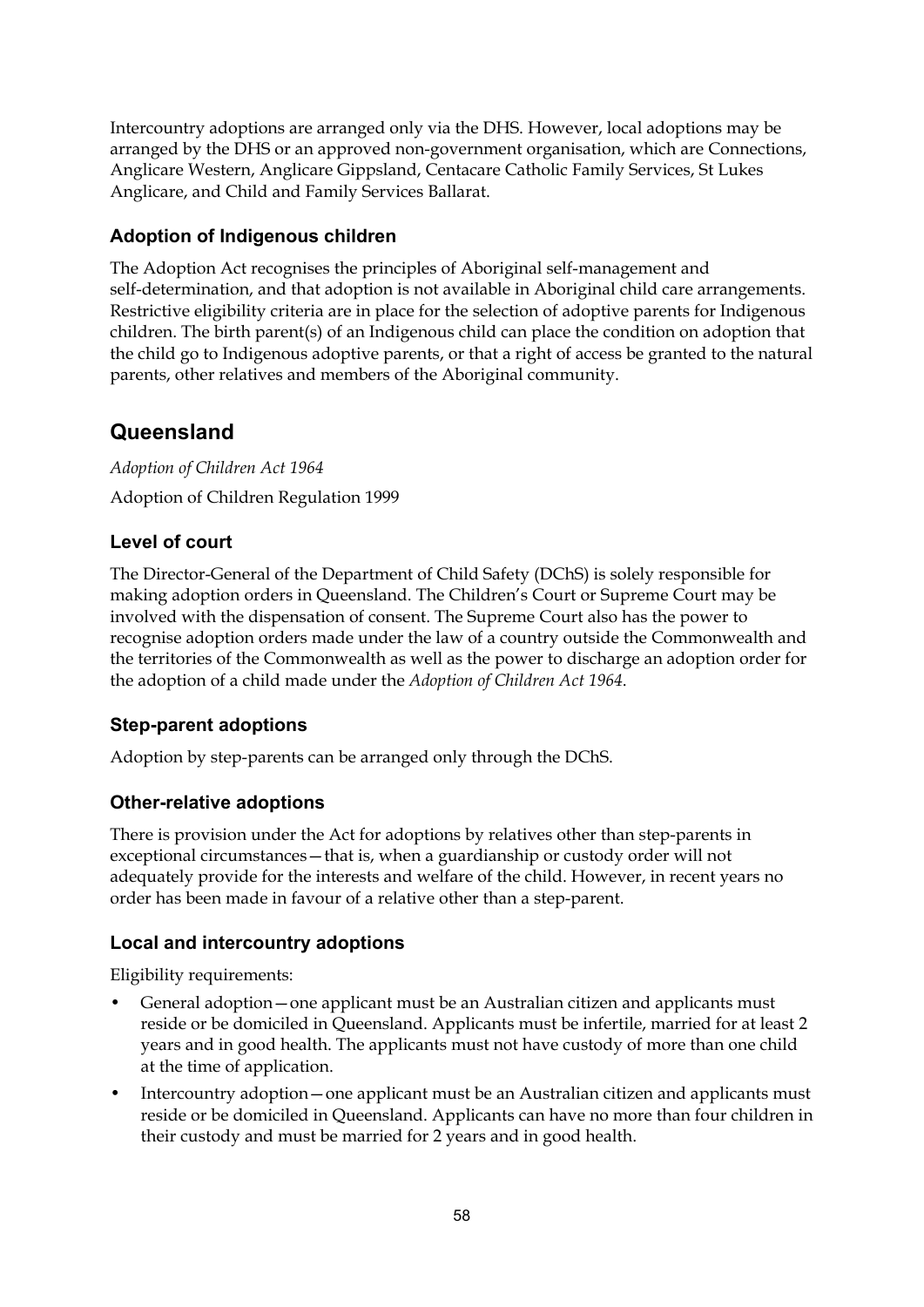Intercountry adoptions are arranged only via the DHS. However, local adoptions may be arranged by the DHS or an approved non-government organisation, which are Connections, Anglicare Western, Anglicare Gippsland, Centacare Catholic Family Services, St Lukes Anglicare, and Child and Family Services Ballarat.

# **Adoption of Indigenous children**

The Adoption Act recognises the principles of Aboriginal self-management and self-determination, and that adoption is not available in Aboriginal child care arrangements. Restrictive eligibility criteria are in place for the selection of adoptive parents for Indigenous children. The birth parent(s) of an Indigenous child can place the condition on adoption that the child go to Indigenous adoptive parents, or that a right of access be granted to the natural parents, other relatives and members of the Aboriginal community.

# **Queensland**

*Adoption of Children Act 1964*  Adoption of Children Regulation 1999

# **Level of court**

The Director-General of the Department of Child Safety (DChS) is solely responsible for making adoption orders in Queensland. The Children's Court or Supreme Court may be involved with the dispensation of consent. The Supreme Court also has the power to recognise adoption orders made under the law of a country outside the Commonwealth and the territories of the Commonwealth as well as the power to discharge an adoption order for the adoption of a child made under the *Adoption of Children Act 1964*.

# **Step-parent adoptions**

Adoption by step-parents can be arranged only through the DChS.

# **Other-relative adoptions**

There is provision under the Act for adoptions by relatives other than step-parents in exceptional circumstances—that is, when a guardianship or custody order will not adequately provide for the interests and welfare of the child. However, in recent years no order has been made in favour of a relative other than a step-parent.

# **Local and intercountry adoptions**

Eligibility requirements:

- General adoption—one applicant must be an Australian citizen and applicants must reside or be domiciled in Queensland. Applicants must be infertile, married for at least 2 years and in good health. The applicants must not have custody of more than one child at the time of application.
- Intercountry adoption—one applicant must be an Australian citizen and applicants must reside or be domiciled in Queensland. Applicants can have no more than four children in their custody and must be married for 2 years and in good health.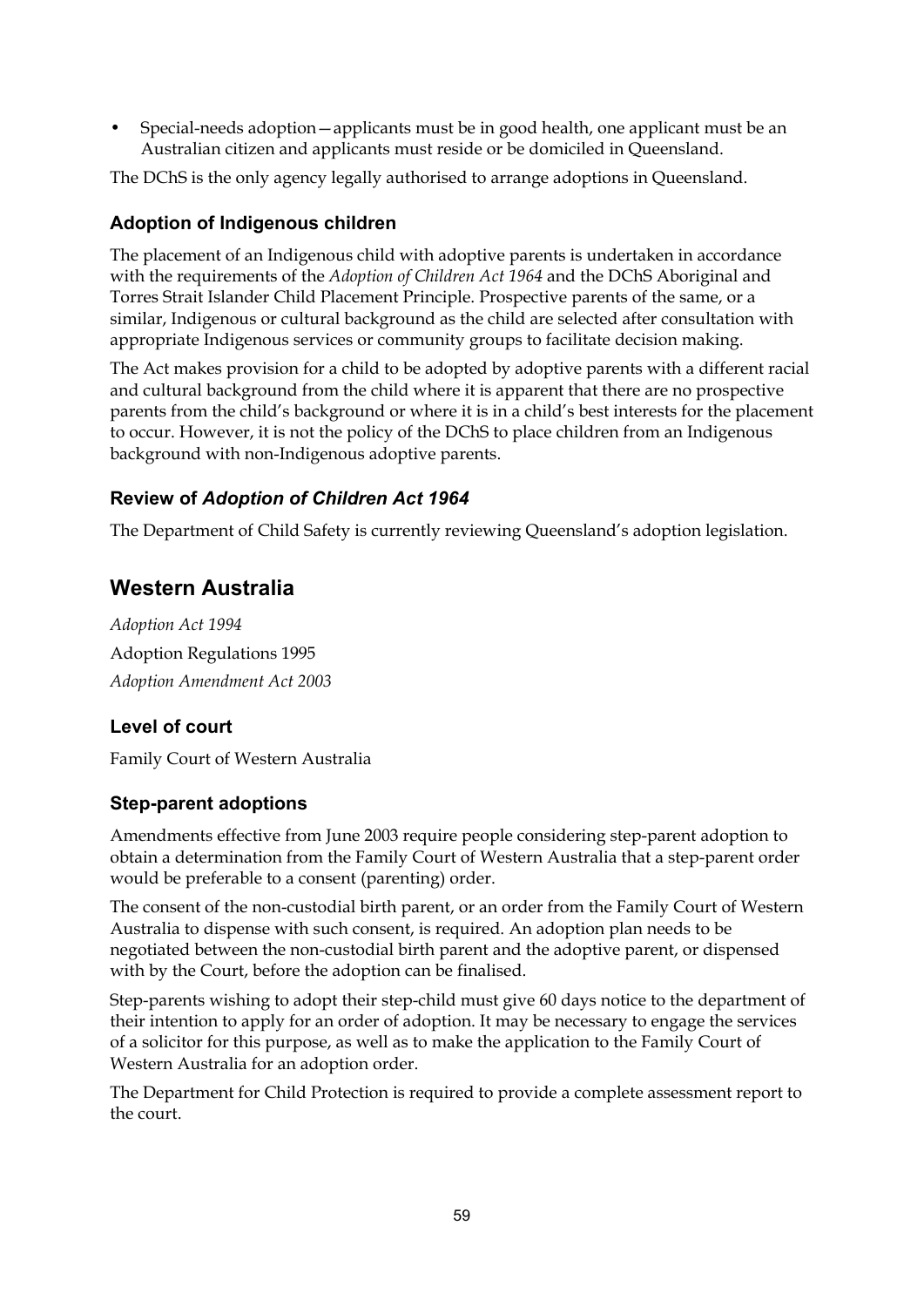• Special-needs adoption—applicants must be in good health, one applicant must be an Australian citizen and applicants must reside or be domiciled in Queensland.

The DChS is the only agency legally authorised to arrange adoptions in Queensland.

# **Adoption of Indigenous children**

The placement of an Indigenous child with adoptive parents is undertaken in accordance with the requirements of the *Adoption of Children Act 1964* and the DChS Aboriginal and Torres Strait Islander Child Placement Principle. Prospective parents of the same, or a similar, Indigenous or cultural background as the child are selected after consultation with appropriate Indigenous services or community groups to facilitate decision making.

The Act makes provision for a child to be adopted by adoptive parents with a different racial and cultural background from the child where it is apparent that there are no prospective parents from the child's background or where it is in a child's best interests for the placement to occur. However, it is not the policy of the DChS to place children from an Indigenous background with non-Indigenous adoptive parents.

# **Review of** *Adoption of Children Act 1964*

The Department of Child Safety is currently reviewing Queensland's adoption legislation.

# **Western Australia**

*Adoption Act 1994*  Adoption Regulations 1995 *Adoption Amendment Act 2003*

# **Level of court**

Family Court of Western Australia

# **Step-parent adoptions**

Amendments effective from June 2003 require people considering step-parent adoption to obtain a determination from the Family Court of Western Australia that a step-parent order would be preferable to a consent (parenting) order.

The consent of the non-custodial birth parent, or an order from the Family Court of Western Australia to dispense with such consent, is required. An adoption plan needs to be negotiated between the non-custodial birth parent and the adoptive parent, or dispensed with by the Court, before the adoption can be finalised.

Step-parents wishing to adopt their step-child must give 60 days notice to the department of their intention to apply for an order of adoption. It may be necessary to engage the services of a solicitor for this purpose, as well as to make the application to the Family Court of Western Australia for an adoption order.

The Department for Child Protection is required to provide a complete assessment report to the court.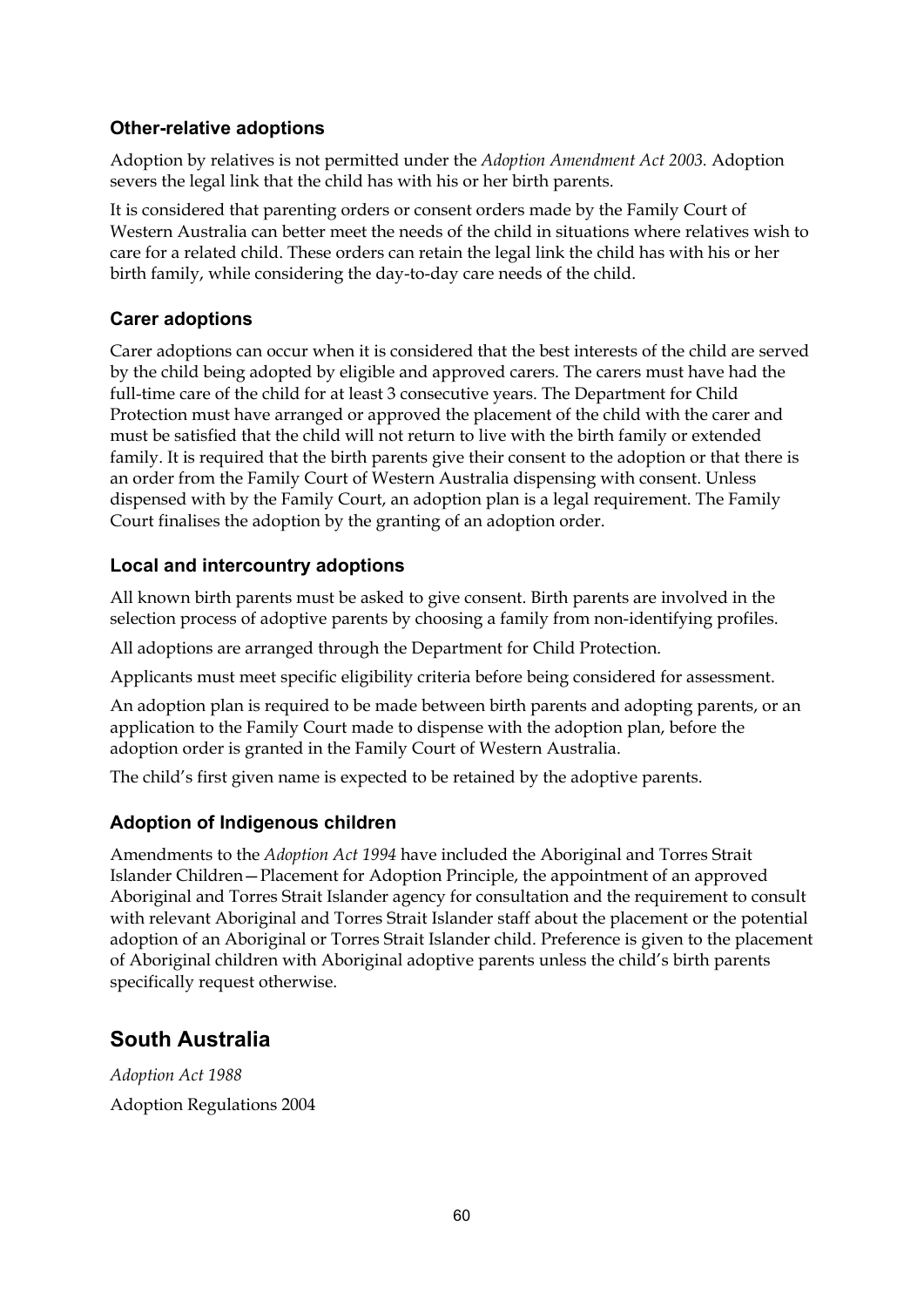# **Other-relative adoptions**

Adoption by relatives is not permitted under the *Adoption Amendment Act 2003.* Adoption severs the legal link that the child has with his or her birth parents.

It is considered that parenting orders or consent orders made by the Family Court of Western Australia can better meet the needs of the child in situations where relatives wish to care for a related child. These orders can retain the legal link the child has with his or her birth family, while considering the day-to-day care needs of the child.

# **Carer adoptions**

Carer adoptions can occur when it is considered that the best interests of the child are served by the child being adopted by eligible and approved carers. The carers must have had the full-time care of the child for at least 3 consecutive years. The Department for Child Protection must have arranged or approved the placement of the child with the carer and must be satisfied that the child will not return to live with the birth family or extended family. It is required that the birth parents give their consent to the adoption or that there is an order from the Family Court of Western Australia dispensing with consent. Unless dispensed with by the Family Court, an adoption plan is a legal requirement. The Family Court finalises the adoption by the granting of an adoption order.

# **Local and intercountry adoptions**

All known birth parents must be asked to give consent. Birth parents are involved in the selection process of adoptive parents by choosing a family from non-identifying profiles.

All adoptions are arranged through the Department for Child Protection.

Applicants must meet specific eligibility criteria before being considered for assessment.

An adoption plan is required to be made between birth parents and adopting parents, or an application to the Family Court made to dispense with the adoption plan, before the adoption order is granted in the Family Court of Western Australia.

The child's first given name is expected to be retained by the adoptive parents.

# **Adoption of Indigenous children**

Amendments to the *Adoption Act 1994* have included the Aboriginal and Torres Strait Islander Children—Placement for Adoption Principle, the appointment of an approved Aboriginal and Torres Strait Islander agency for consultation and the requirement to consult with relevant Aboriginal and Torres Strait Islander staff about the placement or the potential adoption of an Aboriginal or Torres Strait Islander child. Preference is given to the placement of Aboriginal children with Aboriginal adoptive parents unless the child's birth parents specifically request otherwise.

# **South Australia**

*Adoption Act 1988*  Adoption Regulations 2004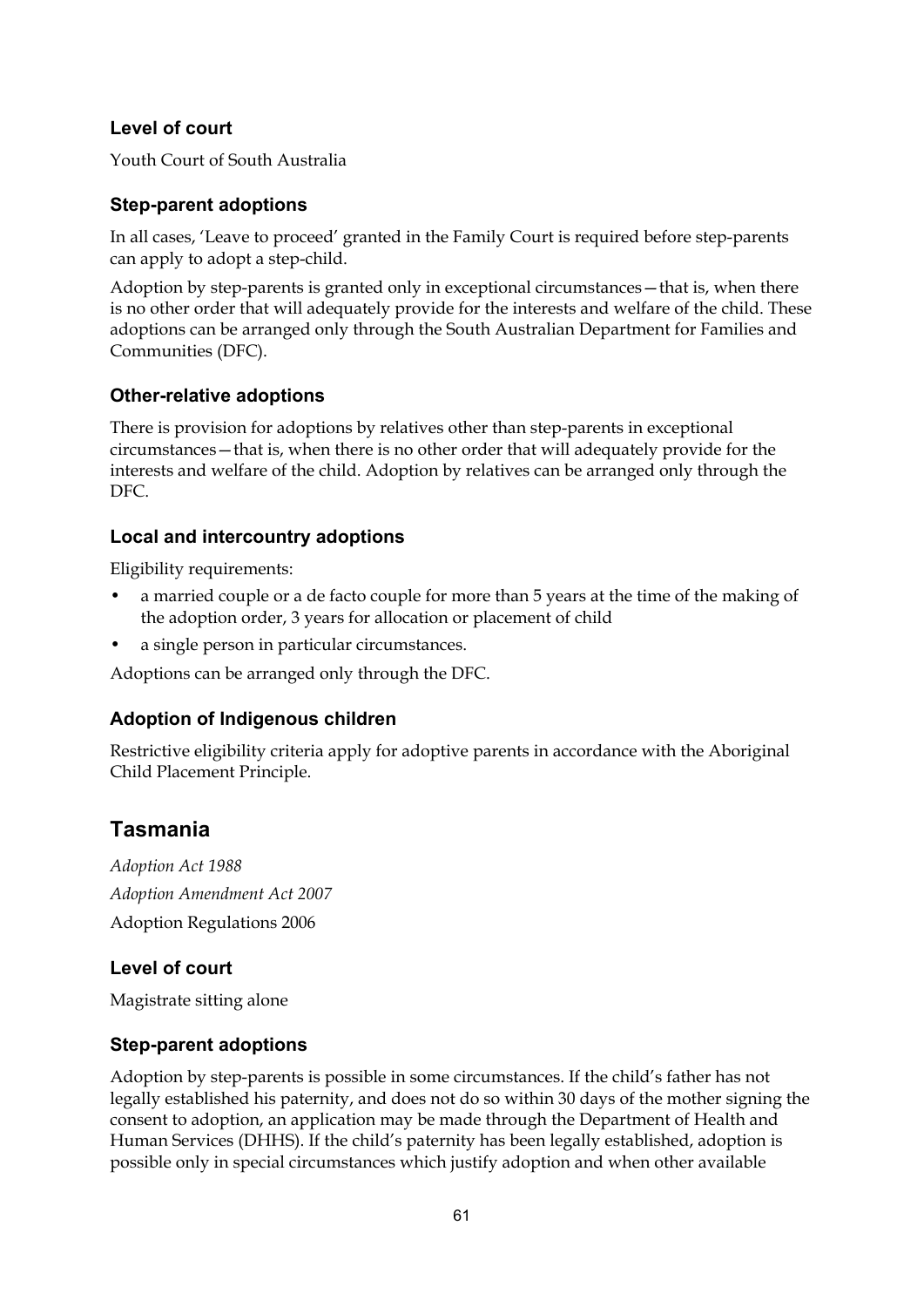# **Level of court**

Youth Court of South Australia

#### **Step-parent adoptions**

In all cases, 'Leave to proceed' granted in the Family Court is required before step-parents can apply to adopt a step-child.

Adoption by step-parents is granted only in exceptional circumstances—that is, when there is no other order that will adequately provide for the interests and welfare of the child. These adoptions can be arranged only through the South Australian Department for Families and Communities (DFC).

#### **Other-relative adoptions**

There is provision for adoptions by relatives other than step-parents in exceptional circumstances—that is, when there is no other order that will adequately provide for the interests and welfare of the child. Adoption by relatives can be arranged only through the DFC.

#### **Local and intercountry adoptions**

Eligibility requirements:

- a married couple or a de facto couple for more than 5 years at the time of the making of the adoption order, 3 years for allocation or placement of child
- a single person in particular circumstances.

Adoptions can be arranged only through the DFC.

# **Adoption of Indigenous children**

Restrictive eligibility criteria apply for adoptive parents in accordance with the Aboriginal Child Placement Principle.

# **Tasmania**

*Adoption Act 1988 Adoption Amendment Act 2007*  Adoption Regulations 2006

# **Level of court**

Magistrate sitting alone

#### **Step-parent adoptions**

Adoption by step-parents is possible in some circumstances. If the child's father has not legally established his paternity, and does not do so within 30 days of the mother signing the consent to adoption, an application may be made through the Department of Health and Human Services (DHHS). If the child's paternity has been legally established, adoption is possible only in special circumstances which justify adoption and when other available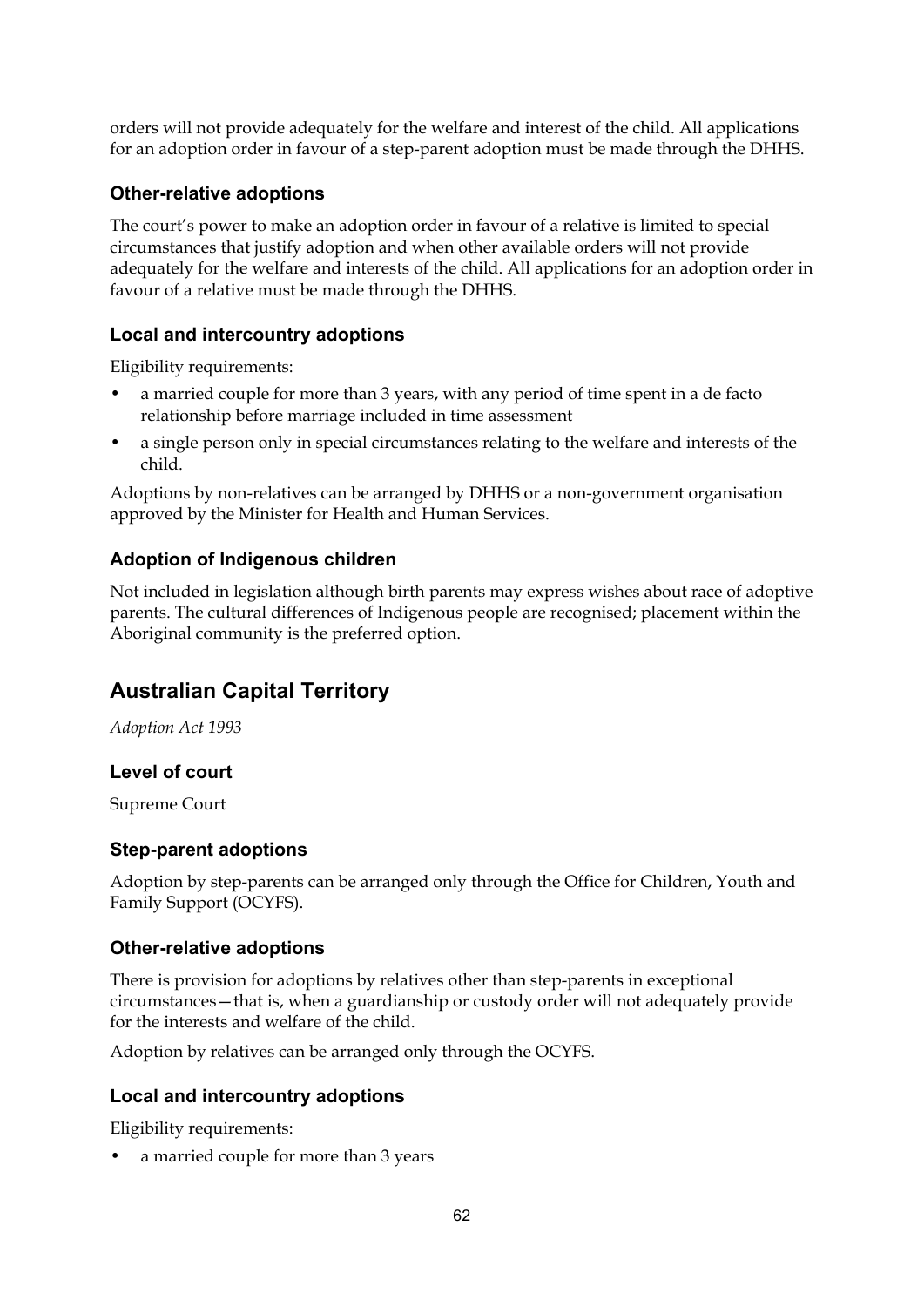orders will not provide adequately for the welfare and interest of the child. All applications for an adoption order in favour of a step-parent adoption must be made through the DHHS.

### **Other-relative adoptions**

The court's power to make an adoption order in favour of a relative is limited to special circumstances that justify adoption and when other available orders will not provide adequately for the welfare and interests of the child. All applications for an adoption order in favour of a relative must be made through the DHHS.

#### **Local and intercountry adoptions**

Eligibility requirements:

- a married couple for more than 3 years, with any period of time spent in a de facto relationship before marriage included in time assessment
- a single person only in special circumstances relating to the welfare and interests of the child.

Adoptions by non-relatives can be arranged by DHHS or a non-government organisation approved by the Minister for Health and Human Services.

# **Adoption of Indigenous children**

Not included in legislation although birth parents may express wishes about race of adoptive parents. The cultural differences of Indigenous people are recognised; placement within the Aboriginal community is the preferred option.

# **Australian Capital Territory**

*Adoption Act 1993* 

# **Level of court**

Supreme Court

#### **Step-parent adoptions**

Adoption by step-parents can be arranged only through the Office for Children, Youth and Family Support (OCYFS).

#### **Other-relative adoptions**

There is provision for adoptions by relatives other than step-parents in exceptional circumstances—that is, when a guardianship or custody order will not adequately provide for the interests and welfare of the child.

Adoption by relatives can be arranged only through the OCYFS.

#### **Local and intercountry adoptions**

Eligibility requirements:

• a married couple for more than 3 years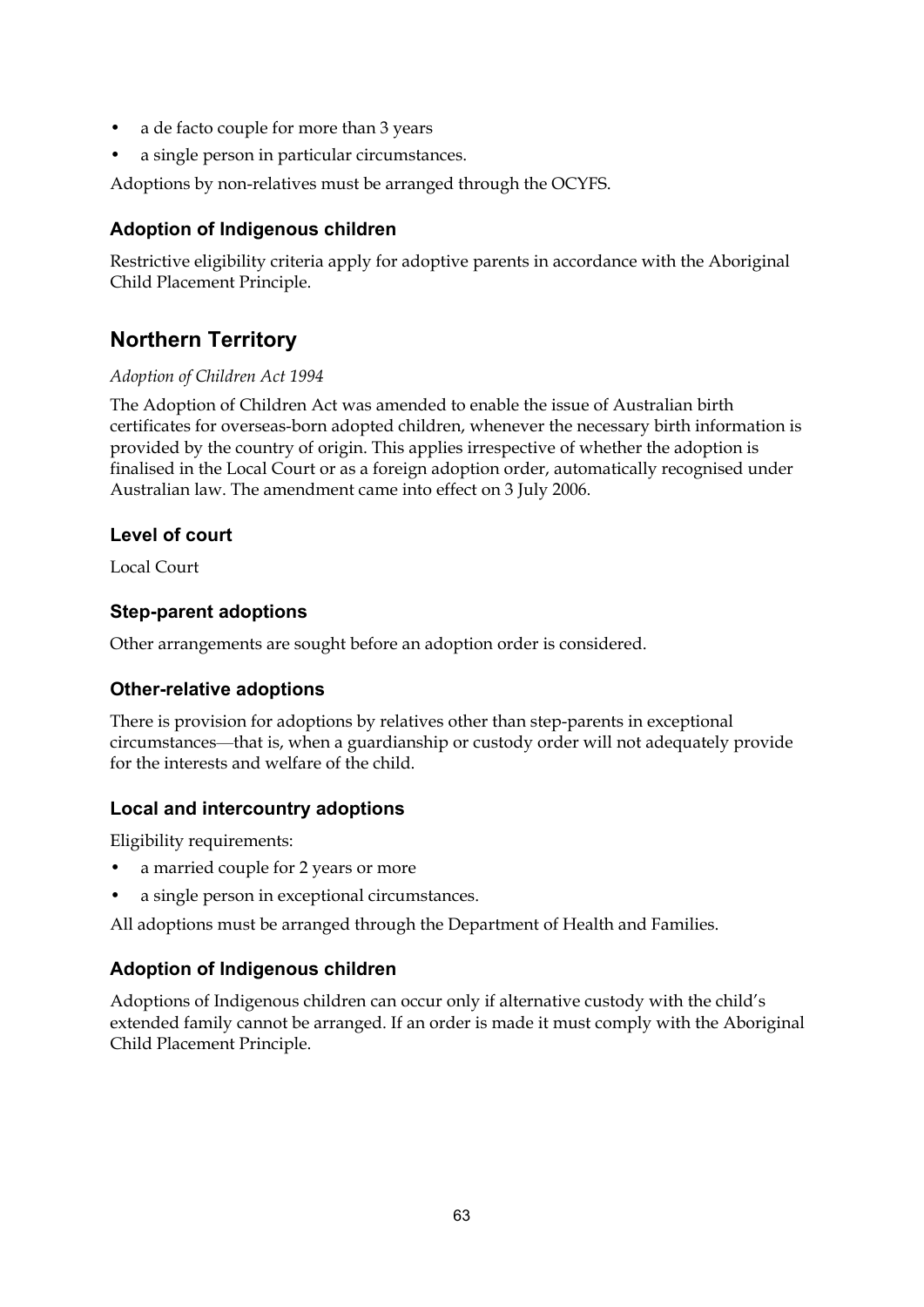- a de facto couple for more than 3 years
- a single person in particular circumstances.

Adoptions by non-relatives must be arranged through the OCYFS.

#### **Adoption of Indigenous children**

Restrictive eligibility criteria apply for adoptive parents in accordance with the Aboriginal Child Placement Principle.

# **Northern Territory**

#### *Adoption of Children Act 1994*

The Adoption of Children Act was amended to enable the issue of Australian birth certificates for overseas-born adopted children, whenever the necessary birth information is provided by the country of origin. This applies irrespective of whether the adoption is finalised in the Local Court or as a foreign adoption order, automatically recognised under Australian law. The amendment came into effect on 3 July 2006.

#### **Level of court**

Local Court

#### **Step-parent adoptions**

Other arrangements are sought before an adoption order is considered.

#### **Other-relative adoptions**

There is provision for adoptions by relatives other than step-parents in exceptional circumstances—that is, when a guardianship or custody order will not adequately provide for the interests and welfare of the child.

# **Local and intercountry adoptions**

Eligibility requirements:

- a married couple for 2 years or more
- a single person in exceptional circumstances.

All adoptions must be arranged through the Department of Health and Families.

# **Adoption of Indigenous children**

Adoptions of Indigenous children can occur only if alternative custody with the child's extended family cannot be arranged. If an order is made it must comply with the Aboriginal Child Placement Principle.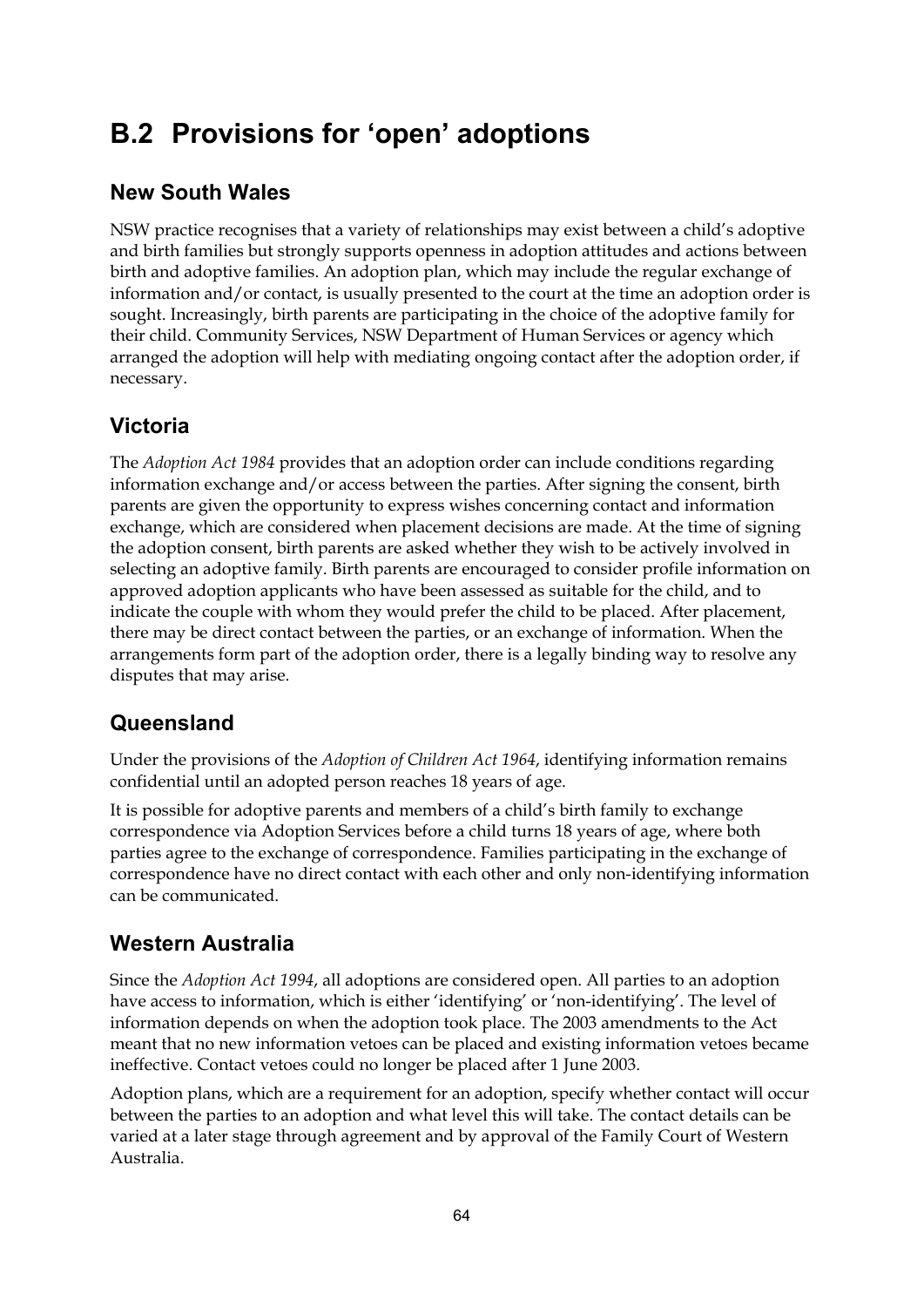# **B.2 Provisions for 'open' adoptions**

# **New South Wales**

NSW practice recognises that a variety of relationships may exist between a child's adoptive and birth families but strongly supports openness in adoption attitudes and actions between birth and adoptive families. An adoption plan, which may include the regular exchange of information and/or contact, is usually presented to the court at the time an adoption order is sought. Increasingly, birth parents are participating in the choice of the adoptive family for their child. Community Services, NSW Department of Human Services or agency which arranged the adoption will help with mediating ongoing contact after the adoption order, if necessary.

# **Victoria**

The *Adoption Act 1984* provides that an adoption order can include conditions regarding information exchange and/or access between the parties. After signing the consent, birth parents are given the opportunity to express wishes concerning contact and information exchange, which are considered when placement decisions are made. At the time of signing the adoption consent, birth parents are asked whether they wish to be actively involved in selecting an adoptive family. Birth parents are encouraged to consider profile information on approved adoption applicants who have been assessed as suitable for the child, and to indicate the couple with whom they would prefer the child to be placed. After placement, there may be direct contact between the parties, or an exchange of information. When the arrangements form part of the adoption order, there is a legally binding way to resolve any disputes that may arise.

# **Queensland**

Under the provisions of the *Adoption of Children Act 1964*, identifying information remains confidential until an adopted person reaches 18 years of age.

It is possible for adoptive parents and members of a child's birth family to exchange correspondence via Adoption Services before a child turns 18 years of age, where both parties agree to the exchange of correspondence. Families participating in the exchange of correspondence have no direct contact with each other and only non-identifying information can be communicated.

# **Western Australia**

Since the *Adoption Act 1994*, all adoptions are considered open. All parties to an adoption have access to information, which is either 'identifying' or 'non-identifying'. The level of information depends on when the adoption took place. The 2003 amendments to the Act meant that no new information vetoes can be placed and existing information vetoes became ineffective. Contact vetoes could no longer be placed after 1 June 2003.

Adoption plans, which are a requirement for an adoption, specify whether contact will occur between the parties to an adoption and what level this will take. The contact details can be varied at a later stage through agreement and by approval of the Family Court of Western Australia.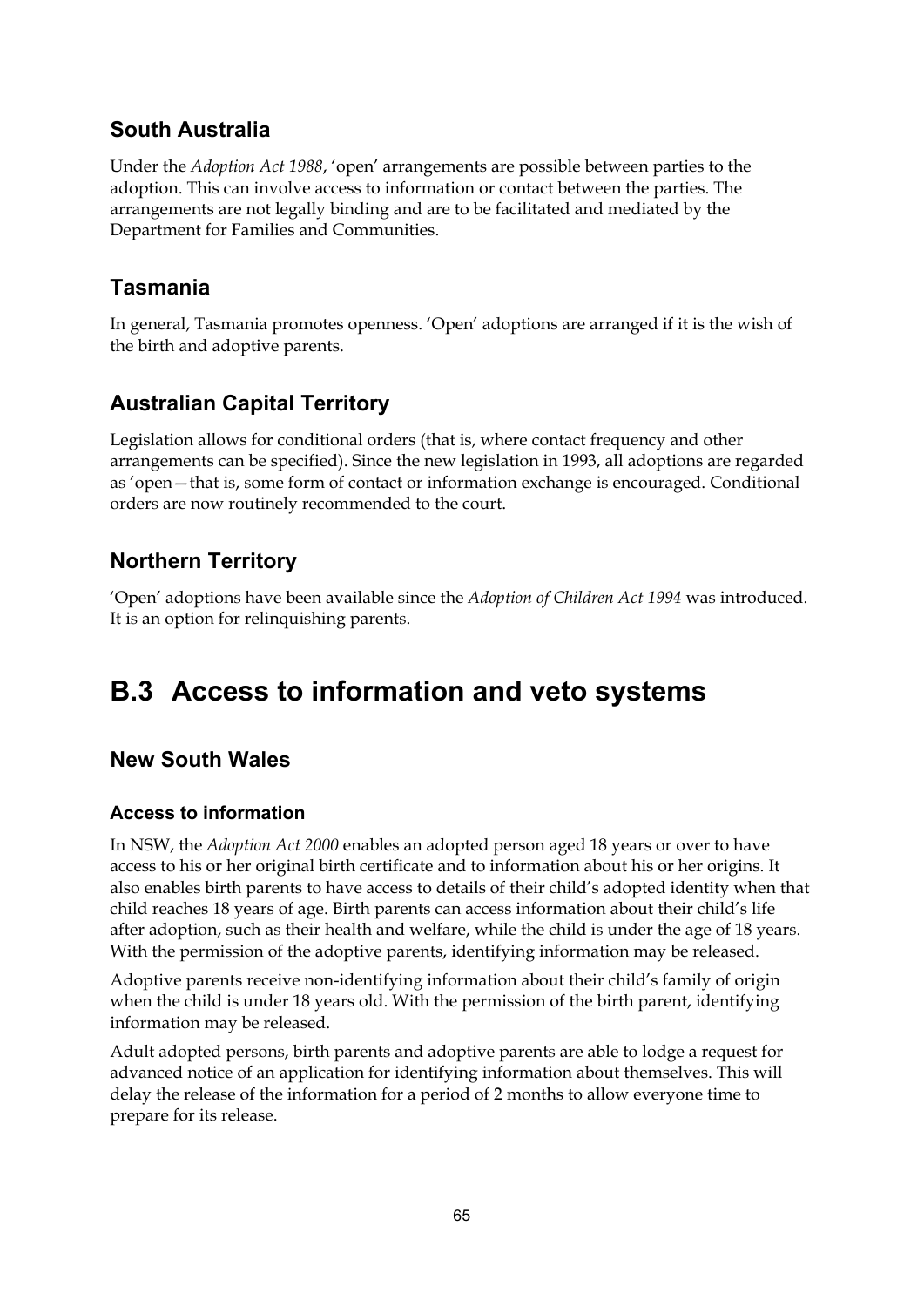# **South Australia**

Under the *Adoption Act 1988*, 'open' arrangements are possible between parties to the adoption. This can involve access to information or contact between the parties. The arrangements are not legally binding and are to be facilitated and mediated by the Department for Families and Communities.

# **Tasmania**

In general, Tasmania promotes openness. 'Open' adoptions are arranged if it is the wish of the birth and adoptive parents.

# **Australian Capital Territory**

Legislation allows for conditional orders (that is, where contact frequency and other arrangements can be specified). Since the new legislation in 1993, all adoptions are regarded as 'open—that is, some form of contact or information exchange is encouraged. Conditional orders are now routinely recommended to the court.

# **Northern Territory**

'Open' adoptions have been available since the *Adoption of Children Act 1994* was introduced. It is an option for relinquishing parents.

# **B.3 Access to information and veto systems**

# **New South Wales**

# **Access to information**

In NSW, the *Adoption Act 2000* enables an adopted person aged 18 years or over to have access to his or her original birth certificate and to information about his or her origins. It also enables birth parents to have access to details of their child's adopted identity when that child reaches 18 years of age. Birth parents can access information about their child's life after adoption, such as their health and welfare, while the child is under the age of 18 years. With the permission of the adoptive parents, identifying information may be released.

Adoptive parents receive non-identifying information about their child's family of origin when the child is under 18 years old. With the permission of the birth parent, identifying information may be released.

Adult adopted persons, birth parents and adoptive parents are able to lodge a request for advanced notice of an application for identifying information about themselves. This will delay the release of the information for a period of 2 months to allow everyone time to prepare for its release.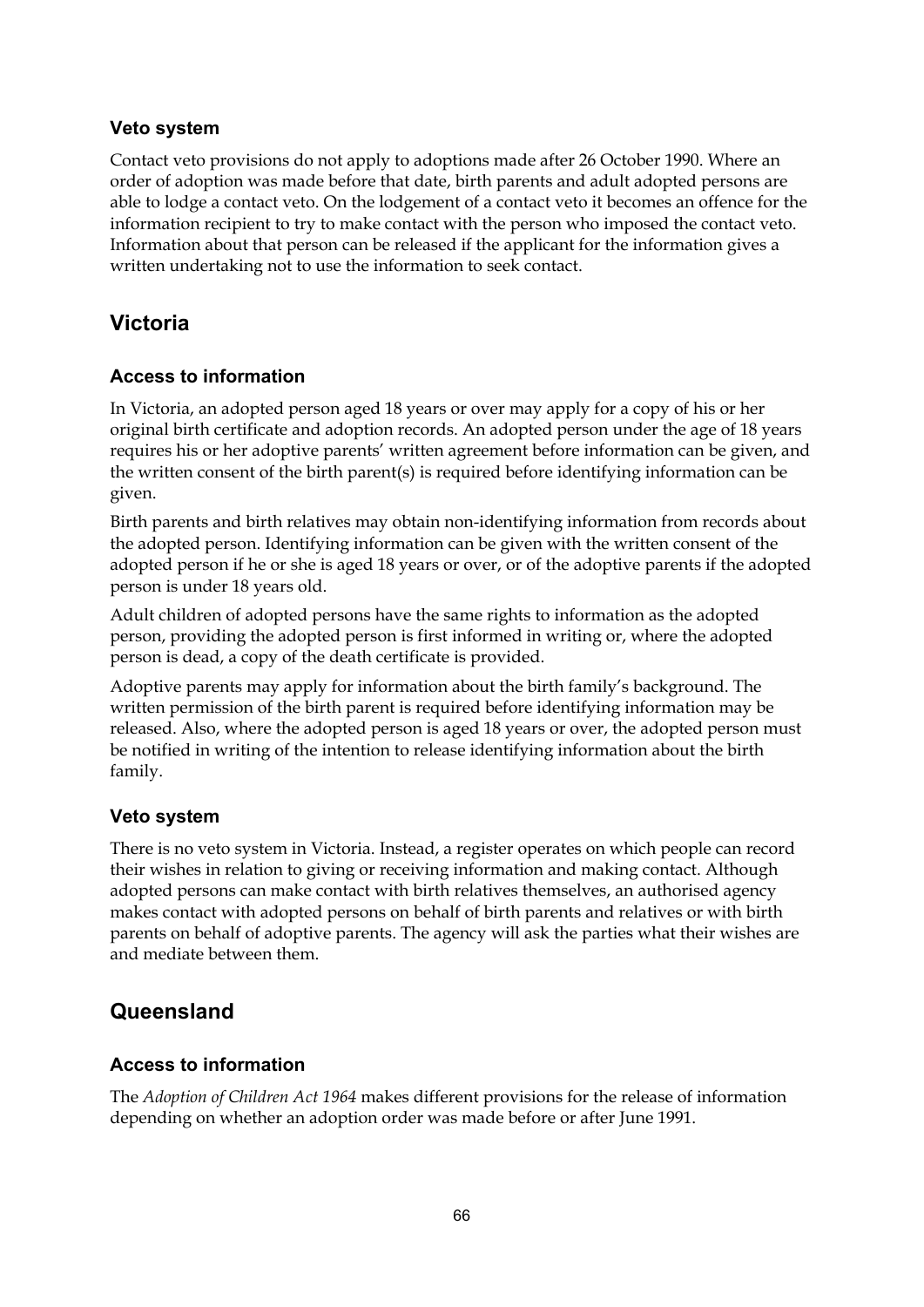### **Veto system**

Contact veto provisions do not apply to adoptions made after 26 October 1990. Where an order of adoption was made before that date, birth parents and adult adopted persons are able to lodge a contact veto. On the lodgement of a contact veto it becomes an offence for the information recipient to try to make contact with the person who imposed the contact veto. Information about that person can be released if the applicant for the information gives a written undertaking not to use the information to seek contact.

# **Victoria**

# **Access to information**

In Victoria, an adopted person aged 18 years or over may apply for a copy of his or her original birth certificate and adoption records. An adopted person under the age of 18 years requires his or her adoptive parents' written agreement before information can be given, and the written consent of the birth parent(s) is required before identifying information can be given.

Birth parents and birth relatives may obtain non-identifying information from records about the adopted person. Identifying information can be given with the written consent of the adopted person if he or she is aged 18 years or over, or of the adoptive parents if the adopted person is under 18 years old.

Adult children of adopted persons have the same rights to information as the adopted person, providing the adopted person is first informed in writing or, where the adopted person is dead, a copy of the death certificate is provided.

Adoptive parents may apply for information about the birth family's background. The written permission of the birth parent is required before identifying information may be released. Also, where the adopted person is aged 18 years or over, the adopted person must be notified in writing of the intention to release identifying information about the birth family.

# **Veto system**

There is no veto system in Victoria. Instead, a register operates on which people can record their wishes in relation to giving or receiving information and making contact. Although adopted persons can make contact with birth relatives themselves, an authorised agency makes contact with adopted persons on behalf of birth parents and relatives or with birth parents on behalf of adoptive parents. The agency will ask the parties what their wishes are and mediate between them.

# **Queensland**

# **Access to information**

The *Adoption of Children Act 1964* makes different provisions for the release of information depending on whether an adoption order was made before or after June 1991.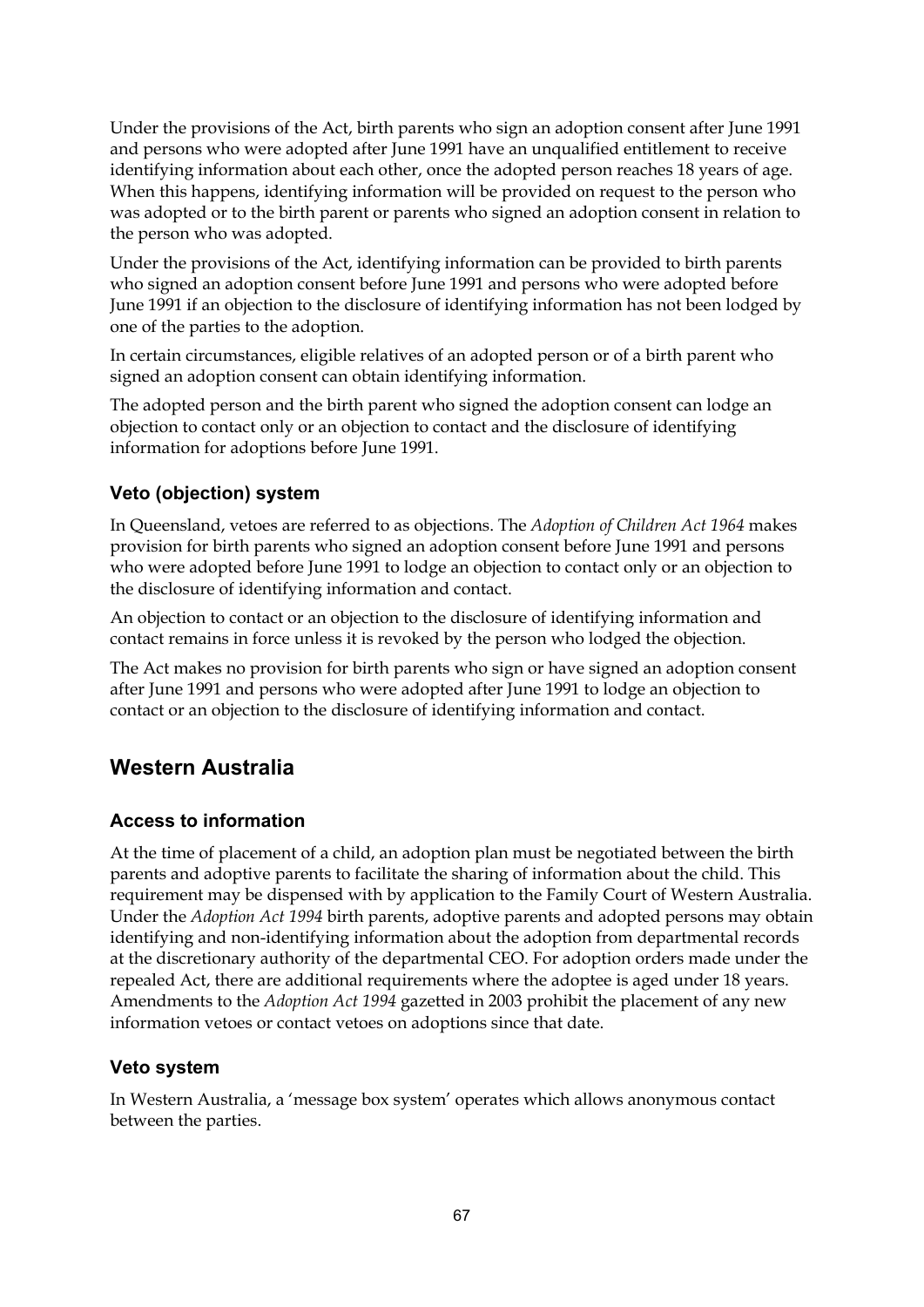Under the provisions of the Act, birth parents who sign an adoption consent after June 1991 and persons who were adopted after June 1991 have an unqualified entitlement to receive identifying information about each other, once the adopted person reaches 18 years of age. When this happens, identifying information will be provided on request to the person who was adopted or to the birth parent or parents who signed an adoption consent in relation to the person who was adopted.

Under the provisions of the Act, identifying information can be provided to birth parents who signed an adoption consent before June 1991 and persons who were adopted before June 1991 if an objection to the disclosure of identifying information has not been lodged by one of the parties to the adoption.

In certain circumstances, eligible relatives of an adopted person or of a birth parent who signed an adoption consent can obtain identifying information.

The adopted person and the birth parent who signed the adoption consent can lodge an objection to contact only or an objection to contact and the disclosure of identifying information for adoptions before June 1991.

#### **Veto (objection) system**

In Queensland, vetoes are referred to as objections. The *Adoption of Children Act 1964* makes provision for birth parents who signed an adoption consent before June 1991 and persons who were adopted before June 1991 to lodge an objection to contact only or an objection to the disclosure of identifying information and contact.

An objection to contact or an objection to the disclosure of identifying information and contact remains in force unless it is revoked by the person who lodged the objection.

The Act makes no provision for birth parents who sign or have signed an adoption consent after June 1991 and persons who were adopted after June 1991 to lodge an objection to contact or an objection to the disclosure of identifying information and contact.

### **Western Australia**

#### **Access to information**

At the time of placement of a child, an adoption plan must be negotiated between the birth parents and adoptive parents to facilitate the sharing of information about the child. This requirement may be dispensed with by application to the Family Court of Western Australia. Under the *Adoption Act 1994* birth parents, adoptive parents and adopted persons may obtain identifying and non-identifying information about the adoption from departmental records at the discretionary authority of the departmental CEO. For adoption orders made under the repealed Act, there are additional requirements where the adoptee is aged under 18 years. Amendments to the *Adoption Act 1994* gazetted in 2003 prohibit the placement of any new information vetoes or contact vetoes on adoptions since that date.

#### **Veto system**

In Western Australia, a 'message box system' operates which allows anonymous contact between the parties.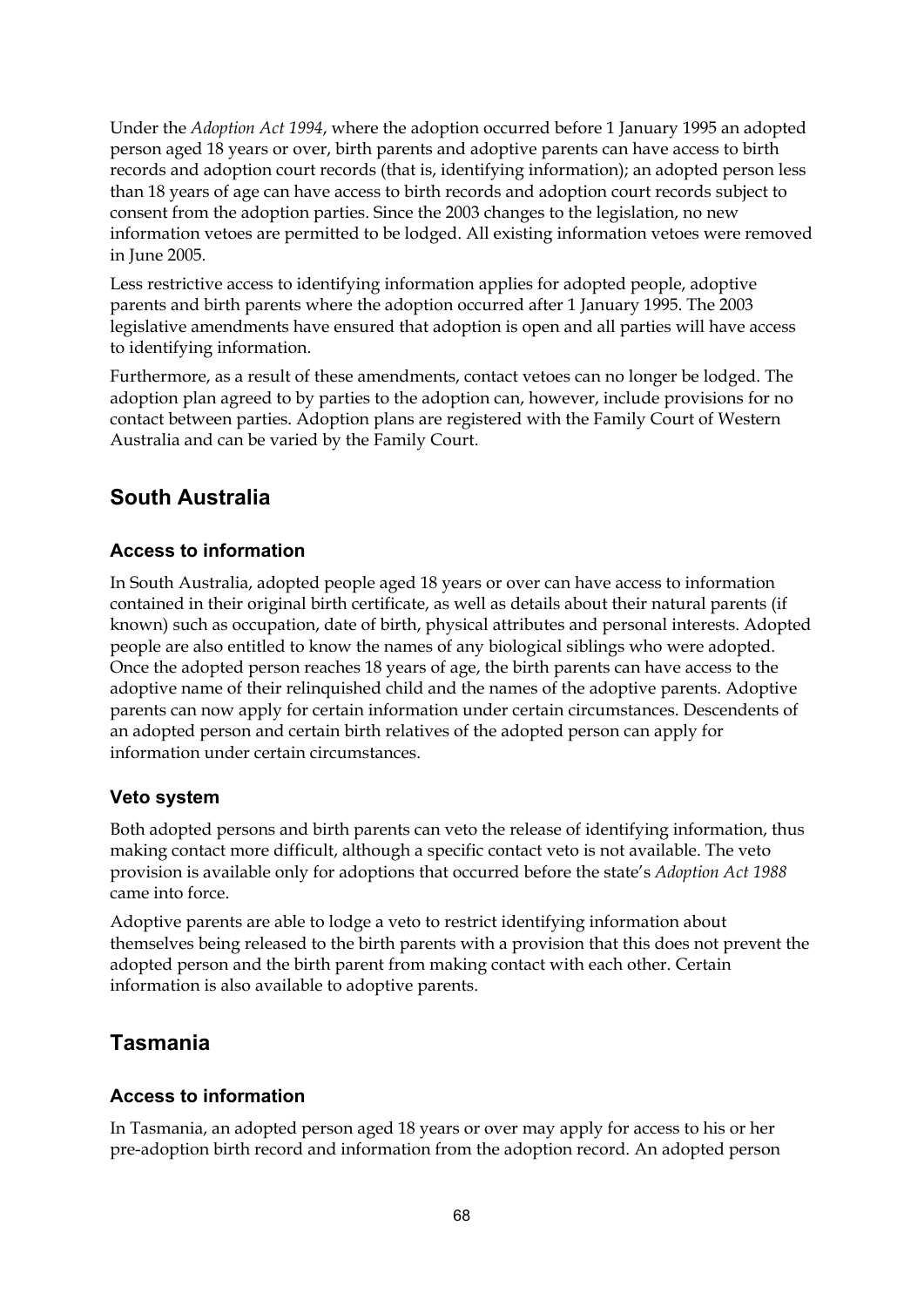Under the *Adoption Act 1994*, where the adoption occurred before 1 January 1995 an adopted person aged 18 years or over, birth parents and adoptive parents can have access to birth records and adoption court records (that is, identifying information); an adopted person less than 18 years of age can have access to birth records and adoption court records subject to consent from the adoption parties. Since the 2003 changes to the legislation, no new information vetoes are permitted to be lodged. All existing information vetoes were removed in June 2005.

Less restrictive access to identifying information applies for adopted people, adoptive parents and birth parents where the adoption occurred after 1 January 1995. The 2003 legislative amendments have ensured that adoption is open and all parties will have access to identifying information.

Furthermore, as a result of these amendments, contact vetoes can no longer be lodged. The adoption plan agreed to by parties to the adoption can, however, include provisions for no contact between parties. Adoption plans are registered with the Family Court of Western Australia and can be varied by the Family Court.

## **South Australia**

#### **Access to information**

In South Australia, adopted people aged 18 years or over can have access to information contained in their original birth certificate, as well as details about their natural parents (if known) such as occupation, date of birth, physical attributes and personal interests. Adopted people are also entitled to know the names of any biological siblings who were adopted. Once the adopted person reaches 18 years of age, the birth parents can have access to the adoptive name of their relinquished child and the names of the adoptive parents. Adoptive parents can now apply for certain information under certain circumstances. Descendents of an adopted person and certain birth relatives of the adopted person can apply for information under certain circumstances.

#### **Veto system**

Both adopted persons and birth parents can veto the release of identifying information, thus making contact more difficult, although a specific contact veto is not available. The veto provision is available only for adoptions that occurred before the state's *Adoption Act 1988* came into force.

Adoptive parents are able to lodge a veto to restrict identifying information about themselves being released to the birth parents with a provision that this does not prevent the adopted person and the birth parent from making contact with each other. Certain information is also available to adoptive parents.

### **Tasmania**

#### **Access to information**

In Tasmania, an adopted person aged 18 years or over may apply for access to his or her pre-adoption birth record and information from the adoption record. An adopted person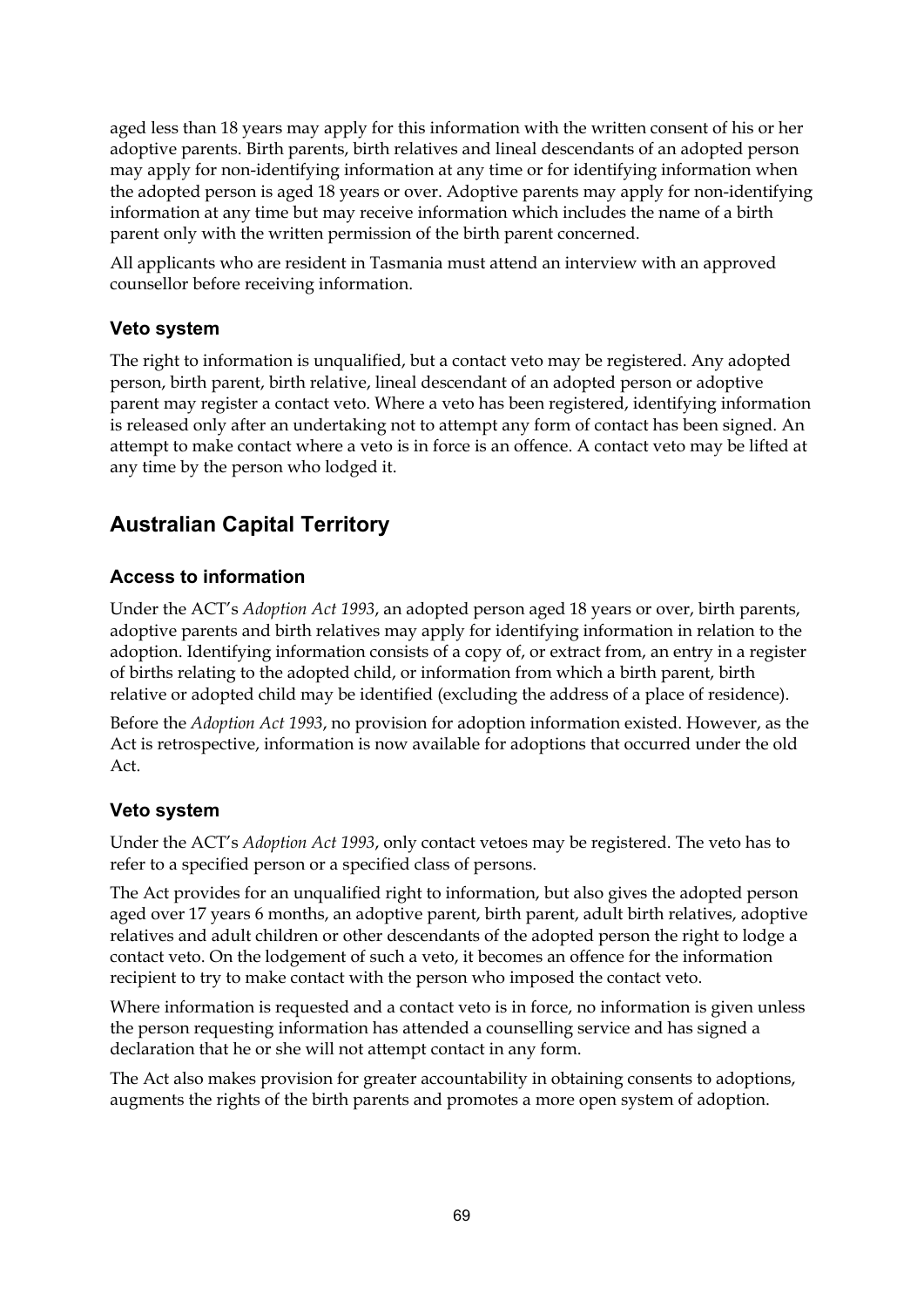aged less than 18 years may apply for this information with the written consent of his or her adoptive parents. Birth parents, birth relatives and lineal descendants of an adopted person may apply for non-identifying information at any time or for identifying information when the adopted person is aged 18 years or over. Adoptive parents may apply for non-identifying information at any time but may receive information which includes the name of a birth parent only with the written permission of the birth parent concerned.

All applicants who are resident in Tasmania must attend an interview with an approved counsellor before receiving information.

#### **Veto system**

The right to information is unqualified, but a contact veto may be registered. Any adopted person, birth parent, birth relative, lineal descendant of an adopted person or adoptive parent may register a contact veto. Where a veto has been registered, identifying information is released only after an undertaking not to attempt any form of contact has been signed. An attempt to make contact where a veto is in force is an offence. A contact veto may be lifted at any time by the person who lodged it.

## **Australian Capital Territory**

#### **Access to information**

Under the ACT's *Adoption Act 1993*, an adopted person aged 18 years or over, birth parents, adoptive parents and birth relatives may apply for identifying information in relation to the adoption. Identifying information consists of a copy of, or extract from, an entry in a register of births relating to the adopted child, or information from which a birth parent, birth relative or adopted child may be identified (excluding the address of a place of residence).

Before the *Adoption Act 1993*, no provision for adoption information existed. However, as the Act is retrospective, information is now available for adoptions that occurred under the old Act.

#### **Veto system**

Under the ACT's *Adoption Act 1993*, only contact vetoes may be registered. The veto has to refer to a specified person or a specified class of persons.

The Act provides for an unqualified right to information, but also gives the adopted person aged over 17 years 6 months, an adoptive parent, birth parent, adult birth relatives, adoptive relatives and adult children or other descendants of the adopted person the right to lodge a contact veto. On the lodgement of such a veto, it becomes an offence for the information recipient to try to make contact with the person who imposed the contact veto.

Where information is requested and a contact veto is in force, no information is given unless the person requesting information has attended a counselling service and has signed a declaration that he or she will not attempt contact in any form.

The Act also makes provision for greater accountability in obtaining consents to adoptions, augments the rights of the birth parents and promotes a more open system of adoption.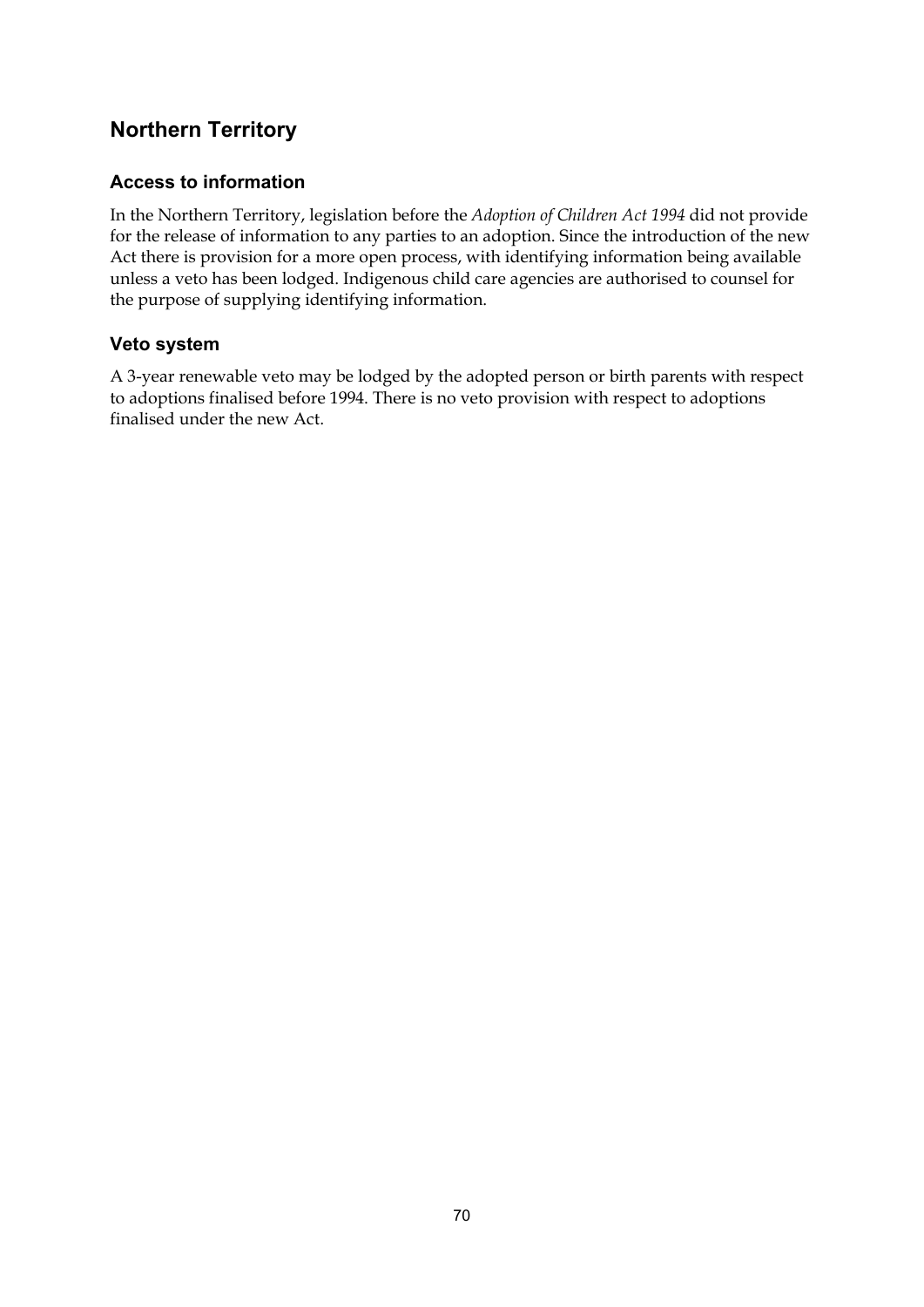## **Northern Territory**

#### **Access to information**

In the Northern Territory, legislation before the *Adoption of Children Act 1994* did not provide for the release of information to any parties to an adoption. Since the introduction of the new Act there is provision for a more open process, with identifying information being available unless a veto has been lodged. Indigenous child care agencies are authorised to counsel for the purpose of supplying identifying information.

#### **Veto system**

A 3-year renewable veto may be lodged by the adopted person or birth parents with respect to adoptions finalised before 1994. There is no veto provision with respect to adoptions finalised under the new Act.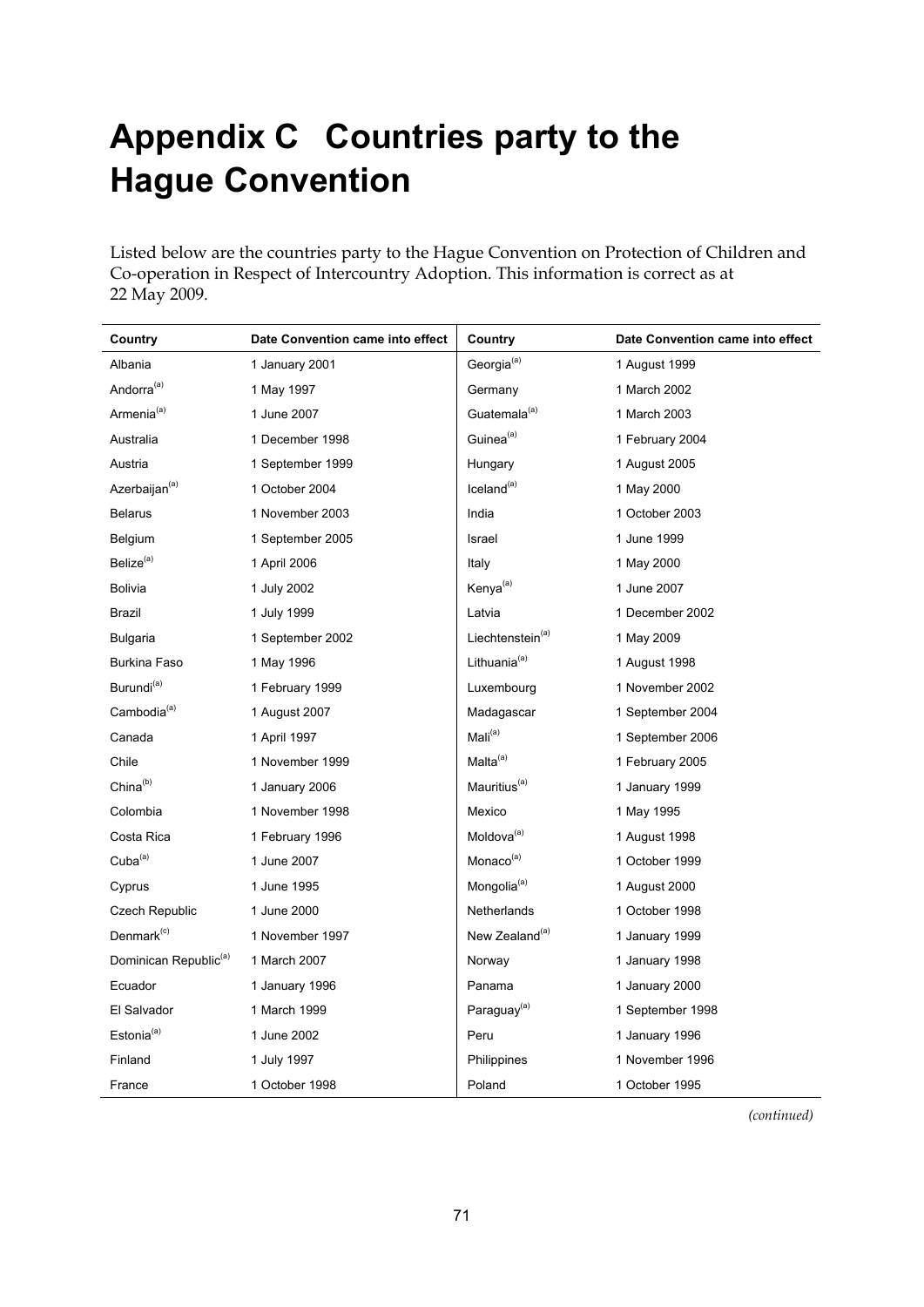## **Appendix C Countries party to the Hague Convention**

Listed below are the countries party to the Hague Convention on Protection of Children and Co-operation in Respect of Intercountry Adoption. This information is correct as at 22 May 2009.

| Country                           | Date Convention came into effect | Country                      | Date Convention came into effect |
|-----------------------------------|----------------------------------|------------------------------|----------------------------------|
| Albania                           | 1 January 2001                   | Georgia <sup>(a)</sup>       | 1 August 1999                    |
| Andorra <sup>(a)</sup>            | 1 May 1997                       | Germany                      | 1 March 2002                     |
| Armenia <sup>(a)</sup>            | 1 June 2007                      | Guatemala <sup>(a)</sup>     | 1 March 2003                     |
| Australia                         | 1 December 1998                  | Guinea <sup>(a)</sup>        | 1 February 2004                  |
| Austria                           | 1 September 1999                 | Hungary                      | 1 August 2005                    |
| Azerbaijan <sup>(a)</sup>         | 1 October 2004                   | $I$ celand $(a)$             | 1 May 2000                       |
| <b>Belarus</b>                    | 1 November 2003                  | India                        | 1 October 2003                   |
| Belgium                           | 1 September 2005                 | Israel                       | 1 June 1999                      |
| Belize <sup>(a)</sup>             | 1 April 2006                     | Italy                        | 1 May 2000                       |
| <b>Bolivia</b>                    | 1 July 2002                      | Kenya <sup>(a)</sup>         | 1 June 2007                      |
| Brazil                            | 1 July 1999                      | Latvia                       | 1 December 2002                  |
| <b>Bulgaria</b>                   | 1 September 2002                 | Liechtenstein <sup>(a)</sup> | 1 May 2009                       |
| Burkina Faso                      | 1 May 1996                       | Lithuania <sup>(a)</sup>     | 1 August 1998                    |
| Burundi <sup>(a)</sup>            | 1 February 1999                  | Luxembourg                   | 1 November 2002                  |
| Cambodia <sup>(a)</sup>           | 1 August 2007                    | Madagascar                   | 1 September 2004                 |
| Canada                            | 1 April 1997                     | Mali <sup>(a)</sup>          | 1 September 2006                 |
| Chile                             | 1 November 1999                  | Malta <sup>(a)</sup>         | 1 February 2005                  |
| China <sup>(b)</sup>              | 1 January 2006                   | Mauritius <sup>(a)</sup>     | 1 January 1999                   |
| Colombia                          | 1 November 1998                  | Mexico                       | 1 May 1995                       |
| Costa Rica                        | 1 February 1996                  | Moldova <sup>(a)</sup>       | 1 August 1998                    |
| $Cuba^{(a)}$                      | 1 June 2007                      | Monaco <sup>(a)</sup>        | 1 October 1999                   |
| Cyprus                            | 1 June 1995                      | Mongolia <sup>(a)</sup>      | 1 August 2000                    |
| Czech Republic                    | 1 June 2000                      | Netherlands                  | 1 October 1998                   |
| Denmark <sup>(c)</sup>            | 1 November 1997                  | New Zealand <sup>(a)</sup>   | 1 January 1999                   |
| Dominican Republic <sup>(a)</sup> | 1 March 2007                     | Norway                       | 1 January 1998                   |
| Ecuador                           | 1 January 1996                   | Panama                       | 1 January 2000                   |
| El Salvador                       | 1 March 1999                     | Paraguay <sup>(a)</sup>      | 1 September 1998                 |
| Estonia <sup>(a)</sup>            | 1 June 2002                      | Peru                         | 1 January 1996                   |
| Finland                           | 1 July 1997                      | Philippines                  | 1 November 1996                  |
| France                            | 1 October 1998                   | Poland                       | 1 October 1995                   |

*(continued)*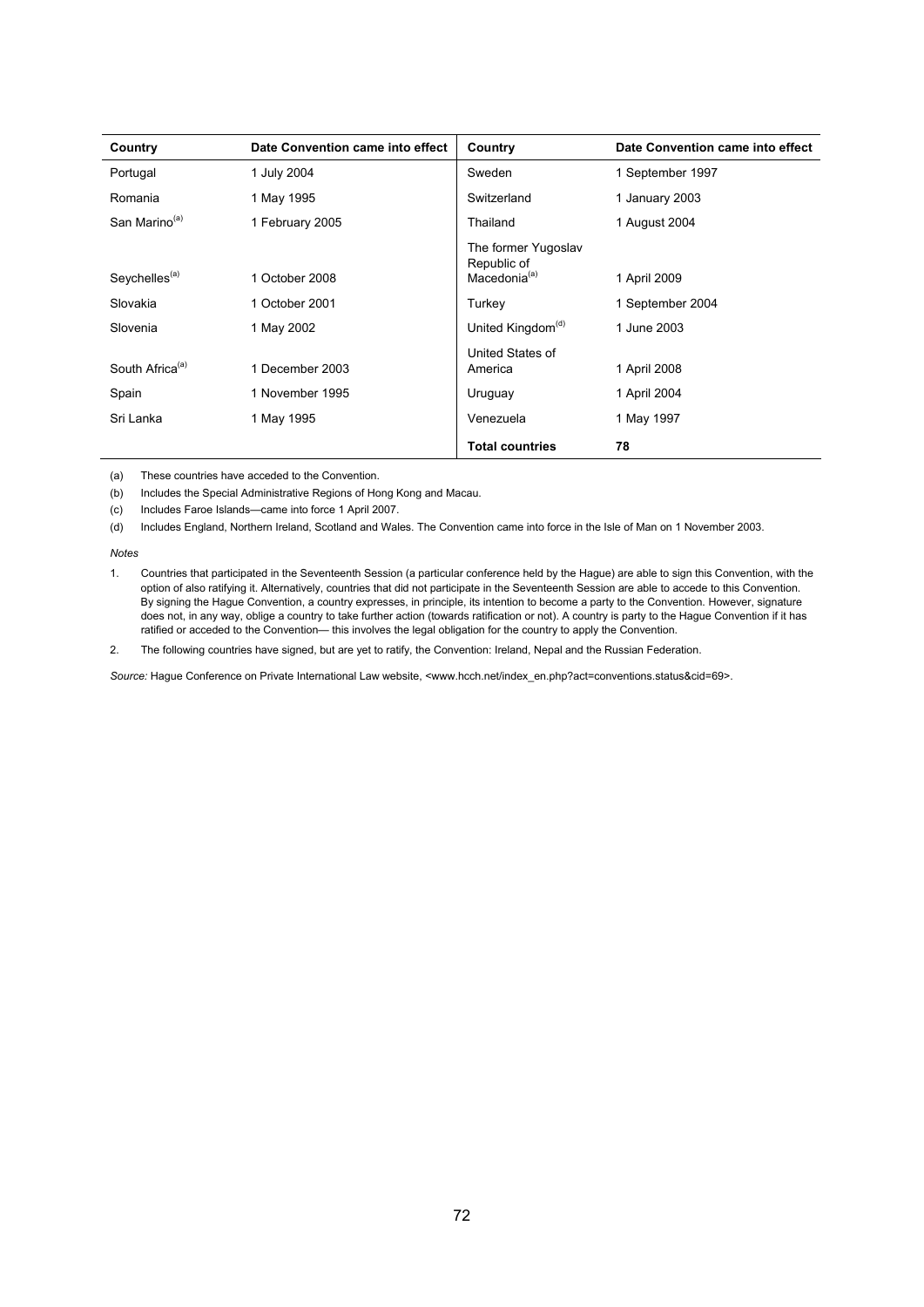| Country                     | Date Convention came into effect | Country                                               | Date Convention came into effect |
|-----------------------------|----------------------------------|-------------------------------------------------------|----------------------------------|
| Portugal                    | 1 July 2004                      | Sweden                                                | 1 September 1997                 |
| Romania                     | 1 May 1995                       | Switzerland                                           | 1 January 2003                   |
| San Marino <sup>(a)</sup>   | 1 February 2005                  | Thailand                                              | 1 August 2004                    |
| Seychelles <sup>(a)</sup>   | 1 October 2008                   | The former Yugoslav<br>Republic of<br>Macedonia $(a)$ | 1 April 2009                     |
| Slovakia                    | 1 October 2001                   |                                                       | 1 September 2004                 |
|                             |                                  | Turkey                                                |                                  |
| Slovenia                    | 1 May 2002                       | United Kingdom <sup>(d)</sup>                         | 1 June 2003                      |
| South Africa <sup>(a)</sup> | 1 December 2003                  | United States of<br>America                           | 1 April 2008                     |
| Spain                       | 1 November 1995                  | Uruguay                                               | 1 April 2004                     |
| Sri Lanka                   | 1 May 1995                       | Venezuela                                             | 1 May 1997                       |
|                             |                                  | <b>Total countries</b>                                | 78                               |

(a) These countries have acceded to the Convention.

(b) Includes the Special Administrative Regions of Hong Kong and Macau.

(c) Includes Faroe Islands—came into force 1 April 2007.

(d) Includes England, Northern Ireland, Scotland and Wales. The Convention came into force in the Isle of Man on 1 November 2003.

*Notes* 

1. Countries that participated in the Seventeenth Session (a particular conference held by the Hague) are able to sign this Convention, with the option of also ratifying it. Alternatively, countries that did not participate in the Seventeenth Session are able to accede to this Convention. By signing the Hague Convention, a country expresses, in principle, its intention to become a party to the Convention. However, signature does not, in any way, oblige a country to take further action (towards ratification or not). A country is party to the Hague Convention if it has ratified or acceded to the Convention— this involves the legal obligation for the country to apply the Convention.

2. The following countries have signed, but are yet to ratify, the Convention: Ireland, Nepal and the Russian Federation.

Source: Hague Conference on Private International Law website, <www.hcch.net/index\_en.php?act=conventions.status&cid=69>.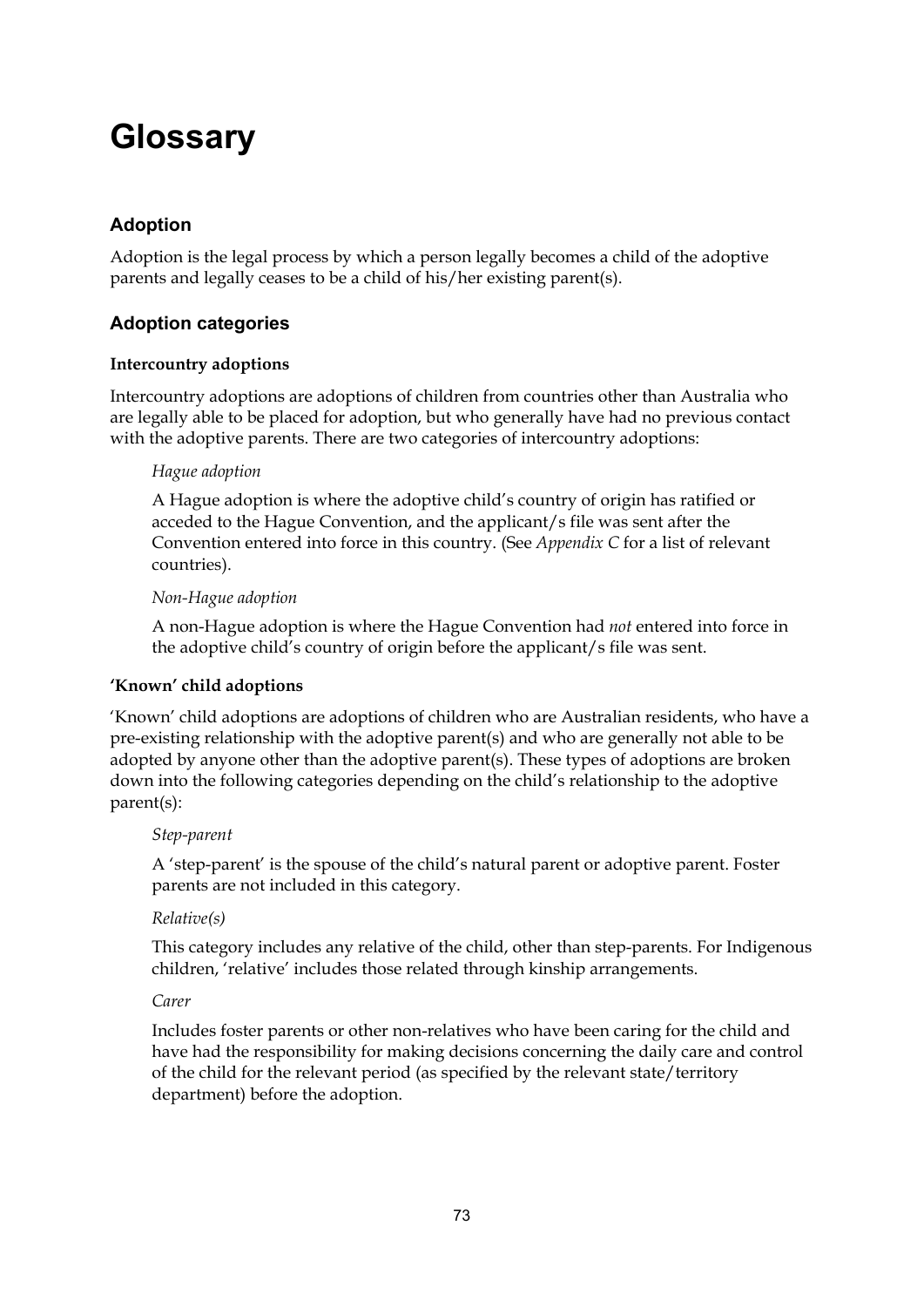## **Glossary**

### **Adoption**

Adoption is the legal process by which a person legally becomes a child of the adoptive parents and legally ceases to be a child of his/her existing parent(s).

#### **Adoption categories**

#### **Intercountry adoptions**

Intercountry adoptions are adoptions of children from countries other than Australia who are legally able to be placed for adoption, but who generally have had no previous contact with the adoptive parents. There are two categories of intercountry adoptions:

#### *Hague adoption*

A Hague adoption is where the adoptive child's country of origin has ratified or acceded to the Hague Convention, and the applicant/s file was sent after the Convention entered into force in this country. (See *Appendix C* for a list of relevant countries).

#### *Non-Hague adoption*

A non-Hague adoption is where the Hague Convention had *not* entered into force in the adoptive child's country of origin before the applicant/s file was sent.

#### **'Known' child adoptions**

'Known' child adoptions are adoptions of children who are Australian residents, who have a pre-existing relationship with the adoptive parent(s) and who are generally not able to be adopted by anyone other than the adoptive parent(s). These types of adoptions are broken down into the following categories depending on the child's relationship to the adoptive parent(s):

#### *Step-parent*

A 'step-parent' is the spouse of the child's natural parent or adoptive parent. Foster parents are not included in this category.

#### *Relative(s)*

This category includes any relative of the child, other than step-parents. For Indigenous children, 'relative' includes those related through kinship arrangements.

#### *Carer*

Includes foster parents or other non-relatives who have been caring for the child and have had the responsibility for making decisions concerning the daily care and control of the child for the relevant period (as specified by the relevant state/territory department) before the adoption.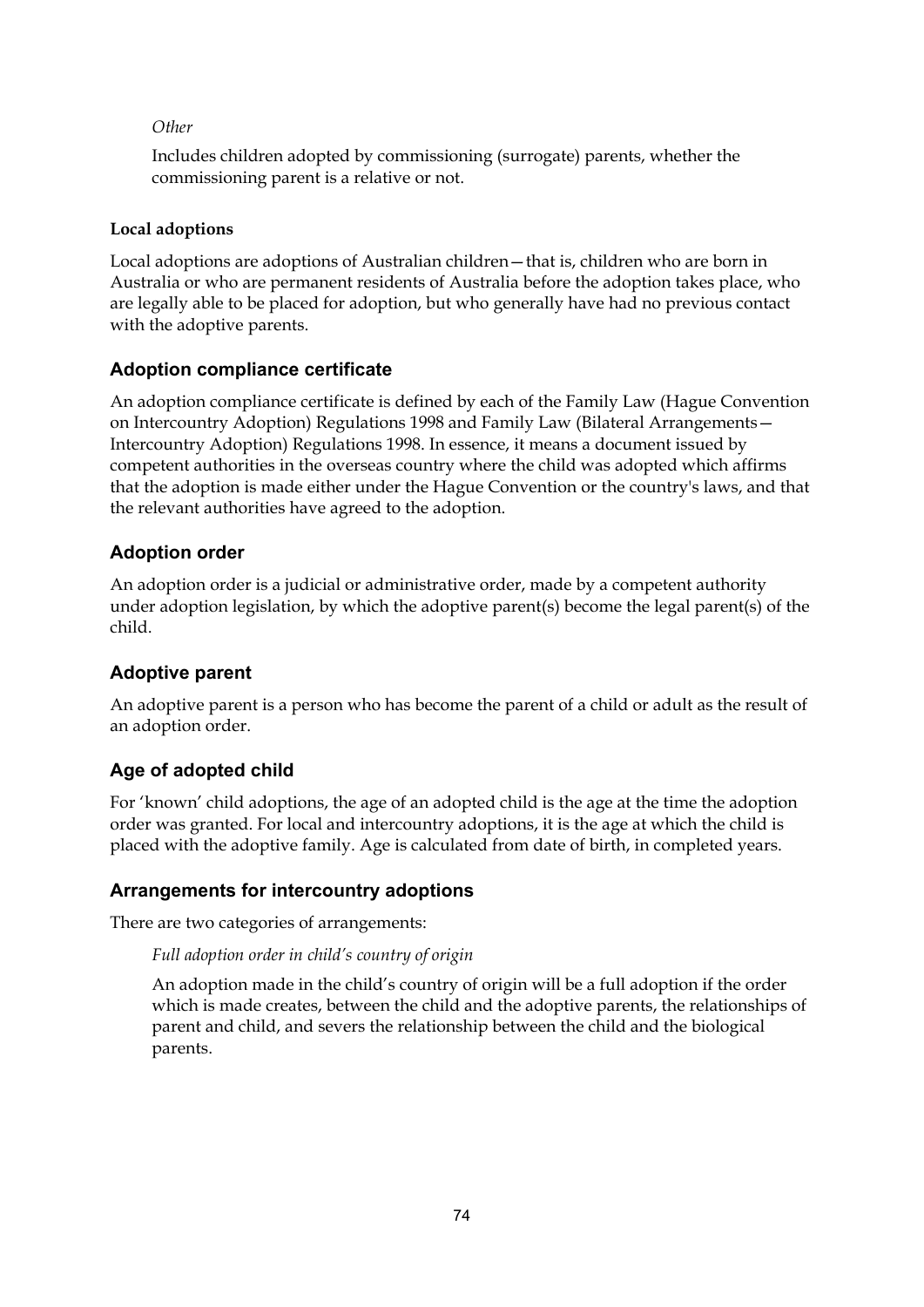#### *Other*

Includes children adopted by commissioning (surrogate) parents, whether the commissioning parent is a relative or not.

#### **Local adoptions**

Local adoptions are adoptions of Australian children—that is, children who are born in Australia or who are permanent residents of Australia before the adoption takes place, who are legally able to be placed for adoption, but who generally have had no previous contact with the adoptive parents.

#### **Adoption compliance certificate**

An adoption compliance certificate is defined by each of the Family Law (Hague Convention on Intercountry Adoption) Regulations 1998 and Family Law (Bilateral Arrangements— Intercountry Adoption) Regulations 1998. In essence, it means a document issued by competent authorities in the overseas country where the child was adopted which affirms that the adoption is made either under the Hague Convention or the country's laws, and that the relevant authorities have agreed to the adoption.

#### **Adoption order**

An adoption order is a judicial or administrative order, made by a competent authority under adoption legislation, by which the adoptive parent(s) become the legal parent(s) of the child.

#### **Adoptive parent**

An adoptive parent is a person who has become the parent of a child or adult as the result of an adoption order.

#### **Age of adopted child**

For 'known' child adoptions, the age of an adopted child is the age at the time the adoption order was granted. For local and intercountry adoptions, it is the age at which the child is placed with the adoptive family. Age is calculated from date of birth, in completed years.

#### **Arrangements for intercountry adoptions**

There are two categories of arrangements:

#### *Full adoption order in child's country of origin*

An adoption made in the child's country of origin will be a full adoption if the order which is made creates, between the child and the adoptive parents, the relationships of parent and child, and severs the relationship between the child and the biological parents.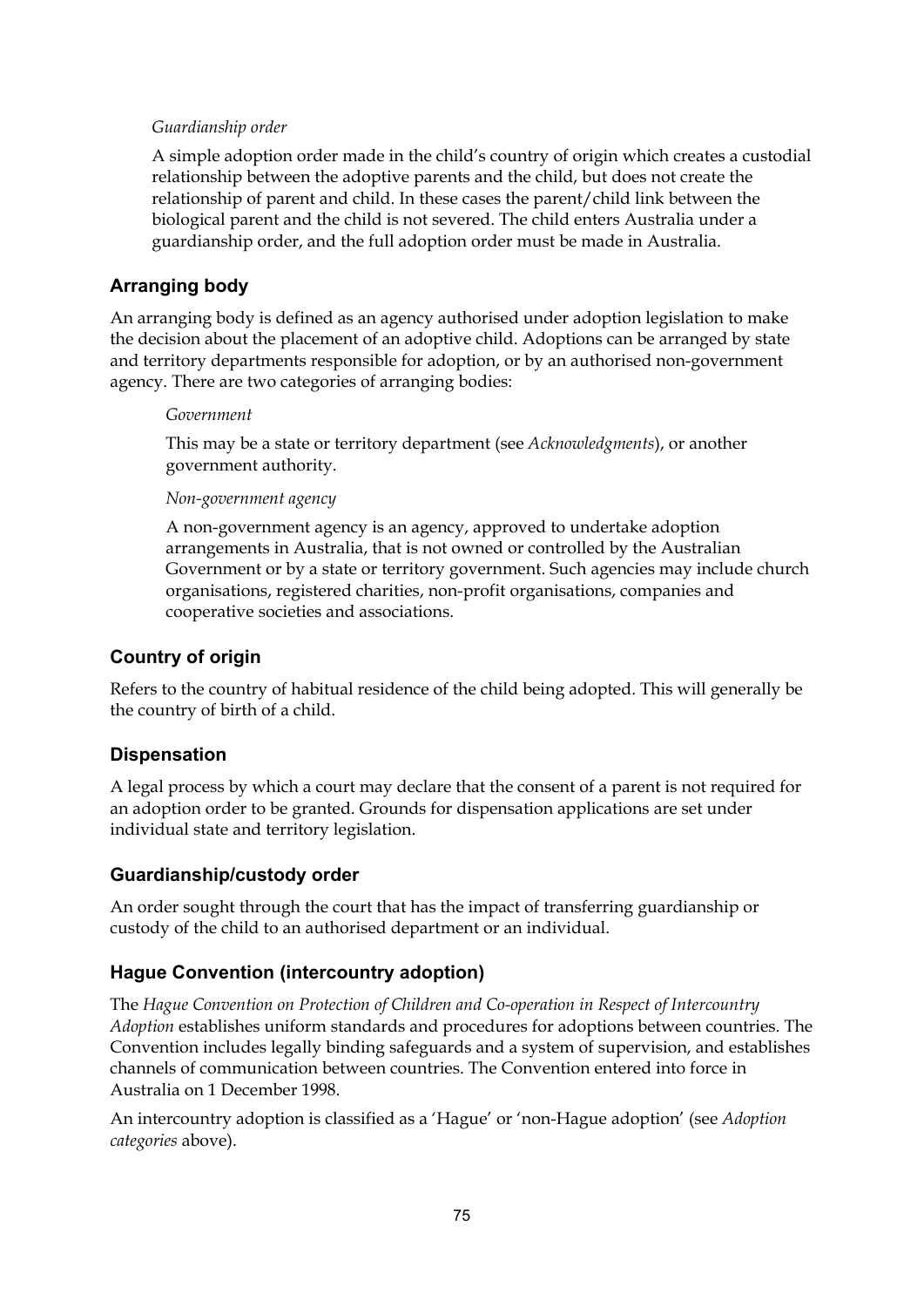#### *Guardianship order*

A simple adoption order made in the child's country of origin which creates a custodial relationship between the adoptive parents and the child, but does not create the relationship of parent and child. In these cases the parent/child link between the biological parent and the child is not severed. The child enters Australia under a guardianship order, and the full adoption order must be made in Australia.

#### **Arranging body**

An arranging body is defined as an agency authorised under adoption legislation to make the decision about the placement of an adoptive child. Adoptions can be arranged by state and territory departments responsible for adoption, or by an authorised non-government agency. There are two categories of arranging bodies:

#### *Government*

This may be a state or territory department (see *Acknowledgments*), or another government authority.

#### *Non-government agency*

A non-government agency is an agency, approved to undertake adoption arrangements in Australia, that is not owned or controlled by the Australian Government or by a state or territory government. Such agencies may include church organisations, registered charities, non-profit organisations, companies and cooperative societies and associations.

#### **Country of origin**

Refers to the country of habitual residence of the child being adopted. This will generally be the country of birth of a child.

#### **Dispensation**

A legal process by which a court may declare that the consent of a parent is not required for an adoption order to be granted. Grounds for dispensation applications are set under individual state and territory legislation.

#### **Guardianship/custody order**

An order sought through the court that has the impact of transferring guardianship or custody of the child to an authorised department or an individual.

#### **Hague Convention (intercountry adoption)**

The *Hague Convention on Protection of Children and Co-operation in Respect of Intercountry Adoption* establishes uniform standards and procedures for adoptions between countries. The Convention includes legally binding safeguards and a system of supervision, and establishes channels of communication between countries. The Convention entered into force in Australia on 1 December 1998.

An intercountry adoption is classified as a 'Hague' or 'non-Hague adoption' (see *Adoption categories* above).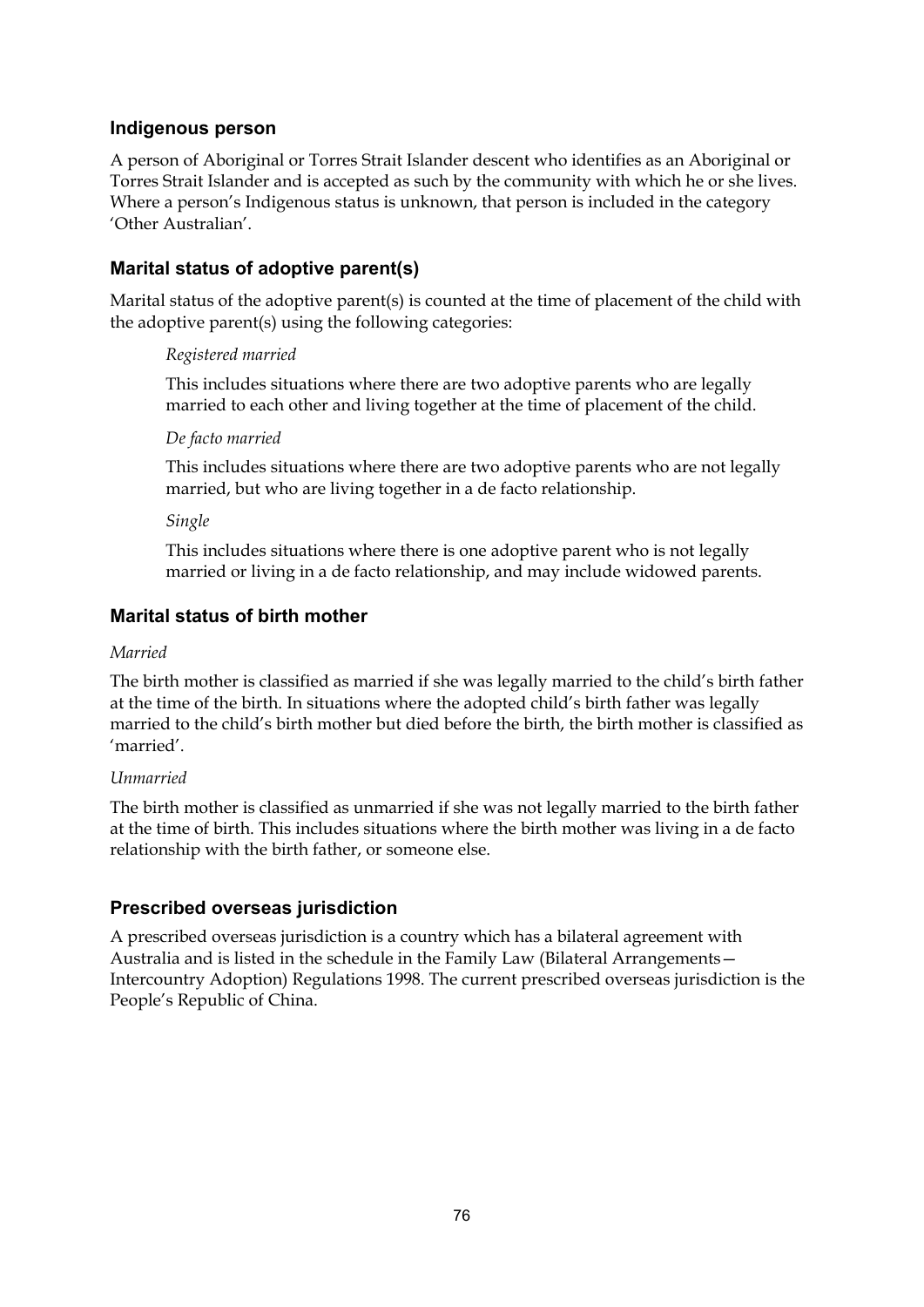#### **Indigenous person**

A person of Aboriginal or Torres Strait Islander descent who identifies as an Aboriginal or Torres Strait Islander and is accepted as such by the community with which he or she lives. Where a person's Indigenous status is unknown, that person is included in the category 'Other Australian'.

#### **Marital status of adoptive parent(s)**

Marital status of the adoptive parent(s) is counted at the time of placement of the child with the adoptive parent(s) using the following categories:

#### *Registered married*

This includes situations where there are two adoptive parents who are legally married to each other and living together at the time of placement of the child.

#### *De facto married*

This includes situations where there are two adoptive parents who are not legally married, but who are living together in a de facto relationship.

*Single* 

This includes situations where there is one adoptive parent who is not legally married or living in a de facto relationship, and may include widowed parents.

#### **Marital status of birth mother**

#### *Married*

The birth mother is classified as married if she was legally married to the child's birth father at the time of the birth. In situations where the adopted child's birth father was legally married to the child's birth mother but died before the birth, the birth mother is classified as 'married'.

#### *Unmarried*

The birth mother is classified as unmarried if she was not legally married to the birth father at the time of birth. This includes situations where the birth mother was living in a de facto relationship with the birth father, or someone else.

#### **Prescribed overseas jurisdiction**

A prescribed overseas jurisdiction is a country which has a bilateral agreement with Australia and is listed in the schedule in the Family Law (Bilateral Arrangements— Intercountry Adoption) Regulations 1998. The current prescribed overseas jurisdiction is the People's Republic of China.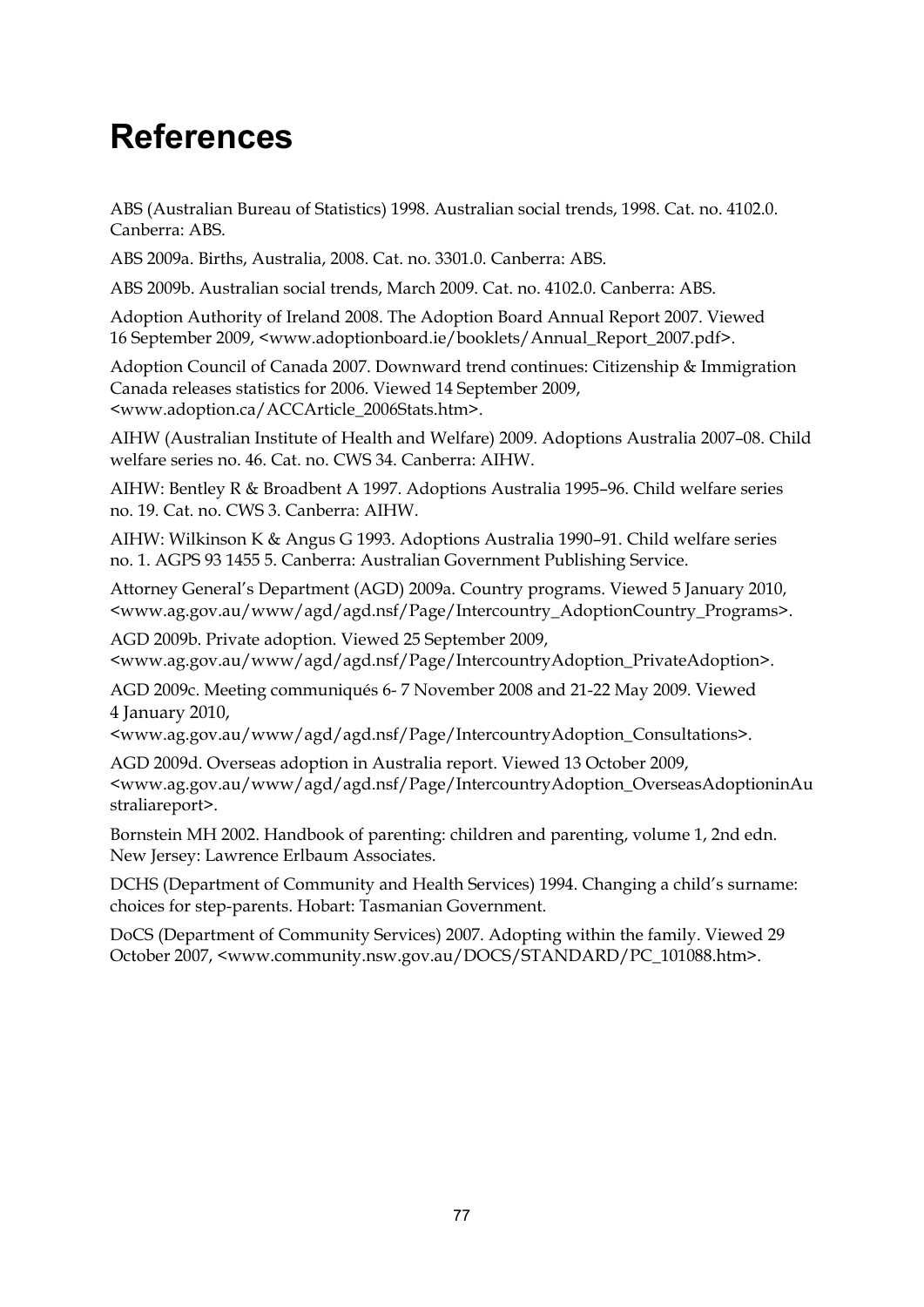## **References**

ABS (Australian Bureau of Statistics) 1998. Australian social trends, 1998. Cat. no. 4102.0. Canberra: ABS.

ABS 2009a. Births, Australia, 2008. Cat. no. 3301.0. Canberra: ABS.

ABS 2009b. Australian social trends, March 2009. Cat. no. 4102.0. Canberra: ABS.

Adoption Authority of Ireland 2008. The Adoption Board Annual Report 2007. Viewed 16 September 2009, <www.adoptionboard.ie/booklets/Annual\_Report\_2007.pdf>.

Adoption Council of Canada 2007. Downward trend continues: Citizenship & Immigration Canada releases statistics for 2006. Viewed 14 September 2009, <www.adoption.ca/ACCArticle\_2006Stats.htm>.

AIHW (Australian Institute of Health and Welfare) 2009. Adoptions Australia 2007–08. Child welfare series no. 46. Cat. no. CWS 34. Canberra: AIHW.

AIHW: Bentley R & Broadbent A 1997. Adoptions Australia 1995–96. Child welfare series no. 19. Cat. no. CWS 3. Canberra: AIHW.

AIHW: Wilkinson K & Angus G 1993. Adoptions Australia 1990–91. Child welfare series no. 1. AGPS 93 1455 5. Canberra: Australian Government Publishing Service.

Attorney General's Department (AGD) 2009a. Country programs. Viewed 5 January 2010, <www.ag.gov.au/www/agd/agd.nsf/Page/Intercountry\_AdoptionCountry\_Programs>.

AGD 2009b. Private adoption. Viewed 25 September 2009, <www.ag.gov.au/www/agd/agd.nsf/Page/IntercountryAdoption\_PrivateAdoption>.

AGD 2009c. Meeting communiqués 6- 7 November 2008 and 21-22 May 2009. Viewed 4 January 2010,

<www.ag.gov.au/www/agd/agd.nsf/Page/IntercountryAdoption\_Consultations>.

AGD 2009d. Overseas adoption in Australia report. Viewed 13 October 2009, <www.ag.gov.au/www/agd/agd.nsf/Page/IntercountryAdoption\_OverseasAdoptioninAu straliareport>.

Bornstein MH 2002. Handbook of parenting: children and parenting, volume 1, 2nd edn. New Jersey: Lawrence Erlbaum Associates.

DCHS (Department of Community and Health Services) 1994. Changing a child's surname: choices for step-parents. Hobart: Tasmanian Government.

DoCS (Department of Community Services) 2007. Adopting within the family. Viewed 29 October 2007, <www.community.nsw.gov.au/DOCS/STANDARD/PC\_101088.htm>.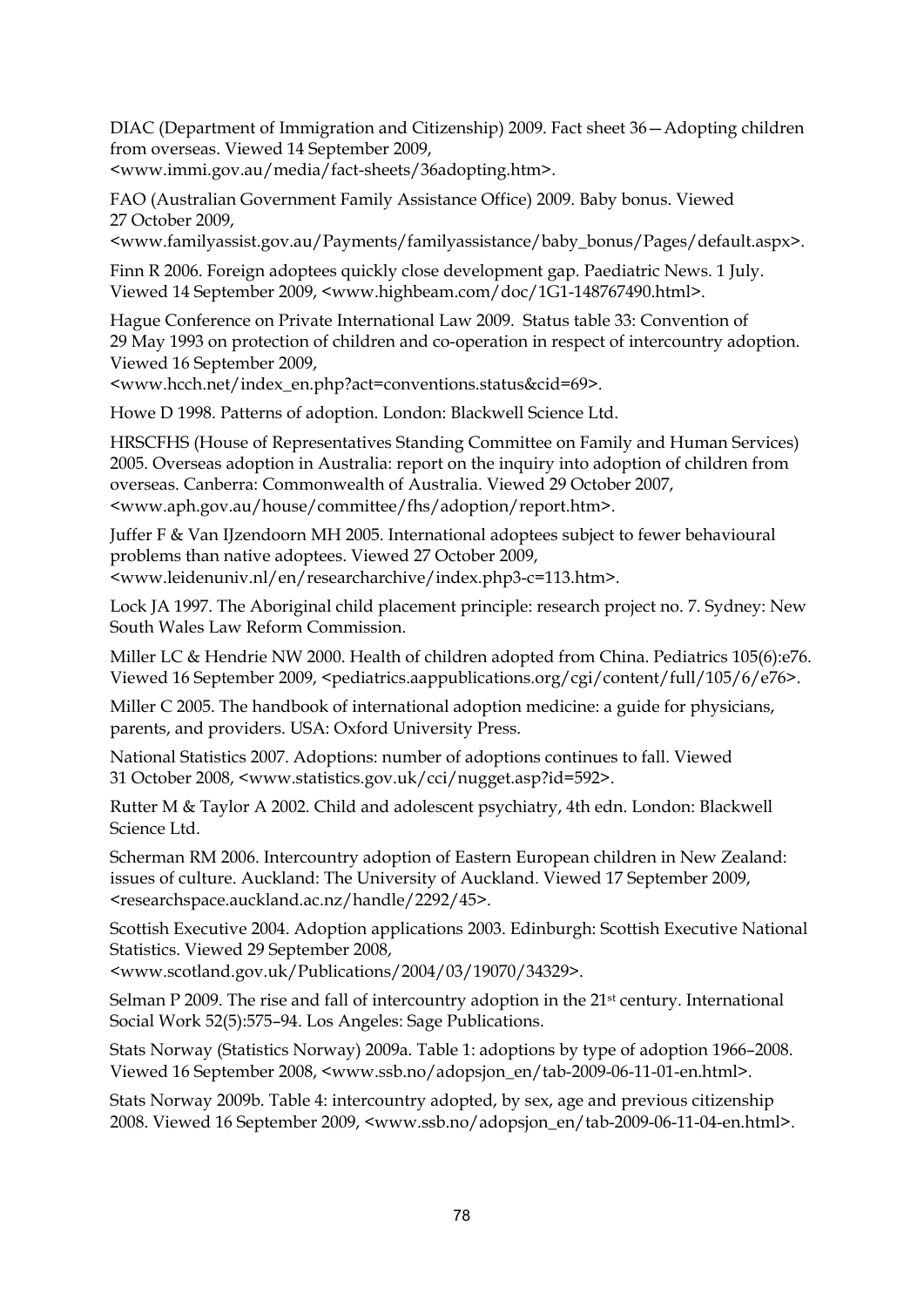DIAC (Department of Immigration and Citizenship) 2009. Fact sheet 36—Adopting children from overseas. Viewed 14 September 2009,

<www.immi.gov.au/media/fact-sheets/36adopting.htm>.

FAO (Australian Government Family Assistance Office) 2009. Baby bonus. Viewed 27 October 2009,

<www.familyassist.gov.au/Payments/familyassistance/baby\_bonus/Pages/default.aspx>.

Finn R 2006. Foreign adoptees quickly close development gap. Paediatric News. 1 July. Viewed 14 September 2009, <www.highbeam.com/doc/1G1-148767490.html>.

Hague Conference on Private International Law 2009. Status table 33: Convention of 29 May 1993 on protection of children and co-operation in respect of intercountry adoption. Viewed 16 September 2009,

<www.hcch.net/index\_en.php?act=conventions.status&cid=69>.

Howe D 1998. Patterns of adoption. London: Blackwell Science Ltd.

HRSCFHS (House of Representatives Standing Committee on Family and Human Services) 2005. Overseas adoption in Australia: report on the inquiry into adoption of children from overseas. Canberra: Commonwealth of Australia. Viewed 29 October 2007, <www.aph.gov.au/house/committee/fhs/adoption/report.htm>.

Juffer F & Van IJzendoorn MH 2005. International adoptees subject to fewer behavioural problems than native adoptees. Viewed 27 October 2009, <www.leidenuniv.nl/en/researcharchive/index.php3-c=113.htm>.

Lock JA 1997. The Aboriginal child placement principle: research project no. 7. Sydney: New South Wales Law Reform Commission.

Miller LC & Hendrie NW 2000. Health of children adopted from China. Pediatrics 105(6):e76. Viewed 16 September 2009, <pediatrics.aappublications.org/cgi/content/full/105/6/e76>.

Miller C 2005. The handbook of international adoption medicine: a guide for physicians, parents, and providers. USA: Oxford University Press.

National Statistics 2007. Adoptions: number of adoptions continues to fall. Viewed 31 October 2008, <www.statistics.gov.uk/cci/nugget.asp?id=592>.

Rutter M & Taylor A 2002. Child and adolescent psychiatry, 4th edn. London: Blackwell Science Ltd.

Scherman RM 2006. Intercountry adoption of Eastern European children in New Zealand: issues of culture. Auckland: The University of Auckland. Viewed 17 September 2009, <researchspace.auckland.ac.nz/handle/2292/45>.

Scottish Executive 2004. Adoption applications 2003. Edinburgh: Scottish Executive National Statistics. Viewed 29 September 2008,

<www.scotland.gov.uk/Publications/2004/03/19070/34329>.

Selman P 2009. The rise and fall of intercountry adoption in the 21<sup>st</sup> century. International Social Work 52(5):575–94. Los Angeles: Sage Publications.

Stats Norway (Statistics Norway) 2009a. Table 1: adoptions by type of adoption 1966–2008. Viewed 16 September 2008, <www.ssb.no/adopsjon\_en/tab-2009-06-11-01-en.html>.

Stats Norway 2009b. Table 4: intercountry adopted, by sex, age and previous citizenship 2008. Viewed 16 September 2009, <www.ssb.no/adopsjon\_en/tab-2009-06-11-04-en.html>.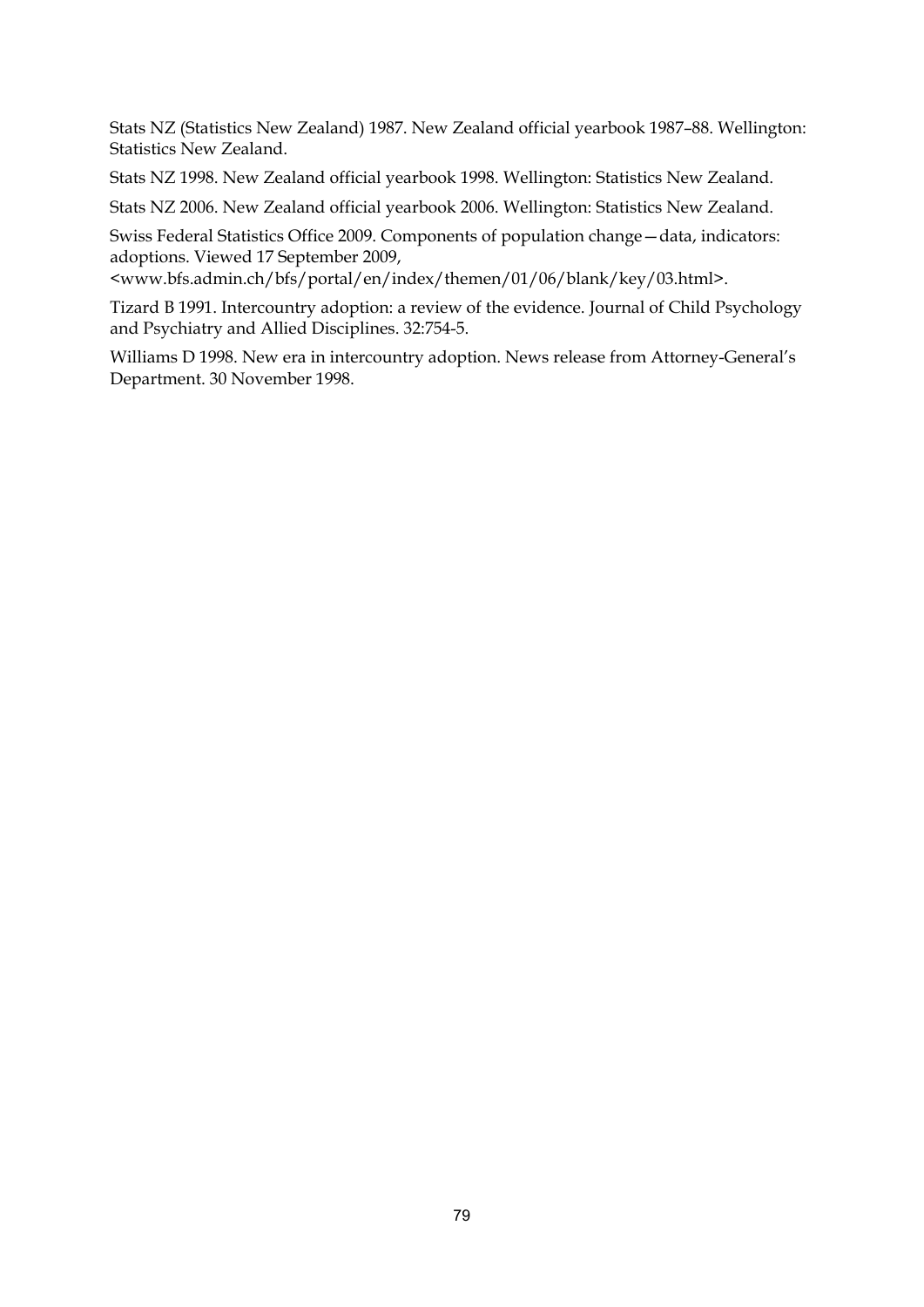Stats NZ (Statistics New Zealand) 1987. New Zealand official yearbook 1987–88. Wellington: Statistics New Zealand.

Stats NZ 1998. New Zealand official yearbook 1998. Wellington: Statistics New Zealand.

Stats NZ 2006. New Zealand official yearbook 2006. Wellington: Statistics New Zealand.

Swiss Federal Statistics Office 2009. Components of population change—data, indicators: adoptions. Viewed 17 September 2009,

<www.bfs.admin.ch/bfs/portal/en/index/themen/01/06/blank/key/03.html>.

Tizard B 1991. Intercountry adoption: a review of the evidence. Journal of Child Psychology and Psychiatry and Allied Disciplines. 32:754-5.

Williams D 1998. New era in intercountry adoption. News release from Attorney-General's Department. 30 November 1998.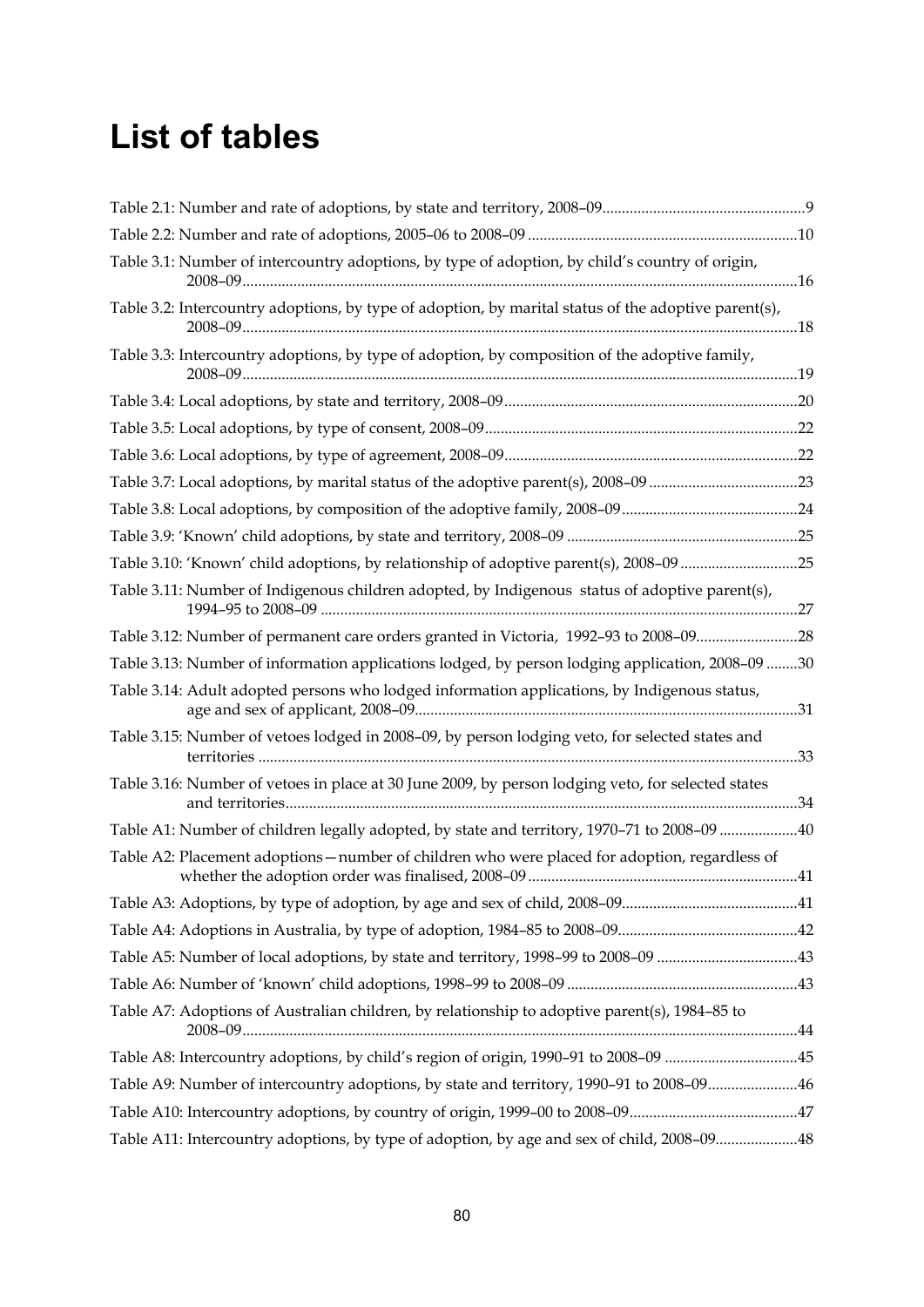## **List of tables**

| Table 3.1: Number of intercountry adoptions, by type of adoption, by child's country of origin,      |  |
|------------------------------------------------------------------------------------------------------|--|
| Table 3.2: Intercountry adoptions, by type of adoption, by marital status of the adoptive parent(s), |  |
| Table 3.3: Intercountry adoptions, by type of adoption, by composition of the adoptive family,       |  |
|                                                                                                      |  |
|                                                                                                      |  |
|                                                                                                      |  |
|                                                                                                      |  |
|                                                                                                      |  |
|                                                                                                      |  |
| Table 3.10: 'Known' child adoptions, by relationship of adoptive parent(s), 2008-09 25               |  |
| Table 3.11: Number of Indigenous children adopted, by Indigenous status of adoptive parent(s),       |  |
| Table 3.12: Number of permanent care orders granted in Victoria, 1992-93 to 2008-0928                |  |
| Table 3.13: Number of information applications lodged, by person lodging application, 2008-09 30     |  |
| Table 3.14: Adult adopted persons who lodged information applications, by Indigenous status,         |  |
| Table 3.15: Number of vetoes lodged in 2008-09, by person lodging veto, for selected states and      |  |
| Table 3.16: Number of vetoes in place at 30 June 2009, by person lodging veto, for selected states   |  |
| Table A1: Number of children legally adopted, by state and territory, 1970-71 to 2008-09 40          |  |
| Table A2: Placement adoptions - number of children who were placed for adoption, regardless of       |  |
|                                                                                                      |  |
|                                                                                                      |  |
| Table A5: Number of local adoptions, by state and territory, 1998-99 to 2008-09 43                   |  |
|                                                                                                      |  |
| Table A7: Adoptions of Australian children, by relationship to adoptive parent(s), 1984-85 to        |  |
| Table A8: Intercountry adoptions, by child's region of origin, 1990-91 to 2008-09 45                 |  |
| Table A9: Number of intercountry adoptions, by state and territory, 1990-91 to 2008-0946             |  |
|                                                                                                      |  |
| Table A11: Intercountry adoptions, by type of adoption, by age and sex of child, 2008-0948           |  |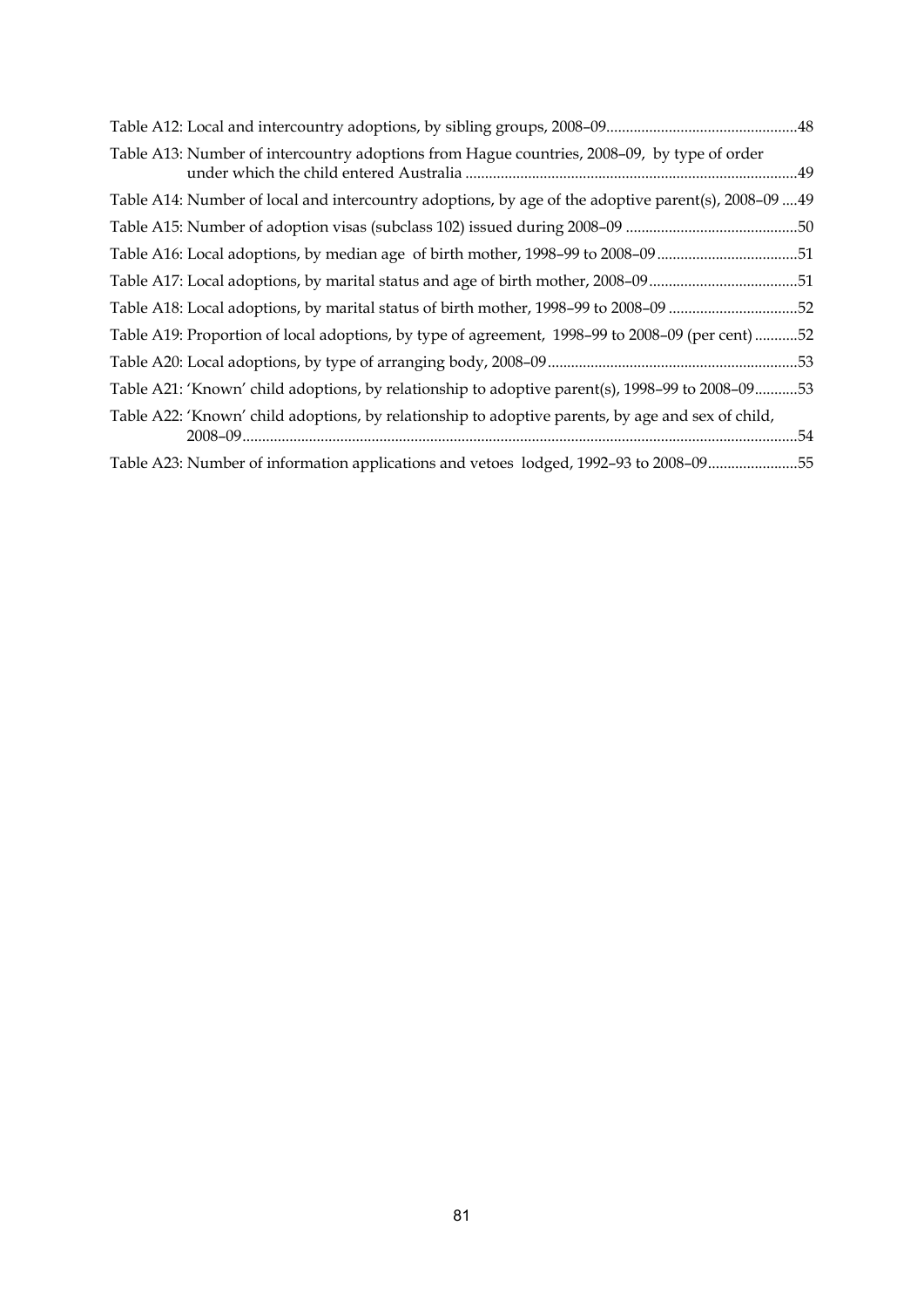| Table A13: Number of intercountry adoptions from Hague countries, 2008–09, by type of order          |  |
|------------------------------------------------------------------------------------------------------|--|
| Table A14: Number of local and intercountry adoptions, by age of the adoptive parent(s), 2008-09  49 |  |
|                                                                                                      |  |
| Table A16: Local adoptions, by median age of birth mother, 1998-99 to 2008-0951                      |  |
| Table A17: Local adoptions, by marital status and age of birth mother, 2008-0951                     |  |
| Table A18: Local adoptions, by marital status of birth mother, 1998-99 to 2008-09 52                 |  |
| Table A19: Proportion of local adoptions, by type of agreement, 1998-99 to 2008-09 (per cent) 52     |  |
|                                                                                                      |  |
| Table A21: 'Known' child adoptions, by relationship to adoptive parent(s), 1998-99 to 2008-0953      |  |
| Table A22: 'Known' child adoptions, by relationship to adoptive parents, by age and sex of child,    |  |
| Table A23: Number of information applications and vetoes lodged, 1992-93 to 2008-0955                |  |